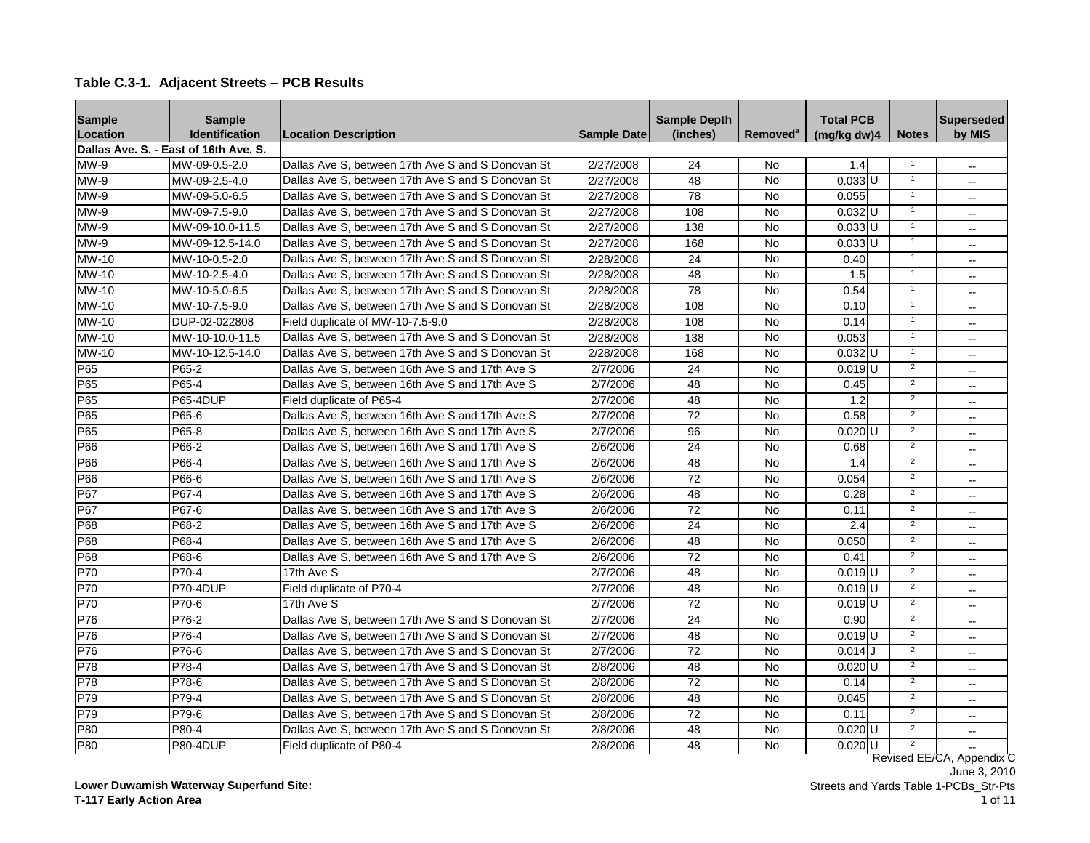|  |  |  | Table C.3-1. Adjacent Streets - PCB Results |
|--|--|--|---------------------------------------------|
|--|--|--|---------------------------------------------|

| <b>Sample</b> | <b>Sample</b>                         |                                                   |                    | <b>Sample Depth</b> |                      | <b>Total PCB</b>     |                | <b>Superseded</b>         |
|---------------|---------------------------------------|---------------------------------------------------|--------------------|---------------------|----------------------|----------------------|----------------|---------------------------|
| Location      | <b>Identification</b>                 | <b>Location Description</b>                       | <b>Sample Date</b> | (inches)            | Removed <sup>a</sup> | (mg/kg dw)4          | <b>Notes</b>   | by MIS                    |
|               | Dallas Ave. S. - East of 16th Ave. S. |                                                   |                    |                     |                      |                      |                |                           |
| MW-9          | MW-09-0.5-2.0                         | Dallas Ave S. between 17th Ave S and S Donovan St | 2/27/2008          | 24                  | <b>No</b>            | 1.4                  |                | $\overline{\phantom{a}}$  |
| $MW-9$        | MW-09-2.5-4.0                         | Dallas Ave S, between 17th Ave S and S Donovan St | 2/27/2008          | 48                  | <b>No</b>            | $0.033$ U            |                | $\overline{\phantom{a}}$  |
| $MW-9$        | MW-09-5.0-6.5                         | Dallas Ave S. between 17th Ave S and S Donovan St | 2/27/2008          | 78                  | <b>No</b>            | 0.055                |                | $\overline{a}$            |
| MW-9          | MW-09-7.5-9.0                         | Dallas Ave S. between 17th Ave S and S Donovan St | 2/27/2008          | 108                 | $\overline{N}$       | $0.032$ U            |                | $\overline{a}$            |
| MW-9          | MW-09-10.0-11.5                       | Dallas Ave S. between 17th Ave S and S Donovan St | 2/27/2008          | 138                 | <b>No</b>            | $0.033$ U            |                |                           |
| MW-9          | MW-09-12.5-14.0                       | Dallas Ave S. between 17th Ave S and S Donovan St | 2/27/2008          | 168                 | <b>No</b>            | $0.033$ U            |                | $\overline{a}$            |
| MW-10         | MW-10-0.5-2.0                         | Dallas Ave S. between 17th Ave S and S Donovan St | 2/28/2008          | $\overline{24}$     | $\overline{N}$       | 0.40                 |                | $\overline{\phantom{a}}$  |
| <b>MW-10</b>  | MW-10-2.5-4.0                         | Dallas Ave S. between 17th Ave S and S Donovan St | 2/28/2008          | 48                  | $\overline{N}$       | 1.5                  | $\overline{1}$ | $\overline{a}$            |
| MW-10         | MW-10-5.0-6.5                         | Dallas Ave S, between 17th Ave S and S Donovan St | 2/28/2008          | 78                  | <b>No</b>            | 0.54                 | $\overline{1}$ | $\overline{a}$            |
| $MW-10$       | MW-10-7.5-9.0                         | Dallas Ave S, between 17th Ave S and S Donovan St | 2/28/2008          | 108                 | <b>No</b>            | 0.10                 | $\overline{1}$ | $\overline{a}$            |
| MW-10         | DUP-02-022808                         | Field duplicate of MW-10-7.5-9.0                  | 2/28/2008          | 108                 | <b>No</b>            | 0.14                 | $\overline{1}$ | $\overline{a}$            |
| MW-10         | MW-10-10.0-11.5                       | Dallas Ave S. between 17th Ave S and S Donovan St | 2/28/2008          | 138                 | <b>No</b>            | 0.053                | $\overline{1}$ | $\overline{a}$            |
| MW-10         | MW-10-12.5-14.0                       | Dallas Ave S. between 17th Ave S and S Donovan St | 2/28/2008          | 168                 | <b>No</b>            | $0.032$ U            | $\overline{1}$ | $\sim$                    |
| P65           | P65-2                                 | Dallas Ave S. between 16th Ave S and 17th Ave S   | 2/7/2006           | 24                  | <b>No</b>            | $0.019$ U            | $\overline{2}$ | $\overline{\phantom{a}}$  |
| P65           | P65-4                                 | Dallas Ave S. between 16th Ave S and 17th Ave S   | 2/7/2006           | 48                  | <b>No</b>            | 0.45                 | $\overline{2}$ | $\overline{\phantom{a}}$  |
| P65           | <b>P65-4DUP</b>                       | Field duplicate of P65-4                          | 2/7/2006           | 48                  | <b>No</b>            | 1.2                  | $\overline{2}$ | $\overline{\phantom{a}}$  |
| P65           | P65-6                                 | Dallas Ave S. between 16th Ave S and 17th Ave S   | 2/7/2006           | 72                  | <b>No</b>            | 0.58                 | $\overline{2}$ | $\overline{a}$            |
| P65           | P65-8                                 | Dallas Ave S. between 16th Ave S and 17th Ave S   | 2/7/2006           | 96                  | <b>No</b>            | $0.020$ U            | $\overline{2}$ | $\overline{\phantom{a}}$  |
| P66           | P66-2                                 | Dallas Ave S. between 16th Ave S and 17th Ave S   | 2/6/2006           | 24                  | <b>No</b>            | 0.68                 | $\overline{2}$ | $\overline{a}$            |
| P66           | P66-4                                 | Dallas Ave S. between 16th Ave S and 17th Ave S   | 2/6/2006           | 48                  | <b>No</b>            | 1.4                  | $\overline{2}$ | $\sim$                    |
| P66           | P66-6                                 | Dallas Ave S, between 16th Ave S and 17th Ave S   | 2/6/2006           | $\overline{72}$     | <b>No</b>            | 0.054                | $\overline{2}$ | $\overline{a}$            |
| P67           | P67-4                                 | Dallas Ave S. between 16th Ave S and 17th Ave S   | 2/6/2006           | 48                  | No                   | 0.28                 | $\overline{2}$ | $\overline{a}$            |
| P67           | P67-6                                 | Dallas Ave S. between 16th Ave S and 17th Ave S   | 2/6/2006           | 72                  | <b>No</b>            | 0.11                 | $\overline{2}$ | $\overline{a}$            |
| P68           | P68-2                                 | Dallas Ave S, between 16th Ave S and 17th Ave S   | 2/6/2006           | 24                  | <b>No</b>            | 2.4                  | $\overline{2}$ | $\overline{a}$            |
| P68           | P68-4                                 | Dallas Ave S. between 16th Ave S and 17th Ave S   | 2/6/2006           | 48                  | $\overline{N}$       | 0.050                | $\overline{2}$ | $\sim$                    |
| P68           | P68-6                                 | Dallas Ave S. between 16th Ave S and 17th Ave S   | 2/6/2006           | $\overline{72}$     | <b>No</b>            | 0.41                 | $\overline{2}$ | $\overline{a}$            |
| P70           | P70-4                                 | 17th Ave S                                        | 2/7/2006           | 48                  | <b>No</b>            | $0.019$ <sub>U</sub> | $\overline{2}$ | $\overline{a}$            |
| P70           | P70-4DUP                              | Field duplicate of P70-4                          | 2/7/2006           | 48                  | <b>No</b>            | $0.019$ <sub>U</sub> | $\overline{2}$ | $\overline{a}$            |
| P70           | P70-6                                 | 17th Ave S                                        | 2/7/2006           | 72                  | <b>No</b>            | $0.019$ <sub>U</sub> | $\overline{2}$ | $\overline{a}$            |
| P76           | P76-2                                 | Dallas Ave S. between 17th Ave S and S Donovan St | 2/7/2006           | 24                  | <b>No</b>            | 0.90                 | $\overline{2}$ | $\overline{a}$            |
| P76           | P76-4                                 | Dallas Ave S. between 17th Ave S and S Donovan St | 2/7/2006           | 48                  | <b>No</b>            | $0.019$ U            | $\overline{2}$ | $\overline{\phantom{a}}$  |
| P76           | P76-6                                 | Dallas Ave S. between 17th Ave S and S Donovan St | 2/7/2006           | 72                  | <b>No</b>            | $0.014$ J            | $\overline{2}$ | $-$                       |
| P78           | P78-4                                 | Dallas Ave S, between 17th Ave S and S Donovan St | 2/8/2006           | 48                  | <b>No</b>            | $0.020$ U            | $\overline{2}$ | $\overline{a}$            |
| P78           | P78-6                                 | Dallas Ave S. between 17th Ave S and S Donovan St | 2/8/2006           | 72                  | <b>No</b>            | 0.14                 | $\overline{2}$ | $\overline{\phantom{a}}$  |
| P79           | P79-4                                 | Dallas Ave S, between 17th Ave S and S Donovan St | 2/8/2006           | 48                  | <b>No</b>            | 0.045                | $\overline{2}$ | $\overline{\phantom{a}}$  |
| P79           | P79-6                                 | Dallas Ave S. between 17th Ave S and S Donovan St | 2/8/2006           | $\overline{72}$     | <b>No</b>            | 0.11                 | $\overline{2}$ | $\overline{a}$            |
| P80           | P80-4                                 | Dallas Ave S. between 17th Ave S and S Donovan St | 2/8/2006           | 48                  | <b>No</b>            | $0.020$ U            | $\overline{2}$ | $\overline{a}$            |
| P80           | <b>P80-4DUP</b>                       | Field duplicate of P80-4                          | 2/8/2006           | 48                  | <b>No</b>            | $0.020$ U            | $\overline{2}$ |                           |
|               |                                       |                                                   |                    |                     |                      |                      |                | Revised EE/CA, Appendix C |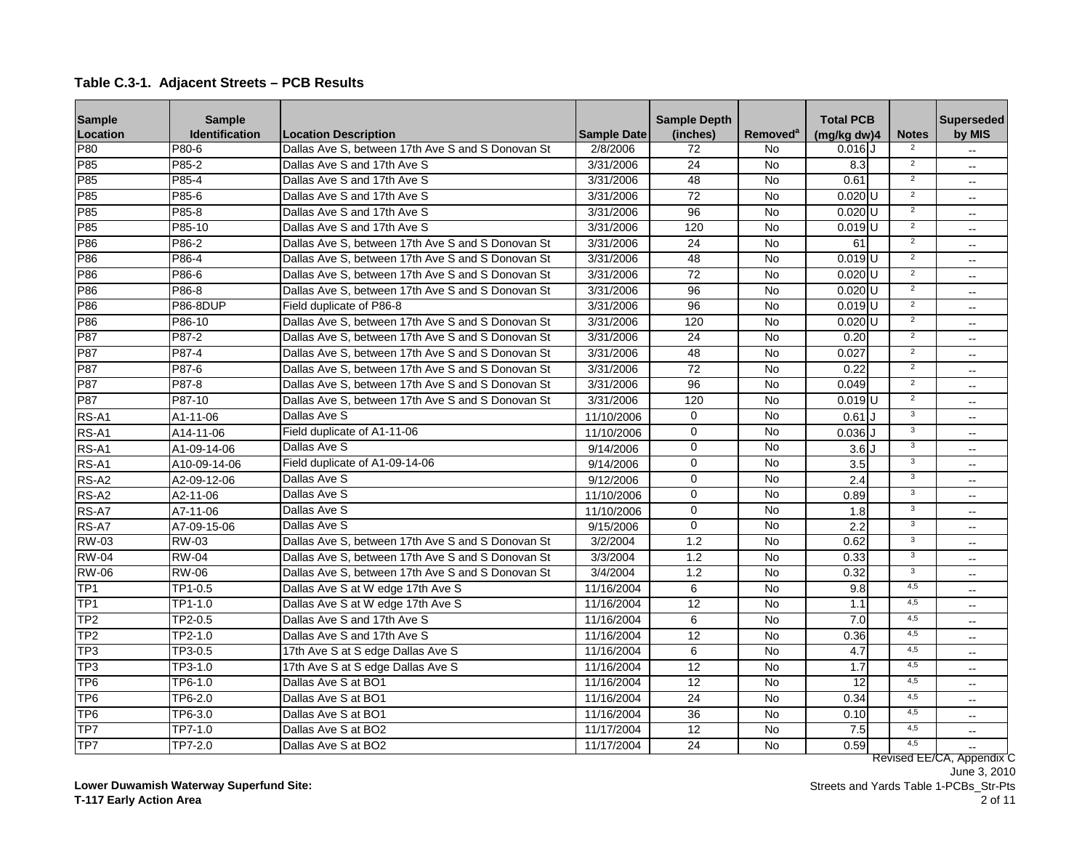| <b>Sample</b>   | <b>Sample</b>   |                                                   |                    | <b>Sample Depth</b> |                            | <b>Total PCB</b>     |                | <b>Superseded</b>         |
|-----------------|-----------------|---------------------------------------------------|--------------------|---------------------|----------------------------|----------------------|----------------|---------------------------|
| Location        | Identification  | <b>Location Description</b>                       | <b>Sample Date</b> | (inches)            | <b>Removed<sup>a</sup></b> | (mq/kg dw)4          | <b>Notes</b>   | by MIS                    |
| P80             | P80-6           | Dallas Ave S. between 17th Ave S and S Donovan St | 2/8/2006           | 72                  | No                         | $0.016$ U            |                |                           |
| P85             | P85-2           | Dallas Ave S and 17th Ave S                       | 3/31/2006          | 24                  | <b>No</b>                  | 8.3                  | $\overline{2}$ | $\overline{\phantom{a}}$  |
| P85             | P85-4           | Dallas Ave S and 17th Ave S                       | 3/31/2006          | 48                  | <b>No</b>                  | 0.61                 | $\overline{2}$ | $\overline{a}$            |
| P85             | P85-6           | Dallas Ave S and 17th Ave S                       | 3/31/2006          | $\overline{72}$     | <b>No</b>                  | $0.020$ U            | $\overline{2}$ | $\overline{a}$            |
| P85             | P85-8           | Dallas Ave S and 17th Ave S                       | 3/31/2006          | $\overline{96}$     | $\overline{N}$             | $0.020$ U            | $\overline{2}$ | $\overline{\phantom{a}}$  |
| P85             | P85-10          | Dallas Ave S and 17th Ave S                       | 3/31/2006          | 120                 | No                         | $0.019$ U            | $\overline{2}$ | $-$                       |
| P86             | P86-2           | Dallas Ave S. between 17th Ave S and S Donovan St | 3/31/2006          | 24                  | No                         | 61                   | $\overline{2}$ | $\overline{\phantom{a}}$  |
| P86             | P86-4           | Dallas Ave S. between 17th Ave S and S Donovan St | 3/31/2006          | 48                  | No                         | $0.019$ U            | $\overline{2}$ | $\overline{a}$            |
| P86             | P86-6           | Dallas Ave S. between 17th Ave S and S Donovan St | 3/31/2006          | $\overline{72}$     | No                         | $0.020$ U            | $\overline{2}$ | $\overline{a}$            |
| P86             | P86-8           | Dallas Ave S, between 17th Ave S and S Donovan St | 3/31/2006          | 96                  | No                         | $0.020$ <sub>U</sub> | $\overline{2}$ | $\overline{\phantom{a}}$  |
| P86             | <b>P86-8DUP</b> | Field duplicate of P86-8                          | 3/31/2006          | 96                  | No                         | $0.019$ <sub>U</sub> | $\overline{2}$ | $\overline{\phantom{a}}$  |
| P86             | P86-10          | Dallas Ave S, between 17th Ave S and S Donovan St | 3/31/2006          | 120                 | <b>No</b>                  | $0.020$ U            | $\overline{2}$ | $\overline{a}$            |
| P87             | P87-2           | Dallas Ave S. between 17th Ave S and S Donovan St | 3/31/2006          | $\overline{24}$     | <b>No</b>                  | 0.20                 | $\overline{2}$ | $\overline{\phantom{a}}$  |
| <b>P87</b>      | P87-4           | Dallas Ave S. between 17th Ave S and S Donovan St | 3/31/2006          | 48                  | No                         | 0.027                | $\overline{2}$ | $\overline{\phantom{a}}$  |
| <b>P87</b>      | P87-6           | Dallas Ave S. between 17th Ave S and S Donovan St | 3/31/2006          | 72                  | No                         | 0.22                 | $\overline{2}$ | $\overline{\phantom{a}}$  |
| P87             | P87-8           | Dallas Ave S. between 17th Ave S and S Donovan St | 3/31/2006          | $\overline{96}$     | <b>No</b>                  | 0.049                | $\overline{2}$ | $\overline{a}$            |
| P87             | P87-10          | Dallas Ave S, between 17th Ave S and S Donovan St | 3/31/2006          | 120                 | <b>No</b>                  | $0.019$ U            | $\overline{2}$ | $\overline{a}$            |
| RS-A1           | A1-11-06        | Dallas Ave S                                      | 11/10/2006         | $\Omega$            | <b>No</b>                  | 0.61                 | $\overline{3}$ | $\overline{a}$            |
| RS-A1           | A14-11-06       | Field duplicate of A1-11-06                       | 11/10/2006         | $\mathbf 0$         | No                         | $0.036$ U            | 3              | $\overline{\phantom{a}}$  |
| RS-A1           | A1-09-14-06     | Dallas Ave S                                      | 9/14/2006          | $\overline{0}$      | $\overline{N}$             | 3.6 <sub>1</sub>     | 3              | $\overline{a}$            |
| RS-A1           | A10-09-14-06    | Field duplicate of A1-09-14-06                    | 9/14/2006          | $\mathbf 0$         | No                         | 3.5                  | $\overline{3}$ | $\overline{\phantom{a}}$  |
| RS-A2           | A2-09-12-06     | Dallas Ave S                                      | 9/12/2006          | $\Omega$            | No                         | 2.4                  | $\overline{3}$ | $\overline{a}$            |
| RS-A2           | A2-11-06        | Dallas Ave S                                      | 11/10/2006         | $\mathbf 0$         | No                         | 0.89                 | 3              | $-$                       |
| RS-A7           | A7-11-06        | Dallas Ave S                                      | 11/10/2006         | $\mathbf 0$         | No                         | 1.8                  | 3              | $-$                       |
| RS-A7           | A7-09-15-06     | Dallas Ave S                                      | 9/15/2006          | $\overline{0}$      | <b>No</b>                  | 2.2                  | $\overline{3}$ | $\overline{a}$            |
| <b>RW-03</b>    | <b>RW-03</b>    | Dallas Ave S, between 17th Ave S and S Donovan St | 3/2/2004           | 1.2                 | <b>No</b>                  | 0.62                 | $\overline{3}$ | $\overline{a}$            |
| <b>RW-04</b>    | <b>RW-04</b>    | Dallas Ave S. between 17th Ave S and S Donovan St | 3/3/2004           | 1.2                 | <b>No</b>                  | 0.33                 | $\overline{3}$ | $\overline{a}$            |
| <b>RW-06</b>    | <b>RW-06</b>    | Dallas Ave S. between 17th Ave S and S Donovan St | 3/4/2004           | 1.2                 | <b>No</b>                  | 0.32                 | $\overline{3}$ | $\overline{\phantom{a}}$  |
| TP <sub>1</sub> | TP1-0.5         | Dallas Ave S at W edge 17th Ave S                 | 11/16/2004         | 6                   | No                         | 9.8                  | 4,5            | $\sim$                    |
| TP <sub>1</sub> | TP1-1.0         | Dallas Ave S at W edge 17th Ave S                 | 11/16/2004         | 12                  | No                         | 1.1                  | 4,5            | $\overline{\phantom{a}}$  |
| TP <sub>2</sub> | TP2-0.5         | Dallas Ave S and 17th Ave S                       | 11/16/2004         | 6                   | <b>No</b>                  | 7.0                  | 4,5            | $\sim$                    |
| TP <sub>2</sub> | TP2-1.0         | Dallas Ave S and 17th Ave S                       | 11/16/2004         | 12                  | <b>No</b>                  | 0.36                 | 4,5            | $\sim$                    |
| TP <sub>3</sub> | TP3-0.5         | 17th Ave S at S edge Dallas Ave S                 | 11/16/2004         | 6                   | No                         | 4.7                  | 4,5            | $\overline{a}$            |
| TP <sub>3</sub> | TP3-1.0         | 17th Ave S at S edge Dallas Ave S                 | 11/16/2004         | $\overline{12}$     | No                         | 1.7                  | 4,5            | $-$                       |
| TP <sub>6</sub> | TP6-1.0         | Dallas Ave S at BO1                               | 11/16/2004         | 12                  | No                         | 12                   | 4,5            | $\overline{\phantom{a}}$  |
| TP <sub>6</sub> | TP6-2.0         | Dallas Ave S at BO1                               | 11/16/2004         | 24                  | No                         | 0.34                 | 4,5            | $-$                       |
| TP <sub>6</sub> | TP6-3.0         | Dallas Ave S at BO1                               | 11/16/2004         | $\overline{36}$     | <b>No</b>                  | 0.10                 | 4,5            | $-$                       |
| TP7             | $TP7-1.0$       | Dallas Ave S at BO2                               | 11/17/2004         | $\overline{12}$     | No                         | 7.5                  | 4,5            | $\sim$                    |
| TP7             | TP7-2.0         | Dallas Ave S at BO2                               | 11/17/2004         | 24                  | No                         | 0.59                 | 4.5            |                           |
|                 |                 |                                                   |                    |                     |                            |                      |                | Revised EE/CA, Appendix C |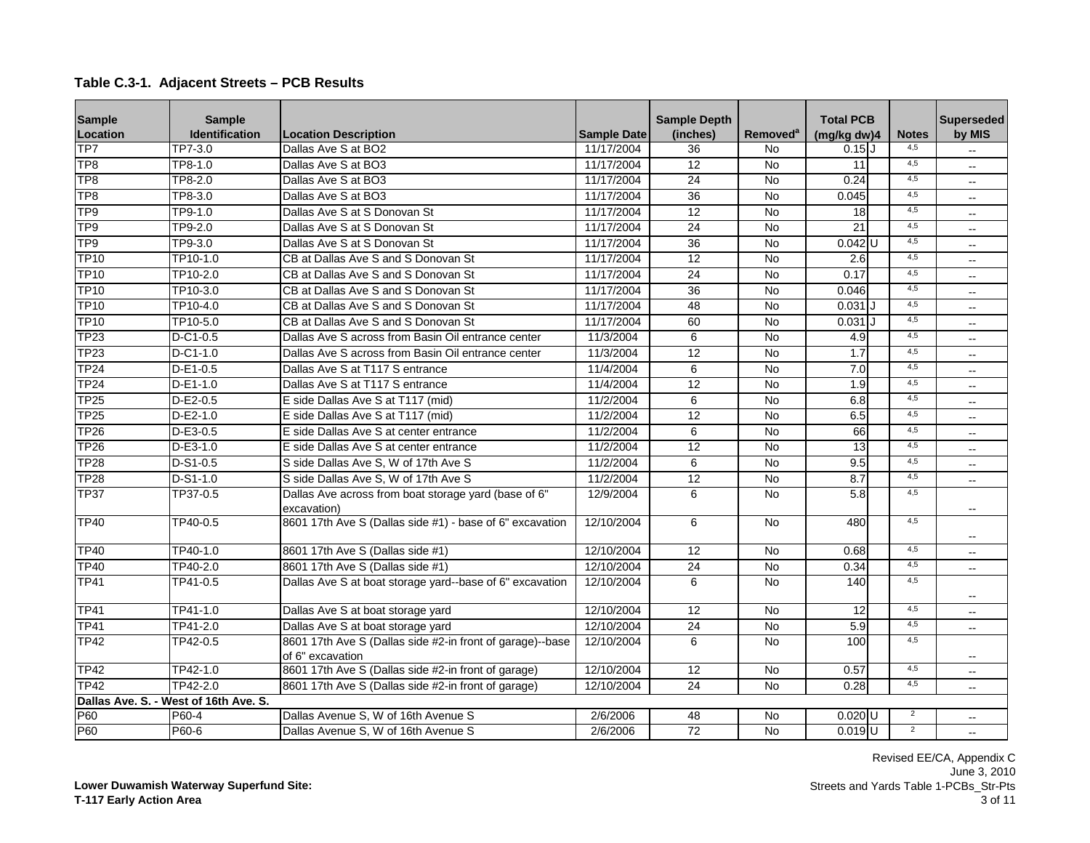| <b>Sample</b><br>Location | <b>Sample</b><br>Identification       | <b>Location Description</b>                                                   | <b>Sample Date</b> | <b>Sample Depth</b><br>(inches) | Removed <sup>a</sup> | <b>Total PCB</b><br>(mg/kg dw)4 | <b>Notes</b>   | <b>Superseded</b><br>by MIS |
|---------------------------|---------------------------------------|-------------------------------------------------------------------------------|--------------------|---------------------------------|----------------------|---------------------------------|----------------|-----------------------------|
| TP7                       | TP7-3.0                               | Dallas Ave S at BO2                                                           | 11/17/2004         | $\overline{36}$                 | No                   | $0.15$ J                        | 4,5            |                             |
| TP <sub>8</sub>           | TP8-1.0                               | Dallas Ave S at BO3                                                           | 11/17/2004         | $\overline{12}$                 | No                   | 11                              | 4,5            | $\overline{a}$              |
| TP <sub>8</sub>           | TP8-2.0                               | Dallas Ave S at BO3                                                           | 11/17/2004         | 24                              | No                   | 0.24                            | 4,5            | $\overline{\phantom{a}}$    |
| TP <sub>8</sub>           | TP8-3.0                               | Dallas Ave S at BO3                                                           | 11/17/2004         | $\overline{36}$                 | <b>No</b>            | 0.045                           | 4,5            | $\overline{\phantom{a}}$    |
| TP <sub>9</sub>           | TP9-1.0                               | Dallas Ave S at S Donovan St                                                  | 11/17/2004         | $\overline{12}$                 | No                   | 18                              | 4,5            | $-$                         |
| TP <sub>9</sub>           | TP9-2.0                               | Dallas Ave S at S Donovan St                                                  | 11/17/2004         | $\overline{24}$                 | <b>No</b>            | 21                              | 4,5            | $\overline{\phantom{a}}$    |
| TP <sub>9</sub>           | TP9-3.0                               | Dallas Ave S at S Donovan St                                                  | 11/17/2004         | $\overline{36}$                 | $\overline{N}$       | $0.042$ U                       | 4,5            | $\overline{\phantom{a}}$    |
| <b>TP10</b>               | TP10-1.0                              | CB at Dallas Ave S and S Donovan St                                           | 11/17/2004         | 12                              | <b>No</b>            | 2.6                             | 4,5            | $-$                         |
| <b>TP10</b>               | TP10-2.0                              | CB at Dallas Ave S and S Donovan St                                           | 11/17/2004         | 24                              | <b>No</b>            | 0.17                            | 4,5            | $\overline{a}$              |
| <b>TP10</b>               | TP10-3.0                              | CB at Dallas Ave S and S Donovan St                                           | 11/17/2004         | $\overline{36}$                 | <b>No</b>            | 0.046                           | 4,5            | $\overline{\phantom{a}}$    |
| <b>TP10</b>               | TP10-4.0                              | CB at Dallas Ave S and S Donovan St                                           | 11/17/2004         | 48                              | <b>No</b>            | 0.031                           | 4.5            | $-$                         |
| <b>TP10</b>               | TP10-5.0                              | CB at Dallas Ave S and S Donovan St                                           | 11/17/2004         | 60                              | <b>No</b>            | $0.031$ J                       | 4,5            | $\overline{a}$              |
| <b>TP23</b>               | $D-C1-0.5$                            | Dallas Ave S across from Basin Oil entrance center                            | 11/3/2004          | 6                               | <b>No</b>            | 4.9                             | 4,5            | $\sim$                      |
| <b>TP23</b>               | $D-C1-1.0$                            | Dallas Ave S across from Basin Oil entrance center                            | 11/3/2004          | $\overline{12}$                 | <b>No</b>            | 1.7                             | 4,5            | $-$                         |
| <b>TP24</b>               | $D-E1-0.5$                            | Dallas Ave S at T117 S entrance                                               | 11/4/2004          | 6                               | <b>No</b>            | 7.0                             | 4,5            | $\overline{\phantom{a}}$    |
| <b>TP24</b>               | D-E1-1.0                              | Dallas Ave S at T117 S entrance                                               | 11/4/2004          | 12                              | <b>No</b>            | 1.9                             | 4,5            | $\overline{\phantom{a}}$    |
| <b>TP25</b>               | D-E2-0.5                              | E side Dallas Ave S at T117 (mid)                                             | 11/2/2004          | 6                               | <b>No</b>            | 6.8                             | 4,5            | $\overline{\phantom{a}}$    |
| <b>TP25</b>               | D-E2-1.0                              | E side Dallas Ave S at T117 (mid)                                             | 11/2/2004          | $\overline{12}$                 | <b>No</b>            | 6.5                             | 4,5            | $\overline{a}$              |
| <b>TP26</b>               | $D-E3-0.5$                            | E side Dallas Ave S at center entrance                                        | 11/2/2004          | 6                               | <b>No</b>            | 66                              | 4,5            | $\overline{\phantom{a}}$    |
| TP <sub>26</sub>          | $D-E3-1.0$                            | E side Dallas Ave S at center entrance                                        | 11/2/2004          | $\overline{12}$                 | <b>No</b>            | $\overline{13}$                 | 4,5            | $-$                         |
| <b>TP28</b>               | $D-S1-0.5$                            | S side Dallas Ave S, W of 17th Ave S                                          | 11/2/2004          | 6                               | $\overline{N}$       | 9.5                             | 4,5            | $\overline{\phantom{a}}$    |
| <b>TP28</b>               | D-S1-1.0                              | S side Dallas Ave S, W of 17th Ave S                                          | 11/2/2004          | 12                              | <b>No</b>            | 8.7                             | 4,5            | $\overline{\phantom{a}}$    |
| <b>TP37</b>               | TP37-0.5                              | Dallas Ave across from boat storage yard (base of 6"<br>excavation)           | 12/9/2004          | 6                               | <b>No</b>            | $\overline{5.8}$                | 4,5            |                             |
| <b>TP40</b>               | TP40-0.5                              | 8601 17th Ave S (Dallas side #1) - base of 6" excavation                      | 12/10/2004         | 6                               | <b>No</b>            | 480                             | 4,5            |                             |
| <b>TP40</b>               | TP40-1.0                              | 8601 17th Ave S (Dallas side #1)                                              | 12/10/2004         | $\overline{12}$                 | $\overline{N}$       | 0.68                            | 4,5            | $\overline{a}$              |
| <b>TP40</b>               | TP40-2.0                              | 8601 17th Ave S (Dallas side #1)                                              | 12/10/2004         | 24                              | <b>No</b>            | 0.34                            | 4,5            | $- -$                       |
| <b>TP41</b>               | TP41-0.5                              | Dallas Ave S at boat storage yard--base of 6" excavation                      | 12/10/2004         | 6                               | <b>No</b>            | 140                             | 4,5            |                             |
| <b>TP41</b>               | TP41-1.0                              | Dallas Ave S at boat storage yard                                             | 12/10/2004         | 12                              | <b>No</b>            | $\overline{12}$                 | 4,5            | $\overline{a}$              |
| <b>TP41</b>               | TP41-2.0                              | Dallas Ave S at boat storage yard                                             | 12/10/2004         | 24                              | <b>No</b>            | $\overline{5.9}$                | 4,5            | $\overline{a}$              |
| $\overline{\text{TP42}}$  | TP42-0.5                              | 8601 17th Ave S (Dallas side #2-in front of garage)--base<br>of 6" excavation | 12/10/2004         | 6                               | <b>No</b>            | 100                             | 4,5            | $\overline{a}$              |
| <b>TP42</b>               | TP42-1.0                              | 8601 17th Ave S (Dallas side #2-in front of garage)                           | 12/10/2004         | 12                              | <b>No</b>            | 0.57                            | 4,5            | $\overline{\phantom{a}}$    |
| <b>TP42</b>               | TP42-2.0                              | 8601 17th Ave S (Dallas side #2-in front of garage)                           | 12/10/2004         | 24                              | No                   | 0.28                            | 4,5            |                             |
|                           | Dallas Ave. S. - West of 16th Ave. S. |                                                                               |                    |                                 |                      |                                 |                |                             |
| P60                       | P60-4                                 | Dallas Avenue S, W of 16th Avenue S                                           | 2/6/2006           | 48                              | No                   | $0.020$ U                       | $\overline{2}$ | $\overline{a}$              |
| P60                       | P60-6                                 | Dallas Avenue S, W of 16th Avenue S                                           | 2/6/2006           | 72                              | No                   | $0.019$ <sub>U</sub>            | $\overline{2}$ | $\overline{a}$              |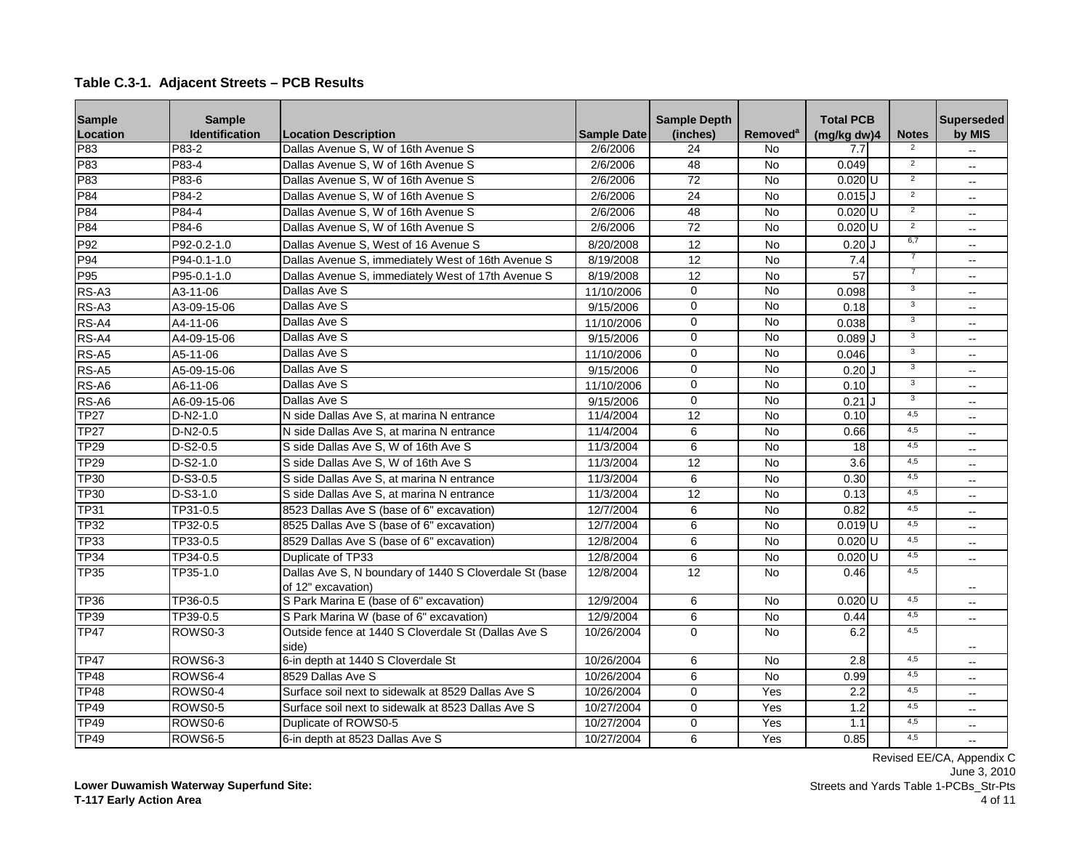| <b>Sample</b> | <b>Sample</b>       |                                                                              |                    | <b>Sample Depth</b> |                      | <b>Total PCB</b>     |                | <b>Superseded</b>        |
|---------------|---------------------|------------------------------------------------------------------------------|--------------------|---------------------|----------------------|----------------------|----------------|--------------------------|
| Location      | Identification      | <b>Location Description</b>                                                  | <b>Sample Date</b> | (inches)            | Removed <sup>a</sup> | (mg/kg dw)4          | <b>Notes</b>   | by MIS                   |
| P83           | P83-2               | Dallas Avenue S, W of 16th Avenue S                                          | 2/6/2006           | $\overline{24}$     | <b>No</b>            | 7.7                  |                |                          |
| P83           | P83-4               | Dallas Avenue S, W of 16th Avenue S                                          | 2/6/2006           | 48                  | <b>No</b>            | 0.049                | $\overline{2}$ | $\sim$                   |
| P83           | P83-6               | Dallas Avenue S, W of 16th Avenue S                                          | 2/6/2006           | 72                  | <b>No</b>            | $0.020$ U            | $\overline{2}$ | $\overline{\phantom{a}}$ |
| P84           | P84-2               | Dallas Avenue S. W of 16th Avenue S                                          | 2/6/2006           | 24                  | $\overline{N}$       | $0.015$ J            | $\overline{2}$ |                          |
| P84           | P84-4               | Dallas Avenue S, W of 16th Avenue S                                          | 2/6/2006           | 48                  | <b>No</b>            | $0.020$ U            | $\overline{2}$ | $\mathbf{u}$             |
| P84           | P84-6               | Dallas Avenue S, W of 16th Avenue S                                          | 2/6/2006           | 72                  | <b>No</b>            | $0.020$ U            | $\overline{2}$ |                          |
| P92           | P92-0.2-1.0         | Dallas Avenue S. West of 16 Avenue S                                         | 8/20/2008          | 12                  | <b>No</b>            | $0.20$ U             | 6,7            |                          |
| P94           | P94-0.1-1.0         | Dallas Avenue S, immediately West of 16th Avenue S                           | 8/19/2008          | 12                  | No                   | 7.4                  |                | $\sim$                   |
| P95           | P95-0.1-1.0         | Dallas Avenue S, immediately West of 17th Avenue S                           | 8/19/2008          | 12                  | <b>No</b>            | 57                   | $\overline{7}$ |                          |
| RS-A3         | A3-11-06            | Dallas Ave S                                                                 | 11/10/2006         | $\mathbf 0$         | <b>No</b>            | 0.098                | 3              | $\sim$ $\sim$            |
| RS-A3         | A3-09-15-06         | Dallas Ave S                                                                 | 9/15/2006          | $\mathbf 0$         | $\overline{N}$       | 0.18                 | $\overline{3}$ | $\sim$                   |
| RS-A4         | A4-11-06            | Dallas Ave S                                                                 | 11/10/2006         | $\Omega$            | <b>No</b>            | 0.038                | $\overline{3}$ |                          |
| RS-A4         | A4-09-15-06         | Dallas Ave S                                                                 | 9/15/2006          | $\Omega$            | <b>No</b>            | 0.089                | 3              | $\overline{\phantom{a}}$ |
| RS-A5         | A5-11-06            | Dallas Ave S                                                                 | 11/10/2006         | $\mathbf 0$         | No                   | 0.046                | 3              | $\overline{a}$           |
| RS-A5         | A5-09-15-06         | Dallas Ave S                                                                 | 9/15/2006          | $\overline{0}$      | <b>No</b>            | 0.20                 | $\overline{3}$ |                          |
| RS-A6         | A6-11-06            | Dallas Ave S                                                                 | 11/10/2006         | $\Omega$            | <b>No</b>            | 0.10                 | 3              | $\overline{\phantom{a}}$ |
| RS-A6         | A6-09-15-06         | Dallas Ave S                                                                 | 9/15/2006          | $\mathbf 0$         | <b>No</b>            | 0.21                 | $\overline{3}$ |                          |
| <b>TP27</b>   | $D-N2-1.0$          | N side Dallas Ave S. at marina N entrance                                    | 11/4/2004          | $\overline{12}$     | $\overline{N}$       | 0.10                 | 4,5            | $\mathbf{u}$             |
| <b>TP27</b>   | $D-N2-0.5$          | N side Dallas Ave S, at marina N entrance                                    | 11/4/2004          | 6                   | $\overline{N}$       | 0.66                 | 4,5            | $\overline{\phantom{a}}$ |
| <b>TP29</b>   | $D-S2-0.5$          | S side Dallas Ave S, W of 16th Ave S                                         | 11/3/2004          | 6                   | <b>No</b>            | 18                   | 4,5            |                          |
| <b>TP29</b>   | $D-S2-1.0$          | S side Dallas Ave S, W of 16th Ave S                                         | 11/3/2004          | $\overline{12}$     | $\overline{N}$       | $\overline{3.6}$     | 4,5            |                          |
| <b>TP30</b>   | D-S3-0.5            | S side Dallas Ave S, at marina N entrance                                    | 11/3/2004          | 6                   | <b>No</b>            | 0.30                 | 4,5            | $\overline{a}$           |
| <b>TP30</b>   | $D-S3-1.0$          | S side Dallas Ave S. at marina N entrance                                    | 11/3/2004          | $\overline{12}$     | <b>No</b>            | 0.13                 | 4,5            |                          |
| <b>TP31</b>   | TP31-0.5            | 8523 Dallas Ave S (base of 6" excavation)                                    | 12/7/2004          | 6                   | <b>No</b>            | 0.82                 | 4,5            | $\overline{\phantom{a}}$ |
| <b>TP32</b>   | TP32-0.5            | 8525 Dallas Ave S (base of 6" excavation)                                    | 12/7/2004          | 6                   | <b>No</b>            | $0.019$ <sub>U</sub> | 4.5            |                          |
| <b>TP33</b>   | TP33-0.5            | 8529 Dallas Ave S (base of 6" excavation)                                    | 12/8/2004          | 6                   | $\overline{N}$       | $0.020$ U            | 4,5            | $\overline{\phantom{a}}$ |
| TP34          | TP34-0.5            | Duplicate of TP33                                                            | 12/8/2004          | $\overline{6}$      | <b>No</b>            | $0.020$ U            | 4,5            | $\sim$                   |
| <b>TP35</b>   | TP35-1.0            | Dallas Ave S, N boundary of 1440 S Cloverdale St (base<br>of 12" excavation) | 12/8/2004          | 12                  | <b>No</b>            | 0.46                 | 4.5            |                          |
| <b>TP36</b>   | TP36-0.5            | S Park Marina E (base of 6" excavation)                                      | 12/9/2004          | 6                   | <b>No</b>            | $0.020$ U            | 4,5            | $-$                      |
| <b>TP39</b>   | TP39-0.5            | S Park Marina W (base of 6" excavation)                                      | 12/9/2004          | 6                   | No                   | 0.44                 | 4,5            | $\sim$                   |
| <b>TP47</b>   | ROWS <sub>0-3</sub> | Outside fence at 1440 S Cloverdale St (Dallas Ave S<br>side)                 | 10/26/2004         | $\mathbf 0$         | <b>No</b>            | 6.2                  | 4,5            |                          |
| <b>TP47</b>   | ROWS6-3             | 6-in depth at 1440 S Cloverdale St                                           | 10/26/2004         | 6                   | <b>No</b>            | 2.8                  | 4,5            |                          |
| <b>TP48</b>   | ROWS6-4             | 8529 Dallas Ave S                                                            | 10/26/2004         | 6                   | <b>No</b>            | 0.99                 | 4.5            |                          |
| <b>TP48</b>   | ROWS <sub>0-4</sub> | Surface soil next to sidewalk at 8529 Dallas Ave S                           | 10/26/2004         | $\mathbf 0$         | Yes                  | $\overline{2.2}$     | 4,5            | $-$                      |
| <b>TP49</b>   | ROWS0-5             | Surface soil next to sidewalk at 8523 Dallas Ave S                           | 10/27/2004         | $\Omega$            | Yes                  | 1.2                  | 4,5            | $\overline{\phantom{a}}$ |
| <b>TP49</b>   | ROWS <sub>0-6</sub> | Duplicate of ROWS0-5                                                         | 10/27/2004         | $\mathbf 0$         | Yes                  | 1.1                  | 4,5            |                          |
| <b>TP49</b>   | ROWS6-5             | 6-in depth at 8523 Dallas Ave S                                              | 10/27/2004         | 6                   | Yes                  | 0.85                 | 4,5            | $\sim$                   |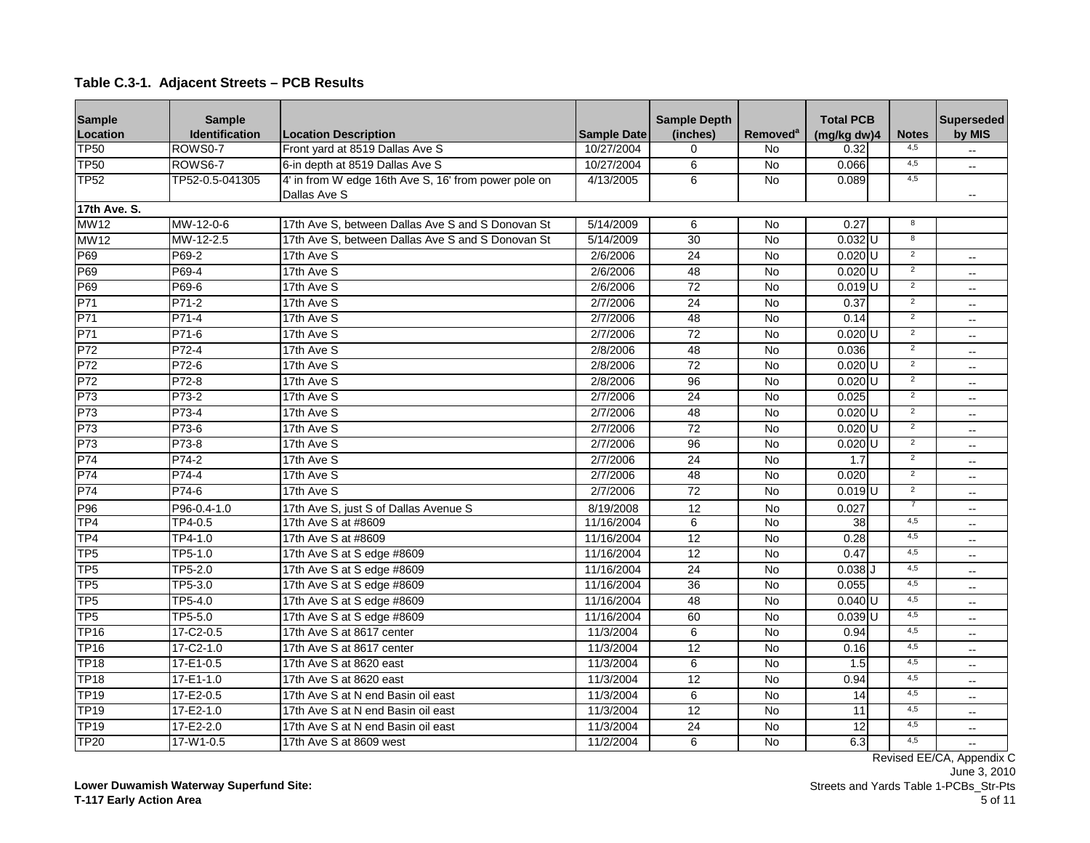| <b>Sample</b>   | <b>Sample</b>        |                                                      |                    | <b>Sample Depth</b> |                      | <b>Total PCB</b>     |                | <b>Superseded</b>        |
|-----------------|----------------------|------------------------------------------------------|--------------------|---------------------|----------------------|----------------------|----------------|--------------------------|
| Location        | Identification       | <b>Location Description</b>                          | <b>Sample Date</b> | (inches)            | Removed <sup>a</sup> | (mg/kg dw)4          | <b>Notes</b>   | by MIS                   |
| <b>TP50</b>     | ROWS0-7              | Front yard at 8519 Dallas Ave S                      | 10/27/2004         | $\mathbf 0$         | No                   | 0.32                 | 4.5            |                          |
| <b>TP50</b>     | ROWS6-7              | 6-in depth at 8519 Dallas Ave S                      | 10/27/2004         | 6                   | <b>No</b>            | 0.066                | 4,5            | $-$                      |
| <b>TP52</b>     | TP52-0.5-041305      | 4' in from W edge 16th Ave S, 16' from power pole on | 4/13/2005          | 6                   | No                   | 0.089                | 4,5            |                          |
|                 |                      | Dallas Ave S                                         |                    |                     |                      |                      |                |                          |
| 17th Ave. S.    |                      |                                                      |                    |                     |                      |                      |                |                          |
| <b>MW12</b>     | MW-12-0-6            | 17th Ave S, between Dallas Ave S and S Donovan St    | 5/14/2009          | 6                   | <b>No</b>            | 0.27                 | 8              |                          |
| <b>MW12</b>     | MW-12-2.5            | 17th Ave S. between Dallas Ave S and S Donovan St    | 5/14/2009          | 30                  | $\overline{N}$       | $0.032$ U            | $\overline{8}$ |                          |
| P69             | P69-2                | 17th Ave S                                           | 2/6/2006           | 24                  | <b>No</b>            | $0.020$ U            | $\overline{2}$ | $\overline{a}$           |
| P69             | P69-4                | 17th Ave S                                           | 2/6/2006           | 48                  | $\overline{N}$       | $0.020$ U            | $\overline{2}$ | $-$                      |
| P69             | P69-6                | 17th Ave S                                           | 2/6/2006           | 72                  | <b>No</b>            | $0.019$ <sup>U</sup> | $\overline{2}$ |                          |
| P71             | P71-2                | 17th Ave S                                           | 2/7/2006           | 24                  | $\overline{N}$       | 0.37                 | $\overline{2}$ | $\overline{a}$           |
| P71             | P71-4                | 17th Ave S                                           | 2/7/2006           | 48                  | $\overline{N}$       | 0.14                 | $\overline{2}$ | $-$                      |
| P71             | P71-6                | 17th Ave S                                           | 2/7/2006           | 72                  | No                   | $0.020$ U            | $\overline{2}$ | $-$                      |
| P72             | P72-4                | 17th Ave S                                           | 2/8/2006           | 48                  | $\overline{N}$       | 0.036                | $\overline{2}$ | $\overline{a}$           |
| P72             | P72-6                | 17th Ave S                                           | 2/8/2006           | $\overline{72}$     | $\overline{N}$       | $0.020$ U            | $\overline{2}$ | $\overline{a}$           |
| P72             | $P72-8$              | 17th Ave S                                           | 2/8/2006           | 96                  | $\overline{N}$       | $0.020$ U            | $\overline{2}$ | $-$                      |
| P73             | P73-2                | 17th Ave S                                           | 2/7/2006           | 24                  | No                   | 0.025                | $\overline{2}$ | $\sim$                   |
| P73             | P73-4                | 17th Ave S                                           | 2/7/2006           | 48                  | <b>No</b>            | $0.020$ <sub>U</sub> | $\overline{2}$ | $-$                      |
| P73             | P73-6                | 17th Ave S                                           | 2/7/2006           | $\overline{72}$     | $\overline{N}$       | $0.020$ U            | $\overline{2}$ | $\overline{a}$           |
| P73             | P73-8                | 17th Ave S                                           | 2/7/2006           | 96                  | <b>No</b>            | $0.020$ U            | $\overline{2}$ | $- -$                    |
| P74             | P74-2                | 17th Ave S                                           | 2/7/2006           | 24                  | No                   | 1.7                  | $\overline{2}$ | $-$                      |
| P74             | $P74-4$              | 17th Ave S                                           | 2/7/2006           | 48                  | $\overline{N}$       | 0.020                | $\overline{2}$ |                          |
| P74             | P74-6                | 17th Ave S                                           | 2/7/2006           | 72                  | <b>No</b>            | $0.019$ <sub>U</sub> | $\overline{2}$ | $-$                      |
| P96             | P96-0.4-1.0          | 17th Ave S, just S of Dallas Avenue S                | 8/19/2008          | 12                  | No                   | 0.027                | 7              | $-$                      |
| TP <sub>4</sub> | TP4-0.5              | 17th Ave S at #8609                                  | 11/16/2004         | 6                   | <b>No</b>            | 38                   | 4.5            |                          |
| TP4             | $\overline{TP4-1.0}$ | 17th Ave S at #8609                                  | 11/16/2004         | $\overline{12}$     | $\overline{N}$       | 0.28                 | 4,5            | $- -$                    |
| TP <sub>5</sub> | TP5-1.0              | 17th Ave S at S edge #8609                           | 11/16/2004         | 12                  | No                   | 0.47                 | 4,5            | $\sim$                   |
| TP <sub>5</sub> | TP5-2.0              | 17th Ave S at S edge #8609                           | 11/16/2004         | 24                  | <b>No</b>            | $0.038$ $J$          | 4,5            | $-$                      |
| TP <sub>5</sub> | TP5-3.0              | 17th Ave S at S edge #8609                           | 11/16/2004         | 36                  | <b>No</b>            | 0.055                | 4,5            | $\overline{a}$           |
| TP <sub>5</sub> | TP5-4.0              | 17th Ave S at S edge #8609                           | 11/16/2004         | 48                  | $\overline{N}$       | $0.040$ U            | 4,5            | $-$                      |
| TP <sub>5</sub> | TP5-5.0              | 17th Ave S at S edge #8609                           | 11/16/2004         | 60                  | $\overline{N}$       | $0.039$ U            | 4,5            | $\overline{a}$           |
| <b>TP16</b>     | 17-C2-0.5            | 17th Ave S at 8617 center                            | 11/3/2004          | $\overline{6}$      | $\overline{N}$       | 0.94                 | 4,5            | $\overline{a}$           |
| <b>TP16</b>     | 17-C2-1.0            | 17th Ave S at 8617 center                            | 11/3/2004          | 12                  | <b>No</b>            | 0.16                 | 4,5            | $-$                      |
| <b>TP18</b>     | 17-E1-0.5            | 17th Ave S at 8620 east                              | 11/3/2004          | 6                   | $\overline{N}$       | 1.5                  | 4,5            | $\overline{\phantom{a}}$ |
| <b>TP18</b>     | $17 - E1 - 1.0$      | 17th Ave S at 8620 east                              | 11/3/2004          | $\overline{12}$     | $\overline{N}$       | 0.94                 | 4,5            |                          |
| <b>TP19</b>     | 17-E2-0.5            | 17th Ave S at N end Basin oil east                   | 11/3/2004          | 6                   | $\overline{N}$       | 14                   | 4,5            | $\overline{a}$           |
| <b>TP19</b>     | $17 - E2 - 1.0$      | 17th Ave S at N end Basin oil east                   | 11/3/2004          | $\overline{12}$     | $\overline{N}$       | 11                   | 4,5            | $\overline{\phantom{a}}$ |
| <b>TP19</b>     | 17-E2-2.0            | 17th Ave S at N end Basin oil east                   | 11/3/2004          | 24                  | <b>No</b>            | $\overline{12}$      | 4.5            | $\overline{\phantom{a}}$ |
| <b>TP20</b>     | $17-W1-0.5$          | 17th Ave S at 8609 west                              | 11/2/2004          | 6                   | $\overline{N}$       | 6.3                  | 4,5            |                          |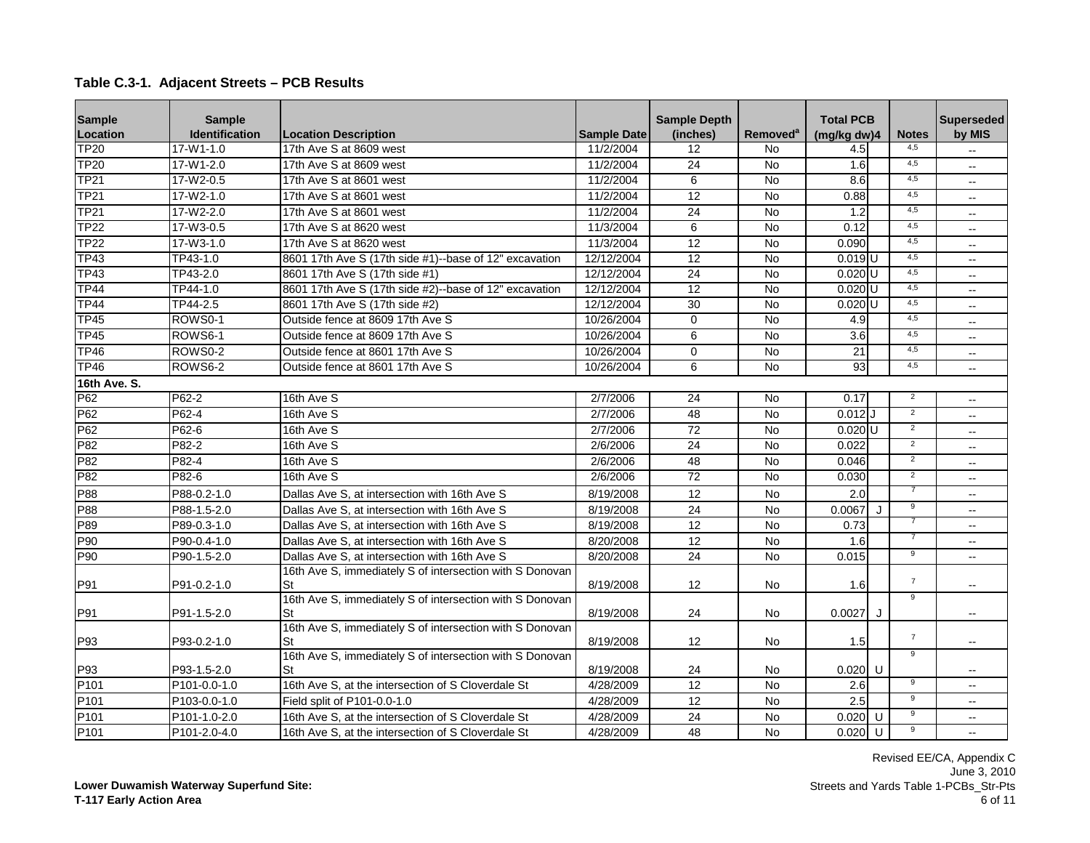| <b>Sample</b>    | <b>Sample</b>  |                                                                |                    | <b>Sample Depth</b> |                             | <b>Total PCB</b>     |                | <b>Superseded</b>        |
|------------------|----------------|----------------------------------------------------------------|--------------------|---------------------|-----------------------------|----------------------|----------------|--------------------------|
| Location         | Identification | <b>Location Description</b>                                    | <b>Sample Date</b> | (inches)            | <b>Removed</b> <sup>a</sup> | (mg/kg dw)4          | <b>Notes</b>   | by MIS                   |
| <b>TP20</b>      | $17-W1-1.0$    | 17th Ave S at 8609 west                                        | 11/2/2004          | 12                  | <b>No</b>                   | 4.5                  | 4.5            |                          |
| <b>TP20</b>      | 17-W1-2.0      | 17th Ave S at 8609 west                                        | 11/2/2004          | 24                  | <b>No</b>                   | 1.6                  | 4,5            |                          |
| <b>TP21</b>      | 17-W2-0.5      | 17th Ave S at 8601 west                                        | 11/2/2004          | 6                   | <b>No</b>                   | 8.6                  | 4,5            | $\mathbf{u}$             |
| <b>TP21</b>      | 17-W2-1.0      | 17th Ave S at 8601 west                                        | 11/2/2004          | 12                  | <b>No</b>                   | 0.88                 | 4,5            | $\sim$                   |
| <b>TP21</b>      | 17-W2-2.0      | 17th Ave S at 8601 west                                        | 11/2/2004          | 24                  | <b>No</b>                   | 1.2                  | 4.5            |                          |
| <b>TP22</b>      | 17-W3-0.5      | 17th Ave S at 8620 west                                        | 11/3/2004          | 6                   | <b>No</b>                   | 0.12                 | 4,5            | $\overline{\phantom{a}}$ |
| <b>TP22</b>      | $17-W3-1.0$    | 17th Ave S at 8620 west                                        | 11/3/2004          | $\overline{12}$     | $\overline{N}$              | 0.090                | 4,5            |                          |
| <b>TP43</b>      | TP43-1.0       | 8601 17th Ave S (17th side #1)--base of 12" excavation         | 12/12/2004         | 12                  | No                          | $0.019$ <sub>U</sub> | 4,5            |                          |
| <b>TP43</b>      | TP43-2.0       | 8601 17th Ave S (17th side #1)                                 | 12/12/2004         | $\overline{24}$     | <b>No</b>                   | $0.020$ U            | 4,5            | $\sim$                   |
| <b>TP44</b>      | TP44-1.0       | 8601 17th Ave S (17th side #2)--base of 12" excavation         | 12/12/2004         | 12                  | No                          | $0.020$ U            | 4,5            | $\mathbf{u}$             |
| <b>TP44</b>      | TP44-2.5       | 8601 17th Ave S (17th side #2)                                 | 12/12/2004         | 30                  | No                          | $0.020$ U            | 4,5            | $\overline{a}$           |
| <b>TP45</b>      | ROWS0-1        | Outside fence at 8609 17th Ave S                               | 10/26/2004         | $\overline{0}$      | $\overline{N}$              | 4.9                  | 4,5            | $\overline{\phantom{a}}$ |
| <b>TP45</b>      | ROWS6-1        | Outside fence at 8609 17th Ave S                               | 10/26/2004         | 6                   | <b>No</b>                   | $\overline{3.6}$     | 4,5            |                          |
| <b>TP46</b>      | ROWS0-2        | Outside fence at 8601 17th Ave S                               | 10/26/2004         | $\mathbf 0$         | No                          | 21                   | 4,5            | $\overline{\phantom{a}}$ |
| <b>TP46</b>      | ROWS6-2        | Outside fence at 8601 17th Ave S                               | 10/26/2004         | 6                   | $\overline{N}$              | 93                   | 4,5            | $\sim$                   |
| 16th Ave. S.     |                |                                                                |                    |                     |                             |                      |                |                          |
| P62              | P62-2          | 16th Ave S                                                     | 2/7/2006           | $\overline{24}$     | <b>No</b>                   | 0.17                 | $\overline{2}$ | $\overline{\phantom{a}}$ |
| P62              | P62-4          | 16th Ave S                                                     | 2/7/2006           | 48                  | <b>No</b>                   | 0.012                | $\overline{2}$ | $\overline{\phantom{a}}$ |
| P62              | P62-6          | 16th Ave S                                                     | 2/7/2006           | $\overline{72}$     | <b>No</b>                   | $0.020$ U            | $\overline{2}$ |                          |
| P82              | P82-2          | 16th Ave S                                                     | 2/6/2006           | $\overline{24}$     | $\overline{N}$              | 0.022                | $\overline{2}$ | $\overline{\phantom{a}}$ |
| P82              | P82-4          | 16th Ave S                                                     | 2/6/2006           | 48                  | $\overline{N}$              | 0.046                | $\overline{2}$ | $\overline{\phantom{a}}$ |
| P82              | P82-6          | 16th Ave S                                                     | 2/6/2006           | 72                  | <b>No</b>                   | 0.030                | $\overline{2}$ | $\sim$                   |
| P88              | P88-0.2-1.0    | Dallas Ave S, at intersection with 16th Ave S                  | 8/19/2008          | 12                  | No                          | 2.0                  |                | $\mathbf{u}$             |
| P88              | P88-1.5-2.0    | Dallas Ave S, at intersection with 16th Ave S                  | 8/19/2008          | 24                  | <b>No</b>                   | 0.0067<br>$\cdot$    | $\overline{9}$ | $\sim$                   |
| P89              | P89-0.3-1.0    | Dallas Ave S. at intersection with 16th Ave S                  | 8/19/2008          | 12                  | <b>No</b>                   | 0.73                 | $\overline{7}$ |                          |
| P90              | P90-0.4-1.0    | Dallas Ave S, at intersection with 16th Ave S                  | 8/20/2008          | 12                  | No                          | 1.6                  |                | $\mathbf{u}$             |
| P90              | P90-1.5-2.0    | Dallas Ave S, at intersection with 16th Ave S                  | 8/20/2008          | 24                  | No                          | 0.015                | 9              | $\overline{\phantom{a}}$ |
|                  |                | 16th Ave S, immediately S of intersection with S Donovan       |                    |                     |                             |                      |                |                          |
| P91              | P91-0.2-1.0    | St                                                             | 8/19/2008          | 12                  | No                          | 1.6                  | $\overline{7}$ | $\overline{\phantom{a}}$ |
|                  |                | 16th Ave S, immediately S of intersection with S Donovan       |                    |                     |                             |                      | 9              |                          |
| P91              | P91-1.5-2.0    | St                                                             | 8/19/2008          | 24                  | <b>No</b>                   | 0.0027<br>J          |                | $\sim$                   |
|                  |                | 16th Ave S, immediately S of intersection with S Donovan       |                    |                     |                             | 1.5                  | $\overline{7}$ |                          |
| P93              | P93-0.2-1.0    | St<br>16th Ave S, immediately S of intersection with S Donovan | 8/19/2008          | 12                  | No                          |                      | $\overline{9}$ | $\overline{\phantom{a}}$ |
| P93              | P93-1.5-2.0    | St                                                             | 8/19/2008          | 24                  | No                          | $0.020$ U            |                |                          |
| P101             | P101-0.0-1.0   | 16th Ave S, at the intersection of S Cloverdale St             | 4/28/2009          | 12                  | <b>No</b>                   | 2.6                  | $\overline{9}$ | $\sim$                   |
| P101             | P103-0.0-1.0   | Field split of P101-0.0-1.0                                    | 4/28/2009          | 12                  | <b>No</b>                   | 2.5                  | $\overline{9}$ | $\sim$                   |
| P101             | P101-1.0-2.0   | 16th Ave S, at the intersection of S Cloverdale St             | 4/28/2009          | 24                  | No                          | $0.020$ U            | 9              | $\overline{\phantom{a}}$ |
| P <sub>101</sub> | P101-2.0-4.0   | 16th Ave S, at the intersection of S Cloverdale St             | 4/28/2009          | 48                  | <b>No</b>                   | $0.020$ U            | 9              | $\sim$                   |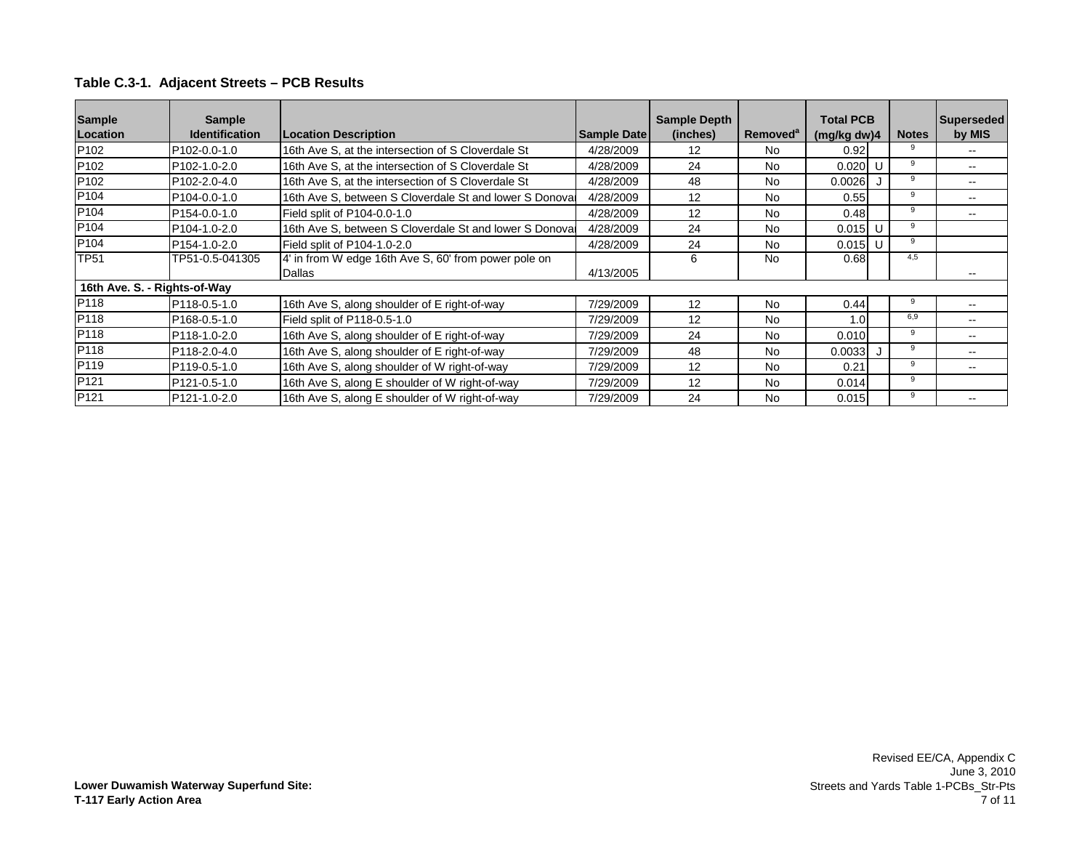| <b>Sample</b>                | <b>Sample</b>             |                                                         |                    | <b>Sample Depth</b> |                      | <b>Total PCB</b> |  |              | Superseded |
|------------------------------|---------------------------|---------------------------------------------------------|--------------------|---------------------|----------------------|------------------|--|--------------|------------|
| Location                     | <b>Identification</b>     | <b>Location Description</b>                             | <b>Sample Date</b> | (inches)            | Removed <sup>a</sup> | (mg/kg dw)4      |  | <b>Notes</b> | by MIS     |
| P <sub>102</sub>             | P <sub>102</sub> -0.0-1.0 | 16th Ave S, at the intersection of S Cloverdale St      | 4/28/2009          | 12                  | No                   | 0.92             |  | 9            |            |
| P <sub>102</sub>             | P <sub>102</sub> -1.0-2.0 | 16th Ave S, at the intersection of S Cloverdale St      | 4/28/2009          | 24                  | <b>No</b>            | 0.020            |  | 9            | --         |
| P <sub>102</sub>             | P <sub>102</sub> -2.0-4.0 | 16th Ave S, at the intersection of S Cloverdale St      | 4/28/2009          | 48                  | No                   | 0.0026           |  | 9            | --         |
| P <sub>104</sub>             | P <sub>104</sub> -0.0-1.0 | 16th Ave S, between S Cloverdale St and lower S Donovar | 4/28/2009          | 12                  | No                   | 0.55             |  | 9            |            |
| P <sub>104</sub>             | P <sub>154</sub> -0.0-1.0 | Field split of P104-0.0-1.0                             | 4/28/2009          | 12                  | <b>No</b>            | 0.48             |  | 9            |            |
| P <sub>104</sub>             | P104-1.0-2.0              | 16th Ave S, between S Cloverdale St and lower S Donoval | 4/28/2009          | 24                  | <b>No</b>            | $0.015$ U        |  | 9            |            |
| P <sub>104</sub>             | P <sub>154</sub> -1.0-2.0 | Field split of P104-1.0-2.0                             | 4/28/2009          | 24                  | <b>No</b>            | $0.015$ U        |  | 9            |            |
| <b>TP51</b>                  | TP51-0.5-041305           | 4' in from W edge 16th Ave S, 60' from power pole on    |                    | 6                   | <b>No</b>            | 0.68             |  | 4,5          |            |
|                              |                           | Dallas                                                  | 4/13/2005          |                     |                      |                  |  |              |            |
| 16th Ave. S. - Rights-of-Way |                           |                                                         |                    |                     |                      |                  |  |              |            |
| P118                         | P118-0.5-1.0              | 16th Ave S, along shoulder of E right-of-way            | 7/29/2009          | $12 \overline{ }$   | <b>No</b>            | 0.44             |  | 9            |            |
| P118                         | P <sub>168</sub> -0.5-1.0 | Field split of P118-0.5-1.0                             | 7/29/2009          | 12                  | No                   | 1.0              |  | 6,9          |            |
| P <sub>118</sub>             | P <sub>118</sub> -1.0-2.0 | 16th Ave S, along shoulder of E right-of-way            | 7/29/2009          | 24                  | <b>No</b>            | 0.010            |  | 9            |            |
| P <sub>118</sub>             | P118-2.0-4.0              | 16th Ave S, along shoulder of E right-of-way            | 7/29/2009          | 48                  | <b>No</b>            | 0.0033           |  | 9            |            |
| P119                         | P <sub>119</sub> -0.5-1.0 | 16th Ave S, along shoulder of W right-of-way            | 7/29/2009          | 12                  | No                   | 0.21             |  | 9            |            |
| P <sub>121</sub>             | P121-0.5-1.0              | 16th Ave S, along E shoulder of W right-of-way          | 7/29/2009          | 12                  | No                   | 0.014            |  | 9            |            |
| P <sub>121</sub>             | P <sub>121</sub> -1.0-2.0 | 16th Ave S, along E shoulder of W right-of-way          | 7/29/2009          | 24                  | No                   | 0.015            |  | 9            |            |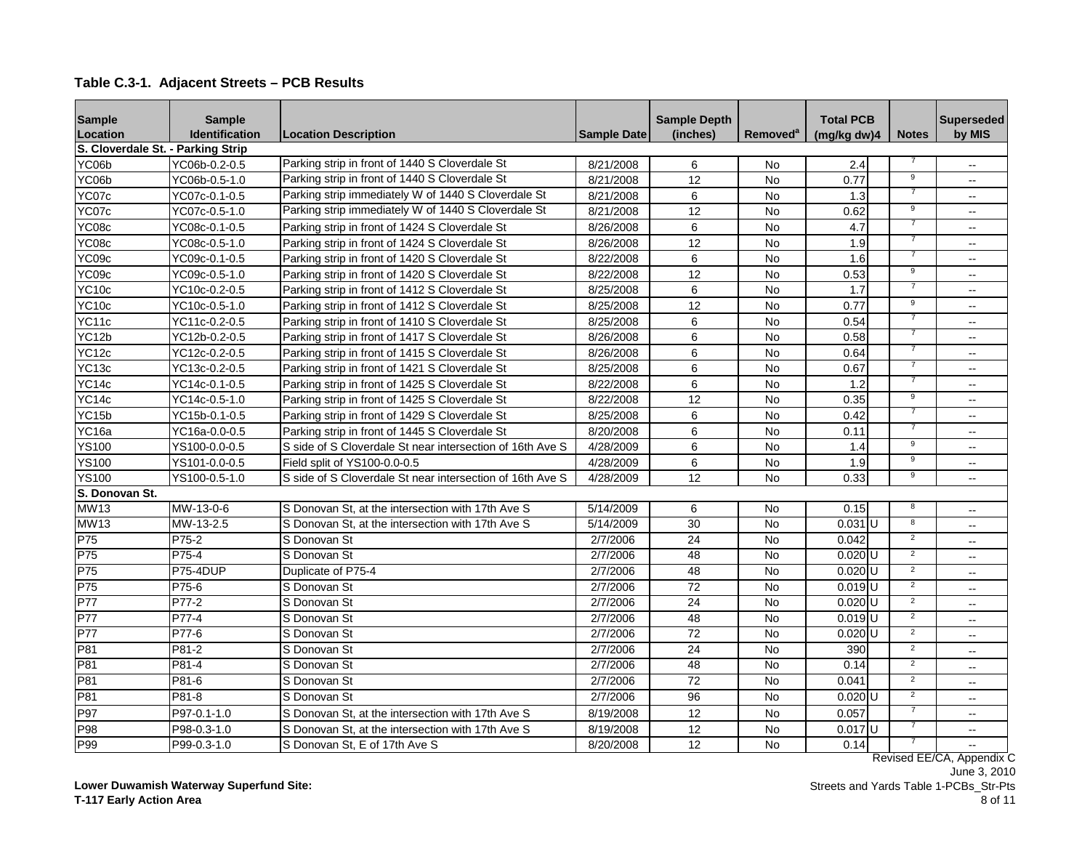| <b>Sample</b>                     | <b>Sample</b>         |                                                           |                    | <b>Sample Depth</b> |                      | <b>Total PCB</b>     |                | <b>Superseded</b>         |
|-----------------------------------|-----------------------|-----------------------------------------------------------|--------------------|---------------------|----------------------|----------------------|----------------|---------------------------|
| Location                          | <b>Identification</b> | <b>Location Description</b>                               | <b>Sample Date</b> | (inches)            | Removed <sup>a</sup> | (mg/kg dw)4          | <b>Notes</b>   | by MIS                    |
| S. Cloverdale St. - Parking Strip |                       |                                                           |                    |                     |                      |                      |                |                           |
| YC06b                             | YC06b-0.2-0.5         | Parking strip in front of 1440 S Cloverdale St            | 8/21/2008          | 6                   | No                   | 2.4                  |                | $\overline{\phantom{a}}$  |
| YC06b                             | YC06b-0.5-1.0         | Parking strip in front of 1440 S Cloverdale St            | 8/21/2008          | 12                  | No                   | 0.77                 | $_{9}$         | $\overline{\phantom{a}}$  |
| YC07c                             | YC07c-0.1-0.5         | Parking strip immediately W of 1440 S Cloverdale St       | 8/21/2008          | 6                   | No                   | 1.3                  | 7              | $\overline{a}$            |
| YC07c                             | YC07c-0.5-1.0         | Parking strip immediately W of 1440 S Cloverdale St       | 8/21/2008          | 12                  | No                   | 0.62                 | $\overline{9}$ | $\overline{a}$            |
| YC08c                             | YC08c-0.1-0.5         | Parking strip in front of 1424 S Cloverdale St            | 8/26/2008          | 6                   | <b>No</b>            | 4.7                  | 7              | $\overline{\phantom{a}}$  |
| YC08c                             | YC08c-0.5-1.0         | Parking strip in front of 1424 S Cloverdale St            | 8/26/2008          | 12                  | <b>No</b>            | 1.9                  | 7              | $\overline{a}$            |
| YC09c                             | YC09c-0.1-0.5         | Parking strip in front of 1420 S Cloverdale St            | 8/22/2008          | 6                   | No                   | 1.6                  |                | $-$                       |
| YC09c                             | YC09c-0.5-1.0         | Parking strip in front of 1420 S Cloverdale St            | 8/22/2008          | 12                  | <b>No</b>            | 0.53                 | 9              | $\overline{a}$            |
| YC10c                             | YC10c-0.2-0.5         | Parking strip in front of 1412 S Cloverdale St            | 8/25/2008          | 6                   | <b>No</b>            | 1.7                  | $\overline{7}$ | $\overline{\phantom{a}}$  |
| <b>YC10c</b>                      | YC10c-0.5-1.0         | Parking strip in front of 1412 S Cloverdale St            | 8/25/2008          | 12                  | No                   | 0.77                 | 9              | $-$                       |
| YC11c                             | YC11c-0.2-0.5         | Parking strip in front of 1410 S Cloverdale St            | 8/25/2008          | 6                   | No                   | 0.54                 | $\overline{7}$ | $\overline{\phantom{a}}$  |
| YC12b                             | YC12b-0.2-0.5         | Parking strip in front of 1417 S Cloverdale St            | 8/26/2008          | 6                   | <b>No</b>            | 0.58                 |                | $-$                       |
| <b>YC12c</b>                      | YC12c-0.2-0.5         | Parking strip in front of 1415 S Cloverdale St            | 8/26/2008          | 6                   | <b>No</b>            | 0.64                 |                | $-$                       |
| YC <sub>13c</sub>                 | YC13c-0.2-0.5         | Parking strip in front of 1421 S Cloverdale St            | 8/25/2008          | 6                   | No                   | 0.67                 |                | $\overline{\phantom{a}}$  |
| YC14c                             | YC14c-0.1-0.5         | Parking strip in front of 1425 S Cloverdale St            | 8/22/2008          | 6                   | No                   | 1.2                  |                | $\overline{\phantom{a}}$  |
| YC14c                             | YC14c-0.5-1.0         | Parking strip in front of 1425 S Cloverdale St            | 8/22/2008          | 12                  | No                   | 0.35                 | 9              | $\overline{a}$            |
| YC15b                             | YC15b-0.1-0.5         | Parking strip in front of 1429 S Cloverdale St            | 8/25/2008          | 6                   | No                   | 0.42                 |                | $\overline{a}$            |
| YC <sub>16a</sub>                 | YC16a-0.0-0.5         | Parking strip in front of 1445 S Cloverdale St            | 8/20/2008          | 6                   | <b>No</b>            | 0.11                 | $\overline{7}$ | $\overline{\phantom{a}}$  |
| <b>YS100</b>                      | YS100-0.0-0.5         | S side of S Cloverdale St near intersection of 16th Ave S | 4/28/2009          | $\,6$               | No                   | 1.4                  | 9              | $\overline{a}$            |
| <b>YS100</b>                      | YS101-0.0-0.5         | Field split of YS100-0.0-0.5                              | 4/28/2009          | 6                   | No                   | 1.9                  | $\overline{9}$ | $\overline{\phantom{a}}$  |
| <b>YS100</b>                      | YS100-0.5-1.0         | S side of S Cloverdale St near intersection of 16th Ave S | 4/28/2009          | 12                  | No                   | 0.33                 | 9              | $\sim$                    |
| S. Donovan St.                    |                       |                                                           |                    |                     |                      |                      |                |                           |
| <b>MW13</b>                       | MW-13-0-6             | S Donovan St. at the intersection with 17th Ave S         | 5/14/2009          | 6                   | <b>No</b>            | 0.15                 | 8              | $\overline{a}$            |
| <b>MW13</b>                       | MW-13-2.5             | S Donovan St. at the intersection with 17th Ave S         | 5/14/2009          | 30                  | <b>No</b>            | $0.031$ U            | 8              | $\sim$                    |
| P75                               | P75-2                 | S Donovan St                                              | 2/7/2006           | 24                  | <b>No</b>            | 0.042                | $\overline{2}$ | $\overline{a}$            |
| P75                               | P75-4                 | S Donovan St                                              | 2/7/2006           | 48                  | No                   | $0.020$ U            | 2              | $\overline{\phantom{a}}$  |
| P75                               | P75-4DUP              | Duplicate of P75-4                                        | 2/7/2006           | 48                  | No                   | $0.020$ U            | $\overline{2}$ | $\overline{a}$            |
| P75                               | P75-6                 | S Donovan St                                              | 2/7/2006           | $\overline{72}$     | <b>No</b>            | $0.019$ <sub>U</sub> | $\overline{2}$ | $\overline{\phantom{a}}$  |
| <b>P77</b>                        | P77-2                 | S Donovan St                                              | 2/7/2006           | 24                  | <b>No</b>            | $0.020$ U            | $\overline{2}$ | $\overline{\phantom{a}}$  |
| <b>P77</b>                        | P77-4                 | S Donovan St                                              | 2/7/2006           | 48                  | <b>No</b>            | $0.019$ U            | $\overline{2}$ | $\overline{\phantom{a}}$  |
| <b>P77</b>                        | P77-6                 | S Donovan St                                              | 2/7/2006           | $\overline{72}$     | <b>No</b>            | $0.020$ U            | $\overline{2}$ | $\overline{a}$            |
| P81                               | P81-2                 | S Donovan St                                              | 2/7/2006           | 24                  | No                   | 390                  | $\overline{2}$ | $\overline{a}$            |
| P81                               | P81-4                 | S Donovan St                                              | 2/7/2006           | 48                  | <b>No</b>            | 0.14                 | $\overline{2}$ | $\overline{a}$            |
| P81                               | P81-6                 | S Donovan St                                              | 2/7/2006           | $\overline{72}$     | <b>No</b>            | 0.04 <sup>2</sup>    | $\overline{2}$ | $-$                       |
| P81                               | P81-8                 | S Donovan St                                              | 2/7/2006           | 96                  | No                   | $0.020$ U            | $\overline{2}$ | $\overline{\phantom{a}}$  |
| P97                               | P97-0.1-1.0           | S Donovan St, at the intersection with 17th Ave S         | 8/19/2008          | 12                  | No                   | 0.057                |                | $\overline{a}$            |
| P98                               | P98-0.3-1.0           | S Donovan St, at the intersection with 17th Ave S         | 8/19/2008          | $\overline{12}$     | No                   | $0.017$ U            |                | $\overline{\phantom{a}}$  |
| P99                               | P99-0.3-1.0           | S Donovan St, E of 17th Ave S                             | 8/20/2008          | 12                  | No                   | 0.14                 |                |                           |
|                                   |                       |                                                           |                    |                     |                      |                      |                | Revised EE/CA, Appendix C |

**Lower Duwamish Waterway Superfund Site: T-117 Early Action Area**

June 3, 2010 Streets and Yards Table 1-PCBs\_Str-Pts 8 of 11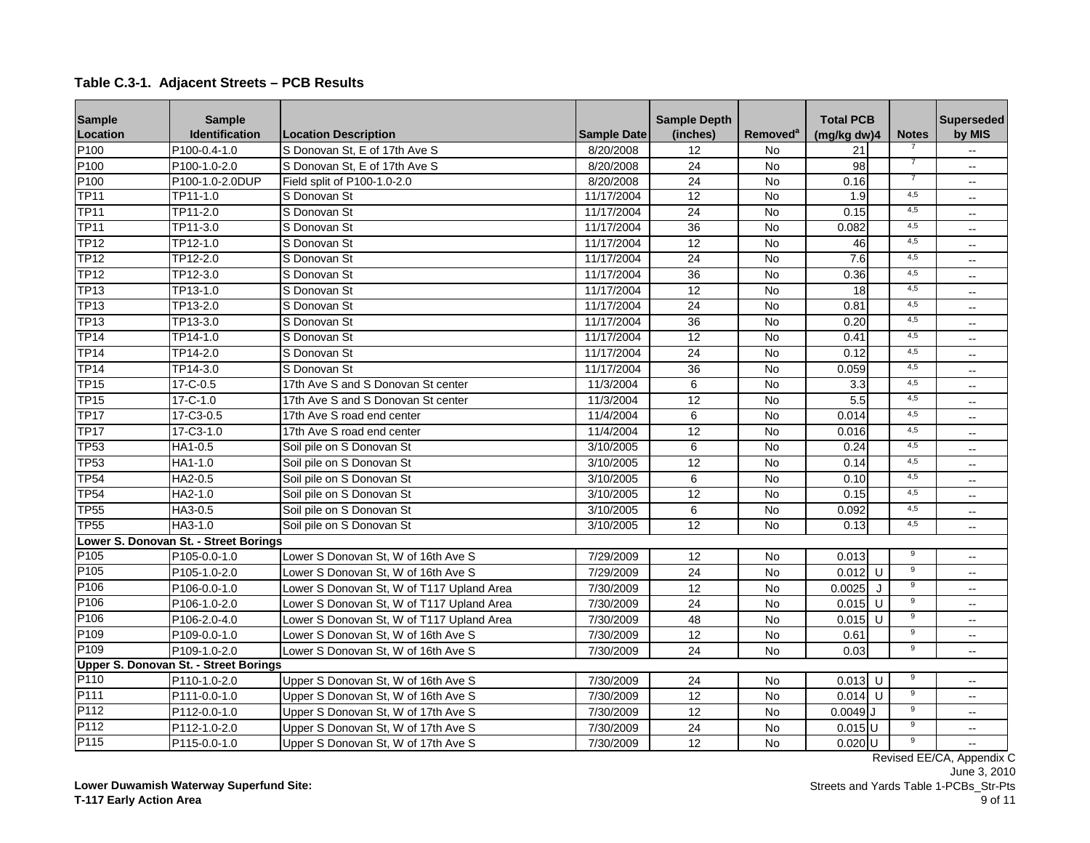#### **Sample Location Sample Identification Location Description Sample Date Sample Depth**  (inches) Removed<sup>a</sup> | (mg/kg dw)4 | Notes **Superseded by MIS Total PCB**  P100 P100-0.4-1.0 S Donovan St, E of 17th Ave S No  $\vert$  8/20/2008 | 12 | No | 21 P100 P100-1.0-2.0 IS Donovan St, E of 17th Ave S | 8/20/2008 24 | No | 98 | <sup>7</sup> | --P100 P100-1.0-2.0DUP Field split of P100-1.0-2.0 8/20/2008 24 No 0.16 <sup>7</sup> --<br>TP11 TP11-1.0 S Donovan St TP11 TP11-1.0 S Donovan St 11/17/2004 12 No 1.9 4,5 -- TP11 TP11-2.0 S Donovan St 11/17/2004 24 No 0.15 4,5 -- TP11 TP11-3.0 S Donovan St 11/17/2004 36 No 0.082 4,5 -- TP12 TP12-1.0 S Donovan St 11/17/2004 12 No 46 4,5 -- TP12 TP12-2.0 S Donovan St 11/17/2004 24 No 7.6 4,5 -- TP12 TP12-3.0 S Donovan St 11/17/2004 36 No 0.36 4,5 -- TP13 TP13-1.0 S Donovan St 11/17/2004 12 No 18 4,5 -- TP13 TP13-2.0 S Donovan St 11/17/2004 24 No 0.81 4,5 -- TP13 TP13-3.0 S Donovan St 11/17/2004 36 No 0.20 4,5 -- TP14 TP14-1.0 S Donovan St 11/17/2004 12 No 0.41 4,5 -- TP14 TP14-2.0 S Donovan St 11/17/2004 24 No 0.12 4,5 -- TP14 TP14-3.0 S Donovan St 11/17/2004 36 No 0.059 4,5 -- TP15 17-C-0.5 17th Ave S and S Donovan St center 11/3/2004 6 No 3.3 4,5 --TP15 17-C-1.0 17th Ave S and S Donovan St center 11/3/2004 12 No 5.5 4,5 --TP17 17-C3-0.5 17th Ave S road end center 11/4/2004 6 No 0.014 4,5 --TP17 17-C3-1.0 17th Ave S road end center 11/4/2004 12 No 0.016 4,5 --<br>TP53 HA1-0.5 Soil pile on S Donovan St 3/10/2005 6 No 0.24 4.5 --TP53 |HA1-0.5 |Soil pile on S Donovan St | 3/10/2005 | 6 | No | 0.24| | <sup>4,5</sup> | --TP53 HA1-1.0 Soil pile on S Donovan St 3/10/2005 12 No 0.14 4,5 -- TP54 HA2-0.5 Soil pile on S Donovan St 3/10/2005 6 No 0.10 4,5 --<br>TP54 HA2-1.0 Soil pile on S Donovan St 3/10/2005 12 No 0.15 4.5 --TP54 HA2-1.0 Soil pile on S Donovan St 3/10/2005 12 No 0.15 4,5 -- TP55 HA3-0.5 Soil pile on S Donovan St 3/10/2005 6 No 0.092 4,5 -- TP55 HA3-1.0 Soil pile on S Donovan St 3/10/2005 12 No 0.13 4,5 -- P105 P105-0.0-1.0 Lower S Donovan St, W of 16th Ave S 7/29/2009 12 No 0.013 <sup>9</sup> --P105 P105-1.0-2.0 Lower S Donovan St, W of 16th Ave S 7/29/2009 24 No 0.012 U 9 --P106 P106-0.0-1.0 Lower S Donovan St, W of T117 Upland Area 7/30/2009 12 No 0.0025 J 9 --P106 P106-1.0-2.0 Lower S Donovan St, W of T117 Upland Area 7/30/2009 24 No 0.015 U 9 --P106 P106-2.0-4.0 Lower S Donovan St, W of T117 Upland Area 7/30/2009 48 No 0.015 U 9 --P109 P109-0.0-1.0 Lower S Donovan St, W of 16th Ave S 7/30/2009 12 No 0.61 9 --P109 P109-1.0-2.0 Lower S Donovan St, W of 16th Ave S 7/30/2009 24 No 0.03 9 --P110 P110-1.0-2.0 Upper S Donovan St, W of 16th Ave S 7/30/2009 24 No 0.013 U <sup>9</sup> --<br>P111 P111-0.0-1.0 Upper S Donovan St W of 16th Ave S 7/30/2009 12 No 0.014 U <sup>9</sup> --P111-0.0-1.0 Upper S Donovan St, W of 16th Ave S 7/30/2009 | 12 | No | 0.014 U | <sup>9</sup> | --P112 P112-0.0-1.0 Upper S Donovan St, W of 17th Ave S 7/30/2009 1 12 No 0.0049 J 9 --P112 P112-1.0-2.0 Upper S Donovan St, W of 17th Ave S 7/30/2009 24 No 0.015 U 9 --P115 P115-0.0-1.0 Upper S Donovan St, W of 17th Ave S 7/30/2009 12 No 0.020 U <sup>9</sup> -- **Lower S. Donovan St. - Street Borings Upper S. Donovan St. - Street Borings**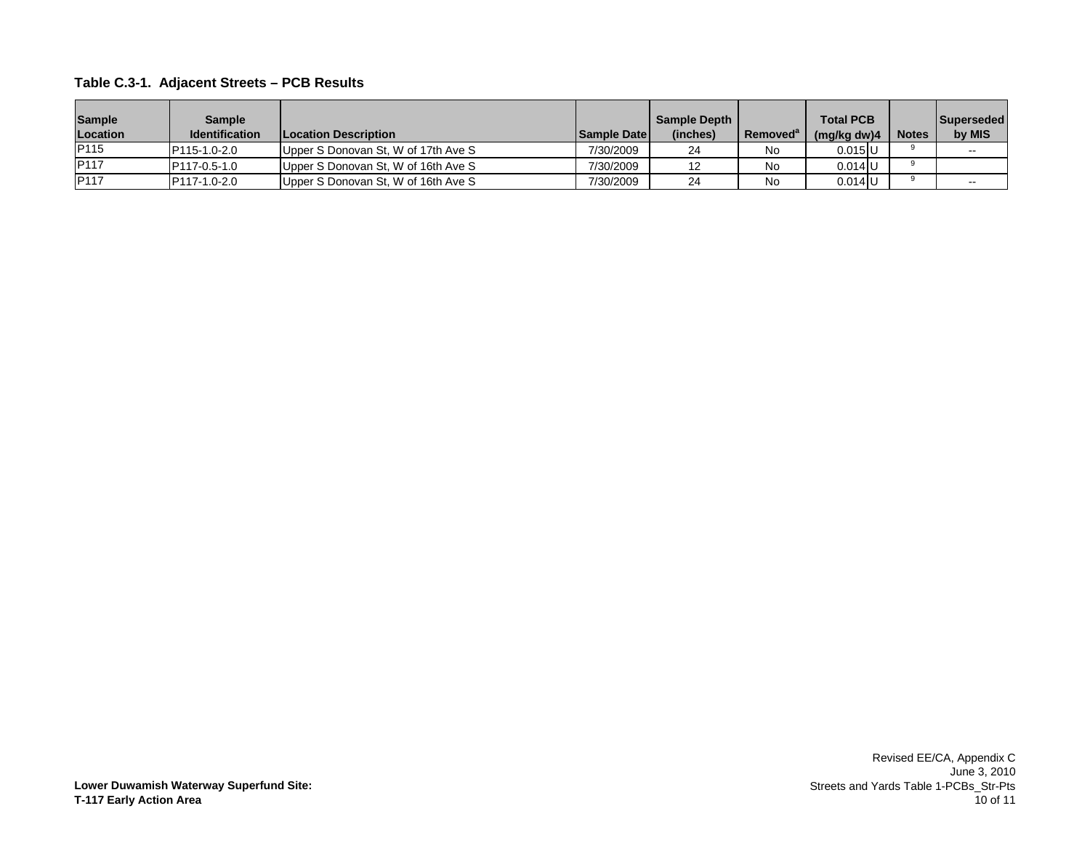| <b>Sample</b><br>Location | Sample<br><b>Identification</b> | <b>ILocation Description</b>        | <b>Sample Date I</b> | <b>Sample Depth</b><br>(inches) | Removed <sup>ª</sup> | <b>Total PCB</b><br>(mg/kg dw)4 | <b>Notes</b> | <b>Superseded</b><br>by MIS |
|---------------------------|---------------------------------|-------------------------------------|----------------------|---------------------------------|----------------------|---------------------------------|--------------|-----------------------------|
| <b>IP115</b>              | P115-1.0-2.0                    | Upper S Donovan St, W of 17th Ave S | 7/30/2009            | 24                              | No                   | $0.015$ U                       |              | $- -$                       |
| <b>P117</b>               | <b>P117-0.5-1.0</b>             | Upper S Donovan St, W of 16th Ave S | 7/30/2009            | 12                              | No                   | $0.014$ IU                      |              |                             |
| <b>IP117</b>              | P117-1.0-2.0                    | Upper S Donovan St, W of 16th Ave S | 7/30/2009            | 24                              | No                   | $0.014$ U                       |              |                             |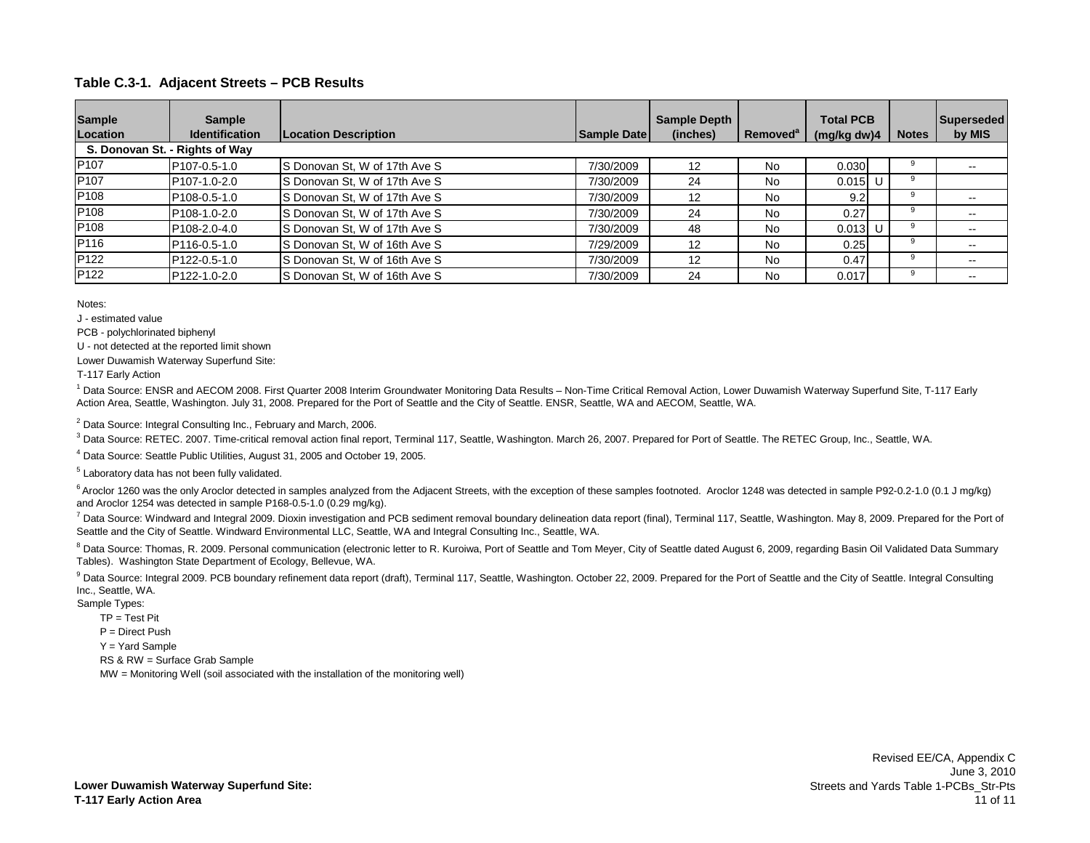| <b>Sample</b><br>Location | <b>Sample</b><br><b>Identification</b><br>S. Donovan St. - Rights of Way | <b>Location Description</b>   | Sample Date | <b>Sample Depth</b><br>(inches) | Removed <sup>a</sup> | <b>Total PCB</b><br>(mg/kg dw)4 | <b>Notes</b> | Superseded<br>by MIS     |
|---------------------------|--------------------------------------------------------------------------|-------------------------------|-------------|---------------------------------|----------------------|---------------------------------|--------------|--------------------------|
| P <sub>107</sub>          | P <sub>107</sub> -0.5-1.0                                                | S Donovan St, W of 17th Ave S | 7/30/2009   | 12                              | <b>No</b>            | 0.030                           |              |                          |
| P <sub>107</sub>          | P107-1.0-2.0                                                             | S Donovan St, W of 17th Ave S | 7/30/2009   | 24                              | <b>No</b>            | $0.015$ U                       |              |                          |
| P108                      | P <sub>108</sub> -0.5-1.0                                                | S Donovan St, W of 17th Ave S | 7/30/2009   | 12                              | <b>No</b>            | 9.2 <sub>1</sub>                |              |                          |
| P <sub>108</sub>          | P108-1.0-2.0                                                             | S Donovan St, W of 17th Ave S | 7/30/2009   | 24                              | <b>No</b>            | 0.27                            |              | $\overline{\phantom{m}}$ |
| P108                      | P108-2.0-4.0                                                             | S Donovan St, W of 17th Ave S | 7/30/2009   | 48                              | <b>No</b>            | $0.013$ U                       |              | $\overline{\phantom{a}}$ |
| P116                      | P116-0.5-1.0                                                             | S Donovan St, W of 16th Ave S | 7/29/2009   | 12                              | <b>No</b>            | 0.25                            |              | $- -$                    |
| P <sub>122</sub>          | P122-0.5-1.0                                                             | S Donovan St, W of 16th Ave S | 7/30/2009   | 12                              | <b>No</b>            | 0.47                            |              |                          |
| P <sub>122</sub>          | P122-1.0-2.0                                                             | S Donovan St, W of 16th Ave S | 7/30/2009   | 24                              | <b>No</b>            | 0.017                           |              | $\sim$ $\sim$            |

Notes:

J - estimated value

PCB - polychlorinated biphenyl

U - not detected at the reported limit shown

Lower Duwamish Waterway Superfund Site:

T-117 Early Action

<sup>1</sup> Data Source: ENSR and AECOM 2008. First Quarter 2008 Interim Groundwater Monitoring Data Results - Non-Time Critical Removal Action, Lower Duwamish Waterway Superfund Site, T-117 Early Action Area, Seattle, Washington. July 31, 2008. Prepared for the Port of Seattle and the City of Seattle. ENSR, Seattle, WA and AECOM, Seattle, WA.

 $2$  Data Source: Integral Consulting Inc., February and March, 2006.

<sup>3</sup> Data Source: RETEC. 2007. Time-critical removal action final report, Terminal 117, Seattle, Washington. March 26, 2007. Prepared for Port of Seattle. The RETEC Group, Inc., Seattle, WA.

<sup>4</sup> Data Source: Seattle Public Utilities, August 31, 2005 and October 19, 2005.

<sup>5</sup> Laboratory data has not been fully validated.

 $6$  Aroclor 1260 was the only Aroclor detected in samples analyzed from the Adjacent Streets, with the exception of these samples footnoted. Aroclor 1248 was detected in sample P92-0.2-1.0 (0.1 J mg/kg) and Aroclor 1254 was detected in sample P168-0.5-1.0 (0.29 mg/kg).

<sup>7</sup> Data Source: Windward and Integral 2009. Dioxin investigation and PCB sediment removal boundary delineation data report (final), Terminal 117, Seattle, Washington. May 8, 2009. Prepared for the Port of Seattle and the City of Seattle. Windward Environmental LLC, Seattle, WA and Integral Consulting Inc., Seattle, WA.

<sup>8</sup> Data Source: Thomas, R. 2009. Personal communication (electronic letter to R. Kuroiwa, Port of Seattle and Tom Meyer, City of Seattle dated August 6, 2009, regarding Basin Oil Validated Data Summary Tables). Washington State Department of Ecology, Bellevue, WA.

<sup>9</sup> Data Source: Integral 2009. PCB boundary refinement data report (draft), Terminal 117, Seattle, Washington. October 22, 2009. Prepared for the Port of Seattle and the City of Seattle. Integral Consulting Inc., Seattle, WA.

Sample Types:

 $TP = Test Pit$ 

P = Direct Push

Y = Yard Sample

RS & RW = Surface Grab Sample

MW = Monitoring Well (soil associated with the installation of the monitoring well)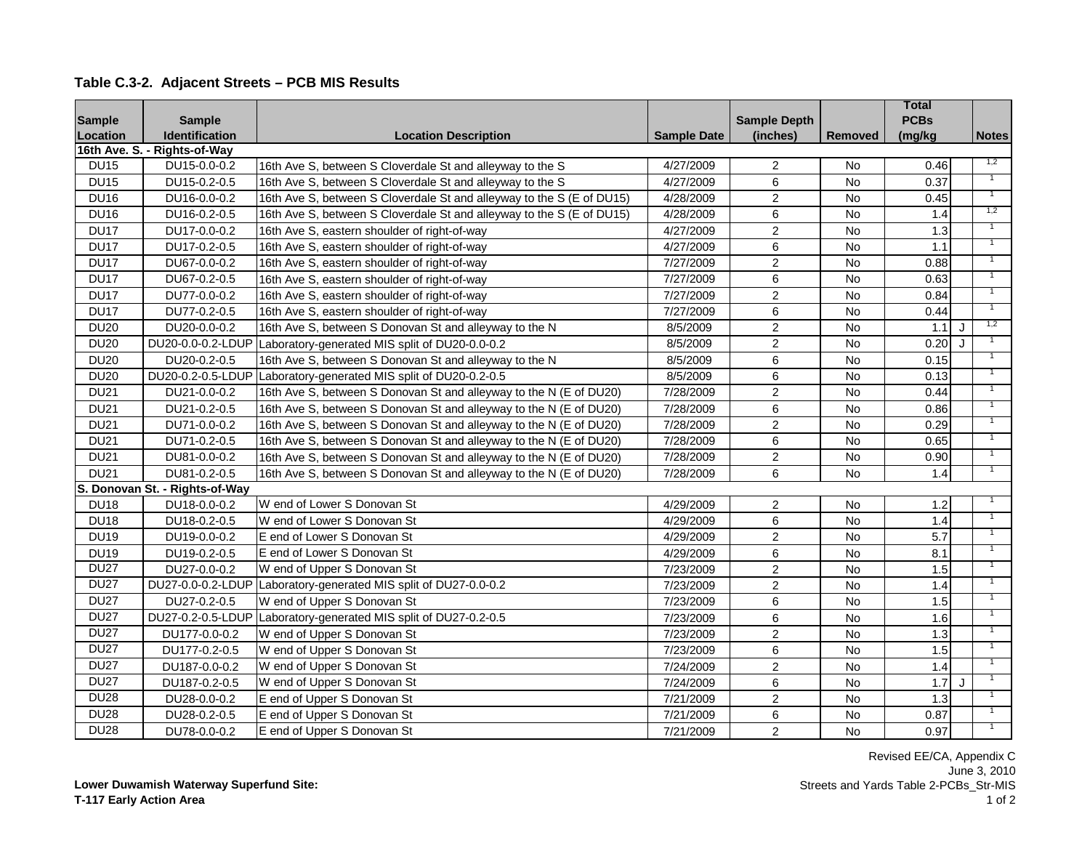| <b>Sample</b> | <b>Sample</b>                  |                                                                       |                    | <b>Sample Depth</b> |                | <b>Total</b><br><b>PCBs</b> |         |                |
|---------------|--------------------------------|-----------------------------------------------------------------------|--------------------|---------------------|----------------|-----------------------------|---------|----------------|
| Location      | <b>Identification</b>          | <b>Location Description</b>                                           | <b>Sample Date</b> | (inches)            | <b>Removed</b> | (mg/kg                      |         | <b>Notes</b>   |
|               | 16th Ave. S. - Rights-of-Way   |                                                                       |                    |                     |                |                             |         |                |
| <b>DU15</b>   | DU15-0.0-0.2                   | 16th Ave S, between S Cloverdale St and alleyway to the S             | 4/27/2009          | 2                   | No             | 0.46                        |         | 1,2            |
| <b>DU15</b>   | DU15-0.2-0.5                   | 16th Ave S, between S Cloverdale St and alleyway to the S             | 4/27/2009          | $6\phantom{1}$      | <b>No</b>      | 0.37                        |         |                |
| <b>DU16</b>   | DU16-0.0-0.2                   | 16th Ave S, between S Cloverdale St and alleyway to the S (E of DU15) | 4/28/2009          | $\overline{2}$      | <b>No</b>      | 0.45                        |         | $\overline{1}$ |
| <b>DU16</b>   | DU16-0.2-0.5                   | 16th Ave S, between S Cloverdale St and alleyway to the S (E of DU15) | 4/28/2009          | 6                   | <b>No</b>      | 1.4                         |         | 1,2            |
| <b>DU17</b>   | DU17-0.0-0.2                   | 16th Ave S, eastern shoulder of right-of-way                          | 4/27/2009          | $\overline{2}$      | <b>No</b>      | 1.3                         |         |                |
| <b>DU17</b>   | DU17-0.2-0.5                   | 16th Ave S, eastern shoulder of right-of-way                          | 4/27/2009          | 6                   | No             | 1.1                         |         |                |
| <b>DU17</b>   | DU67-0.0-0.2                   | 16th Ave S, eastern shoulder of right-of-way                          | 7/27/2009          | $\sqrt{2}$          | No             | 0.88                        |         | $\overline{1}$ |
| <b>DU17</b>   | DU67-0.2-0.5                   | 16th Ave S, eastern shoulder of right-of-way                          | 7/27/2009          | $\,6\,$             | No             | 0.63                        |         |                |
| <b>DU17</b>   | DU77-0.0-0.2                   | 16th Ave S, eastern shoulder of right-of-way                          | 7/27/2009          | $\overline{2}$      | No             | 0.84                        |         | $\overline{1}$ |
| <b>DU17</b>   | DU77-0.2-0.5                   | 16th Ave S, eastern shoulder of right-of-way                          | 7/27/2009          | $\,6\,$             | No             | 0.44                        |         |                |
| <b>DU20</b>   | DU20-0.0-0.2                   | 16th Ave S, between S Donovan St and alleyway to the N                | 8/5/2009           | $\overline{2}$      | No             | 1.1                         | $\cdot$ | 1,2            |
| <b>DU20</b>   | DU20-0.0-0.2-LDUP              | Laboratory-generated MIS split of DU20-0.0-0.2                        | 8/5/2009           | $\overline{2}$      | No             | 0.20                        |         |                |
| <b>DU20</b>   | DU20-0.2-0.5                   | 16th Ave S, between S Donovan St and alleyway to the N                | 8/5/2009           | $\overline{6}$      | $\overline{N}$ | 0.15                        |         |                |
| <b>DU20</b>   | DU20-0.2-0.5-LDUP              | Laboratory-generated MIS split of DU20-0.2-0.5                        | 8/5/2009           | $\,6\,$             | <b>No</b>      | 0.13                        |         |                |
| <b>DU21</b>   | DU21-0.0-0.2                   | 16th Ave S, between S Donovan St and alleyway to the N (E of DU20)    | 7/28/2009          | $\overline{2}$      | <b>No</b>      | 0.44                        |         |                |
| <b>DU21</b>   | DU21-0.2-0.5                   | 16th Ave S, between S Donovan St and alleyway to the N (E of DU20)    | 7/28/2009          | 6                   | <b>No</b>      | 0.86                        |         |                |
| <b>DU21</b>   | DU71-0.0-0.2                   | 16th Ave S, between S Donovan St and alleyway to the N (E of DU20)    | 7/28/2009          | $\overline{2}$      | <b>No</b>      | 0.29                        |         |                |
| <b>DU21</b>   | DU71-0.2-0.5                   | 16th Ave S, between S Donovan St and alleyway to the N (E of DU20)    | 7/28/2009          | 6                   | No             | 0.65                        |         | $\overline{1}$ |
| <b>DU21</b>   | DU81-0.0-0.2                   | 16th Ave S, between S Donovan St and alleyway to the N (E of DU20)    | 7/28/2009          | 2                   | No             | 0.90                        |         |                |
| <b>DU21</b>   | DU81-0.2-0.5                   | 16th Ave S, between S Donovan St and alleyway to the N (E of DU20)    | 7/28/2009          | 6                   | <b>No</b>      | 1.4                         |         | $\mathbf{1}$   |
|               | S. Donovan St. - Rights-of-Way |                                                                       |                    |                     |                |                             |         |                |
| <b>DU18</b>   | DU18-0.0-0.2                   | W end of Lower S Donovan St                                           | 4/29/2009          | 2                   | <b>No</b>      | 1.2                         |         |                |
| <b>DU18</b>   | DU18-0.2-0.5                   | W end of Lower S Donovan St                                           | 4/29/2009          | 6                   | <b>No</b>      | 1.4                         |         |                |
| <b>DU19</b>   | DU19-0.0-0.2                   | E end of Lower S Donovan St                                           | 4/29/2009          | $\sqrt{2}$          | No             | 5.7                         |         |                |
| <b>DU19</b>   | DU19-0.2-0.5                   | E end of Lower S Donovan St                                           | 4/29/2009          | $\,6\,$             | No             | 8.1                         |         |                |
| <b>DU27</b>   | DU27-0.0-0.2                   | W end of Upper S Donovan St                                           | 7/23/2009          | $\sqrt{2}$          | No             | 1.5                         |         | $\overline{1}$ |
| <b>DU27</b>   |                                | DU27-0.0-0.2-LDUP Laboratory-generated MIS split of DU27-0.0-0.2      | 7/23/2009          | $\overline{2}$      | No             | 1.4                         |         | $\overline{1}$ |
| <b>DU27</b>   | DU27-0.2-0.5                   | W end of Upper S Donovan St                                           | 7/23/2009          | $\,6\,$             | No             | 1.5                         |         |                |
| <b>DU27</b>   | DU27-0.2-0.5-LDUP              | Laboratory-generated MIS split of DU27-0.2-0.5                        | 7/23/2009          | $\,6\,$             | No             | 1.6                         |         | $\overline{1}$ |
| <b>DU27</b>   | DU177-0.0-0.2                  | W end of Upper S Donovan St                                           | 7/23/2009          | $\overline{2}$      | <b>No</b>      | 1.3                         |         |                |
| <b>DU27</b>   | DU177-0.2-0.5                  | W end of Upper S Donovan St                                           | 7/23/2009          | $\,6\,$             | No             | 1.5                         |         |                |
| <b>DU27</b>   | DU187-0.0-0.2                  | W end of Upper S Donovan St                                           | 7/24/2009          | $\overline{2}$      | <b>No</b>      | 1.4                         |         |                |
| <b>DU27</b>   | DU187-0.2-0.5                  | W end of Upper S Donovan St                                           | 7/24/2009          | 6                   | <b>No</b>      | 1.7                         | J       |                |
| <b>DU28</b>   | DU28-0.0-0.2                   | E end of Upper S Donovan St                                           | 7/21/2009          | $\overline{2}$      | No             | 1.3                         |         |                |
| <b>DU28</b>   | DU28-0.2-0.5                   | E end of Upper S Donovan St                                           | 7/21/2009          | 6                   | No             | 0.87                        |         |                |
| <b>DU28</b>   | DU78-0.0-0.2                   | E end of Upper S Donovan St                                           | 7/21/2009          | $\overline{2}$      | No             | 0.97                        |         |                |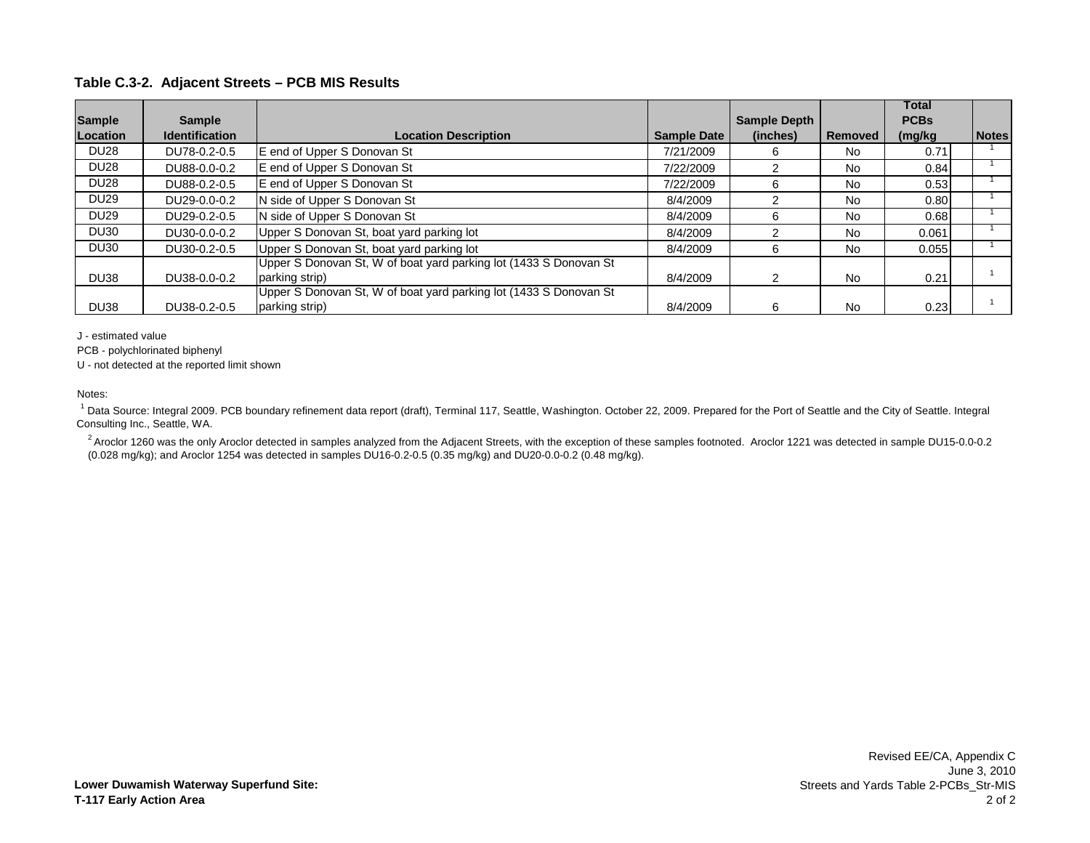|                  |                       |                                                                   |                    |                     |           | <b>Total</b> |              |
|------------------|-----------------------|-------------------------------------------------------------------|--------------------|---------------------|-----------|--------------|--------------|
| <b>Sample</b>    | <b>Sample</b>         |                                                                   |                    | <b>Sample Depth</b> |           | <b>PCBs</b>  |              |
| Location         | <b>Identification</b> | <b>Location Description</b>                                       | <b>Sample Date</b> | (inches)            | Removed   | (mg/kg       | <b>Notes</b> |
| <b>DU28</b>      | DU78-0.2-0.5          | E end of Upper S Donovan St                                       | 7/21/2009          | 6                   | No        | 0.71         |              |
| <b>DU28</b>      | DU88-0.0-0.2          | E end of Upper S Donovan St                                       | 7/22/2009          | 2                   | No        | 0.84         |              |
| <b>DU28</b>      | DU88-0.2-0.5          | E end of Upper S Donovan St                                       | 7/22/2009          | 6                   | <b>No</b> | 0.53         |              |
| <b>DU29</b>      | DU29-0.0-0.2          | N side of Upper S Donovan St                                      | 8/4/2009           |                     | No        | 0.80         |              |
| <b>DU29</b>      | DU29-0.2-0.5          | N side of Upper S Donovan St                                      | 8/4/2009           | 6                   | <b>No</b> | 0.68         |              |
| <b>DU30</b>      | DU30-0.0-0.2          | Upper S Donovan St, boat yard parking lot                         | 8/4/2009           | 2                   | <b>No</b> | 0.061        |              |
| DU <sub>30</sub> | DU30-0.2-0.5          | Upper S Donovan St, boat yard parking lot                         | 8/4/2009           | 6                   | <b>No</b> | 0.055        |              |
|                  |                       | Upper S Donovan St, W of boat yard parking lot (1433 S Donovan St |                    |                     |           |              |              |
| <b>DU38</b>      | DU38-0.0-0.2          | parking strip)                                                    | 8/4/2009           | $\mathcal{P}$       | <b>No</b> | 0.21         |              |
|                  |                       | Upper S Donovan St, W of boat yard parking lot (1433 S Donovan St |                    |                     |           |              |              |
| <b>DU38</b>      | DU38-0.2-0.5          | parking strip)                                                    | 8/4/2009           | 6                   | <b>No</b> | 0.23         |              |

J - estimated value

PCB - polychlorinated biphenyl

U - not detected at the reported limit shown

#### Notes:

<sup>1</sup> Data Source: Integral 2009. PCB boundary refinement data report (draft), Terminal 117, Seattle, Washington. October 22, 2009. Prepared for the Port of Seattle and the City of Seattle. Integral Consulting Inc., Seattle, WA.

<sup>2</sup> Aroclor 1260 was the only Aroclor detected in samples analyzed from the Adjacent Streets, with the exception of these samples footnoted. Aroclor 1221 was detected in sample DU15-0.0-0.2 (0.028 mg/kg); and Aroclor 1254 was detected in samples DU16-0.2-0.5 (0.35 mg/kg) and DU20-0.0-0.2 (0.48 mg/kg).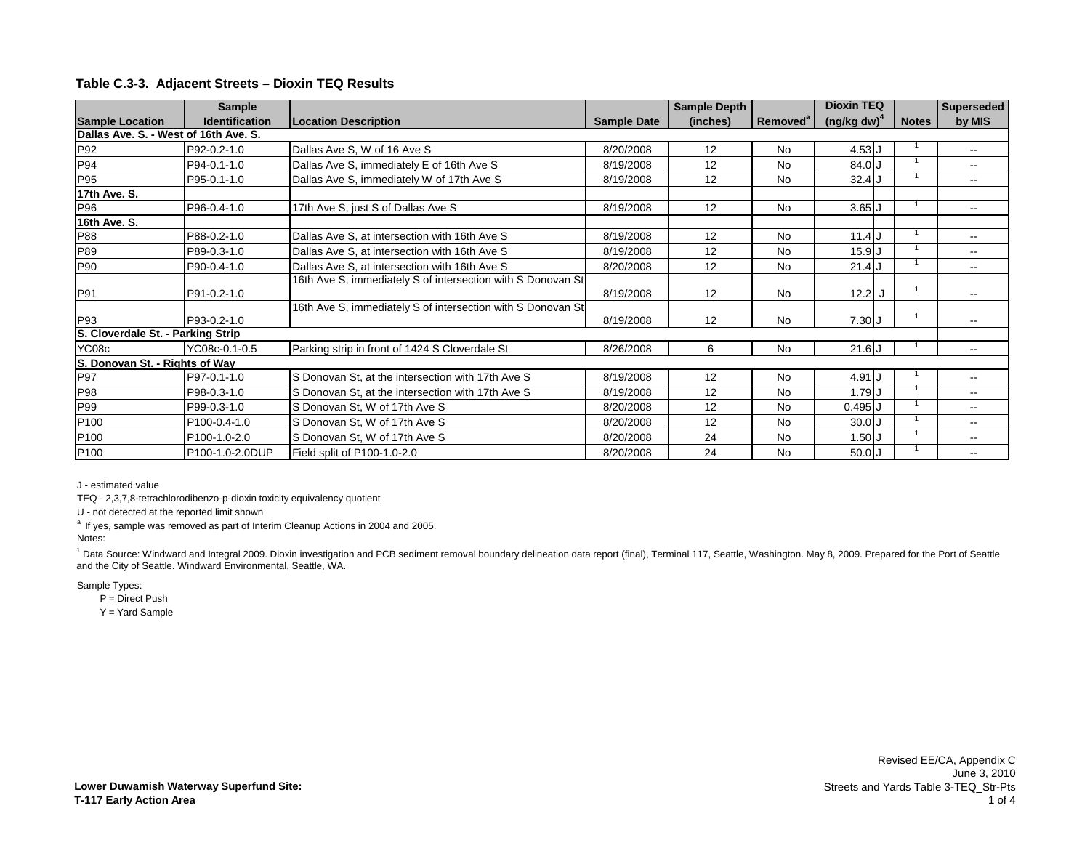|                                       | <b>Sample</b>         |                                                             |                    | <b>Sample Depth</b> |                      | <b>Dioxin TEQ</b> |              | <b>Superseded</b>        |
|---------------------------------------|-----------------------|-------------------------------------------------------------|--------------------|---------------------|----------------------|-------------------|--------------|--------------------------|
| <b>Sample Location</b>                | <b>Identification</b> | <b>Location Description</b>                                 | <b>Sample Date</b> | (inches)            | Removed <sup>a</sup> | $(ng/kg dw)^4$    | <b>Notes</b> | by MIS                   |
| Dallas Ave. S. - West of 16th Ave. S. |                       |                                                             |                    |                     |                      |                   |              |                          |
| P92                                   | P92-0.2-1.0           | Dallas Ave S, W of 16 Ave S                                 | 8/20/2008          | 12                  | <b>No</b>            | $4.53$ J          |              | $\overline{\phantom{a}}$ |
| P94                                   | P94-0.1-1.0           | Dallas Ave S, immediately E of 16th Ave S                   | 8/19/2008          | 12                  | No                   | 84.0 J            |              |                          |
| P95                                   | P95-0.1-1.0           | Dallas Ave S, immediately W of 17th Ave S                   | 8/19/2008          | 12                  | <b>No</b>            | $32.4$ J          |              | $\overline{\phantom{a}}$ |
| 17th Ave. S.                          |                       |                                                             |                    |                     |                      |                   |              |                          |
| P96                                   | P96-0.4-1.0           | 17th Ave S, just S of Dallas Ave S                          | 8/19/2008          | 12                  | <b>No</b>            | $3.65$ $J$        |              | $- -$                    |
| 16th Ave. S.                          |                       |                                                             |                    |                     |                      |                   |              |                          |
| P88                                   | P88-0.2-1.0           | Dallas Ave S, at intersection with 16th Ave S               | 8/19/2008          | 12                  | <b>No</b>            | $11.4$ J          |              | $\overline{\phantom{a}}$ |
| P89                                   | P89-0.3-1.0           | Dallas Ave S, at intersection with 16th Ave S               | 8/19/2008          | 12                  | No                   | $15.9$ J          |              |                          |
| P90                                   | P90-0.4-1.0           | Dallas Ave S, at intersection with 16th Ave S               | 8/20/2008          | 12                  | No                   | $21.4$ J          |              |                          |
|                                       |                       | 16th Ave S, immediately S of intersection with S Donovan St |                    |                     |                      |                   |              |                          |
| P91                                   | P91-0.2-1.0           |                                                             | 8/19/2008          | 12                  | <b>No</b>            | 12.2J             |              |                          |
|                                       |                       | 16th Ave S, immediately S of intersection with S Donovan St |                    |                     |                      |                   |              |                          |
| P93                                   | P93-0.2-1.0           |                                                             | 8/19/2008          | 12                  | No                   | $7.30$ J          |              |                          |
| S. Cloverdale St. - Parking Strip     |                       |                                                             |                    |                     |                      |                   |              |                          |
| YC08c                                 | YC08c-0.1-0.5         | Parking strip in front of 1424 S Cloverdale St              | 8/26/2008          | 6                   | <b>No</b>            | 21.6J             |              | $- -$                    |
| S. Donovan St. - Rights of Way        |                       |                                                             |                    |                     |                      |                   |              |                          |
| P97                                   | P97-0.1-1.0           | S Donovan St, at the intersection with 17th Ave S           | 8/19/2008          | 12                  | <b>No</b>            | 4.91 J            |              | $\overline{\phantom{a}}$ |
| P98                                   | P98-0.3-1.0           | S Donovan St, at the intersection with 17th Ave S           | 8/19/2008          | 12                  | No                   | 1.79J             |              |                          |
| P99                                   | P99-0.3-1.0           | S Donovan St, W of 17th Ave S                               | 8/20/2008          | 12                  | No                   | $0.495$ J         |              |                          |
| P100                                  | P100-0.4-1.0          | S Donovan St, W of 17th Ave S                               | 8/20/2008          | 12                  | No                   | $30.0$ J          |              | $- -$                    |
| P100                                  | P100-1.0-2.0          | S Donovan St, W of 17th Ave S                               | 8/20/2008          | 24                  | <b>No</b>            | 1.50J             |              | $\overline{\phantom{a}}$ |
| P100                                  | P100-1.0-2.0DUP       | Field split of P100-1.0-2.0                                 | 8/20/2008          | 24                  | <b>No</b>            | 50.0J             |              |                          |

J - estimated value

TEQ - 2,3,7,8-tetrachlorodibenzo-p-dioxin toxicity equivalency quotient

U - not detected at the reported limit shown

 $a$  If yes, sample was removed as part of Interim Cleanup Actions in 2004 and 2005.

Notes:

<sup>1</sup> Data Source: Windward and Integral 2009. Dioxin investigation and PCB sediment removal boundary delineation data report (final), Terminal 117, Seattle, Washington. May 8, 2009. Prepared for the Port of Seattle and the City of Seattle. Windward Environmental, Seattle, WA.

Sample Types:

P = Direct Push

Y = Yard Sample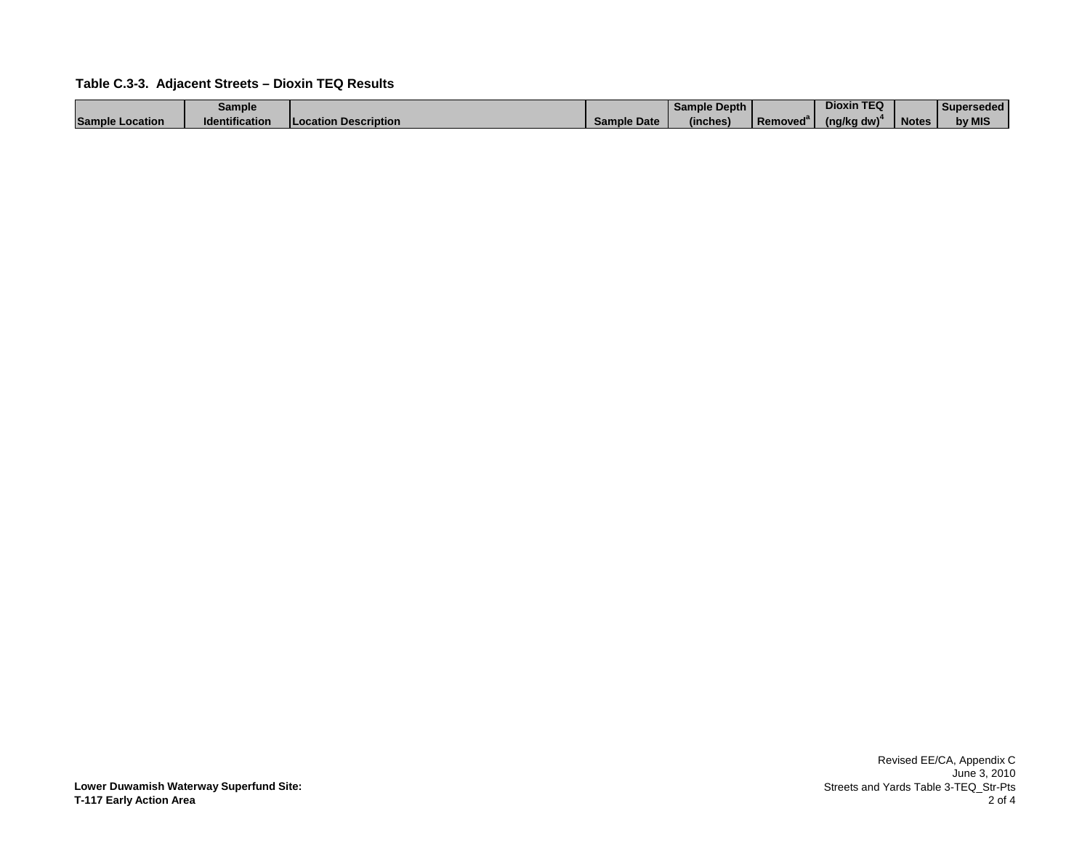|                        | Sample                |                             |             | Sample Depth |          | <b>Dioxin TEQ</b> |              | Superseded |
|------------------------|-----------------------|-----------------------------|-------------|--------------|----------|-------------------|--------------|------------|
| <b>Sample Location</b> | <b>Identification</b> | <b>Location Description</b> | Sample Date | (inches)     | Removed" | (na/ka dw)        | <b>Notes</b> | by MIS     |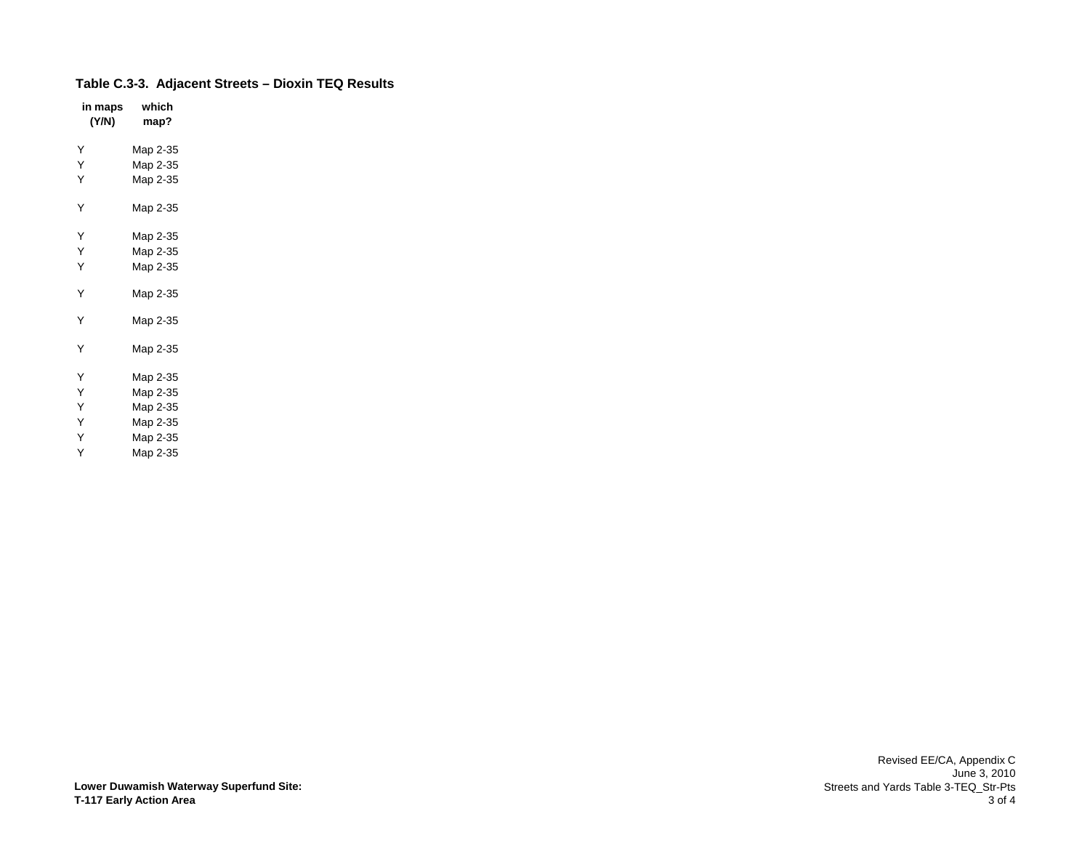| in maps<br>(Y/N) | which<br>map? |
|------------------|---------------|
| Υ                | Map 2-35      |
| Υ                | Map 2-35      |
| Υ                | Map 2-35      |
| Y                | Map 2-35      |
| Y                | Map 2-35      |
| Υ                | Map 2-35      |
| Y                | Map 2-35      |
| Υ                | Map 2-35      |
| Y                | Map 2-35      |
| Y                | Map 2-35      |
| Ý                | Map 2-35      |
| Y                | Map 2-35      |
| Y                | Map 2-35      |
| Υ                | Map 2-35      |
| Y                | Map 2-35      |
| Υ                | Map 2-35      |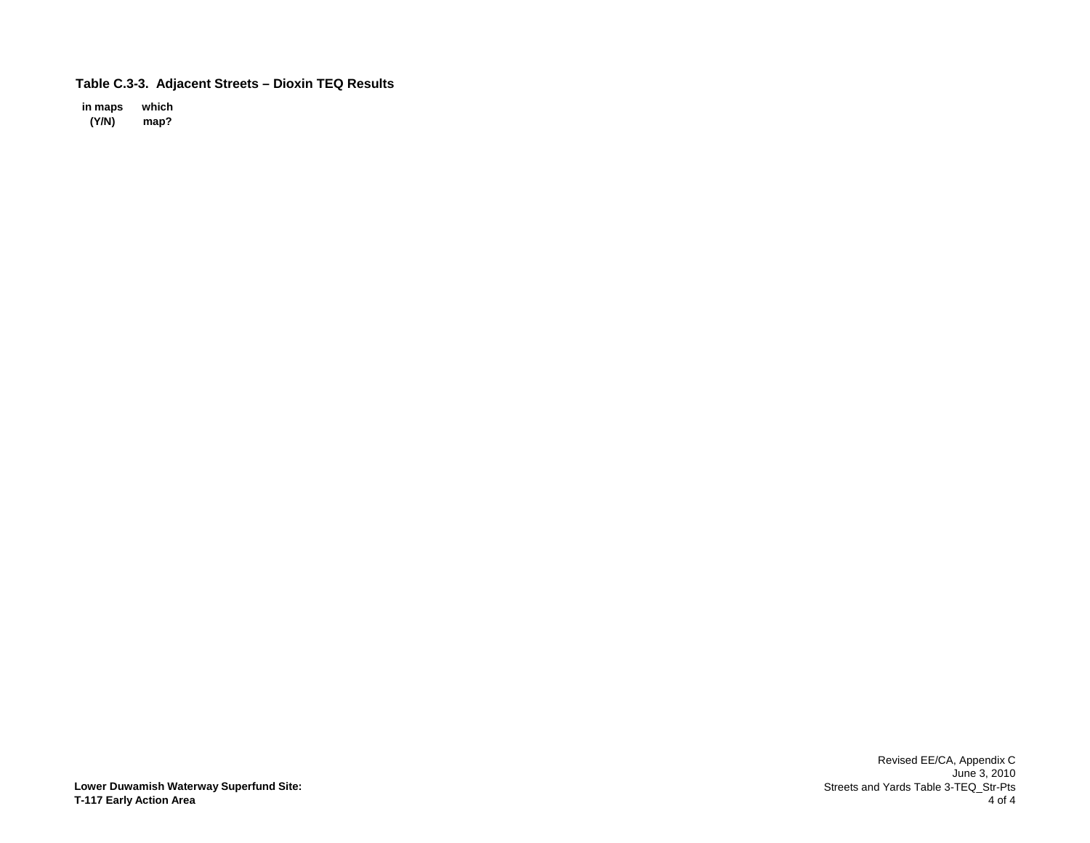**in maps which (Y/N) map?**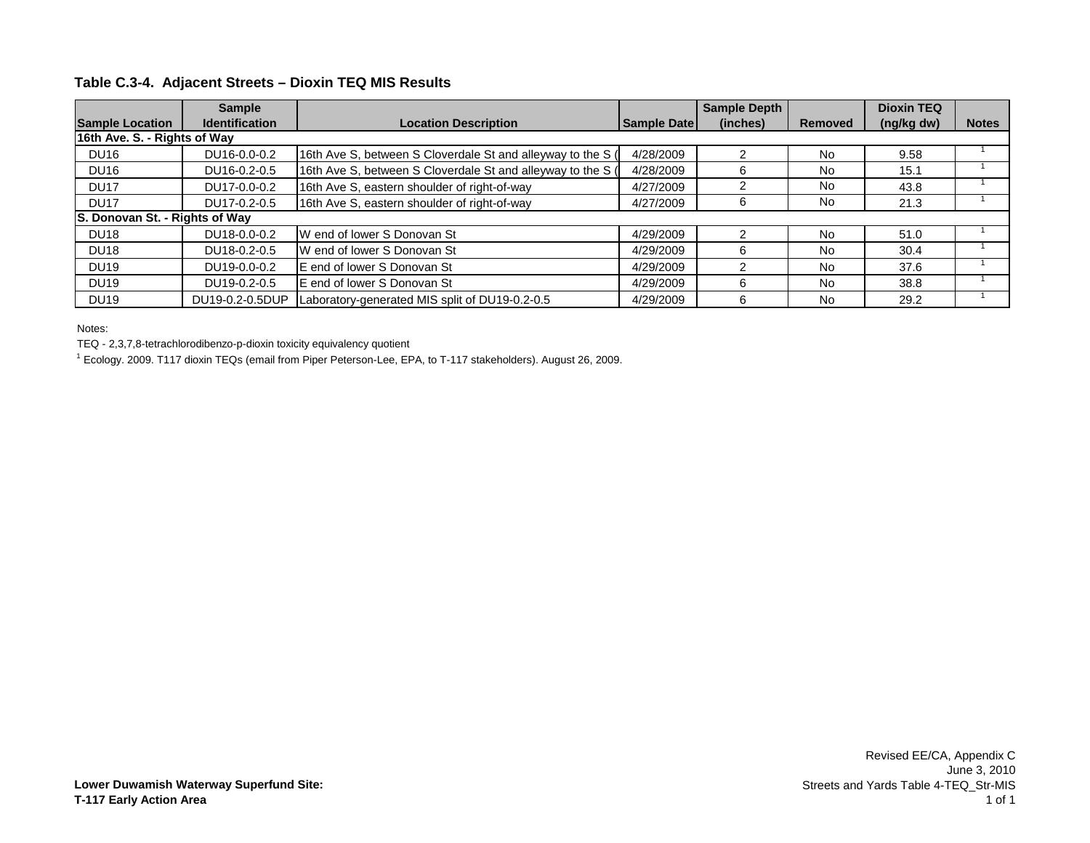|                                | <b>Sample</b>         |                                                             |                    | <b>Sample Depth</b> |                | <b>Dioxin TEQ</b> |              |
|--------------------------------|-----------------------|-------------------------------------------------------------|--------------------|---------------------|----------------|-------------------|--------------|
| <b>Sample Location</b>         | <b>Identification</b> | <b>Location Description</b>                                 | <b>Sample Date</b> | (inches)            | <b>Removed</b> | (ng/kg dw)        | <b>Notes</b> |
| 16th Ave. S. - Rights of Way   |                       |                                                             |                    |                     |                |                   |              |
| <b>DU16</b>                    | DU16-0.0-0.2          | 16th Ave S, between S Cloverdale St and alleyway to the S ( | 4/28/2009          |                     | <b>No</b>      | 9.58              |              |
| <b>DU16</b>                    | DU16-0.2-0.5          | 16th Ave S, between S Cloverdale St and alleyway to the S ( | 4/28/2009          | 6                   | No             | 15.1              |              |
| <b>DU17</b>                    | DU17-0.0-0.2          | 16th Ave S, eastern shoulder of right-of-way                | 4/27/2009          |                     | No             | 43.8              |              |
| DU <sub>17</sub>               | DU17-0.2-0.5          | 16th Ave S, eastern shoulder of right-of-way                | 4/27/2009          | 6                   | No             | 21.3              |              |
| S. Donovan St. - Rights of Way |                       |                                                             |                    |                     |                |                   |              |
| <b>DU18</b>                    | DU18-0.0-0.2          | W end of lower S Donovan St                                 | 4/29/2009          |                     | <b>No</b>      | 51.0              |              |
| <b>DU18</b>                    | DU18-0.2-0.5          | W end of lower S Donovan St                                 | 4/29/2009          | 6                   | No             | 30.4              |              |
| <b>DU19</b>                    | DU19-0.0-0.2          | E end of lower S Donovan St                                 | 4/29/2009          |                     | <b>No</b>      | 37.6              |              |
| <b>DU19</b>                    | DU19-0.2-0.5          | E end of lower S Donovan St                                 | 4/29/2009          | 6                   | <b>No</b>      | 38.8              |              |
| <b>DU19</b>                    | DU19-0.2-0.5DUP       | Laboratory-generated MIS split of DU19-0.2-0.5              | 4/29/2009          | 6                   | No             | 29.2              |              |

Notes:

TEQ - 2,3,7,8-tetrachlorodibenzo-p-dioxin toxicity equivalency quotient

1 Ecology. 2009. T117 dioxin TEQs (email from Piper Peterson-Lee, EPA, to T-117 stakeholders). August 26, 2009.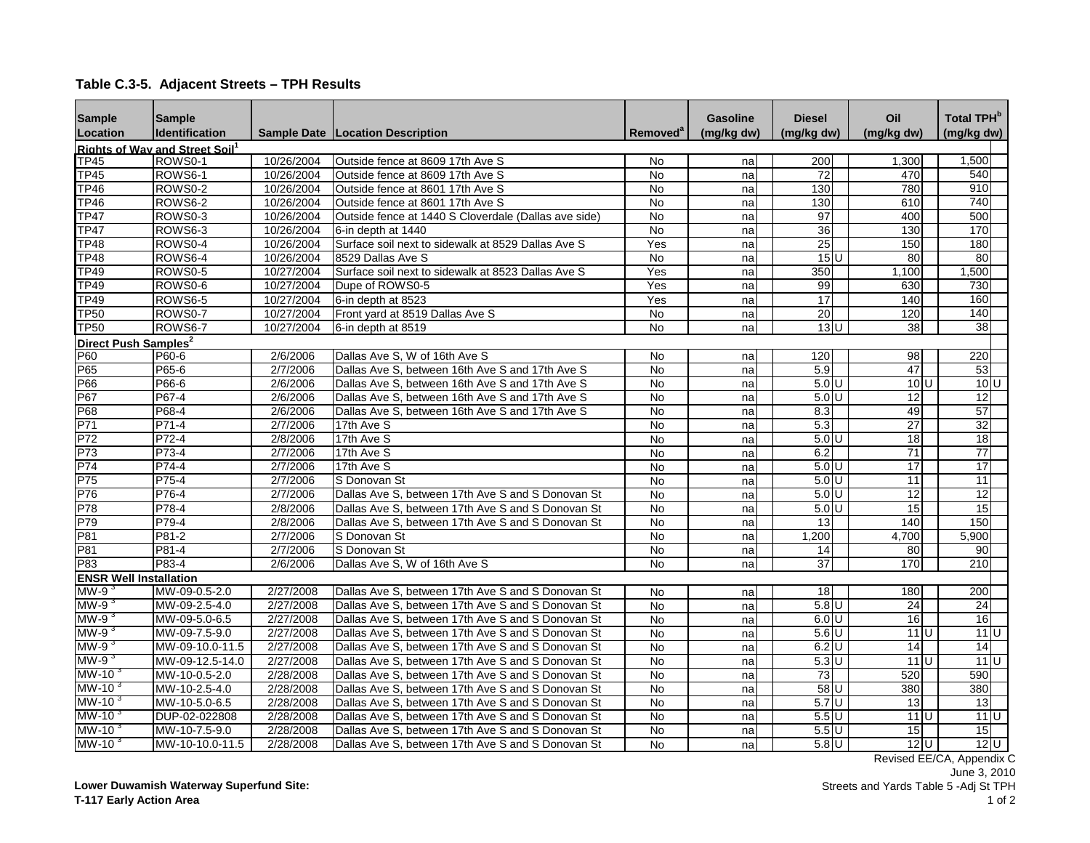| <b>Sample</b>                    | <b>Sample</b>                              |            |                                                      |                      | Gasoline   | <b>Diesel</b>   | Oil               | <b>Total TPH</b> <sup>b</sup> |
|----------------------------------|--------------------------------------------|------------|------------------------------------------------------|----------------------|------------|-----------------|-------------------|-------------------------------|
| Location                         | <b>Identification</b>                      |            | <b>Sample Date   Location Description</b>            | Removed <sup>a</sup> | (mg/kg dw) | (mg/kg dw)      | (mg/kg dw)        | (mg/kg dw)                    |
|                                  | Rights of Way and Street Soil <sup>1</sup> |            |                                                      |                      |            |                 |                   |                               |
| TP45                             | ROWS0-1                                    | 10/26/2004 | Outside fence at 8609 17th Ave S                     | No                   | na         | 200             | 1,300             | 1,500                         |
| <b>TP45</b>                      | ROWS <sub>6-1</sub>                        | 10/26/2004 | Outside fence at 8609 17th Ave S                     | <b>No</b>            | na         | 72              | 470               | 540                           |
| <b>TP46</b>                      | ROWS0-2                                    | 10/26/2004 | Outside fence at 8601 17th Ave S                     | <b>No</b>            | na         | 130             | 780               | 910                           |
| <b>TP46</b>                      | ROWS6-2                                    | 10/26/2004 | Outside fence at 8601 17th Ave S                     | $\overline{N}$       | na         | 130             | 610               | 740                           |
| <b>TP47</b>                      | ROWS0-3                                    | 10/26/2004 | Outside fence at 1440 S Cloverdale (Dallas ave side) | $\overline{N}$       | na         | 97              | 400               | 500                           |
| <b>TP47</b>                      | ROWS6-3                                    | 10/26/2004 | 6-in depth at 1440                                   | No                   | na         | $\overline{36}$ | 130               | 170                           |
| <b>TP48</b>                      | ROWS0-4                                    | 10/26/2004 | Surface soil next to sidewalk at 8529 Dallas Ave S   | Yes                  | na         | $\overline{25}$ | 150               | 180                           |
| <b>TP48</b>                      | ROWS6-4                                    | 10/26/2004 | 8529 Dallas Ave S                                    | <b>No</b>            | na         | $15$ U          | 80                | 80                            |
| <b>TP49</b>                      | ROWS0-5                                    | 10/27/2004 | Surface soil next to sidewalk at 8523 Dallas Ave S   | Yes                  | na         | 350             | 1,100             | 1,500                         |
| <b>TP49</b>                      | ROWS0-6                                    | 10/27/2004 | Dupe of ROWS0-5                                      | Yes                  | na         | 99              | 630               | 730                           |
| <b>TP49</b>                      | ROWS6-5                                    | 10/27/2004 | 6-in depth at 8523                                   | Yes                  | na         | 17              | 140               | 160                           |
| <b>TP50</b>                      | ROWS0-7                                    | 10/27/2004 | Front yard at 8519 Dallas Ave S                      | <b>No</b>            | na         | 20              | 120               | 140                           |
| <b>TP50</b>                      | ROWS6-7                                    | 10/27/2004 | 6-in depth at 8519                                   | $\overline{N}$       | na         | 13U             | 38                | $\overline{38}$               |
| Direct Push Samples <sup>2</sup> |                                            |            |                                                      |                      |            |                 |                   |                               |
| P60                              | P60-6                                      | 2/6/2006   | Dallas Ave S, W of 16th Ave S                        | No                   | na         | 120             | 98                | 220                           |
| P65                              | P65-6                                      | 2/7/2006   | Dallas Ave S, between 16th Ave S and 17th Ave S      | <b>No</b>            | na         | 5.9             | 47                | 53                            |
| P66                              | P66-6                                      | 2/6/2006   | Dallas Ave S, between 16th Ave S and 17th Ave S      | N <sub>o</sub>       | na         | 5.0 U           | $10$ <sub>U</sub> | 10U                           |
| P67                              | P67-4                                      | 2/6/2006   | Dallas Ave S, between 16th Ave S and 17th Ave S      | No                   | na         | $5.0$ U         | 12                | $\overline{12}$               |
| P68                              | P68-4                                      | 2/6/2006   | Dallas Ave S, between 16th Ave S and 17th Ave S      | No                   | na         | 8.3             | 49                | 57                            |
| P71                              | P71-4                                      | 2/7/2006   | 17th Ave S                                           | $\overline{N}$       | na         | 5.3             | $\overline{27}$   | $\overline{32}$               |
| P72                              | P72-4                                      | 2/8/2006   | 17th Ave S                                           | No                   | na         | 5.0 U           | 18 <sup>1</sup>   | 18                            |
| P73                              | P73-4                                      | 2/7/2006   | 17th Ave S                                           | No                   | na         | 6.2             | $\overline{71}$   | $\overline{77}$               |
| P74                              | P74-4                                      | 2/7/2006   | 17th Ave S                                           | $\overline{N}$       | na         | 5.0 U           | 17                | 17                            |
| P75                              | P75-4                                      | 2/7/2006   | S Donovan St                                         | No                   | na         | $5.0$ U         | 11                | 11                            |
| P76                              | P76-4                                      | 2/7/2006   | Dallas Ave S, between 17th Ave S and S Donovan St    | <b>No</b>            | na         | 5.0 U           | 12                | 12                            |
| P78                              | P78-4                                      | 2/8/2006   | Dallas Ave S, between 17th Ave S and S Donovan St    | $\overline{N}$       | na         | $5.0$ U         | 15                | $\overline{15}$               |
| P79                              | P79-4                                      | 2/8/2006   | Dallas Ave S, between 17th Ave S and S Donovan St    | No                   | na         | 13              | 140               | 150                           |
| P81                              | P81-2                                      | 2/7/2006   | S Donovan St                                         | No                   | na         | 1,200           | 4,700             | 5,900                         |
| P81                              | P81-4                                      | 2/7/2006   | S Donovan St                                         | No                   | na         | 14              | 80                | 90                            |
| P83                              | P83-4                                      | 2/6/2006   | Dallas Ave S, W of 16th Ave S                        | <b>No</b>            | na         | 37              | 170               | 210                           |
| <b>ENSR Well Installation</b>    |                                            |            |                                                      |                      |            |                 |                   |                               |
| $WW-9$                           | MW-09-0.5-2.0                              | 2/27/2008  | Dallas Ave S. between 17th Ave S and S Donovan St    | <b>No</b>            | na         | 18              | 180               | 200                           |
| MW-9 $3$                         | MW-09-2.5-4.0                              | 2/27/2008  | Dallas Ave S, between 17th Ave S and S Donovan St    | <b>No</b>            | na         | $5.8$ U         | $\overline{24}$   | 24                            |
| MW-9 $3$                         | MW-09-5.0-6.5                              | 2/27/2008  | Dallas Ave S, between 17th Ave S and S Donovan St    | <b>No</b>            | na         | 6.0 U           | 16                | 16                            |
| $MW-9$                           | MW-09-7.5-9.0                              | 2/27/2008  | Dallas Ave S, between 17th Ave S and S Donovan St    | No                   | na         | $5.6$ U         | $11$ U            | $11$ U                        |
| $MW-93$                          | MW-09-10.0-11.5                            | 2/27/2008  | Dallas Ave S, between 17th Ave S and S Donovan St    | <b>No</b>            | na         | $6.2$ U         | 14                | 14                            |
| $MW-93$                          | MW-09-12.5-14.0                            | 2/27/2008  | Dallas Ave S, between 17th Ave S and S Donovan St    | <b>No</b>            | na         | $5.3$ U         | 11 <sup>U</sup>   | 11U                           |
| MW-10 $3$                        | MW-10-0.5-2.0                              | 2/28/2008  | Dallas Ave S, between 17th Ave S and S Donovan St    | No                   | na         | 73              | 520               | 590                           |
| MW-10 $3$                        | MW-10-2.5-4.0                              | 2/28/2008  | Dallas Ave S, between 17th Ave S and S Donovan St    | $\overline{N}$       | na         | 58 U            | 380               | 380                           |
| MW-10 $3$                        | MW-10-5.0-6.5                              | 2/28/2008  | Dallas Ave S, between 17th Ave S and S Donovan St    | No                   | na         | 5.7U            | 13                | 13                            |
| MW-10 $3$                        | DUP-02-022808                              | 2/28/2008  | Dallas Ave S, between 17th Ave S and S Donovan St    | <b>No</b>            | na         | $5.5$ U         | $11$ U            | $11$ <sub>U</sub>             |
| MW-10 $3$                        | MW-10-7.5-9.0                              | 2/28/2008  | Dallas Ave S, between 17th Ave S and S Donovan St    | <b>No</b>            | na         | $5.5$ U         | 15                | 15                            |
| MW-10 $3$                        | MW-10-10.0-11.5                            | 2/28/2008  | Dallas Ave S, between 17th Ave S and S Donovan St    | <b>No</b>            | na         | $5.8$ U         | $12$ U            | 12 <sup>U</sup>               |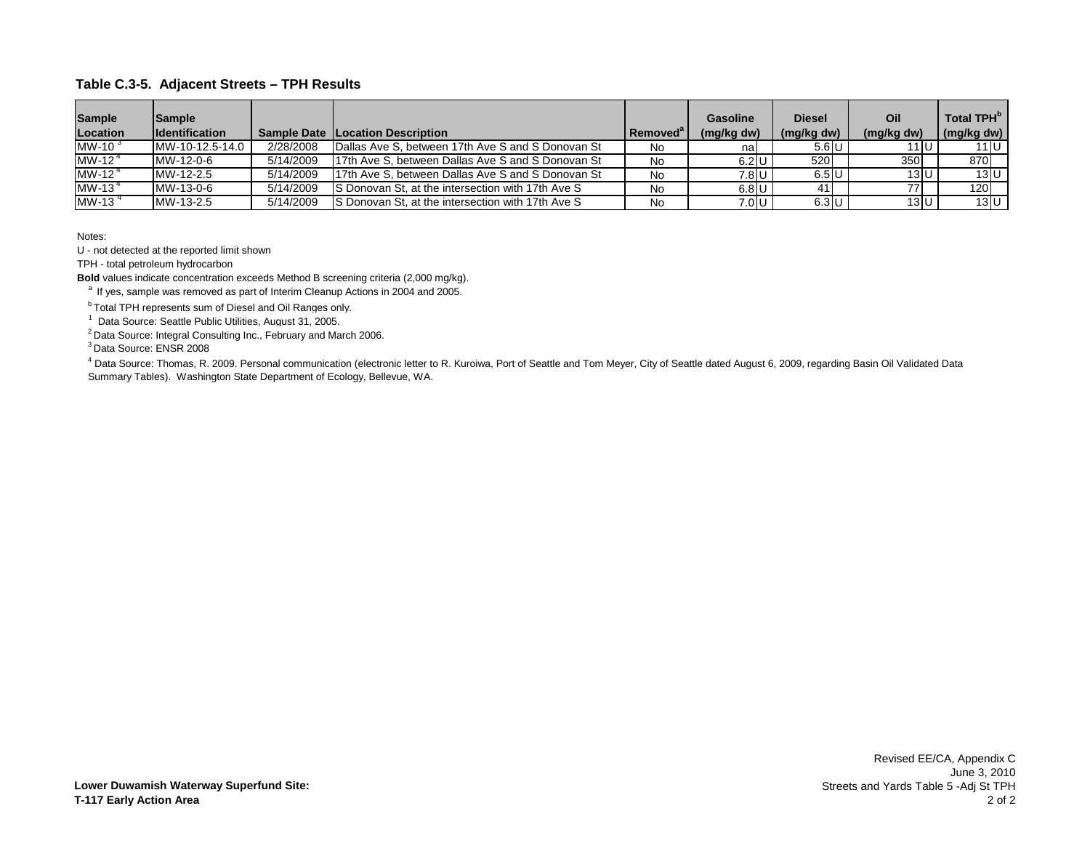| <b>Sample</b><br><b>Location</b> | Sample<br><b>Identification</b> |           | <b>Sample Date ILocation Description</b>          | Removed® | Gasoline<br>(mg/kg dw) | <b>Diesel</b><br>(mg/kg dw) | Oil<br>(mg/kg dw) | Total TPH <sup>b</sup><br>(mg/kg dw) |
|----------------------------------|---------------------------------|-----------|---------------------------------------------------|----------|------------------------|-----------------------------|-------------------|--------------------------------------|
| MW-10 $3$                        | MW-10-12.5-14.0                 | 2/28/2008 | Dallas Ave S, between 17th Ave S and S Donovan St | No       | nal                    | $5.6$ U                     | 11 U              | 11 I U                               |
| MW-12 $4$                        | MW-12-0-6                       | 5/14/2009 | 17th Ave S. between Dallas Ave S and S Donovan St | No       | $6.2$ U                | 520                         | 350               | 870                                  |
| MW-12 $4$                        | MW-12-2.5                       | 5/14/2009 | 17th Ave S. between Dallas Ave S and S Donovan St | No       | 7.8 U                  | $6.5$ U                     | 13 U              | 13U                                  |
| MW-13 $4$                        | MW-13-0-6                       | 5/14/2009 | S Donovan St, at the intersection with 17th Ave S | No       | $6.8$ U                | 41                          |                   | 120                                  |
| MW-13 $4$                        | MW-13-2.5                       | 5/14/2009 | S Donovan St, at the intersection with 17th Ave S | No       | 7.0 U                  | $6.3$ U                     | 13 U              | 13 U                                 |

Notes:

U - not detected at the reported limit shown

TPH - total petroleum hydrocarbon

**Bold** values indicate concentration exceeds Method B screening criteria (2,000 mg/kg).

<sup>a</sup> If yes, sample was removed as part of Interim Cleanup Actions in 2004 and 2005.

**b Total TPH represents sum of Diesel and Oil Ranges only.** 

<sup>1</sup> Data Source: Seattle Public Utilities, August 31, 2005.

2 Data Source: Integral Consulting Inc., February and March 2006.

3 Data Source: ENSR 2008

<sup>4</sup> Data Source: Thomas, R. 2009. Personal communication (electronic letter to R. Kuroiwa, Port of Seattle and Tom Meyer, City of Seattle dated August 6, 2009, regarding Basin Oil Validated Data Summary Tables). Washington State Department of Ecology, Bellevue, WA.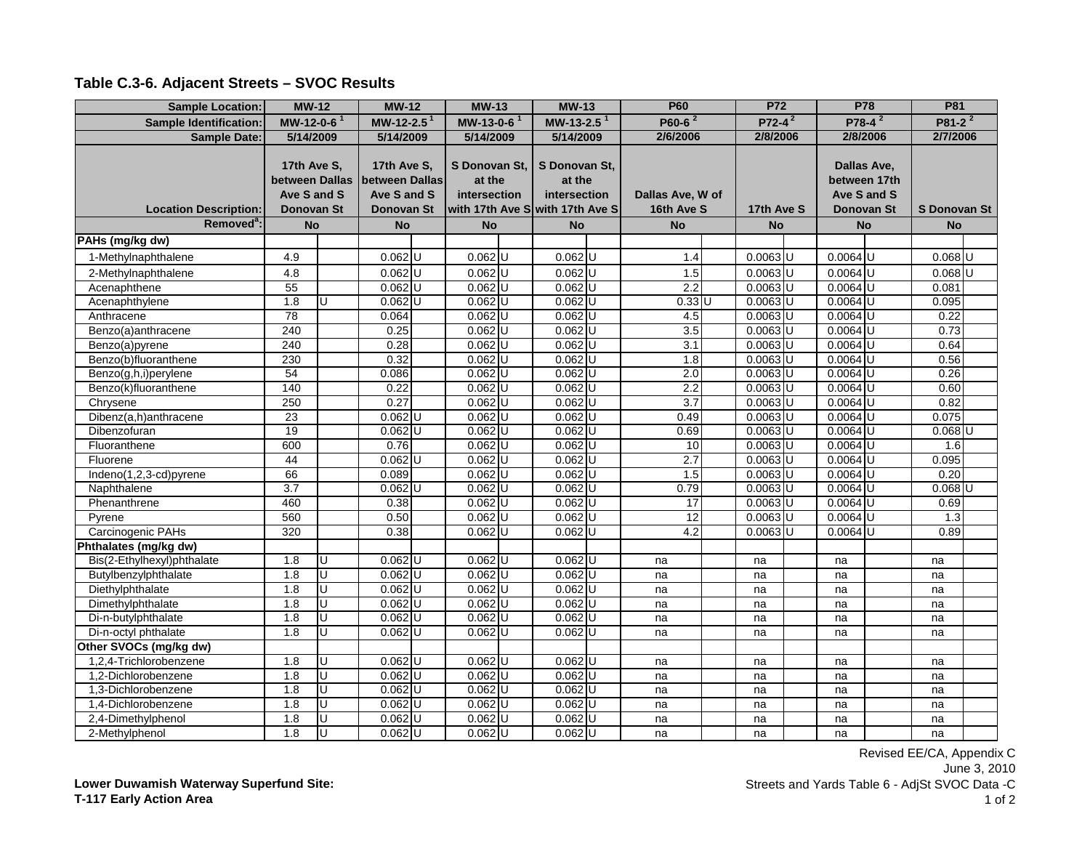| <b>Sample Location:</b>       | $MW-12$                                                    |    | $MW-12$                                                           | <b>MW-13</b>                            | $MW-13$                                                                    | <b>P60</b>                     | <b>P72</b> | <b>P78</b>                  |                                  | <b>P81</b>           |  |
|-------------------------------|------------------------------------------------------------|----|-------------------------------------------------------------------|-----------------------------------------|----------------------------------------------------------------------------|--------------------------------|------------|-----------------------------|----------------------------------|----------------------|--|
| <b>Sample Identification:</b> | MW-12-0-6 $1$                                              |    | MW-12-2.5 <sup>1</sup>                                            | MW-13-0-6 <sup>1</sup>                  | $MW-13-2.51$                                                               | $P60-62$                       | $P72-4^2$  |                             | $P78-4^2$                        | P81-2 <sup>2</sup>   |  |
| Sample Date:                  | 5/14/2009                                                  |    | 5/14/2009                                                         | 5/14/2009                               | 5/14/2009                                                                  | 2/6/2006                       | 2/8/2006   | 2/8/2006                    |                                  | 2/7/2006             |  |
| <b>Location Description:</b>  | 17th Ave S,<br>between Dallas<br>Ave S and S<br>Donovan St |    | 17th Ave S,<br>between Dallas<br>Ave S and S<br><b>Donovan St</b> | S Donovan St,<br>at the<br>intersection | S Donovan St,<br>at the<br>intersection<br>with 17th Ave S with 17th Ave S | Dallas Ave, W of<br>16th Ave S | 17th Ave S | between 17th<br>Ave S and S | Dallas Ave,<br><b>Donovan St</b> | <b>S Donovan St</b>  |  |
| Removed <sup>a</sup> :        | <b>No</b>                                                  |    | <b>No</b>                                                         | <b>No</b>                               | <b>No</b>                                                                  | <b>No</b>                      | <b>No</b>  | <b>No</b>                   |                                  | <b>No</b>            |  |
| PAHs (mg/kg dw)               |                                                            |    |                                                                   |                                         |                                                                            |                                |            |                             |                                  |                      |  |
| 1-Methylnaphthalene           | 4.9                                                        |    | $0.062$ U                                                         | $0.062$ U                               | $0.062$ U                                                                  | 1.4                            | $0.0063$ U | $0.0064$ U                  |                                  | $0.068$ U            |  |
| 2-Methylnaphthalene           | 4.8                                                        |    | $0.062$ U                                                         | $0.062$ U                               | $0.062$ U                                                                  | 1.5                            | $0.0063$ U | $0.0064$ U                  |                                  | $0.068$ U            |  |
| Acenaphthene                  | 55                                                         |    | $0.062$ U                                                         | $0.062$ U                               | $0.062$ <sub>U</sub>                                                       | 2.2                            | $0.0063$ U | $0.0064$ U                  |                                  | 0.081                |  |
| Acenaphthylene                | 1.8                                                        | U  | $0.062$ U                                                         | $0.062$ U                               | $0.062$ U                                                                  | $0.33$ U                       | $0.0063$ U | $0.0064$ U                  |                                  | 0.095                |  |
| Anthracene                    | 78                                                         |    | 0.064                                                             | $0.062$ U                               | $0.062$ U                                                                  | 4.5                            | $0.0063$ U | $0.0064$ U                  |                                  | 0.22                 |  |
| Benzo(a)anthracene            | 240                                                        |    | 0.25                                                              | $0.062$ U                               | $0.062$ U                                                                  | 3.5                            | $0.0063$ U | $0.0064$ U                  |                                  | 0.73                 |  |
| Benzo(a)pyrene                | 240                                                        |    | 0.28                                                              | $0.062$ U                               | $0.062$ U                                                                  | 3.1                            | $0.0063$ U | $0.0064$ U                  |                                  | 0.64                 |  |
| Benzo(b)fluoranthene          | 230                                                        |    | 0.32                                                              | $0.062$ U                               | $0.062$ U                                                                  | 1.8                            | $0.0063$ U | $0.0064$ U                  |                                  | 0.56                 |  |
| Benzo(g,h,i)perylene          | 54                                                         |    | 0.086                                                             | $0.062$ U                               | $0.062$ U                                                                  | 2.0                            | $0.0063$ U | $0.0064$ U                  |                                  | 0.26                 |  |
| Benzo(k)fluoranthene          | 140                                                        |    | 0.22                                                              | $0.062$ U                               | $0.062$ U                                                                  | 2.2                            | $0.0063$ U | $0.0064$ U                  |                                  | 0.60                 |  |
| Chrysene                      | 250                                                        |    | 0.27                                                              | $0.062$ U                               | $0.062$ U                                                                  | 3.7                            | $0.0063$ U | $0.0064$ U                  |                                  | 0.82                 |  |
| Dibenz(a,h)anthracene         | 23                                                         |    | $0.062$ U                                                         | $0.062$ U                               | $0.062$ U                                                                  | 0.49                           | $0.0063$ U | $0.0064$ U                  |                                  | 0.075                |  |
| Dibenzofuran                  | 19                                                         |    | $0.062$ U                                                         | $0.062$ U                               | $0.062$ U                                                                  | 0.69                           | $0.0063$ U | $0.0064$ U                  |                                  | $0.068$ <sub>U</sub> |  |
| Fluoranthene                  | 600                                                        |    | 0.76                                                              | $0.062$ U                               | $0.062$ U                                                                  | 10                             | $0.0063$ U | $0.0064$ U                  |                                  | 1.6                  |  |
| Fluorene                      | 44                                                         |    | $0.062$ U                                                         | $0.062$ U                               | $0.062$ U                                                                  | 2.7                            | $0.0063$ U | $0.0064$ U                  |                                  | 0.095                |  |
| Indeno(1,2,3-cd)pyrene        | 66                                                         |    | 0.089                                                             | $0.062$ U                               | $0.062$ U                                                                  | 1.5                            | $0.0063$ U | $0.0064$ U                  |                                  | 0.20                 |  |
| Naphthalene                   | 3.7                                                        |    | $0.062$ U                                                         | $0.062$ U                               | $0.062$ U                                                                  | 0.79                           | $0.0063$ U | $0.0064$ U                  |                                  | $0.068$ U            |  |
| Phenanthrene                  | 460                                                        |    | 0.38                                                              | $0.062$ U                               | $0.062$ U                                                                  | 17                             | $0.0063$ U | $0.0064$ U                  |                                  | 0.69                 |  |
| Pyrene                        | 560                                                        |    | 0.50                                                              | $0.062$ U                               | $0.062$ U                                                                  | $\overline{12}$                | $0.0063$ U | $0.0064$ U                  |                                  | 1.3                  |  |
| Carcinogenic PAHs             | 320                                                        |    | 0.38                                                              | $0.062$ U                               | $0.062$ U                                                                  | 4.2                            | $0.0063$ U | $0.0064$ U                  |                                  | 0.89                 |  |
| Phthalates (mg/kg dw)         |                                                            |    |                                                                   |                                         |                                                                            |                                |            |                             |                                  |                      |  |
| Bis(2-Ethylhexyl)phthalate    | 1.8                                                        | IJ | $0.062$ U                                                         | $0.062$ U                               | $0.062$ U                                                                  | na                             | na         | na                          |                                  | na                   |  |
| Butylbenzylphthalate          | 1.8                                                        | U  | $0.062$ U                                                         | $0.062$ U                               | $0.062$ U                                                                  | na                             | na         | na                          |                                  | na                   |  |
| Diethylphthalate              | 1.8                                                        | D  | $0.062$ U                                                         | $0.062$ U                               | $0.062$ U                                                                  | na                             | na         | na                          |                                  | na                   |  |
| Dimethylphthalate             | 1.8                                                        | Ū  | $0.062$ U                                                         | $0.062$ U                               | $0.062$ U                                                                  | na                             | na         | na                          |                                  | na                   |  |
| Di-n-butylphthalate           | 1.8                                                        | π  | $0.062$ U                                                         | $0.062$ U                               | $0.062$ U                                                                  | na                             | na         | na                          |                                  | na                   |  |
| Di-n-octyl phthalate          | 1.8                                                        | IJ | $0.062$ U                                                         | $0.062$ U                               | $0.062$ U                                                                  | na                             | na         | na                          |                                  | na                   |  |
| Other SVOCs (mg/kg dw)        |                                                            |    |                                                                   |                                         |                                                                            |                                |            |                             |                                  |                      |  |
| 1,2,4-Trichlorobenzene        | 1.8                                                        | U  | $0.062$ U                                                         | $0.062$ U                               | $0.062$ U                                                                  | na                             | na         | na                          |                                  | na                   |  |
| 1,2-Dichlorobenzene           | 1.8                                                        | IJ | $0.062$ U                                                         | $0.062$ U                               | $0.062$ U                                                                  | na                             | na         | na                          |                                  | na                   |  |
| 1,3-Dichlorobenzene           | 1.8                                                        | Ū  | $0.062$ U                                                         | $0.062$ U                               | $0.062$ U                                                                  | na                             | na         | na                          |                                  | na                   |  |
| 1.4-Dichlorobenzene           | 1.8                                                        | U  | $0.062$ U                                                         | $0.062$ U                               | $0.062$ U                                                                  | na                             | na         | na                          |                                  | na                   |  |
| 2,4-Dimethylphenol            | 1.8                                                        | IJ | $0.062$ U                                                         | $0.062$ U                               | $0.062$ U                                                                  | na                             | na         | na                          |                                  | na                   |  |
| 2-Methylphenol                | 1.8                                                        | IJ | $0.062$ U                                                         | $0.062$ U                               | $0.062$ U                                                                  | na                             | na         | na                          |                                  | na                   |  |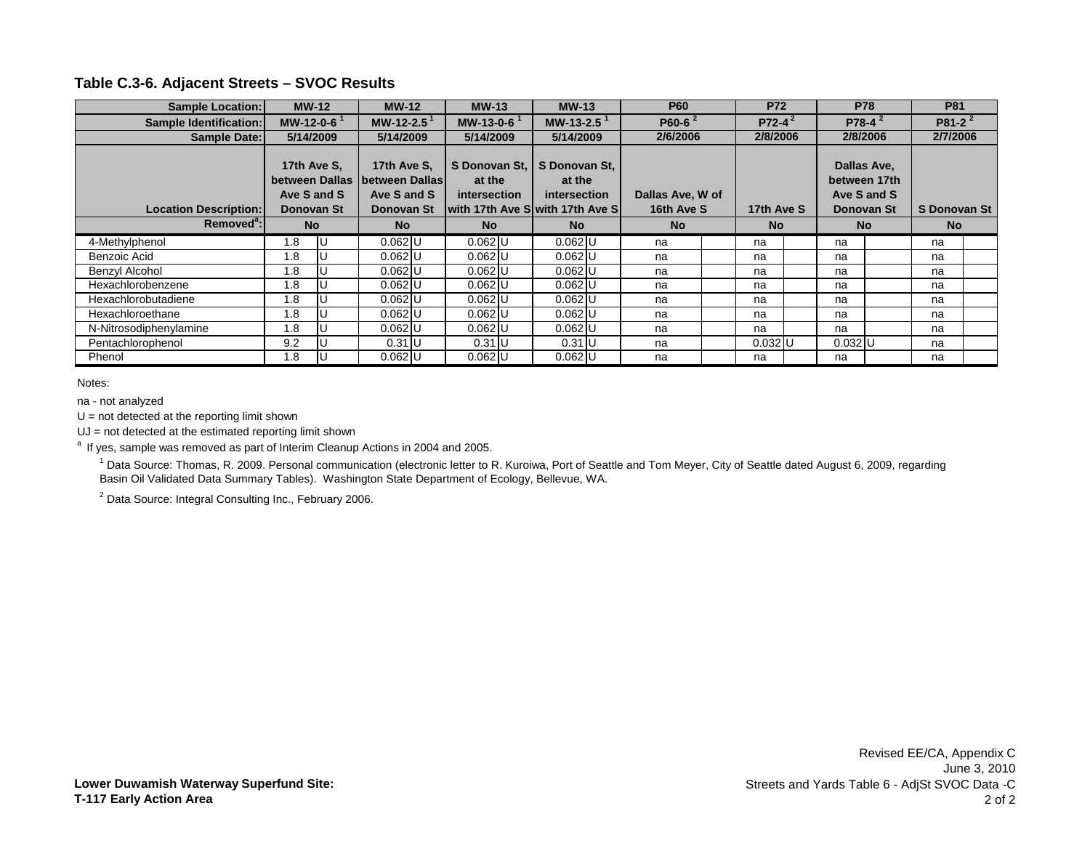| <b>Sample Location:</b>                           |               | $MW-12$                       | $MW-12$                                                    | $MW-13$                                                                             | $MW-13$                                 |           | <b>P60</b>                     | <b>P72</b> | <b>P78</b>                                               | <b>P81</b>   |  |
|---------------------------------------------------|---------------|-------------------------------|------------------------------------------------------------|-------------------------------------------------------------------------------------|-----------------------------------------|-----------|--------------------------------|------------|----------------------------------------------------------|--------------|--|
| Sample Identification:                            | MW-12-0-6 $1$ |                               | MW-12-2.5 <sup>1</sup>                                     | MW-13-0-6 $1$                                                                       | MW-13-2.5 $1$                           |           | P60-6 $2$                      | $P72-4^2$  | $P78-4^2$                                                | $P81-2^2$    |  |
| Sample Date:                                      | 5/14/2009     |                               | 5/14/2009                                                  | 5/14/2009                                                                           | 5/14/2009                               |           | 2/6/2006                       | 2/8/2006   | 2/8/2006                                                 | 2/7/2006     |  |
| <b>Location Description:</b>                      | 17th Ave S.   | between Dallas<br>Ave S and S | 17th Ave S.<br>between Dallas<br>Ave S and S<br>Donovan St | S Donovan St.<br>at the<br><i>intersection</i><br>lwith 17th Ave Slwith 17th Ave Sl | S Donovan St,<br>at the<br>intersection |           | Dallas Ave, W of<br>16th Ave S | 17th Ave S | Dallas Ave,<br>between 17th<br>Ave S and S<br>Donovan St | S Donovan St |  |
| Donovan St<br>Removed <sup>a</sup> :<br><b>No</b> |               | <b>No</b>                     | <b>No</b>                                                  | <b>No</b>                                                                           |                                         | <b>No</b> | <b>No</b>                      | <b>No</b>  | <b>No</b>                                                |              |  |
| 4-Methylphenol                                    | 1.8           |                               | $0.062$ U                                                  | $0.062$ U                                                                           | $0.062$ U                               |           | na                             | na         | na                                                       | na           |  |
| Benzoic Acid                                      | 1.8           |                               | $0.062$ U                                                  | $0.062$ U                                                                           | $0.062$ U                               |           | na                             | na         | na                                                       | na           |  |
| Benzyl Alcohol                                    | 1.8           |                               | $0.062$ U                                                  | $0.062$ U                                                                           | $0.062$ U                               |           | na                             | na         | na                                                       | na           |  |
| Hexachlorobenzene                                 | 1.8           |                               | $0.062$ U                                                  | $0.062$ U                                                                           | $0.062$ U                               |           | na                             | na         | na                                                       | na           |  |
| Hexachlorobutadiene                               | 1.8           |                               | $0.062$ U                                                  | $0.062$ U                                                                           | $0.062$ U                               |           | na                             | na         | na                                                       | na           |  |
| Hexachloroethane                                  | 1.8           |                               | $0.062$ U                                                  | $0.062$ U                                                                           | $0.062$ U                               |           | na                             | na         | na                                                       | na           |  |
| N-Nitrosodiphenylamine                            | 1.8           |                               | $0.062$ U                                                  | $0.062$ U                                                                           | $0.062$ U                               |           | na                             | na         | na                                                       | na           |  |
| Pentachlorophenol                                 | 9.2           |                               | $0.31$ U                                                   | $0.31$ U                                                                            | $0.31$ U                                |           | na                             | $0.032$ U  | $0.032$ U                                                | na           |  |
| Phenol                                            | 1.8           |                               | $0.062$ U                                                  | $0.062$ U                                                                           | $0.062$ U                               |           | na                             | na         | na                                                       | na           |  |

Notes:

na - not analyzed

 $U = not detected at the reporting limit shown$ 

UJ = not detected at the estimated reporting limit shown

<sup>a</sup> If yes, sample was removed as part of Interim Cleanup Actions in 2004 and 2005.

<sup>1</sup> Data Source: Thomas, R. 2009. Personal communication (electronic letter to R. Kuroiwa, Port of Seattle and Tom Meyer, City of Seattle dated August 6, 2009, regarding Basin Oil Validated Data Summary Tables). Washington State Department of Ecology, Bellevue, WA.

<sup>2</sup> Data Source: Integral Consulting Inc., February 2006.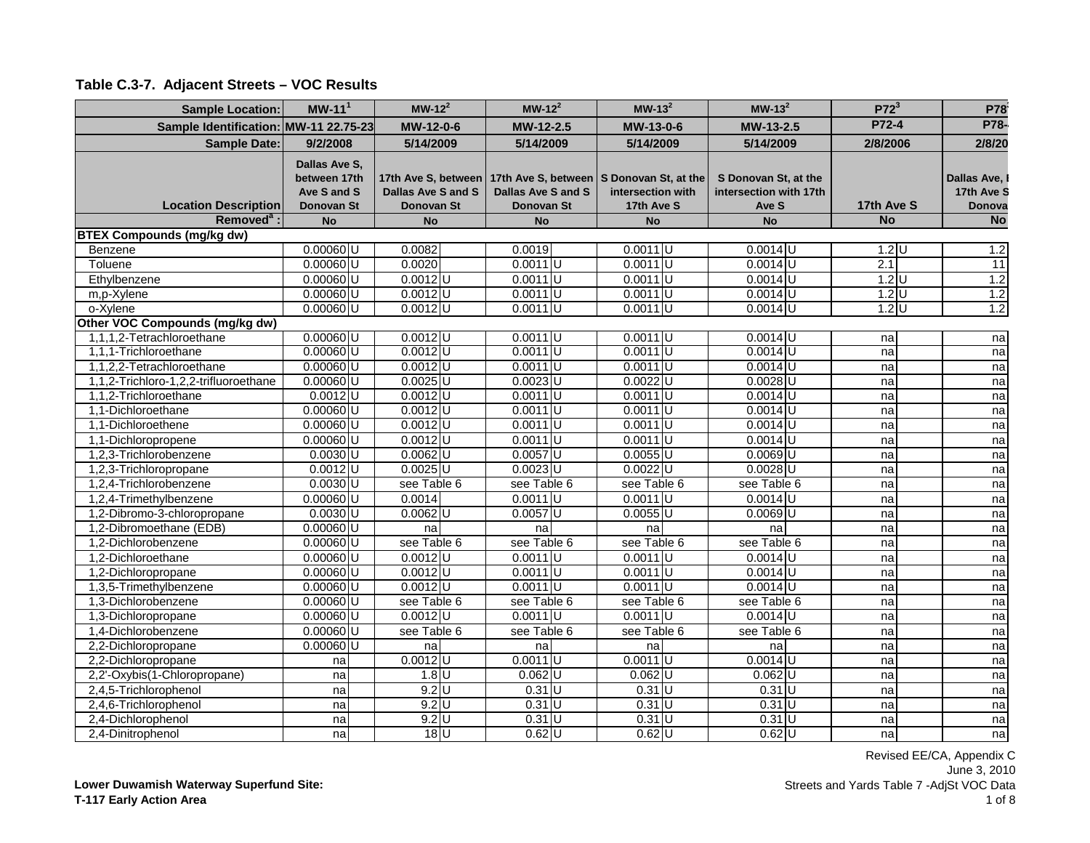| <b>Sample Location:</b>               | $MW-111$                                                   | $MW-122$                                                | $MW-122$                                | $MW-132$                                                                    | $MW-132$                                                | $P72^3$    | P78                                 |
|---------------------------------------|------------------------------------------------------------|---------------------------------------------------------|-----------------------------------------|-----------------------------------------------------------------------------|---------------------------------------------------------|------------|-------------------------------------|
| Sample Identification: MW-11 22.75-23 |                                                            | MW-12-0-6                                               | MW-12-2.5                               | MW-13-0-6                                                                   | MW-13-2.5                                               | P72-4      | P78-                                |
| <b>Sample Date:</b>                   | 9/2/2008                                                   | 5/14/2009                                               | 5/14/2009                               | 5/14/2009                                                                   | 5/14/2009                                               | 2/8/2006   | 2/8/20                              |
| <b>Location Description</b>           | Dallas Ave S,<br>between 17th<br>Ave S and S<br>Donovan St | 17th Ave S, between<br>Dallas Ave S and S<br>Donovan St | Dallas Ave S and S<br><b>Donovan St</b> | 17th Ave S, between S Donovan St, at the<br>intersection with<br>17th Ave S | S Donovan St, at the<br>intersection with 17th<br>Ave S | 17th Ave S | Dallas Ave,<br>17th Ave S<br>Donova |
| Removed <sup>a</sup> :                | <b>No</b>                                                  | <b>No</b>                                               | <b>No</b>                               | <b>No</b>                                                                   | <b>No</b>                                               | <b>No</b>  | <b>No</b>                           |
| <b>BTEX Compounds (mg/kg dw)</b>      |                                                            |                                                         |                                         |                                                                             |                                                         |            |                                     |
| Benzene                               | $0.00060$ U                                                | 0.0082                                                  | 0.0019                                  | $0.0011$ U                                                                  | $0.0014$ U                                              | $1.2$ U    | 1.2                                 |
| Toluene                               | $0.00060$ U                                                | 0.0020                                                  | $0.0011$ U                              | $0.0011$ U                                                                  | $0.0014$ U                                              | 2.1        | $\overline{11}$                     |
| Ethylbenzene                          | $0.00060$ U                                                | $0.0012$ <sub>U</sub>                                   | $0.0011$ U                              | $0.0011$ U                                                                  | $0.0014$ U                                              | $1.2$ U    | 1.2                                 |
| m,p-Xylene                            | $0.00060$ U                                                | $0.0012$ U                                              | $0.0011$ U                              | $0.0011$ U                                                                  | $0.0014$ <sub>U</sub>                                   | $1.2$ U    | 1.2                                 |
| o-Xylene                              | $0.00060$ U                                                | $0.0012$ U                                              | $0.0011$ U                              | $0.0011$ U                                                                  | $0.0014$ U                                              | $1.2$ U    | 1.2                                 |
| Other VOC Compounds (mg/kg dw)        |                                                            |                                                         |                                         |                                                                             |                                                         |            |                                     |
| 1,1,1,2-Tetrachloroethane             | $0.00060$ U                                                | $0.0012$ <sub>U</sub>                                   | $0.0011$ U                              | $0.0011$ U                                                                  | $0.0014$ U                                              | na         | na                                  |
| 1,1,1-Trichloroethane                 | $0.00060$ U                                                | $0.0012$ U                                              | $0.0011$ U                              | $0.0011$ U                                                                  | $0.0014$ U                                              | na         | na                                  |
| 1,1,2,2-Tetrachloroethane             | $0.00060$ U                                                | $0.0012$ <sub>U</sub>                                   | $0.0011$ U                              | $0.0011$ <sub>U</sub>                                                       | $0.0014$ U                                              | na         | na                                  |
| 1,1,2-Trichloro-1,2,2-trifluoroethane | $0.00060$ U                                                | $0.0025$ U                                              | $0.0023$ U                              | $0.0022$ U                                                                  | $0.0028$ U                                              | na         | na                                  |
| 1,1,2-Trichloroethane                 | $0.0012$ U                                                 | $0.0012$ <sub>U</sub>                                   | $0.0011$ U                              | $0.0011$ U                                                                  | $0.0014$ U                                              | na         | na                                  |
| 1,1-Dichloroethane                    | $0.00060$ U                                                | $0.0012$ U                                              | $0.0011$ U                              | $0.0011$ U                                                                  | $0.0014$ U                                              | na         | na                                  |
| 1,1-Dichloroethene                    | $0.00060$ U                                                | $0.0012$ U                                              | $0.0011$ U                              | $0.0011$ U                                                                  | $0.0014$ U                                              | na         | na                                  |
| 1,1-Dichloropropene                   | $0.00060$ U                                                | $0.0012$ U                                              | $0.0011$ <sub>U</sub>                   | $0.0011$ U                                                                  | $0.0014$ U                                              | na         | na                                  |
| 1,2,3-Trichlorobenzene                | $0.0030$ <sub>U</sub>                                      | $0.0062$ U                                              | $0.0057$ U                              | $0.0055$ U                                                                  | $0.0069$ U                                              | na         | na                                  |
| 1,2,3-Trichloropropane                | $0.0012$ U                                                 | $0.0025$ U                                              | $0.0023$ U                              | $0.0022$ U                                                                  | $0.0028$ U                                              | na         | na                                  |
| 1,2,4-Trichlorobenzene                | $0.0030$ <sub>U</sub>                                      | see Table 6                                             | see Table 6                             | see Table 6                                                                 | see Table 6                                             | na         | na                                  |
| 1,2,4-Trimethylbenzene                | $0.00060$ U                                                | 0.0014                                                  | $0.0011$ U                              | $0.0011$ U                                                                  | $0.0014$ U                                              | na         | na                                  |
| 1,2-Dibromo-3-chloropropane           | $0.0030$ <sub>U</sub>                                      | $0.0062$ U                                              | $0.0057$ U                              | $0.0055$ U                                                                  | $0.0069$ U                                              | na         | na                                  |
| 1,2-Dibromoethane (EDB)               | $0.00060$ U                                                | na                                                      | na                                      | na                                                                          | na                                                      | na         | na                                  |
| 1.2-Dichlorobenzene                   | $0.00060$ U                                                | see Table 6                                             | see Table 6                             | see Table 6                                                                 | see Table 6                                             | na         | na                                  |
| 1,2-Dichloroethane                    | $0.00060$ U                                                | $0.0012$ <sub>U</sub>                                   | $0.0011$ U                              | $0.0011$ U                                                                  | $0.0014$ U                                              | na         | na                                  |
| 1,2-Dichloropropane                   | $0.00060$ U                                                | $0.0012$ U                                              | $0.0011$ U                              | $0.0011$ U                                                                  | $0.0014$ U                                              | na         | na                                  |
| 1,3,5-Trimethylbenzene                | $0.00060$ U                                                | $0.0012$ U                                              | $0.0011$ U                              | $0.0011$ U                                                                  | $0.0014$ U                                              | na         | na                                  |
| 1,3-Dichlorobenzene                   | $0.00060$ U                                                | see Table 6                                             | see Table 6                             | see Table 6                                                                 | see Table 6                                             | na         | na                                  |
| 1,3-Dichloropropane                   | $0.00060$ U                                                | $0.0012$ U                                              | $0.0011$ U                              | $0.0011$ U                                                                  | $0.0014$ U                                              | na         | na                                  |
| 1,4-Dichlorobenzene                   | $0.00060$ U                                                | see Table 6                                             | see Table 6                             | see Table 6                                                                 | see Table 6                                             | na         | na                                  |
| 2,2-Dichloropropane                   | $0.00060$ U                                                | na                                                      | na                                      | na                                                                          | na                                                      | na         | na                                  |
| 2,2-Dichloropropane                   | na                                                         | $0.0012$ U                                              | $0.0011$ U                              | $0.0011$ U                                                                  | $0.0014$ U                                              | na         | na                                  |
| 2,2'-Oxybis(1-Chloropropane)          | na                                                         | $1.8$ U                                                 | $0.062$ U                               | $0.062$ U                                                                   | $0.062$ U                                               | na         | na                                  |
| 2,4,5-Trichlorophenol                 | na                                                         | $9.2$ U                                                 | $0.31$ U                                | $0.31$ U                                                                    | $0.31$ U                                                | na         | na                                  |
| 2,4,6-Trichlorophenol                 | na                                                         | $9.2$ U                                                 | $0.31$ U                                | $0.31$ U                                                                    | $0.31$ U                                                | na         | na                                  |
| 2,4-Dichlorophenol                    | na                                                         | $9.2$ U                                                 | $0.31$ U                                | $0.31$ U                                                                    | $0.31$ U                                                | na         | na                                  |
| 2,4-Dinitrophenol                     | nal                                                        | 18 <sup>U</sup>                                         | $0.62$ U                                | $0.62$ U                                                                    | $0.62$ U                                                | na         | na                                  |

**Lower Duwamish Waterway Superfund Site: T-117 Early Action Area**

Revised EE/CA, Appendix C June 3, 2010 Streets and Yards Table 7 -AdjSt VOC Data 1 of 8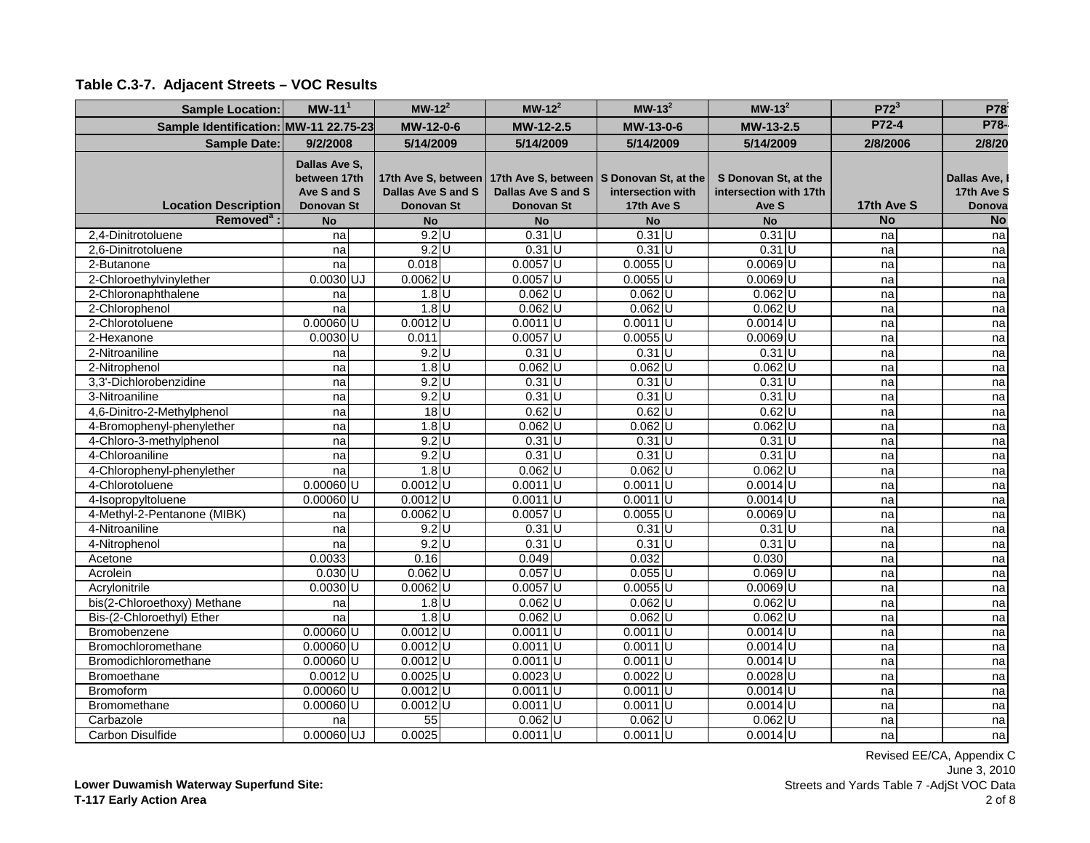| <b>Sample Location:</b>               | $MW-111$                                                          | $MW-122$                                | $MW-122$                                | $MW-132$                                                                                            | $MW-132$                                                | $P72^3$    | P78                                 |
|---------------------------------------|-------------------------------------------------------------------|-----------------------------------------|-----------------------------------------|-----------------------------------------------------------------------------------------------------|---------------------------------------------------------|------------|-------------------------------------|
| Sample Identification: MW-11 22.75-23 |                                                                   | MW-12-0-6                               | MW-12-2.5                               | MW-13-0-6                                                                                           | MW-13-2.5                                               | P72-4      | P78-                                |
| <b>Sample Date:</b>                   | 9/2/2008                                                          | 5/14/2009                               | 5/14/2009                               | 5/14/2009                                                                                           | 5/14/2009                                               | 2/8/2006   | 2/8/20                              |
| <b>Location Description</b>           | Dallas Ave S,<br>between 17th<br>Ave S and S<br><b>Donovan St</b> | Dallas Ave S and S<br><b>Donovan St</b> | Dallas Ave S and S<br><b>Donovan St</b> | 17th Ave S, between   17th Ave S, between   S Donovan St, at the<br>intersection with<br>17th Ave S | S Donovan St, at the<br>intersection with 17th<br>Ave S | 17th Ave S | Dallas Ave,<br>17th Ave S<br>Donova |
| Removed <sup>a</sup> :                | <b>No</b>                                                         | <b>No</b>                               | <b>No</b>                               | <b>No</b>                                                                                           | <b>No</b>                                               | <b>No</b>  | <b>No</b>                           |
| 2,4-Dinitrotoluene                    | na                                                                | $9.2$ U                                 | $0.31$ U                                | $0.31$ U                                                                                            | $0.31$ U                                                | na         | na                                  |
| 2.6-Dinitrotoluene                    | na                                                                | $9.2$ U                                 | $0.31$ U                                | $0.31$ U                                                                                            | $0.31$ U                                                | na         | na                                  |
| 2-Butanone                            | na                                                                | 0.018                                   | $0.0057$ U                              | $0.0055$ U                                                                                          | $0.0069$ U                                              | na         | na                                  |
| 2-Chloroethylvinylether               | $0.0030$ UJ                                                       | $0.0062$ U                              | $0.0057$ U                              | $0.0055$ U                                                                                          | $0.0069$ U                                              | na         | na                                  |
| 2-Chloronaphthalene                   | na                                                                | $1.8$ U                                 | $0.062$ U                               | $0.062$ U                                                                                           | $0.062$ U                                               | na         | na                                  |
| 2-Chlorophenol                        | na                                                                | $1.8$ U                                 | $0.062$ U                               | $0.062$ U                                                                                           | $0.062$ U                                               | na         | na                                  |
| 2-Chlorotoluene                       | $0.00060$ U                                                       | $0.0012$ U                              | $0.0011$ U                              | $0.0011$ U                                                                                          | $0.0014$ U                                              | na         | na                                  |
| 2-Hexanone                            | $0.0030$ <sub>U</sub>                                             | 0.011                                   | $0.0057$ U                              | $0.0055$ U                                                                                          | $0.0069$ U                                              | na         | na                                  |
| 2-Nitroaniline                        | na                                                                | $9.2$ U                                 | $0.31$ U                                | $0.31$ U                                                                                            | $0.31$ U                                                | na         | na                                  |
| 2-Nitrophenol                         | na                                                                | $1.8$ U                                 | $0.062$ U                               | $0.062$ U                                                                                           | $0.062$ U                                               | na         | na                                  |
| 3,3'-Dichlorobenzidine                | na                                                                | $9.2$ U                                 | $0.31$ U                                | $0.31$ U                                                                                            | $0.31$ U                                                | na         | na                                  |
| 3-Nitroaniline                        | na                                                                | $9.2$ U                                 | $0.31$ U                                | $0.31$ U                                                                                            | $0.31$ U                                                | na         | na                                  |
| 4,6-Dinitro-2-Methylphenol            | na                                                                | $18$ U                                  | $0.62$ U                                | $0.62$ U                                                                                            | $0.62$ U                                                | na         | na                                  |
| 4-Bromophenyl-phenylether             | na                                                                | $1.8$ U                                 | $0.062$ U                               | $0.062$ U                                                                                           | $0.062$ U                                               | na         | na                                  |
| 4-Chloro-3-methylphenol               | na                                                                | $9.2$ U                                 | $0.31$ U                                | $0.31$ U                                                                                            | $0.31$ U                                                | na         | na                                  |
| 4-Chloroaniline                       | na                                                                | $9.2$ U                                 | $0.31$ U                                | $0.31$ U                                                                                            | $0.31$ U                                                | na         | na                                  |
| 4-Chlorophenyl-phenylether            | na                                                                | $1.8$ U<br>$0.0012$ <sub>U</sub>        | $0.062$ U                               | $0.062$ U                                                                                           | $0.062$ U                                               | na         | na                                  |
| 4-Chlorotoluene                       | $0.00060$ U                                                       |                                         | $0.0011$ U                              | $0.0011$ U                                                                                          | $0.0014$ U                                              | na         | na                                  |
| 4-Isopropyltoluene                    | $0.00060$ U                                                       | $0.0012$ U                              | $0.0011$ U                              | $0.0011$ U                                                                                          | $0.0014$ U                                              | na         | na                                  |
| 4-Methyl-2-Pentanone (MIBK)           | na                                                                | $0.0062$ U                              | $0.0057$ U                              | $0.0055$ U                                                                                          | $0.0069$ U                                              | na         | na                                  |
| 4-Nitroaniline                        | na<br>n <sub>a</sub>                                              | $9.2$ U<br>$9.2$ U                      | $0.31$ U<br>$0.31$ U                    | $0.31$ U<br>$0.31$ U                                                                                | $0.31$ U<br>$0.31$ U                                    | na         | na                                  |
| 4-Nitrophenol<br>Acetone              | 0.0033                                                            | 0.16                                    | 0.049                                   | 0.032                                                                                               | 0.030                                                   | na<br>na   | na<br>na                            |
| Acrolein                              | $0.030$ <sub>U</sub>                                              | $0.062$ U                               | $0.057$ U                               | $0.055$ U                                                                                           | $0.069$ <sub>U</sub>                                    | na         | na                                  |
| Acrylonitrile                         | $0.0030$ <sub>U</sub>                                             | $0.0062$ U                              | $0.0057$ U                              | $0.0055$ U                                                                                          | $0.0069$ U                                              | na         | na                                  |
| bis(2-Chloroethoxy) Methane           | na                                                                | $1.8$ U                                 | $0.062$ U                               | $0.062$ U                                                                                           | $0.062$ U                                               | na         | na                                  |
| Bis-(2-Chloroethyl) Ether             | na                                                                | $1.8$ U                                 | $0.062$ U                               | $0.062$ U                                                                                           | $0.062$ U                                               | na         | na                                  |
| Bromobenzene                          | $0.00060$ U                                                       | $0.0012$ U                              | $0.0011$ U                              | $0.0011$ <sub>U</sub>                                                                               | $0.0014$ U                                              | na         | na                                  |
| Bromochloromethane                    | $0.00060$ U                                                       | $0.0012$ <sub>U</sub>                   | $0.0011$ U                              | $0.0011$ U                                                                                          | $0.0014$ U                                              | na         | na                                  |
| Bromodichloromethane                  | $0.00060$ U                                                       | $0.0012$ U                              | $0.0011$ U                              | $0.0011$ U                                                                                          | $0.0014$ U                                              | na         | na                                  |
| <b>Bromoethane</b>                    | $0.0012$ U                                                        | $0.0025$ U                              | $0.0023$ U                              | $0.0022$ U                                                                                          | $0.0028$ U                                              | na         | na                                  |
| <b>Bromoform</b>                      | $0.00060$ U                                                       | $0.0012$ U                              | $0.0011$ U                              | $0.0011$ U                                                                                          | $0.0014$ U                                              | na         | na                                  |
| Bromomethane                          | $0.00060$ U                                                       | $0.0012$ U                              | $0.0011$ U                              | $0.0011$ U                                                                                          | $0.0014$ U                                              | na         | na                                  |
| Carbazole                             | na                                                                | 55                                      | $0.062$ U                               | $0.062$ U                                                                                           | $0.062$ U                                               | na         | na                                  |
| Carbon Disulfide                      | 0.00060 UJ                                                        | 0.0025                                  | $0.0011$ U                              | $0.0011$ U                                                                                          | $0.0014$ U                                              | nal        | na                                  |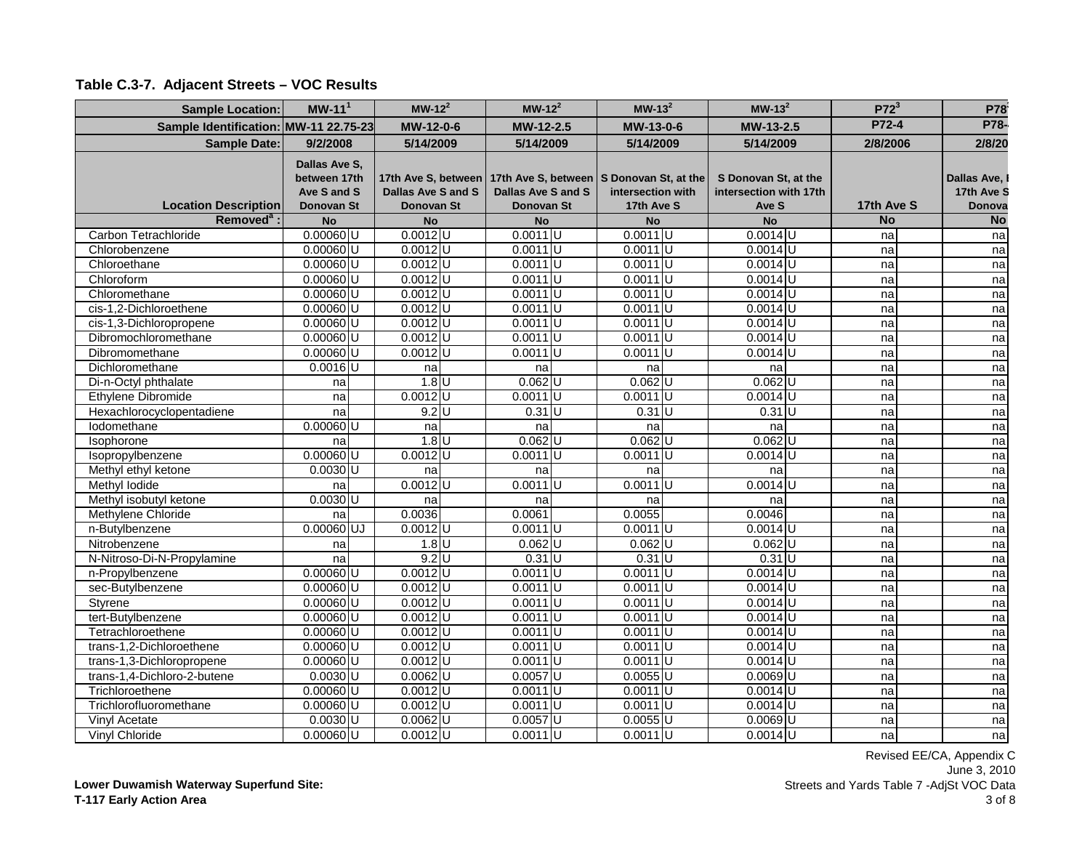| <b>Sample Location:</b>               | $MW-111$                                                          | $MW-122$                                                | $MW-122$                         | $MW-132$                                                                    | $MW-132$                                                | $P72^3$    | P78                                 |
|---------------------------------------|-------------------------------------------------------------------|---------------------------------------------------------|----------------------------------|-----------------------------------------------------------------------------|---------------------------------------------------------|------------|-------------------------------------|
| Sample Identification: MW-11 22.75-23 |                                                                   | MW-12-0-6                                               | MW-12-2.5                        | MW-13-0-6                                                                   | MW-13-2.5                                               | P72-4      | P78-                                |
| <b>Sample Date:</b>                   | 9/2/2008                                                          | 5/14/2009                                               | 5/14/2009                        | 5/14/2009                                                                   | 5/14/2009                                               | 2/8/2006   | 2/8/20                              |
| <b>Location Description</b>           | Dallas Ave S,<br>between 17th<br>Ave S and S<br><b>Donovan St</b> | 17th Ave S, between<br>Dallas Ave S and S<br>Donovan St | Dallas Ave S and S<br>Donovan St | 17th Ave S, between S Donovan St, at the<br>intersection with<br>17th Ave S | S Donovan St, at the<br>intersection with 17th<br>Ave S | 17th Ave S | Dallas Ave,<br>17th Ave S<br>Donova |
| Removed <sup>a</sup> :                | <b>No</b>                                                         | No                                                      | <b>No</b>                        | <b>No</b>                                                                   | <b>No</b>                                               | <b>No</b>  | <b>No</b>                           |
| Carbon Tetrachloride                  | $0.00060$ U                                                       | $0.0012$ U                                              | $0.0011$ U                       | $0.0011$ U                                                                  | $0.0014$ U                                              | na         | na                                  |
| Chlorobenzene                         | $0.00060$ U                                                       | $0.0012$ <sub>U</sub>                                   | $0.0011$ U                       | $0.0011$ U                                                                  | $0.0014$ U                                              | na         | na                                  |
| Chloroethane                          | $0.00060$ U                                                       | $0.0012$ U                                              | $0.0011$ U                       | $0.0011$ U                                                                  | $0.0014$ U                                              | na         | na                                  |
| Chloroform                            | $0.00060$ U                                                       | $0.0012$ U                                              | $0.0011$ U                       | $0.0011$ U                                                                  | $0.0014$ U                                              | na         | na                                  |
| Chloromethane                         | $0.00060$ U                                                       | $0.0012$ U                                              | $0.0011$ U                       | $0.0011$ U                                                                  | $0.0014$ U                                              | na         | na                                  |
| cis-1,2-Dichloroethene                | $0.00060$ U                                                       | $0.0012$ <sub>U</sub>                                   | $0.0011$ U                       | $0.0011$ U                                                                  | $0.0014$ U                                              | na         | na                                  |
| cis-1,3-Dichloropropene               | $0.00060$ U                                                       | $0.0012$ U                                              | $0.0011$ U                       | $0.0011$ <sub>U</sub>                                                       | $0.0014$ U                                              | na         | na                                  |
| Dibromochloromethane                  | $0.00060$ U                                                       | $0.0012$ U                                              | $0.0011$ U                       | $0.0011$ U                                                                  | $0.0014$ U                                              | na         | na                                  |
| Dibromomethane                        | $0.00060$ U                                                       | $0.0012$ <sub>U</sub>                                   | $0.0011$ <sub>U</sub>            | $0.0011$ <sub>U</sub>                                                       | $0.0014$ U                                              | na         | na                                  |
| Dichloromethane                       | $0.0016$ U                                                        | na                                                      | na                               | na                                                                          | na                                                      | na         | na                                  |
| Di-n-Octyl phthalate                  | na                                                                | $1.8$ U                                                 | $0.062$ U                        | $0.062$ U                                                                   | $0.062$ U                                               | na         | na                                  |
| Ethylene Dibromide                    | na                                                                | $0.0012$ <sub>U</sub>                                   | $0.0011$ U                       | $0.0011$ <sub>U</sub>                                                       | $0.0014$ U                                              | na         | na                                  |
| Hexachlorocyclopentadiene             | na                                                                | $9.2$ U                                                 | $0.31$ U                         | $0.31$ U                                                                    | $0.31$ U                                                | na         | na                                  |
| lodomethane                           | $0.00060$ U                                                       | na                                                      | na                               | na                                                                          | na                                                      | na         | na                                  |
| <b>Isophorone</b>                     | na                                                                | $1.8$ U                                                 | $0.062$ U                        | $0.062$ U                                                                   | $0.062$ U                                               | na         | na                                  |
| Isopropylbenzene                      | $0.00060$ U                                                       | $0.0012$ U                                              | $0.0011$ U                       | $0.0011$ U                                                                  | $0.0014$ U                                              | na         | na                                  |
| Methyl ethyl ketone                   | $0.0030$ U                                                        | na                                                      | na                               | na                                                                          | na                                                      | na         | na                                  |
| Methyl lodide                         | na                                                                | $0.0012$ U                                              | $0.0011$ U                       | $0.0011$ U                                                                  | $0.0014$ U                                              | na         | na                                  |
| Methyl isobutyl ketone                | $0.0030$ <sub>U</sub>                                             | na                                                      | na                               | na                                                                          | na                                                      | na         | na                                  |
| Methylene Chloride                    | na                                                                | 0.0036                                                  | 0.0061                           | 0.0055                                                                      | 0.0046                                                  | na         | na                                  |
| n-Butylbenzene                        | 0.00060 UJ                                                        | $0.0012$ U                                              | $0.0011$ U                       | $0.0011$ U                                                                  | $0.0014$ U                                              | na         | na                                  |
| Nitrobenzene                          | na                                                                | $1.8$ U                                                 | $0.062$ U                        | $0.062$ U                                                                   | $0.062$ U                                               | na         | na                                  |
| N-Nitroso-Di-N-Propylamine            | na                                                                | $9.2$ U                                                 | $0.31$ U                         | $0.31$ U                                                                    | $0.31$ U                                                | na         | na                                  |
| n-Propylbenzene                       | $0.00060$ U                                                       | $0.0012$ U                                              | $0.0011$ U                       | $0.0011$ U                                                                  | $0.0014$ U                                              | na         | na                                  |
| sec-Butylbenzene                      | $0.00060$ U                                                       | $0.0012$ U                                              | $0.0011$ <sub>U</sub>            | $0.0011$ U                                                                  | $0.0014$ U                                              | na         | na                                  |
| Styrene                               | $0.00060$ <sub>U</sub>                                            | $0.0012$ U                                              | $0.0011$ U                       | $0.0011$ U                                                                  | $0.0014$ U                                              | na         | na                                  |
| tert-Butylbenzene                     | $0.00060$ U                                                       | $0.0012$ U                                              | $0.0011$ U                       | $0.0011$ U                                                                  | $0.0014$ U                                              | na         | na                                  |
| Tetrachloroethene                     | $0.00060$ U                                                       | $0.0012$ U                                              | $0.0011$ U                       | $0.0011$ <sub>U</sub>                                                       | $0.0014$ U                                              | na         | na                                  |
| trans-1,2-Dichloroethene              | $0.00060$ U                                                       | $0.0012$ <sub>U</sub>                                   | $0.0011$ U                       | $0.0011$ U                                                                  | $0.0014$ U                                              | na         | na                                  |
| trans-1,3-Dichloropropene             | $0.00060$ U                                                       | $0.0012$ U                                              | $0.0011$ U                       | $0.0011$ U                                                                  | $0.0014$ U                                              | na         | na                                  |
| trans-1,4-Dichloro-2-butene           | $0.0030$ <sub>U</sub>                                             | $0.0062$ U                                              | $0.0057$ U                       | $0.0055$ U                                                                  | $0.0069$ U                                              | na         | na                                  |
| Trichloroethene                       | $0.00060$ U                                                       | $0.0012$ U                                              | $0.0011$ U                       | $0.0011$ U                                                                  | $0.0014$ U                                              | na         | na                                  |
| Trichlorofluoromethane                | $0.00060$ U                                                       | $0.0012$ <sub>U</sub>                                   | $0.0011$ U                       | $0.0011$ U                                                                  | $0.0014$ U                                              | na         | na                                  |
| Vinyl Acetate                         | $0.0030$ <sub>U</sub>                                             | $0.0062$ U                                              | $0.0057$ U                       | $0.0055$ U                                                                  | $0.0069$ U                                              | na         | na                                  |
| <b>Vinyl Chloride</b>                 | $0.00060$ U                                                       | $0.0012$ <sub>U</sub>                                   | $0.0011$ U                       | $0.0011$ U                                                                  | $0.0014$ U                                              | na         | na                                  |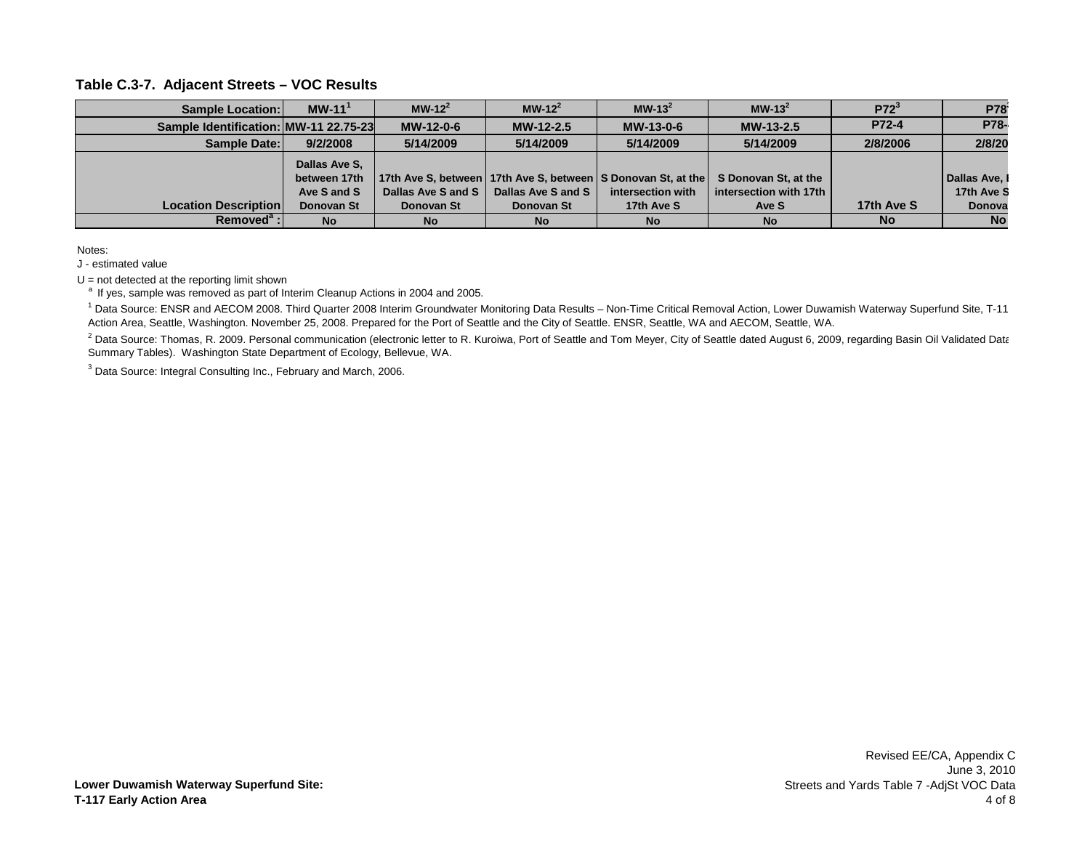| <b>Sample Location:</b>               | $MW-111$      | $MW-12^2$          | $MW-12^2$          | $MW-132$          | $MW-132$                                                                                | P72 <sup>3</sup> | <b>P78</b>    |
|---------------------------------------|---------------|--------------------|--------------------|-------------------|-----------------------------------------------------------------------------------------|------------------|---------------|
| Sample Identification: MW-11 22.75-23 |               | MW-12-0-6          | $MW-12-2.5$        | MW-13-0-6         | MW-13-2.5                                                                               | P72-4            | <b>P78-</b>   |
| Sample Date:                          | 9/2/2008      | 5/14/2009          | 5/14/2009          | 5/14/2009         | 5/14/2009                                                                               | 2/8/2006         | 2/8/20        |
|                                       | Dallas Ave S. |                    |                    |                   |                                                                                         |                  |               |
|                                       | between 17th  |                    |                    |                   | 17th Ave S, between   17th Ave S, between   S Donovan St, at the   S Donovan St, at the |                  | Dallas Ave. I |
|                                       | Ave S and S   | Dallas Ave S and S | Dallas Ave S and S | intersection with | intersection with 17th                                                                  |                  | 17th Ave S    |
| <b>Location Description</b>           | Donovan St    | Donovan St         | Donovan St         | 17th Ave S        | Ave S                                                                                   | 17th Ave S       | Donova        |
| Removed <sup>a</sup> :                | <b>No</b>     | <b>No</b>          | <b>No</b>          | <b>No</b>         | <b>No</b>                                                                               | <b>No</b>        | <b>No</b>     |

Notes:

J - estimated value

 $U = not detected at the reporting limit shown$ 

<sup>a</sup> If yes, sample was removed as part of Interim Cleanup Actions in 2004 and 2005.

<sup>1</sup> Data Source: ENSR and AECOM 2008. Third Quarter 2008 Interim Groundwater Monitoring Data Results – Non-Time Critical Removal Action, Lower Duwamish Waterway Superfund Site, T-11 Action Area, Seattle, Washington. November 25, 2008. Prepared for the Port of Seattle and the City of Seattle. ENSR, Seattle, WA and AECOM, Seattle, WA.

 $^2$  Data Source: Thomas, R. 2009. Personal communication (electronic letter to R. Kuroiwa, Port of Seattle and Tom Meyer, City of Seattle dated August 6, 2009, regarding Basin Oil Validated Data Summary Tables). Washington State Department of Ecology, Bellevue, WA.

 $3$  Data Source: Integral Consulting Inc., February and March, 2006.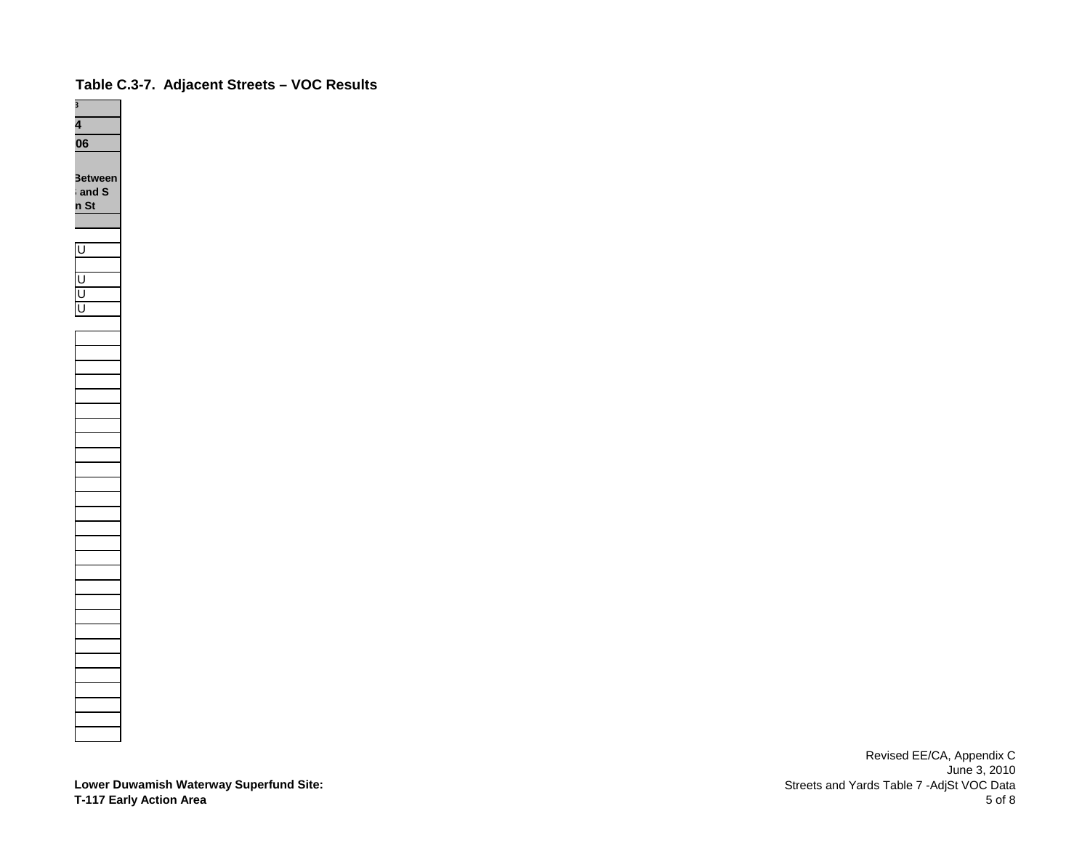

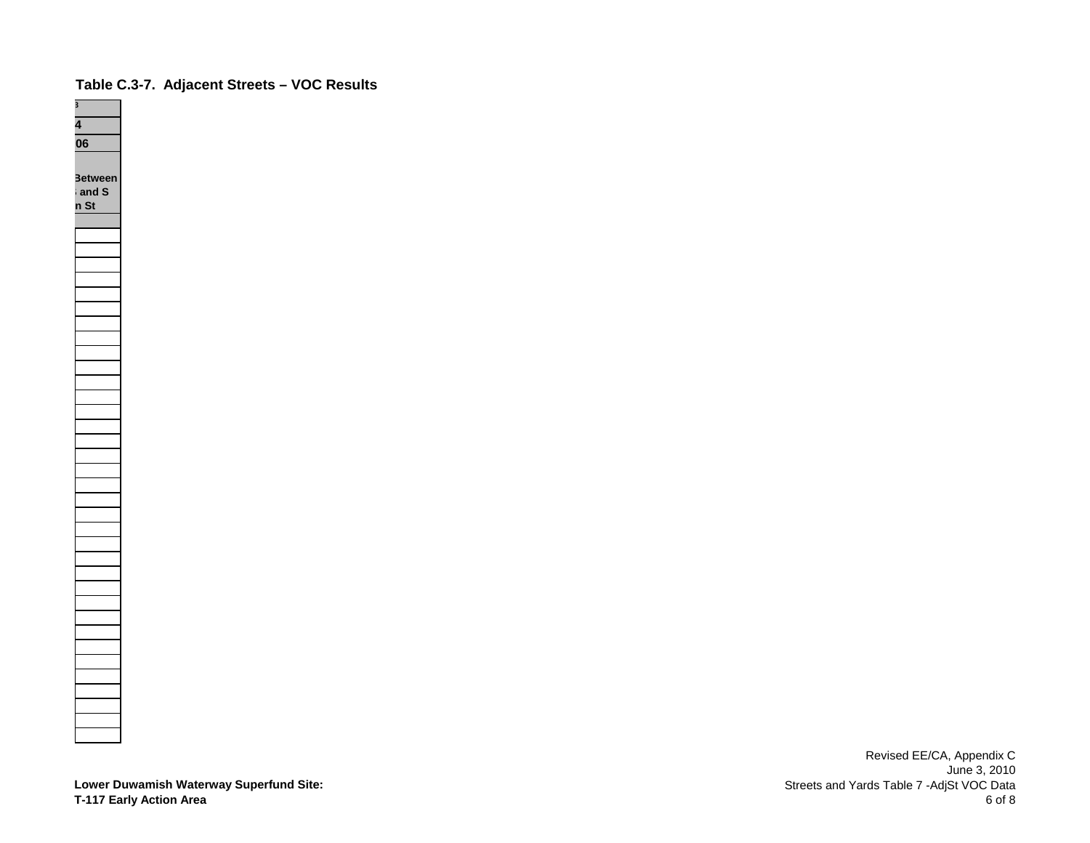

**Lower Duwamish Waterway Superfund Site: T-117 Early Action Area**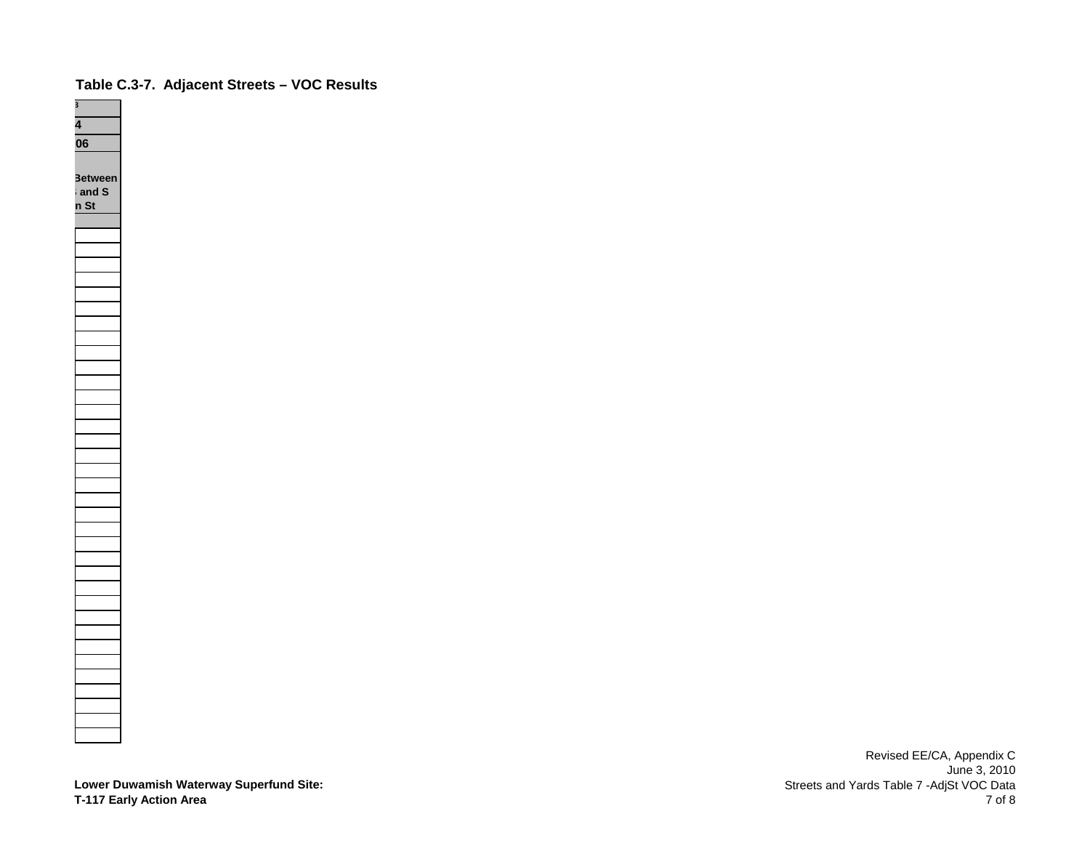

**Lower Duwamish Waterway Superfund Site: T-117 Early Action Area**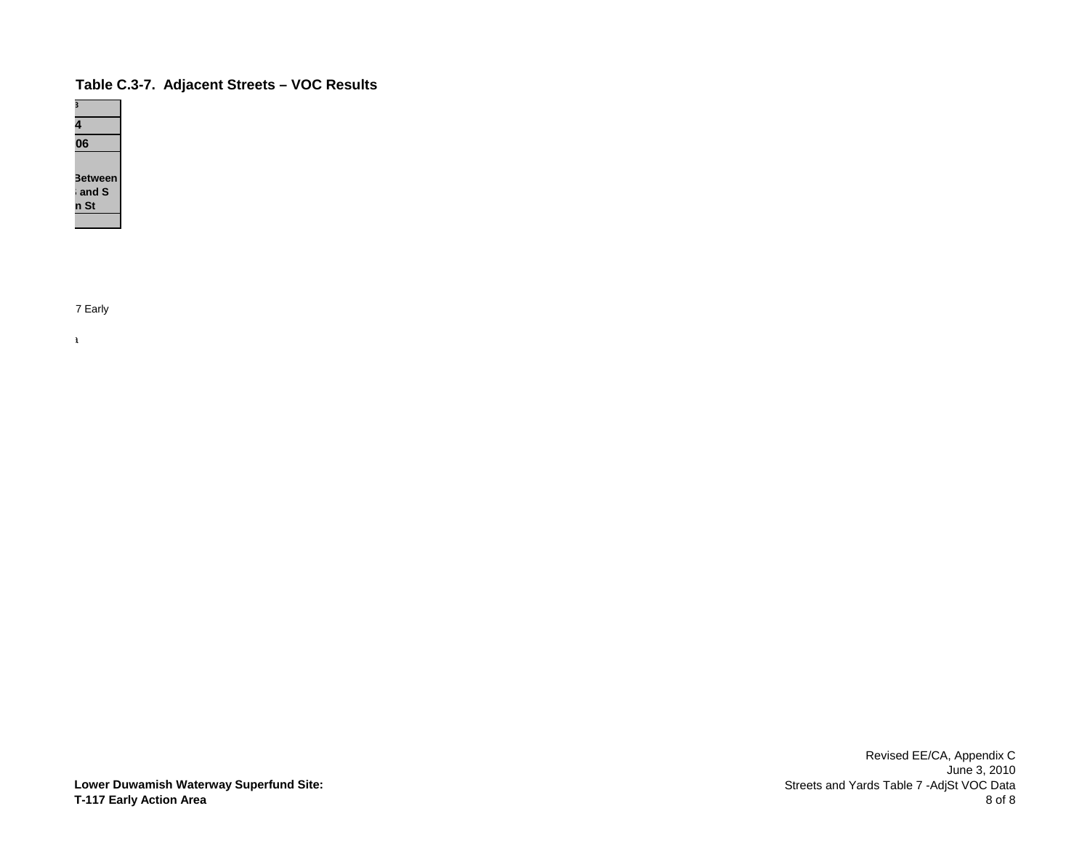

7 Early

a a shekarar 1980 a shekarar 1980 a shekarar 1980 a shekarar 1980 a shekarar 1980 a shekarar 1980 a shekarar 1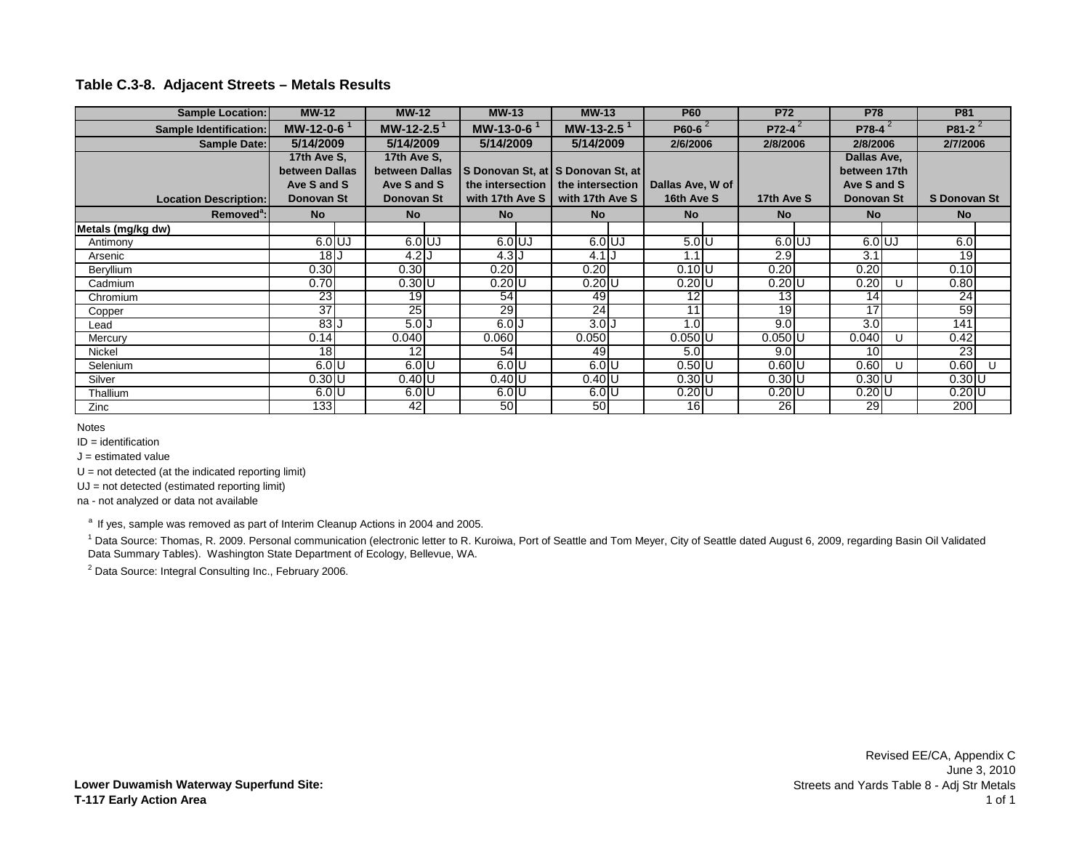# **Table C.3-8. Adjacent Streets – Metals Results**

| <b>Sample Location:</b>      | <b>MW-12</b>             | <b>MW-12</b>           | <b>MW-13</b>      | $MW-13$                           | <b>P60</b>       | <b>P72</b>      | <b>P78</b>       |    | <b>P81</b>      |   |
|------------------------------|--------------------------|------------------------|-------------------|-----------------------------------|------------------|-----------------|------------------|----|-----------------|---|
| Sample Identification:       | $MW-12-0-6$ <sup>1</sup> | MW-12-2.5 <sup>1</sup> | MW-13-0-6 $1$     | MW-13-2.5 $1$                     | P60-6            | $P72-4^2$       | $P78-4^2$        |    | P81-2 $^{2}$    |   |
| Sample Date:                 | 5/14/2009                | 5/14/2009              | 5/14/2009         | 5/14/2009                         | 2/6/2006         | 2/8/2006        | 2/8/2006         |    | 2/7/2006        |   |
|                              | 17th Ave S,              | 17th Ave S.            |                   |                                   |                  |                 | Dallas Ave,      |    |                 |   |
|                              | between Dallas           | between Dallas         |                   | S Donovan St, at S Donovan St, at |                  |                 | between 17th     |    |                 |   |
|                              | Ave S and S              | Ave S and S            | the intersection  | the intersection                  | Dallas Ave, W of |                 | Ave S and S      |    |                 |   |
| <b>Location Description:</b> | Donovan St               | Donovan St             | with 17th Ave S I | with 17th Ave S                   | 16th Ave S       | 17th Ave S      | Donovan St       |    | S Donovan St    |   |
| Removed <sup>a</sup> :       | <b>No</b>                | <b>No</b>              | <b>No</b>         | <b>No</b>                         | <b>No</b>        | <b>No</b>       | <b>No</b>        |    | <b>No</b>       |   |
| Metals (mg/kg dw)            |                          |                        |                   |                                   |                  |                 |                  |    |                 |   |
| Antimony                     | $6.0$ UJ                 | $6.0$ UJ               | $6.0$ UJ          | $6.0$ UJ                          | 5.0 U            | $6.0$ UJ        | $6.0$ UJ         |    | 6.01            |   |
| Arsenic                      | 18 <sub>l</sub>          | $4.2$ J                | $4.3$ J           | $4.1$ J                           | $\cdot$ 1        | 2.9             | $\overline{3.1}$ |    | 19 <sup>l</sup> |   |
| Beryllium                    | 0.30                     | 0.30                   | 0.20              | 0.20                              | $0.10$ U         | 0.20            | 0.20             |    | 0.10            |   |
| Cadmium                      | 0.70                     | $0.30$ U               | $0.20$ U          | $0.20$ U                          | $0.20$ U         | $0.20$ U        | 0.20             |    | 0.80            |   |
| Chromium                     | 23                       | 19 <sup>1</sup>        | 54                | 49                                | 12               | 13              | 14               |    | 24              |   |
| Copper                       | 37                       | 25                     | 29                | $\overline{24}$                   | 11               | $\overline{19}$ | $\overline{17}$  |    | 59              |   |
| Lead                         | 83J                      | 5.0J                   | 6.0J              | $3.0$ $J$                         | .0               | 9.0             | 3.0              |    | 141             |   |
| Mercury                      | 0.14                     | 0.040                  | 0.060             | 0.050                             | $0.050$ U        | $0.050$ U       | 0.040            | U  | 0.42            |   |
| Nickel                       | 18                       | 12 <sub>l</sub>        | 54                | 49                                | 5.0              | 9.0             | 10               |    | <b>23</b>       |   |
| Selenium                     | $6.0$ U                  | $6.0$ U                | $6.0$ U           | $6.0$ U                           | $0.50$ U         | $0.60$ U        | 0.60             | -0 | 0.60            | U |
| Silver                       | $0.30$ U                 | $0.40$ U               | $0.40$ U          | $0.40$ U                          | 0.30 U           | $0.30$ U        | $0.30$ U         |    | $0.30$ U        |   |
| Thallium                     | $6.0$ U                  | 6.0 U                  | $6.0$ U           | $6.0$ U                           | $0.20$ U         | $0.20$ U        | $0.20$ U         |    | $0.20$ U        |   |
| Zinc                         | 133 <sub>l</sub>         | 42                     | 50                | 50                                | 16 <sup>1</sup>  | 26              | 29               |    | <b>2001</b>     |   |

Notes

 $ID = identification$ 

 $J =$  estimated value

 $U = not detected (at the indicated reporting limit)$ 

UJ = not detected (estimated reporting limit)

na - not analyzed or data not available

<sup>a</sup> If yes, sample was removed as part of Interim Cleanup Actions in 2004 and 2005.

<sup>1</sup> Data Source: Thomas, R. 2009. Personal communication (electronic letter to R. Kuroiwa, Port of Seattle and Tom Meyer, City of Seattle dated August 6, 2009, regarding Basin Oil Validated Data Summary Tables). Washington State Department of Ecology, Bellevue, WA.

<sup>2</sup> Data Source: Integral Consulting Inc., February 2006.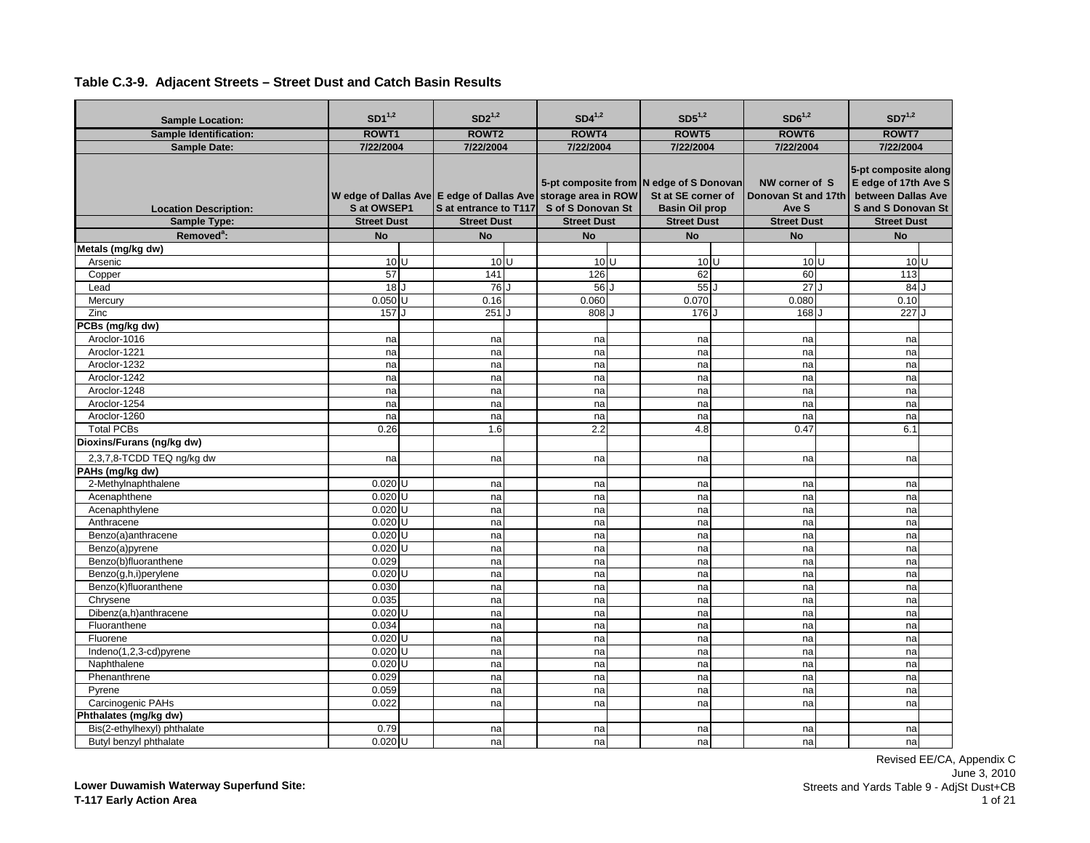| <b>Sample Location:</b>       | $SD1^{1,2}$        | $SD2^{1,2}$           | $SD4^{1,2}$                                                                        | $SD5^{1,2}$                                                                            | $SD6^{1,2}$                                    | $SD7^{1,2}$                                                                                    |
|-------------------------------|--------------------|-----------------------|------------------------------------------------------------------------------------|----------------------------------------------------------------------------------------|------------------------------------------------|------------------------------------------------------------------------------------------------|
| <b>Sample Identification:</b> | ROWT1              | ROWT <sub>2</sub>     | ROWT4                                                                              | ROWT5                                                                                  | ROWT <sub>6</sub>                              | ROWT7                                                                                          |
| <b>Sample Date:</b>           | 7/22/2004          | 7/22/2004             | 7/22/2004                                                                          | 7/22/2004                                                                              | 7/22/2004                                      | 7/22/2004                                                                                      |
| <b>Location Description:</b>  | S at OWSEP1        | S at entrance to T117 | W edge of Dallas Ave E edge of Dallas Ave storage area in ROW<br>S of S Donovan St | 5-pt composite from N edge of S Donovan<br>St at SE corner of<br><b>Basin Oil prop</b> | NW corner of S<br>Donovan St and 17th<br>Ave S | 5-pt composite along<br>E edge of 17th Ave S<br>between Dallas Ave<br><b>Sand S Donovan St</b> |
| Sample Type:                  | <b>Street Dust</b> | <b>Street Dust</b>    | <b>Street Dust</b>                                                                 | <b>Street Dust</b>                                                                     | <b>Street Dust</b>                             | <b>Street Dust</b>                                                                             |
| Removed <sup>a</sup> :        | <b>No</b>          | <b>No</b>             | <b>No</b>                                                                          | <b>No</b>                                                                              | <b>No</b>                                      | <b>No</b>                                                                                      |
| Metals (mg/kg dw)             | $10$ <sub>U</sub>  | 10 <sup>U</sup>       | 10 <sup>U</sup>                                                                    | 10 <sup>U</sup>                                                                        | 10 <sup>U</sup>                                | 10 <sup>U</sup>                                                                                |
| Arsenic                       | 57                 | 141                   | 126                                                                                | 62                                                                                     | 60                                             | 113                                                                                            |
| Copper<br>Lead                | 18 <sub>l</sub>    | 76 J                  | 56 J                                                                               | 55                                                                                     | 27                                             | 84                                                                                             |
| Mercury                       | $0.050$ U          | 0.16                  | 0.060                                                                              | 0.070                                                                                  | 0.080                                          | 0.10                                                                                           |
| Zinc                          | 157                | $251$ J               | 808 J                                                                              | 176 J                                                                                  | 168                                            | 227                                                                                            |
| PCBs (mg/kg dw)               |                    |                       |                                                                                    |                                                                                        |                                                |                                                                                                |
| Aroclor-1016                  | na                 | na                    | na                                                                                 | na                                                                                     | na                                             | na                                                                                             |
| Aroclor-1221                  | na                 | na                    | na                                                                                 | na                                                                                     | na                                             | na                                                                                             |
| Aroclor-1232                  | na                 | na                    | na                                                                                 | na                                                                                     | na                                             | na                                                                                             |
| Aroclor-1242                  | na                 | na                    | na                                                                                 | na                                                                                     | na                                             | na                                                                                             |
| Aroclor-1248                  | na                 | na                    | na                                                                                 | na                                                                                     | na                                             | na                                                                                             |
| Aroclor-1254                  | na                 | na                    | na                                                                                 | na                                                                                     | na                                             | na                                                                                             |
| Aroclor-1260                  | na                 | na                    | na                                                                                 | na                                                                                     | na                                             | na                                                                                             |
| <b>Total PCBs</b>             | 0.26               | 1.6                   | 2.2                                                                                | 4.8                                                                                    | 0.47                                           | 6.1                                                                                            |
| Dioxins/Furans (ng/kg dw)     |                    |                       |                                                                                    |                                                                                        |                                                |                                                                                                |
| 2,3,7,8-TCDD TEQ ng/kg dw     | na                 | na                    | na                                                                                 | na                                                                                     | na                                             | na                                                                                             |
| PAHs (mg/kg dw)               |                    |                       |                                                                                    |                                                                                        |                                                |                                                                                                |
| 2-Methylnaphthalene           | $0.020$ U          | na                    | na                                                                                 | na                                                                                     | na                                             | na                                                                                             |
| Acenaphthene                  | $0.020$ U          | na                    | na                                                                                 | na                                                                                     | na                                             | na                                                                                             |
| Acenaphthylene                | $0.020$ U          | na                    | na                                                                                 | na                                                                                     | na                                             | na                                                                                             |
| Anthracene                    | $0.020$ U          | na                    | na                                                                                 | na                                                                                     | na                                             | na                                                                                             |
| Benzo(a)anthracene            | $0.020$ U          | na                    | na                                                                                 | na                                                                                     | na                                             | na                                                                                             |
| Benzo(a)pyrene                | $0.020$ U          | na                    | na                                                                                 | na                                                                                     | na                                             | na                                                                                             |
| Benzo(b)fluoranthene          | 0.029              | na                    | na                                                                                 | na                                                                                     | na                                             | na                                                                                             |
| Benzo(g,h,i)perylene          | $0.020$ U          | na                    | na                                                                                 | na                                                                                     | na                                             | na                                                                                             |
| Benzo(k)fluoranthene          | 0.030              | na                    | na                                                                                 | na                                                                                     | na                                             | na                                                                                             |
| Chrysene                      | 0.035              | na                    | na                                                                                 | na                                                                                     | na                                             | na                                                                                             |
| Dibenz(a,h)anthracene         | $0.020$ U          | na                    | na                                                                                 | na                                                                                     | na                                             | na                                                                                             |
| Fluoranthene                  | 0.034              | na                    | na                                                                                 | na                                                                                     | na                                             | na                                                                                             |
| Fluorene                      | $0.020$ U          | na                    | na                                                                                 | na                                                                                     | na                                             | na                                                                                             |
| Indeno(1,2,3-cd)pyrene        | $0.020$ U          | na                    | na                                                                                 | na                                                                                     | na                                             | na                                                                                             |
| Naphthalene                   | $0.020$ U          | na                    | na                                                                                 | na                                                                                     | na                                             | na                                                                                             |
| Phenanthrene                  | 0.029              | na                    | na                                                                                 | na                                                                                     | na                                             | na                                                                                             |
| Pyrene                        | 0.059              | na                    | na                                                                                 | na                                                                                     | na                                             | na                                                                                             |
| Carcinogenic PAHs             | 0.022              | na                    | na                                                                                 | na                                                                                     | na                                             | na                                                                                             |
| Phthalates (mg/kg dw)         |                    |                       |                                                                                    |                                                                                        |                                                |                                                                                                |
| Bis(2-ethylhexyl) phthalate   | 0.79               | na                    | na                                                                                 | na                                                                                     | na                                             | na                                                                                             |
| Butyl benzyl phthalate        | $0.020$ U          | na                    | nal                                                                                | nal                                                                                    | na                                             | na                                                                                             |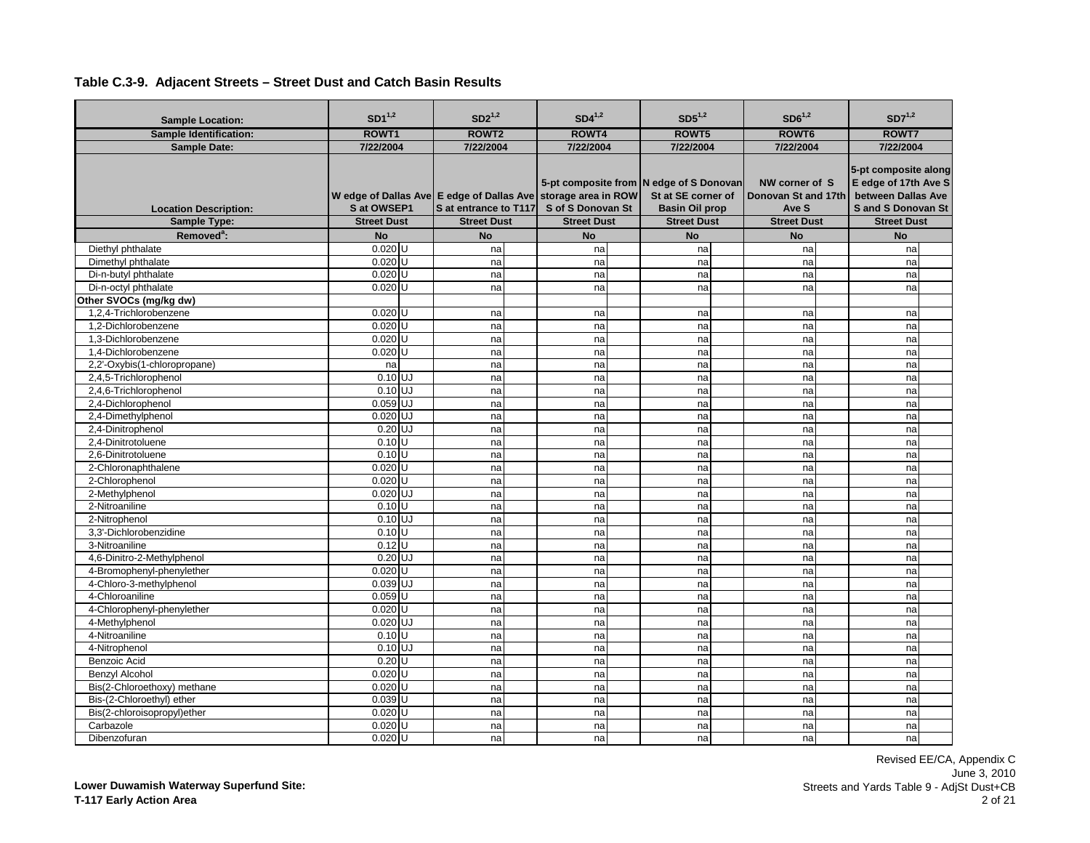| <b>Sample Identification:</b><br>ROWT1<br>ROWT <sub>2</sub><br>ROWT4<br>ROWT5<br>ROWT6<br>ROWT7<br>7/22/2004<br>7/22/2004<br>7/22/2004<br>7/22/2004<br>7/22/2004<br>7/22/2004<br><b>Sample Date:</b><br>5-pt composite along<br>E edge of 17th Ave S<br>5-pt composite from N edge of S Donovan<br>NW corner of S<br>W edge of Dallas Ave E edge of Dallas Ave storage area in ROW<br>St at SE corner of<br>between Dallas Ave<br>Donovan St and 17th<br><b>Location Description:</b><br>S at OWSEP1<br>S at entrance to T117<br>S of S Donovan St<br><b>Basin Oil prop</b><br><b>Sand S Donovan St</b><br>Ave S<br>Sample Type:<br><b>Street Dust</b><br><b>Street Dust</b><br><b>Street Dust</b><br><b>Street Dust</b><br><b>Street Dust</b><br><b>Street Dust</b><br>Removed <sup>a</sup> :<br><b>No</b><br><b>No</b><br><b>No</b><br><b>No</b><br><b>No</b><br><b>No</b><br>$0.020$ <sub>U</sub><br>Diethyl phthalate<br>na<br>na<br>na<br>na<br>na<br>$0.020$ U<br>Dimethyl phthalate<br>na<br>na<br>na<br>na<br>na<br>Di-n-butyl phthalate<br>$0.020$ U<br>na<br>na<br>na<br>na<br>na<br>$0.020$ U<br>Di-n-octyl phthalate<br>na<br>na<br>na<br>na<br>na<br>Other SVOCs (mg/kg dw)<br>1.2.4-Trichlorobenzene<br>$0.020$ U<br>na<br>na<br>na<br>na<br>na<br>1.2-Dichlorobenzene<br>$0.020$ U<br>na<br>na<br>na<br>na<br>na<br>$0.020$ <sub>U</sub><br>1.3-Dichlorobenzene<br>na<br>na<br>na<br>na<br>na<br>$0.020$ <sub>U</sub><br>1.4-Dichlorobenzene<br>na<br>na<br>na<br>na<br>na<br>2,2'-Oxybis(1-chloropropane)<br>na<br>na<br>na<br>na<br>na<br>na<br>$0.10$ UJ<br>2,4,5-Trichlorophenol<br>na<br>na<br>na<br>na<br>na<br>$0.10$ UJ<br>2,4,6-Trichlorophenol<br>na<br>na<br>na<br>na<br>na<br>$0.059$ UJ<br>2,4-Dichlorophenol<br>na<br>na<br>na<br>na<br>na<br>$0.020$ UJ<br>2,4-Dimethylphenol<br>na<br>na<br>na<br>na<br>na<br>2,4-Dinitrophenol<br>$0.20$ UJ<br>na<br>na<br>na<br>na<br>na<br>$0.10$ <sub>U</sub><br>2.4-Dinitrotoluene<br>na<br>na<br>na<br>na<br>na<br>$0.10$ U<br>2.6-Dinitrotoluene<br>na<br>na<br>na<br>na<br>na<br>$0.020$ <sub>U</sub><br>2-Chloronaphthalene<br>na<br>na<br>na<br>na<br>na<br>2-Chlorophenol<br>$0.020$ U<br>na<br>na<br>na<br>na<br>na<br>$0.020$ UJ<br>2-Methylphenol<br>na<br>na<br>na<br>na<br>na<br>2-Nitroaniline<br>$0.10$ <sub>U</sub><br>na<br>na<br>na<br>na<br>na<br>$0.10$ UJ<br>2-Nitrophenol<br>na<br>na<br>na<br>na<br>na<br>3.3'-Dichlorobenzidine<br>$0.10$ <sub>U</sub><br>na<br>na<br>na<br>na<br>na<br>$0.12$ U<br>3-Nitroaniline<br>na<br>na<br>na<br>na<br>na<br>$0.20$ UJ<br>4,6-Dinitro-2-Methylphenol<br>na<br>na<br>na<br>na<br>na<br>$0.020$ U<br>4-Bromophenyl-phenylether<br>na<br>na<br>na<br>na<br>na<br>4-Chloro-3-methylphenol<br>0.039 UJ<br>na<br>na<br>na<br>na<br>na<br>$0.059$ U<br>4-Chloroaniline<br>na<br>na<br>na<br>na<br>na<br>4-Chlorophenyl-phenylether<br>$0.020$ U<br>na<br>na<br>na<br>na<br>na<br>$0.020$ UJ<br>4-Methylphenol<br>na<br>na<br>na<br>na<br>na<br>4-Nitroaniline<br>$0.10$ <sub>U</sub><br>na<br>na<br>na<br>na<br>na<br>$0.10$ $\overline{\overline{\overline{U}}}$<br>4-Nitrophenol<br>na<br>na<br>na<br>na<br>na<br>$0.20$ U<br>Benzoic Acid<br>na<br>na<br>na<br>na<br>na<br><b>Benzyl Alcohol</b><br>$0.020$ U<br>na<br>na<br>na<br>na<br>na<br>Bis(2-Chloroethoxy) methane<br>$0.020$ U<br>na<br>na<br>na<br>na<br>na<br>$0.039$ U<br>Bis-(2-Chloroethyl) ether<br>na<br>na<br>na<br>na<br>na<br>Bis(2-chloroisopropyl)ether<br>$0.020$ U<br>na<br>na<br>na<br>na<br>na<br>$0.020$ U<br>Carbazole<br>na<br>na<br>na<br>na<br>na | <b>Sample Location:</b> | $SD1^{1,2}$ | $SD2^{1,2}$ | $SD4^{1,2}$ | $SD5^{1,2}$ | $SD6^{1,2}$ | $SD7^{1,2}$ |
|--------------------------------------------------------------------------------------------------------------------------------------------------------------------------------------------------------------------------------------------------------------------------------------------------------------------------------------------------------------------------------------------------------------------------------------------------------------------------------------------------------------------------------------------------------------------------------------------------------------------------------------------------------------------------------------------------------------------------------------------------------------------------------------------------------------------------------------------------------------------------------------------------------------------------------------------------------------------------------------------------------------------------------------------------------------------------------------------------------------------------------------------------------------------------------------------------------------------------------------------------------------------------------------------------------------------------------------------------------------------------------------------------------------------------------------------------------------------------------------------------------------------------------------------------------------------------------------------------------------------------------------------------------------------------------------------------------------------------------------------------------------------------------------------------------------------------------------------------------------------------------------------------------------------------------------------------------------------------------------------------------------------------------------------------------------------------------------------------------------------------------------------------------------------------------------------------------------------------------------------------------------------------------------------------------------------------------------------------------------------------------------------------------------------------------------------------------------------------------------------------------------------------------------------------------------------------------------------------------------------------------------------------------------------------------------------------------------------------------------------------------------------------------------------------------------------------------------------------------------------------------------------------------------------------------------------------------------------------------------------------------------------------------------------------------------------------------------------------------------------------------------------------------------------------------------------------------------------------------------------------------------------------------------------------------------------------------------------------------------------------------------------------------------------------------------------------------------------------------------------------------------------------------------------------------------|-------------------------|-------------|-------------|-------------|-------------|-------------|-------------|
|                                                                                                                                                                                                                                                                                                                                                                                                                                                                                                                                                                                                                                                                                                                                                                                                                                                                                                                                                                                                                                                                                                                                                                                                                                                                                                                                                                                                                                                                                                                                                                                                                                                                                                                                                                                                                                                                                                                                                                                                                                                                                                                                                                                                                                                                                                                                                                                                                                                                                                                                                                                                                                                                                                                                                                                                                                                                                                                                                                                                                                                                                                                                                                                                                                                                                                                                                                                                                                                                                                                                                              |                         |             |             |             |             |             |             |
|                                                                                                                                                                                                                                                                                                                                                                                                                                                                                                                                                                                                                                                                                                                                                                                                                                                                                                                                                                                                                                                                                                                                                                                                                                                                                                                                                                                                                                                                                                                                                                                                                                                                                                                                                                                                                                                                                                                                                                                                                                                                                                                                                                                                                                                                                                                                                                                                                                                                                                                                                                                                                                                                                                                                                                                                                                                                                                                                                                                                                                                                                                                                                                                                                                                                                                                                                                                                                                                                                                                                                              |                         |             |             |             |             |             |             |
|                                                                                                                                                                                                                                                                                                                                                                                                                                                                                                                                                                                                                                                                                                                                                                                                                                                                                                                                                                                                                                                                                                                                                                                                                                                                                                                                                                                                                                                                                                                                                                                                                                                                                                                                                                                                                                                                                                                                                                                                                                                                                                                                                                                                                                                                                                                                                                                                                                                                                                                                                                                                                                                                                                                                                                                                                                                                                                                                                                                                                                                                                                                                                                                                                                                                                                                                                                                                                                                                                                                                                              |                         |             |             |             |             |             |             |
|                                                                                                                                                                                                                                                                                                                                                                                                                                                                                                                                                                                                                                                                                                                                                                                                                                                                                                                                                                                                                                                                                                                                                                                                                                                                                                                                                                                                                                                                                                                                                                                                                                                                                                                                                                                                                                                                                                                                                                                                                                                                                                                                                                                                                                                                                                                                                                                                                                                                                                                                                                                                                                                                                                                                                                                                                                                                                                                                                                                                                                                                                                                                                                                                                                                                                                                                                                                                                                                                                                                                                              |                         |             |             |             |             |             |             |
|                                                                                                                                                                                                                                                                                                                                                                                                                                                                                                                                                                                                                                                                                                                                                                                                                                                                                                                                                                                                                                                                                                                                                                                                                                                                                                                                                                                                                                                                                                                                                                                                                                                                                                                                                                                                                                                                                                                                                                                                                                                                                                                                                                                                                                                                                                                                                                                                                                                                                                                                                                                                                                                                                                                                                                                                                                                                                                                                                                                                                                                                                                                                                                                                                                                                                                                                                                                                                                                                                                                                                              |                         |             |             |             |             |             |             |
|                                                                                                                                                                                                                                                                                                                                                                                                                                                                                                                                                                                                                                                                                                                                                                                                                                                                                                                                                                                                                                                                                                                                                                                                                                                                                                                                                                                                                                                                                                                                                                                                                                                                                                                                                                                                                                                                                                                                                                                                                                                                                                                                                                                                                                                                                                                                                                                                                                                                                                                                                                                                                                                                                                                                                                                                                                                                                                                                                                                                                                                                                                                                                                                                                                                                                                                                                                                                                                                                                                                                                              |                         |             |             |             |             |             |             |
|                                                                                                                                                                                                                                                                                                                                                                                                                                                                                                                                                                                                                                                                                                                                                                                                                                                                                                                                                                                                                                                                                                                                                                                                                                                                                                                                                                                                                                                                                                                                                                                                                                                                                                                                                                                                                                                                                                                                                                                                                                                                                                                                                                                                                                                                                                                                                                                                                                                                                                                                                                                                                                                                                                                                                                                                                                                                                                                                                                                                                                                                                                                                                                                                                                                                                                                                                                                                                                                                                                                                                              |                         |             |             |             |             |             |             |
|                                                                                                                                                                                                                                                                                                                                                                                                                                                                                                                                                                                                                                                                                                                                                                                                                                                                                                                                                                                                                                                                                                                                                                                                                                                                                                                                                                                                                                                                                                                                                                                                                                                                                                                                                                                                                                                                                                                                                                                                                                                                                                                                                                                                                                                                                                                                                                                                                                                                                                                                                                                                                                                                                                                                                                                                                                                                                                                                                                                                                                                                                                                                                                                                                                                                                                                                                                                                                                                                                                                                                              |                         |             |             |             |             |             |             |
|                                                                                                                                                                                                                                                                                                                                                                                                                                                                                                                                                                                                                                                                                                                                                                                                                                                                                                                                                                                                                                                                                                                                                                                                                                                                                                                                                                                                                                                                                                                                                                                                                                                                                                                                                                                                                                                                                                                                                                                                                                                                                                                                                                                                                                                                                                                                                                                                                                                                                                                                                                                                                                                                                                                                                                                                                                                                                                                                                                                                                                                                                                                                                                                                                                                                                                                                                                                                                                                                                                                                                              |                         |             |             |             |             |             |             |
|                                                                                                                                                                                                                                                                                                                                                                                                                                                                                                                                                                                                                                                                                                                                                                                                                                                                                                                                                                                                                                                                                                                                                                                                                                                                                                                                                                                                                                                                                                                                                                                                                                                                                                                                                                                                                                                                                                                                                                                                                                                                                                                                                                                                                                                                                                                                                                                                                                                                                                                                                                                                                                                                                                                                                                                                                                                                                                                                                                                                                                                                                                                                                                                                                                                                                                                                                                                                                                                                                                                                                              |                         |             |             |             |             |             |             |
|                                                                                                                                                                                                                                                                                                                                                                                                                                                                                                                                                                                                                                                                                                                                                                                                                                                                                                                                                                                                                                                                                                                                                                                                                                                                                                                                                                                                                                                                                                                                                                                                                                                                                                                                                                                                                                                                                                                                                                                                                                                                                                                                                                                                                                                                                                                                                                                                                                                                                                                                                                                                                                                                                                                                                                                                                                                                                                                                                                                                                                                                                                                                                                                                                                                                                                                                                                                                                                                                                                                                                              |                         |             |             |             |             |             |             |
|                                                                                                                                                                                                                                                                                                                                                                                                                                                                                                                                                                                                                                                                                                                                                                                                                                                                                                                                                                                                                                                                                                                                                                                                                                                                                                                                                                                                                                                                                                                                                                                                                                                                                                                                                                                                                                                                                                                                                                                                                                                                                                                                                                                                                                                                                                                                                                                                                                                                                                                                                                                                                                                                                                                                                                                                                                                                                                                                                                                                                                                                                                                                                                                                                                                                                                                                                                                                                                                                                                                                                              |                         |             |             |             |             |             |             |
|                                                                                                                                                                                                                                                                                                                                                                                                                                                                                                                                                                                                                                                                                                                                                                                                                                                                                                                                                                                                                                                                                                                                                                                                                                                                                                                                                                                                                                                                                                                                                                                                                                                                                                                                                                                                                                                                                                                                                                                                                                                                                                                                                                                                                                                                                                                                                                                                                                                                                                                                                                                                                                                                                                                                                                                                                                                                                                                                                                                                                                                                                                                                                                                                                                                                                                                                                                                                                                                                                                                                                              |                         |             |             |             |             |             |             |
|                                                                                                                                                                                                                                                                                                                                                                                                                                                                                                                                                                                                                                                                                                                                                                                                                                                                                                                                                                                                                                                                                                                                                                                                                                                                                                                                                                                                                                                                                                                                                                                                                                                                                                                                                                                                                                                                                                                                                                                                                                                                                                                                                                                                                                                                                                                                                                                                                                                                                                                                                                                                                                                                                                                                                                                                                                                                                                                                                                                                                                                                                                                                                                                                                                                                                                                                                                                                                                                                                                                                                              |                         |             |             |             |             |             |             |
|                                                                                                                                                                                                                                                                                                                                                                                                                                                                                                                                                                                                                                                                                                                                                                                                                                                                                                                                                                                                                                                                                                                                                                                                                                                                                                                                                                                                                                                                                                                                                                                                                                                                                                                                                                                                                                                                                                                                                                                                                                                                                                                                                                                                                                                                                                                                                                                                                                                                                                                                                                                                                                                                                                                                                                                                                                                                                                                                                                                                                                                                                                                                                                                                                                                                                                                                                                                                                                                                                                                                                              |                         |             |             |             |             |             |             |
|                                                                                                                                                                                                                                                                                                                                                                                                                                                                                                                                                                                                                                                                                                                                                                                                                                                                                                                                                                                                                                                                                                                                                                                                                                                                                                                                                                                                                                                                                                                                                                                                                                                                                                                                                                                                                                                                                                                                                                                                                                                                                                                                                                                                                                                                                                                                                                                                                                                                                                                                                                                                                                                                                                                                                                                                                                                                                                                                                                                                                                                                                                                                                                                                                                                                                                                                                                                                                                                                                                                                                              |                         |             |             |             |             |             |             |
|                                                                                                                                                                                                                                                                                                                                                                                                                                                                                                                                                                                                                                                                                                                                                                                                                                                                                                                                                                                                                                                                                                                                                                                                                                                                                                                                                                                                                                                                                                                                                                                                                                                                                                                                                                                                                                                                                                                                                                                                                                                                                                                                                                                                                                                                                                                                                                                                                                                                                                                                                                                                                                                                                                                                                                                                                                                                                                                                                                                                                                                                                                                                                                                                                                                                                                                                                                                                                                                                                                                                                              |                         |             |             |             |             |             |             |
|                                                                                                                                                                                                                                                                                                                                                                                                                                                                                                                                                                                                                                                                                                                                                                                                                                                                                                                                                                                                                                                                                                                                                                                                                                                                                                                                                                                                                                                                                                                                                                                                                                                                                                                                                                                                                                                                                                                                                                                                                                                                                                                                                                                                                                                                                                                                                                                                                                                                                                                                                                                                                                                                                                                                                                                                                                                                                                                                                                                                                                                                                                                                                                                                                                                                                                                                                                                                                                                                                                                                                              |                         |             |             |             |             |             |             |
|                                                                                                                                                                                                                                                                                                                                                                                                                                                                                                                                                                                                                                                                                                                                                                                                                                                                                                                                                                                                                                                                                                                                                                                                                                                                                                                                                                                                                                                                                                                                                                                                                                                                                                                                                                                                                                                                                                                                                                                                                                                                                                                                                                                                                                                                                                                                                                                                                                                                                                                                                                                                                                                                                                                                                                                                                                                                                                                                                                                                                                                                                                                                                                                                                                                                                                                                                                                                                                                                                                                                                              |                         |             |             |             |             |             |             |
|                                                                                                                                                                                                                                                                                                                                                                                                                                                                                                                                                                                                                                                                                                                                                                                                                                                                                                                                                                                                                                                                                                                                                                                                                                                                                                                                                                                                                                                                                                                                                                                                                                                                                                                                                                                                                                                                                                                                                                                                                                                                                                                                                                                                                                                                                                                                                                                                                                                                                                                                                                                                                                                                                                                                                                                                                                                                                                                                                                                                                                                                                                                                                                                                                                                                                                                                                                                                                                                                                                                                                              |                         |             |             |             |             |             |             |
|                                                                                                                                                                                                                                                                                                                                                                                                                                                                                                                                                                                                                                                                                                                                                                                                                                                                                                                                                                                                                                                                                                                                                                                                                                                                                                                                                                                                                                                                                                                                                                                                                                                                                                                                                                                                                                                                                                                                                                                                                                                                                                                                                                                                                                                                                                                                                                                                                                                                                                                                                                                                                                                                                                                                                                                                                                                                                                                                                                                                                                                                                                                                                                                                                                                                                                                                                                                                                                                                                                                                                              |                         |             |             |             |             |             |             |
|                                                                                                                                                                                                                                                                                                                                                                                                                                                                                                                                                                                                                                                                                                                                                                                                                                                                                                                                                                                                                                                                                                                                                                                                                                                                                                                                                                                                                                                                                                                                                                                                                                                                                                                                                                                                                                                                                                                                                                                                                                                                                                                                                                                                                                                                                                                                                                                                                                                                                                                                                                                                                                                                                                                                                                                                                                                                                                                                                                                                                                                                                                                                                                                                                                                                                                                                                                                                                                                                                                                                                              |                         |             |             |             |             |             |             |
|                                                                                                                                                                                                                                                                                                                                                                                                                                                                                                                                                                                                                                                                                                                                                                                                                                                                                                                                                                                                                                                                                                                                                                                                                                                                                                                                                                                                                                                                                                                                                                                                                                                                                                                                                                                                                                                                                                                                                                                                                                                                                                                                                                                                                                                                                                                                                                                                                                                                                                                                                                                                                                                                                                                                                                                                                                                                                                                                                                                                                                                                                                                                                                                                                                                                                                                                                                                                                                                                                                                                                              |                         |             |             |             |             |             |             |
|                                                                                                                                                                                                                                                                                                                                                                                                                                                                                                                                                                                                                                                                                                                                                                                                                                                                                                                                                                                                                                                                                                                                                                                                                                                                                                                                                                                                                                                                                                                                                                                                                                                                                                                                                                                                                                                                                                                                                                                                                                                                                                                                                                                                                                                                                                                                                                                                                                                                                                                                                                                                                                                                                                                                                                                                                                                                                                                                                                                                                                                                                                                                                                                                                                                                                                                                                                                                                                                                                                                                                              |                         |             |             |             |             |             |             |
|                                                                                                                                                                                                                                                                                                                                                                                                                                                                                                                                                                                                                                                                                                                                                                                                                                                                                                                                                                                                                                                                                                                                                                                                                                                                                                                                                                                                                                                                                                                                                                                                                                                                                                                                                                                                                                                                                                                                                                                                                                                                                                                                                                                                                                                                                                                                                                                                                                                                                                                                                                                                                                                                                                                                                                                                                                                                                                                                                                                                                                                                                                                                                                                                                                                                                                                                                                                                                                                                                                                                                              |                         |             |             |             |             |             |             |
|                                                                                                                                                                                                                                                                                                                                                                                                                                                                                                                                                                                                                                                                                                                                                                                                                                                                                                                                                                                                                                                                                                                                                                                                                                                                                                                                                                                                                                                                                                                                                                                                                                                                                                                                                                                                                                                                                                                                                                                                                                                                                                                                                                                                                                                                                                                                                                                                                                                                                                                                                                                                                                                                                                                                                                                                                                                                                                                                                                                                                                                                                                                                                                                                                                                                                                                                                                                                                                                                                                                                                              |                         |             |             |             |             |             |             |
|                                                                                                                                                                                                                                                                                                                                                                                                                                                                                                                                                                                                                                                                                                                                                                                                                                                                                                                                                                                                                                                                                                                                                                                                                                                                                                                                                                                                                                                                                                                                                                                                                                                                                                                                                                                                                                                                                                                                                                                                                                                                                                                                                                                                                                                                                                                                                                                                                                                                                                                                                                                                                                                                                                                                                                                                                                                                                                                                                                                                                                                                                                                                                                                                                                                                                                                                                                                                                                                                                                                                                              |                         |             |             |             |             |             |             |
|                                                                                                                                                                                                                                                                                                                                                                                                                                                                                                                                                                                                                                                                                                                                                                                                                                                                                                                                                                                                                                                                                                                                                                                                                                                                                                                                                                                                                                                                                                                                                                                                                                                                                                                                                                                                                                                                                                                                                                                                                                                                                                                                                                                                                                                                                                                                                                                                                                                                                                                                                                                                                                                                                                                                                                                                                                                                                                                                                                                                                                                                                                                                                                                                                                                                                                                                                                                                                                                                                                                                                              |                         |             |             |             |             |             |             |
|                                                                                                                                                                                                                                                                                                                                                                                                                                                                                                                                                                                                                                                                                                                                                                                                                                                                                                                                                                                                                                                                                                                                                                                                                                                                                                                                                                                                                                                                                                                                                                                                                                                                                                                                                                                                                                                                                                                                                                                                                                                                                                                                                                                                                                                                                                                                                                                                                                                                                                                                                                                                                                                                                                                                                                                                                                                                                                                                                                                                                                                                                                                                                                                                                                                                                                                                                                                                                                                                                                                                                              |                         |             |             |             |             |             |             |
|                                                                                                                                                                                                                                                                                                                                                                                                                                                                                                                                                                                                                                                                                                                                                                                                                                                                                                                                                                                                                                                                                                                                                                                                                                                                                                                                                                                                                                                                                                                                                                                                                                                                                                                                                                                                                                                                                                                                                                                                                                                                                                                                                                                                                                                                                                                                                                                                                                                                                                                                                                                                                                                                                                                                                                                                                                                                                                                                                                                                                                                                                                                                                                                                                                                                                                                                                                                                                                                                                                                                                              |                         |             |             |             |             |             |             |
|                                                                                                                                                                                                                                                                                                                                                                                                                                                                                                                                                                                                                                                                                                                                                                                                                                                                                                                                                                                                                                                                                                                                                                                                                                                                                                                                                                                                                                                                                                                                                                                                                                                                                                                                                                                                                                                                                                                                                                                                                                                                                                                                                                                                                                                                                                                                                                                                                                                                                                                                                                                                                                                                                                                                                                                                                                                                                                                                                                                                                                                                                                                                                                                                                                                                                                                                                                                                                                                                                                                                                              |                         |             |             |             |             |             |             |
|                                                                                                                                                                                                                                                                                                                                                                                                                                                                                                                                                                                                                                                                                                                                                                                                                                                                                                                                                                                                                                                                                                                                                                                                                                                                                                                                                                                                                                                                                                                                                                                                                                                                                                                                                                                                                                                                                                                                                                                                                                                                                                                                                                                                                                                                                                                                                                                                                                                                                                                                                                                                                                                                                                                                                                                                                                                                                                                                                                                                                                                                                                                                                                                                                                                                                                                                                                                                                                                                                                                                                              |                         |             |             |             |             |             |             |
|                                                                                                                                                                                                                                                                                                                                                                                                                                                                                                                                                                                                                                                                                                                                                                                                                                                                                                                                                                                                                                                                                                                                                                                                                                                                                                                                                                                                                                                                                                                                                                                                                                                                                                                                                                                                                                                                                                                                                                                                                                                                                                                                                                                                                                                                                                                                                                                                                                                                                                                                                                                                                                                                                                                                                                                                                                                                                                                                                                                                                                                                                                                                                                                                                                                                                                                                                                                                                                                                                                                                                              |                         |             |             |             |             |             |             |
|                                                                                                                                                                                                                                                                                                                                                                                                                                                                                                                                                                                                                                                                                                                                                                                                                                                                                                                                                                                                                                                                                                                                                                                                                                                                                                                                                                                                                                                                                                                                                                                                                                                                                                                                                                                                                                                                                                                                                                                                                                                                                                                                                                                                                                                                                                                                                                                                                                                                                                                                                                                                                                                                                                                                                                                                                                                                                                                                                                                                                                                                                                                                                                                                                                                                                                                                                                                                                                                                                                                                                              |                         |             |             |             |             |             |             |
|                                                                                                                                                                                                                                                                                                                                                                                                                                                                                                                                                                                                                                                                                                                                                                                                                                                                                                                                                                                                                                                                                                                                                                                                                                                                                                                                                                                                                                                                                                                                                                                                                                                                                                                                                                                                                                                                                                                                                                                                                                                                                                                                                                                                                                                                                                                                                                                                                                                                                                                                                                                                                                                                                                                                                                                                                                                                                                                                                                                                                                                                                                                                                                                                                                                                                                                                                                                                                                                                                                                                                              |                         |             |             |             |             |             |             |
|                                                                                                                                                                                                                                                                                                                                                                                                                                                                                                                                                                                                                                                                                                                                                                                                                                                                                                                                                                                                                                                                                                                                                                                                                                                                                                                                                                                                                                                                                                                                                                                                                                                                                                                                                                                                                                                                                                                                                                                                                                                                                                                                                                                                                                                                                                                                                                                                                                                                                                                                                                                                                                                                                                                                                                                                                                                                                                                                                                                                                                                                                                                                                                                                                                                                                                                                                                                                                                                                                                                                                              |                         |             |             |             |             |             |             |
|                                                                                                                                                                                                                                                                                                                                                                                                                                                                                                                                                                                                                                                                                                                                                                                                                                                                                                                                                                                                                                                                                                                                                                                                                                                                                                                                                                                                                                                                                                                                                                                                                                                                                                                                                                                                                                                                                                                                                                                                                                                                                                                                                                                                                                                                                                                                                                                                                                                                                                                                                                                                                                                                                                                                                                                                                                                                                                                                                                                                                                                                                                                                                                                                                                                                                                                                                                                                                                                                                                                                                              |                         |             |             |             |             |             |             |
|                                                                                                                                                                                                                                                                                                                                                                                                                                                                                                                                                                                                                                                                                                                                                                                                                                                                                                                                                                                                                                                                                                                                                                                                                                                                                                                                                                                                                                                                                                                                                                                                                                                                                                                                                                                                                                                                                                                                                                                                                                                                                                                                                                                                                                                                                                                                                                                                                                                                                                                                                                                                                                                                                                                                                                                                                                                                                                                                                                                                                                                                                                                                                                                                                                                                                                                                                                                                                                                                                                                                                              |                         |             |             |             |             |             |             |
|                                                                                                                                                                                                                                                                                                                                                                                                                                                                                                                                                                                                                                                                                                                                                                                                                                                                                                                                                                                                                                                                                                                                                                                                                                                                                                                                                                                                                                                                                                                                                                                                                                                                                                                                                                                                                                                                                                                                                                                                                                                                                                                                                                                                                                                                                                                                                                                                                                                                                                                                                                                                                                                                                                                                                                                                                                                                                                                                                                                                                                                                                                                                                                                                                                                                                                                                                                                                                                                                                                                                                              |                         |             |             |             |             |             |             |
|                                                                                                                                                                                                                                                                                                                                                                                                                                                                                                                                                                                                                                                                                                                                                                                                                                                                                                                                                                                                                                                                                                                                                                                                                                                                                                                                                                                                                                                                                                                                                                                                                                                                                                                                                                                                                                                                                                                                                                                                                                                                                                                                                                                                                                                                                                                                                                                                                                                                                                                                                                                                                                                                                                                                                                                                                                                                                                                                                                                                                                                                                                                                                                                                                                                                                                                                                                                                                                                                                                                                                              |                         |             |             |             |             |             |             |
|                                                                                                                                                                                                                                                                                                                                                                                                                                                                                                                                                                                                                                                                                                                                                                                                                                                                                                                                                                                                                                                                                                                                                                                                                                                                                                                                                                                                                                                                                                                                                                                                                                                                                                                                                                                                                                                                                                                                                                                                                                                                                                                                                                                                                                                                                                                                                                                                                                                                                                                                                                                                                                                                                                                                                                                                                                                                                                                                                                                                                                                                                                                                                                                                                                                                                                                                                                                                                                                                                                                                                              |                         |             |             |             |             |             |             |
|                                                                                                                                                                                                                                                                                                                                                                                                                                                                                                                                                                                                                                                                                                                                                                                                                                                                                                                                                                                                                                                                                                                                                                                                                                                                                                                                                                                                                                                                                                                                                                                                                                                                                                                                                                                                                                                                                                                                                                                                                                                                                                                                                                                                                                                                                                                                                                                                                                                                                                                                                                                                                                                                                                                                                                                                                                                                                                                                                                                                                                                                                                                                                                                                                                                                                                                                                                                                                                                                                                                                                              | Dibenzofuran            | $0.020$ U   | na          | na          | na          | nal         | nal         |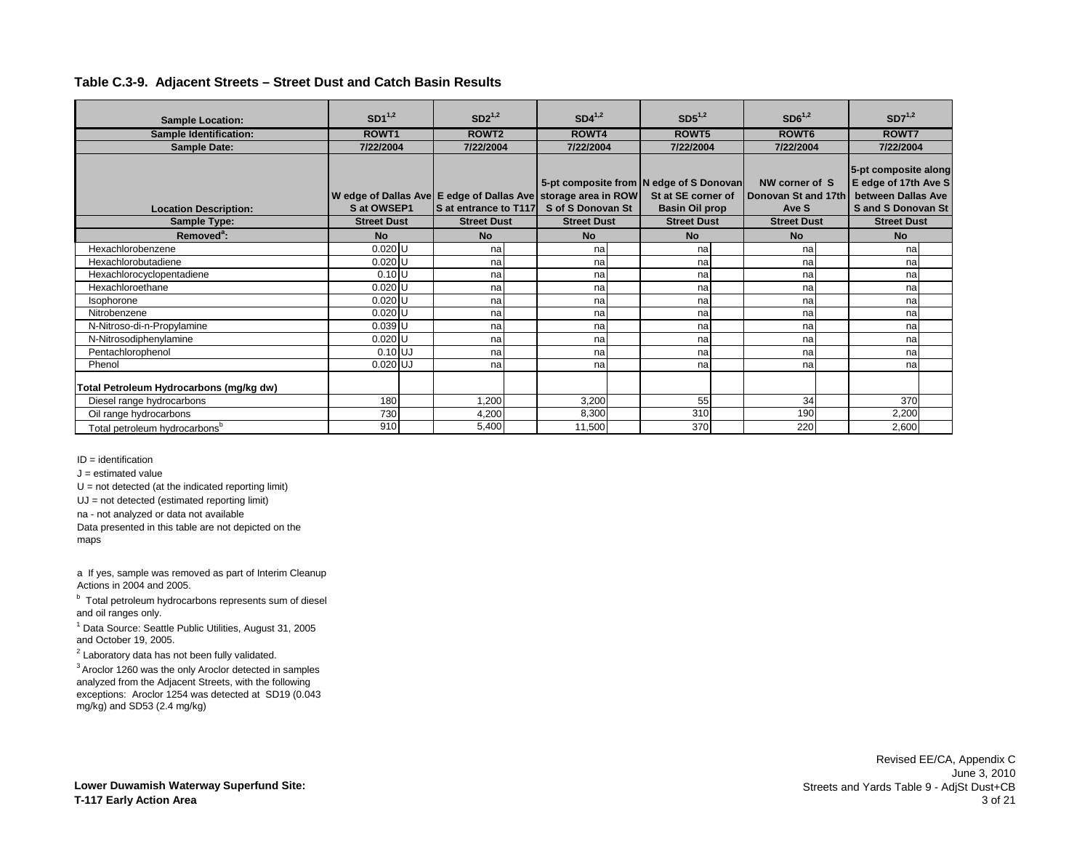| <b>Sample Location:</b>                   | $SD1^{1,2}$        | $SD2^{1,2}$           | $SD4^{1,2}$                                                   | $SD5^{1,2}$                             | $SD6^{1,2}$         | $SD7^{1,2}$              |  |
|-------------------------------------------|--------------------|-----------------------|---------------------------------------------------------------|-----------------------------------------|---------------------|--------------------------|--|
| <b>Sample Identification:</b>             | ROWT <sub>1</sub>  | ROWT <sub>2</sub>     | ROWT4                                                         | ROWT5                                   | ROWT <sub>6</sub>   | ROWT7                    |  |
| <b>Sample Date:</b>                       | 7/22/2004          | 7/22/2004             | 7/22/2004                                                     | 7/22/2004                               | 7/22/2004           | 7/22/2004                |  |
|                                           |                    |                       |                                                               |                                         |                     |                          |  |
|                                           |                    |                       |                                                               |                                         |                     | 5-pt composite along     |  |
|                                           |                    |                       |                                                               | 5-pt composite from N edge of S Donovan | NW corner of S      | E edge of 17th Ave S     |  |
|                                           |                    |                       | W edge of Dallas Ave E edge of Dallas Ave storage area in ROW | St at SE corner of                      | Donovan St and 17th | between Dallas Ave       |  |
| <b>Location Description:</b>              | S at OWSEP1        | S at entrance to T117 | S of S Donovan St                                             | <b>Basin Oil prop</b>                   | Ave S               | <b>Sand S Donovan St</b> |  |
| <b>Sample Type:</b>                       | <b>Street Dust</b> | <b>Street Dust</b>    | <b>Street Dust</b>                                            | <b>Street Dust</b>                      | <b>Street Dust</b>  | <b>Street Dust</b>       |  |
| Removed <sup>a</sup> :                    | <b>No</b>          | <b>No</b>             | <b>No</b>                                                     | <b>No</b>                               | <b>No</b>           | <b>No</b>                |  |
| Hexachlorobenzene                         | $0.020$ U          | na                    | na                                                            | na                                      | na                  | na                       |  |
| Hexachlorobutadiene                       | $0.020$ U          | na                    | na                                                            | na                                      | na                  | na                       |  |
| Hexachlorocyclopentadiene                 | $0.10$ U           | na                    | na                                                            | na                                      | na                  | na                       |  |
| Hexachloroethane                          | $0.020$ U          | na                    | na                                                            | na                                      | na                  | na                       |  |
| Isophorone                                | $0.020$ U          | na                    | na                                                            | na                                      | na                  | na                       |  |
| Nitrobenzene                              | $0.020$ U          | na                    | na                                                            | na                                      | na                  | nal                      |  |
| N-Nitroso-di-n-Propylamine                | $0.039$ U          | na                    | na                                                            | na                                      | na                  | na                       |  |
| N-Nitrosodiphenylamine                    | $0.020$ U          | na                    | na                                                            | na                                      | na                  | na                       |  |
| Pentachlorophenol                         | $0.10$ UJ          | na                    | na                                                            | na                                      | na                  | na                       |  |
| Phenol                                    | $0.020$ UJ         | na                    | na                                                            | na                                      | na                  | na                       |  |
| Total Petroleum Hydrocarbons (mg/kg dw)   |                    |                       |                                                               |                                         |                     |                          |  |
| Diesel range hydrocarbons                 | 180                | 1,200                 | 3,200                                                         | 55                                      | 34                  | 370                      |  |
| Oil range hydrocarbons                    | 730                | 4,200                 | 8,300                                                         | 310                                     | 190                 | 2,200                    |  |
| Total petroleum hydrocarbons <sup>b</sup> | 910                | 5.400                 | 11,500                                                        | 370                                     | 220                 | 2,600                    |  |

ID = identification

 $J =$  estimated value

 $U = not detected (at the indicated reporting limit)$ 

UJ = not detected (estimated reporting limit)

na - not analyzed or data not available

Data presented in this table are not depicted on the maps

a If yes, sample was removed as part of Interim Cleanup Actions in 2004 and 2005.

<sup>b</sup> Total petroleum hydrocarbons represents sum of diesel and oil ranges only.

<sup>1</sup> Data Source: Seattle Public Utilities, August 31, 2005 and October 19, 2005.

 $2$  Laboratory data has not been fully validated.

3 Aroclor 1260 was the only Aroclor detected in samples analyzed from the Adjacent Streets, with the following exceptions: Aroclor 1254 was detected at SD19 (0.043 mg/kg) and SD53 (2.4 mg/kg)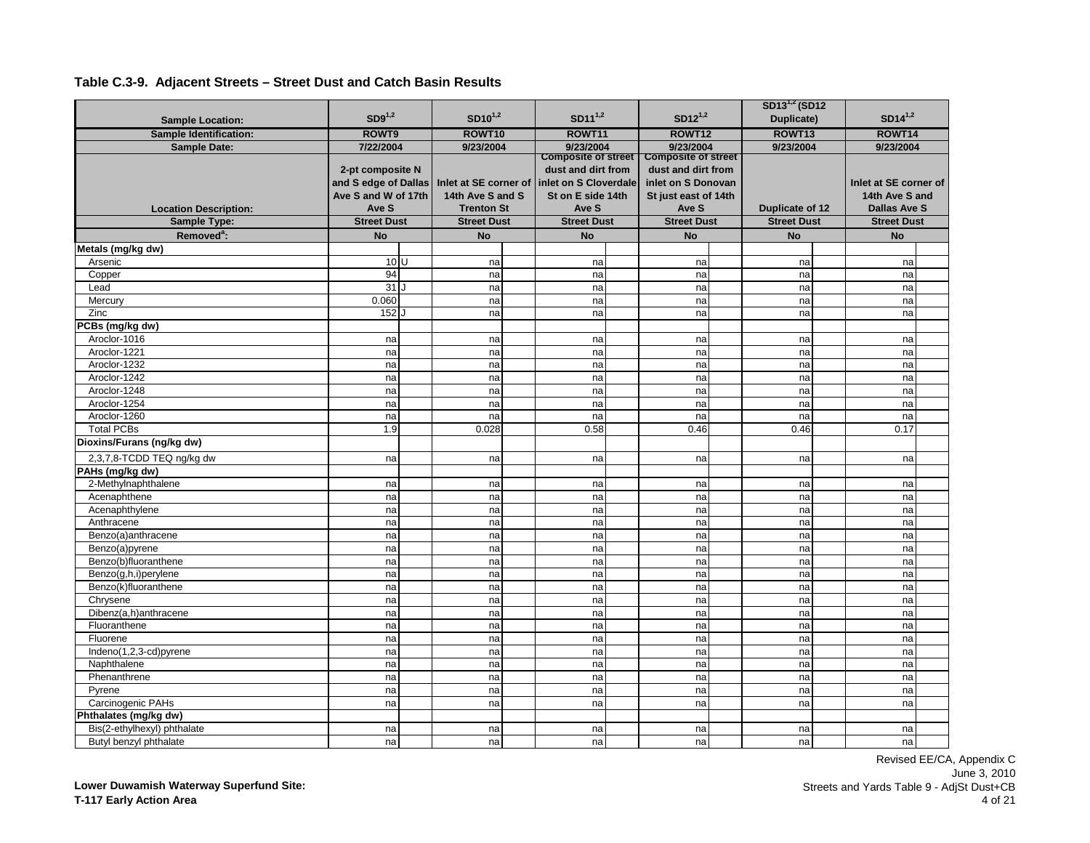|                                       |                                                                          |                                                                |                                                                                                         |                                                                                                         | SD13 <sup>1,2</sup> (SD12 |                                                                |  |
|---------------------------------------|--------------------------------------------------------------------------|----------------------------------------------------------------|---------------------------------------------------------------------------------------------------------|---------------------------------------------------------------------------------------------------------|---------------------------|----------------------------------------------------------------|--|
| <b>Sample Location:</b>               | $SD9^{1,2}$                                                              | $SD10^{1,2}$                                                   | $SD11^{1,2}$                                                                                            | $SD12^{1,2}$                                                                                            | Duplicate)                | $SD14^{1,2}$                                                   |  |
| <b>Sample Identification:</b>         | ROWT9                                                                    | ROWT10                                                         | ROWT11                                                                                                  | ROWT12                                                                                                  | ROWT13                    | ROWT14                                                         |  |
| <b>Sample Date:</b>                   | 7/22/2004                                                                | 9/23/2004                                                      | 9/23/2004                                                                                               | 9/23/2004                                                                                               | 9/23/2004                 | 9/23/2004                                                      |  |
| <b>Location Description:</b>          | 2-pt composite N<br>and S edge of Dallas<br>Ave S and W of 17th<br>Ave S | Inlet at SE corner of<br>14th Ave S and S<br><b>Trenton St</b> | <b>Composite of street</b><br>dust and dirt from<br>inlet on S Cloverdale<br>St on E side 14th<br>Ave S | <b>Composite of street</b><br>dust and dirt from<br>inlet on S Donovan<br>St just east of 14th<br>Ave S | Duplicate of 12           | Inlet at SE corner of<br>14th Ave S and<br><b>Dallas Ave S</b> |  |
| Sample Type:                          | <b>Street Dust</b>                                                       | <b>Street Dust</b>                                             | <b>Street Dust</b>                                                                                      | <b>Street Dust</b>                                                                                      | <b>Street Dust</b>        | <b>Street Dust</b>                                             |  |
| Removed <sup>a</sup> :                | <b>No</b>                                                                | <b>No</b>                                                      | <b>No</b>                                                                                               | <b>No</b>                                                                                               | <b>No</b>                 | <b>No</b>                                                      |  |
| Metals (mg/kg dw)                     |                                                                          |                                                                |                                                                                                         |                                                                                                         |                           |                                                                |  |
| Arsenic                               | 10 <sup>U</sup>                                                          | na                                                             | na                                                                                                      | na                                                                                                      | na                        | na                                                             |  |
| Copper                                | 94                                                                       | na                                                             | na                                                                                                      | na                                                                                                      | na                        | na                                                             |  |
| Lead                                  | 31                                                                       | na                                                             | na                                                                                                      | na                                                                                                      | na                        | na                                                             |  |
| Mercury                               | 0.060                                                                    | na                                                             | na                                                                                                      | na                                                                                                      | na                        | na                                                             |  |
| Zinc                                  | 152 J                                                                    | na                                                             | na                                                                                                      | na                                                                                                      | na                        | na                                                             |  |
| PCBs (mg/kg dw)                       |                                                                          |                                                                |                                                                                                         |                                                                                                         |                           |                                                                |  |
| Aroclor-1016                          | na                                                                       | na                                                             | na                                                                                                      | na                                                                                                      | na                        | na                                                             |  |
| Aroclor-1221                          | na                                                                       | na                                                             | na                                                                                                      | na                                                                                                      | na                        | na                                                             |  |
| Aroclor-1232                          | na                                                                       | na                                                             | na                                                                                                      | na                                                                                                      | na                        | na                                                             |  |
| Aroclor-1242                          | na                                                                       | na                                                             | na                                                                                                      | na                                                                                                      | na                        | na                                                             |  |
| Aroclor-1248                          | na                                                                       | na                                                             | na                                                                                                      | na                                                                                                      | na                        | na                                                             |  |
| Aroclor-1254                          | na                                                                       | na                                                             | na                                                                                                      | na                                                                                                      | na                        | na                                                             |  |
| Aroclor-1260                          | na                                                                       | na                                                             | na                                                                                                      | na                                                                                                      | na                        | na                                                             |  |
| <b>Total PCBs</b>                     | 1.9                                                                      | 0.028                                                          | 0.58                                                                                                    | 0.46                                                                                                    | 0.46                      | 0.17                                                           |  |
| Dioxins/Furans (ng/kg dw)             |                                                                          |                                                                |                                                                                                         |                                                                                                         |                           |                                                                |  |
| 2,3,7,8-TCDD TEQ ng/kg dw             | na                                                                       | na                                                             | na                                                                                                      | na                                                                                                      | na                        | na                                                             |  |
| PAHs (mg/kg dw)                       |                                                                          |                                                                |                                                                                                         |                                                                                                         |                           |                                                                |  |
| 2-Methylnaphthalene                   | na                                                                       | na                                                             | na                                                                                                      | na                                                                                                      | na                        | na                                                             |  |
| Acenaphthene                          | na                                                                       | na                                                             | na                                                                                                      | na                                                                                                      | na                        | na                                                             |  |
| Acenaphthylene                        | na                                                                       | na                                                             | na                                                                                                      | na                                                                                                      | na                        | na                                                             |  |
| Anthracene                            | na                                                                       | na                                                             | na                                                                                                      | na                                                                                                      | na                        | na                                                             |  |
| Benzo(a)anthracene                    | na                                                                       | na                                                             | na                                                                                                      | na                                                                                                      | na                        | na                                                             |  |
| Benzo(a)pyrene                        | na                                                                       | na                                                             | na                                                                                                      | na                                                                                                      | na                        | na                                                             |  |
| Benzo(b)fluoranthene                  | na                                                                       | na                                                             | na                                                                                                      | na                                                                                                      | na                        | na                                                             |  |
| Benzo(g,h,i)perylene                  | na                                                                       | na                                                             | na                                                                                                      | na                                                                                                      | na                        | na                                                             |  |
| Benzo(k)fluoranthene                  | na                                                                       | na                                                             | na                                                                                                      | na                                                                                                      | na                        | na                                                             |  |
| Chrysene                              | na                                                                       | na                                                             | na                                                                                                      | na                                                                                                      | na                        | na                                                             |  |
| Dibenz(a,h)anthracene                 | na                                                                       | na                                                             | na                                                                                                      | na                                                                                                      | na                        | na                                                             |  |
| Fluoranthene                          | na                                                                       | na                                                             | na                                                                                                      | na                                                                                                      | na                        | na                                                             |  |
| Fluorene                              | na                                                                       | na                                                             | na                                                                                                      | na                                                                                                      | na                        | na                                                             |  |
| Indeno(1,2,3-cd)pyrene<br>Naphthalene | na                                                                       | na                                                             | na                                                                                                      | na                                                                                                      | na                        | na                                                             |  |
|                                       | na                                                                       | na                                                             | na                                                                                                      | na                                                                                                      | na                        | na                                                             |  |
| Phenanthrene<br>Pyrene                | na<br>na                                                                 | na<br>na                                                       | na                                                                                                      | na                                                                                                      | na                        | na                                                             |  |
| Carcinogenic PAHs                     | na                                                                       | na                                                             | na<br>na                                                                                                | na<br>na                                                                                                | na<br>na                  | na<br>na                                                       |  |
| Phthalates (mg/kg dw)                 |                                                                          |                                                                |                                                                                                         |                                                                                                         |                           |                                                                |  |
| Bis(2-ethylhexyl) phthalate           | na                                                                       | na                                                             | na                                                                                                      | na                                                                                                      | na                        | na                                                             |  |
| Butyl benzyl phthalate                | na                                                                       | na                                                             | nal                                                                                                     | na                                                                                                      | na                        | na                                                             |  |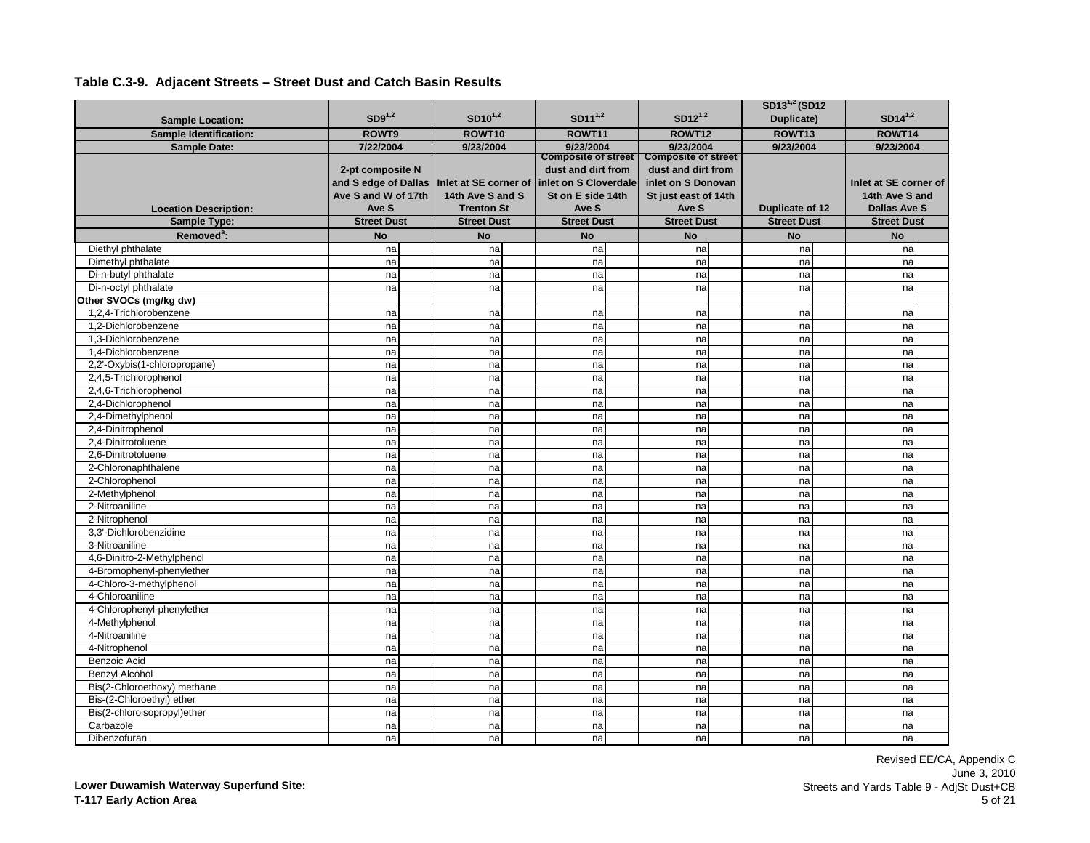|                               |                                                                 |                                           |                                                                                                |                                                                                                | $SD13^{1,2} (SD12)$ |                                         |
|-------------------------------|-----------------------------------------------------------------|-------------------------------------------|------------------------------------------------------------------------------------------------|------------------------------------------------------------------------------------------------|---------------------|-----------------------------------------|
| <b>Sample Location:</b>       | $SD9^{1,2}$                                                     | $SD10^{1,2}$                              | $SD11^{1,2}$                                                                                   | $SD12^{1,2}$                                                                                   | Duplicate)          | $SD14^{1,2}$                            |
| <b>Sample Identification:</b> | ROWT9                                                           | ROWT10                                    | ROWT11                                                                                         | ROWT12                                                                                         | ROWT <sub>13</sub>  | ROWT14                                  |
| <b>Sample Date:</b>           | 7/22/2004                                                       | 9/23/2004                                 | 9/23/2004                                                                                      | 9/23/2004                                                                                      | 9/23/2004           | 9/23/2004                               |
|                               | 2-pt composite N<br>and S edge of Dallas<br>Ave S and W of 17th | Inlet at SE corner of<br>14th Ave S and S | <b>Composite of street</b><br>dust and dirt from<br>inlet on S Cloverdale<br>St on E side 14th | <b>Composite of street</b><br>dust and dirt from<br>inlet on S Donovan<br>St just east of 14th |                     | Inlet at SE corner of<br>14th Ave S and |
| <b>Location Description:</b>  | Ave S                                                           | <b>Trenton St</b>                         | Ave S                                                                                          | Ave S                                                                                          | Duplicate of 12     | <b>Dallas Ave S</b>                     |
| <b>Sample Type:</b>           | <b>Street Dust</b>                                              | <b>Street Dust</b>                        | <b>Street Dust</b>                                                                             | <b>Street Dust</b>                                                                             | <b>Street Dust</b>  | <b>Street Dust</b>                      |
| Removed <sup>a</sup> :        | <b>No</b>                                                       | <b>No</b>                                 | <b>No</b>                                                                                      | <b>No</b>                                                                                      | <b>No</b>           | <b>No</b>                               |
| Diethyl phthalate             | na                                                              | na                                        | na                                                                                             | na                                                                                             | na                  | na                                      |
| Dimethyl phthalate            | na                                                              | na                                        | na                                                                                             | na                                                                                             | na                  | na                                      |
| Di-n-butyl phthalate          | na                                                              | na                                        | na                                                                                             | na                                                                                             | na                  | na                                      |
| Di-n-octyl phthalate          | na                                                              | na                                        | na                                                                                             | na                                                                                             | na                  | na                                      |
| Other SVOCs (mg/kg dw)        |                                                                 |                                           |                                                                                                |                                                                                                |                     |                                         |
| 1,2,4-Trichlorobenzene        | na                                                              | na                                        | na                                                                                             | na                                                                                             | na                  | na                                      |
| 1.2-Dichlorobenzene           | na                                                              | na                                        | na                                                                                             | na                                                                                             | na                  | na                                      |
| 1,3-Dichlorobenzene           | na                                                              | na                                        | na                                                                                             | na                                                                                             | na                  | na                                      |
| 1,4-Dichlorobenzene           | na                                                              | na                                        | na                                                                                             | na                                                                                             | na                  | na                                      |
| 2,2'-Oxybis(1-chloropropane)  | na                                                              | na                                        | na                                                                                             | na                                                                                             | na                  | na                                      |
| 2,4,5-Trichlorophenol         | na                                                              | na                                        | na                                                                                             | na                                                                                             | na                  | na                                      |
| 2,4,6-Trichlorophenol         | na                                                              | na                                        | na                                                                                             | na                                                                                             | na                  | na                                      |
| 2,4-Dichlorophenol            | na                                                              | na                                        | na                                                                                             | na                                                                                             | na                  | na                                      |
| 2,4-Dimethylphenol            | na                                                              | na                                        | na                                                                                             | na                                                                                             | na                  | na                                      |
| 2,4-Dinitrophenol             | na                                                              | na                                        | na                                                                                             | na                                                                                             | na                  | na                                      |
| 2,4-Dinitrotoluene            | na                                                              | na                                        | na                                                                                             | na                                                                                             | na                  | na                                      |
| 2.6-Dinitrotoluene            | na                                                              | na                                        | na                                                                                             | na                                                                                             | na                  | na                                      |
| 2-Chloronaphthalene           | na                                                              | na                                        | na                                                                                             | na                                                                                             | na                  | na                                      |
| 2-Chlorophenol                | na                                                              | na                                        | na                                                                                             | na                                                                                             | na                  | na                                      |
| 2-Methylphenol                | na                                                              | na                                        | na                                                                                             | na                                                                                             | na                  | na                                      |
| 2-Nitroaniline                | na                                                              | na                                        | na                                                                                             | na                                                                                             | na                  | na                                      |
| 2-Nitrophenol                 | na                                                              | na                                        | na                                                                                             | na                                                                                             | na                  | na                                      |
| 3,3'-Dichlorobenzidine        | na                                                              | na                                        | na                                                                                             | na                                                                                             | na                  | na                                      |
| 3-Nitroaniline                | na                                                              | na                                        | na                                                                                             | na                                                                                             | na                  | na                                      |
| 4,6-Dinitro-2-Methylphenol    | na                                                              | na                                        | na                                                                                             | na                                                                                             | na                  | na                                      |
| 4-Bromophenyl-phenylether     | na                                                              | na                                        | na                                                                                             | na                                                                                             | na                  | na                                      |
| 4-Chloro-3-methylphenol       | na                                                              | na                                        | na                                                                                             | na                                                                                             | na                  | na                                      |
| 4-Chloroaniline               | na                                                              | na                                        | na                                                                                             | na                                                                                             | na                  | na                                      |
| 4-Chlorophenyl-phenylether    | na                                                              | na                                        | na                                                                                             | na                                                                                             | na                  | na                                      |
| 4-Methylphenol                | na                                                              | na                                        | na                                                                                             | na                                                                                             | na                  | na                                      |
| 4-Nitroaniline                | na                                                              | na                                        | na                                                                                             | na                                                                                             | na                  | na                                      |
| 4-Nitrophenol                 | na                                                              | na                                        | na                                                                                             | na                                                                                             | na                  | na                                      |
| Benzoic Acid                  | na                                                              | na                                        | na                                                                                             | na                                                                                             | na                  | na                                      |
| <b>Benzyl Alcohol</b>         | na                                                              | na                                        | na                                                                                             | na                                                                                             | na                  | na                                      |
| Bis(2-Chloroethoxy) methane   | na                                                              | na                                        | na                                                                                             | na                                                                                             | na                  | na                                      |
| Bis-(2-Chloroethyl) ether     | na                                                              | na                                        | na                                                                                             | na                                                                                             | na                  | na                                      |
| Bis(2-chloroisopropyl)ether   | na                                                              | na                                        | na                                                                                             | na                                                                                             | na                  | na                                      |
| Carbazole                     | na                                                              | na                                        | na                                                                                             | na                                                                                             | na                  | na                                      |
| Dibenzofuran                  | na                                                              | na                                        | nal                                                                                            | na                                                                                             | na                  | nal                                     |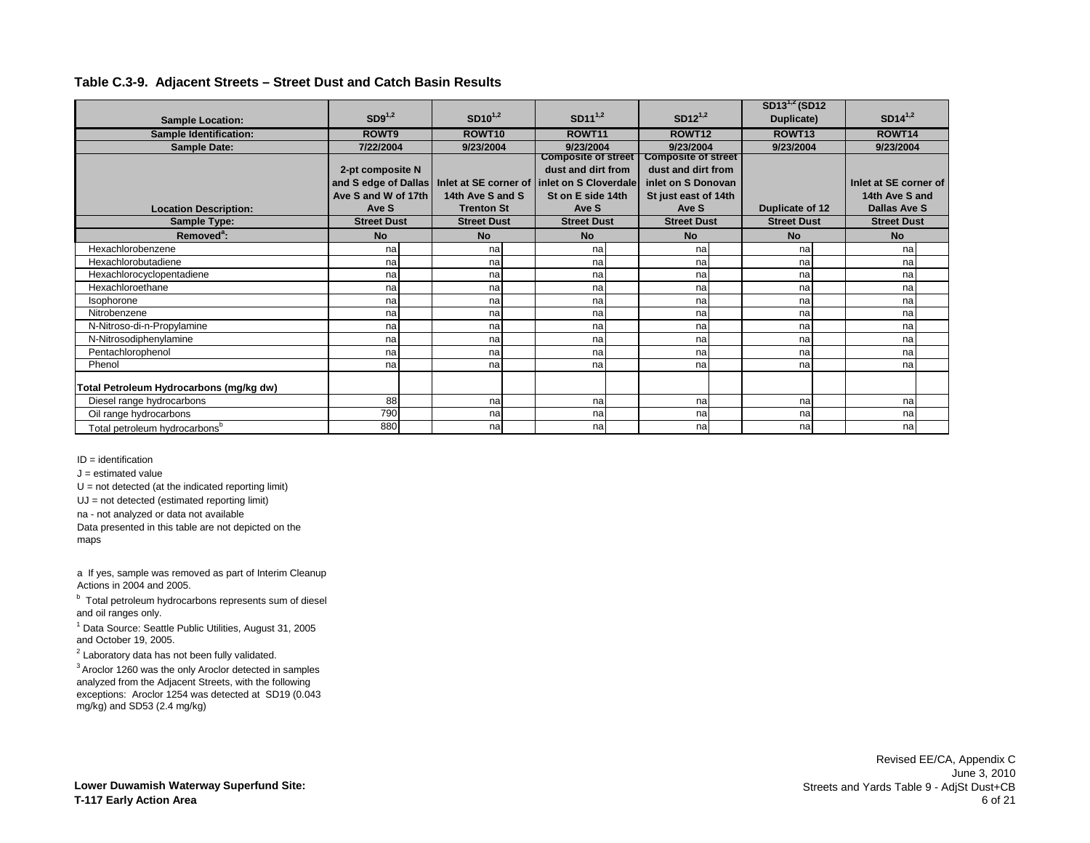|                                           |                      |                    |                                              |                            | $SD13^{1,2} (SD12)$ |                       |  |
|-------------------------------------------|----------------------|--------------------|----------------------------------------------|----------------------------|---------------------|-----------------------|--|
| <b>Sample Location:</b>                   | $SD9^{1,2}$          | $SD10^{1,2}$       | $SD11^{1,2}$                                 | $SD12^{1,2}$               | Duplicate)          | $SD14^{1,2}$          |  |
| <b>Sample Identification:</b>             | ROWT9                | ROWT <sub>10</sub> | ROWT11                                       | ROWT12                     | ROWT <sub>13</sub>  | ROWT14                |  |
| <b>Sample Date:</b>                       | 7/22/2004            | 9/23/2004          | 9/23/2004                                    | 9/23/2004                  | 9/23/2004           | 9/23/2004             |  |
|                                           |                      |                    | <b>Composite of street</b>                   | <b>Composite of street</b> |                     |                       |  |
|                                           | 2-pt composite N     |                    | dust and dirt from                           | dust and dirt from         |                     |                       |  |
|                                           | and S edge of Dallas |                    | Inlet at SE corner of linlet on S Cloverdale | inlet on S Donovan         |                     | Inlet at SE corner of |  |
|                                           | Ave S and W of 17th  | 14th Ave S and S   | St on E side 14th                            | St just east of 14th       |                     | 14th Ave S and        |  |
| <b>Location Description:</b>              | Ave S                | <b>Trenton St</b>  | Ave S                                        | Ave S                      | Duplicate of 12     | <b>Dallas Ave S</b>   |  |
| Sample Type:                              | <b>Street Dust</b>   | <b>Street Dust</b> | <b>Street Dust</b>                           | <b>Street Dust</b>         | <b>Street Dust</b>  | <b>Street Dust</b>    |  |
| Removed <sup>a</sup> :                    | <b>No</b>            | <b>No</b>          | <b>No</b>                                    | No                         | <b>No</b>           | <b>No</b>             |  |
| Hexachlorobenzene                         | nal                  | na                 | na                                           | na                         | na                  | nal                   |  |
| Hexachlorobutadiene                       | nal                  | na                 | na                                           | na                         | na                  | nal                   |  |
| Hexachlorocyclopentadiene                 | nal                  | na                 | na                                           | na                         | na                  | nal                   |  |
| Hexachloroethane                          | na                   | na                 | na                                           | na                         | na                  | nal                   |  |
| Isophorone                                | na                   | na                 | na                                           | na                         | na                  | nal                   |  |
| Nitrobenzene                              | na                   | na                 | na                                           | na                         | na                  | nal                   |  |
| N-Nitroso-di-n-Propylamine                | na                   | na                 | na                                           | na                         | na                  | nal                   |  |
| N-Nitrosodiphenylamine                    | na                   | na                 | na                                           | na                         | na                  | nal                   |  |
| Pentachlorophenol                         | na                   | na                 | na                                           | na                         | na                  | nal                   |  |
| Phenol                                    | na                   | na                 | na                                           | na                         | na                  | na                    |  |
| Total Petroleum Hydrocarbons (mg/kg dw)   |                      |                    |                                              |                            |                     |                       |  |
| Diesel range hydrocarbons                 | 88                   | na                 | na                                           | nal                        | na                  | nal                   |  |
| Oil range hydrocarbons                    | 790                  | na                 | na                                           | na                         | na                  | nal                   |  |
| Total petroleum hydrocarbons <sup>b</sup> | 880                  | na                 | na                                           | na                         | na                  | nal                   |  |

ID = identification

 $J =$  estimated value

 $U = not detected (at the indicated reporting limit)$ 

UJ = not detected (estimated reporting limit)

na - not analyzed or data not available

Data presented in this table are not depicted on the maps

a If yes, sample was removed as part of Interim Cleanup Actions in 2004 and 2005.

<sup>b</sup> Total petroleum hydrocarbons represents sum of diesel and oil ranges only.

<sup>1</sup> Data Source: Seattle Public Utilities, August 31, 2005 and October 19, 2005.

 $2$  Laboratory data has not been fully validated.

3 Aroclor 1260 was the only Aroclor detected in samples analyzed from the Adjacent Streets, with the following exceptions: Aroclor 1254 was detected at SD19 (0.043 mg/kg) and SD53 (2.4 mg/kg)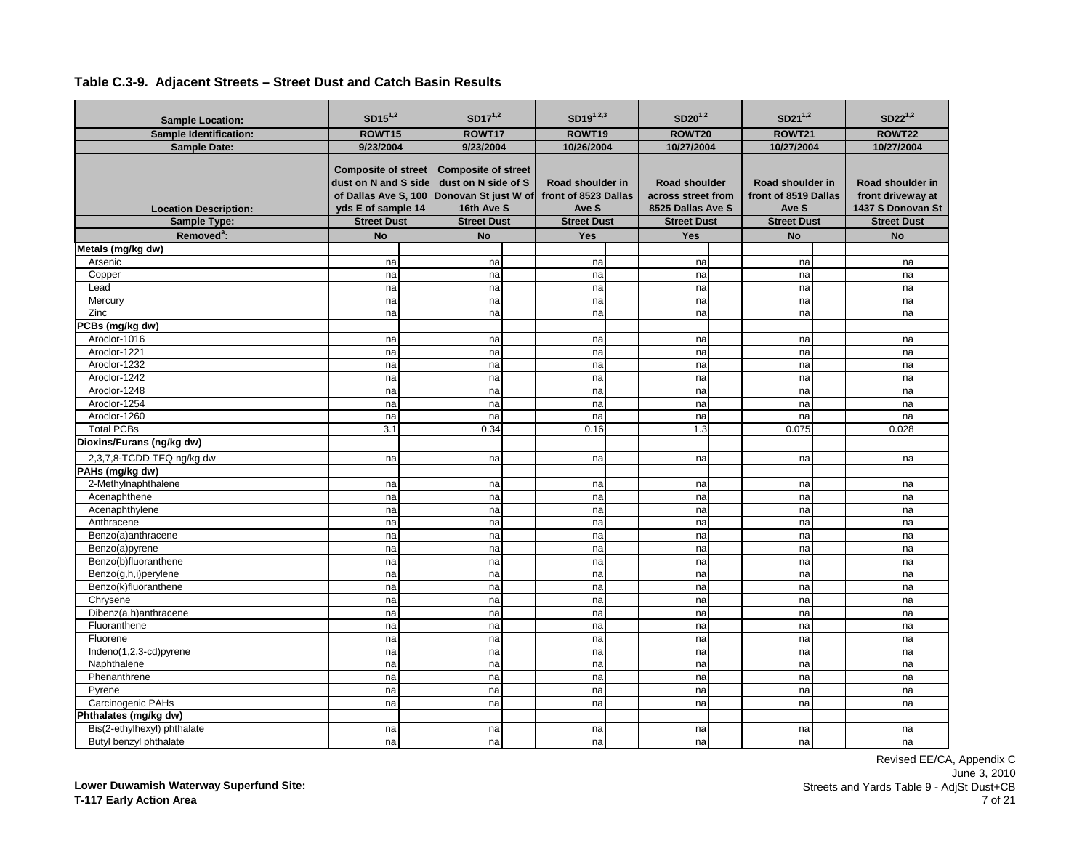| <b>Sample Location:</b>       | $SD15^{1,2}$                                                                                     | $SD17^{1,2}$                                                                            | $SD19^{1,2,3}$                                    | $SD20^{1,2}$                                             | $SD21^{1,2}$       |                                          | $SD22^{1,2}$       |                                                            |
|-------------------------------|--------------------------------------------------------------------------------------------------|-----------------------------------------------------------------------------------------|---------------------------------------------------|----------------------------------------------------------|--------------------|------------------------------------------|--------------------|------------------------------------------------------------|
| <b>Sample Identification:</b> | ROWT15                                                                                           | ROWT17                                                                                  | ROWT19                                            | <b>ROWT20</b>                                            | <b>ROWT21</b>      |                                          | ROWT22             |                                                            |
| <b>Sample Date:</b>           | 9/23/2004                                                                                        | 9/23/2004                                                                               | 10/26/2004                                        | 10/27/2004                                               | 10/27/2004         |                                          | 10/27/2004         |                                                            |
| <b>Location Description:</b>  | <b>Composite of street</b><br>dust on N and S side<br>of Dallas Ave S, 100<br>yds E of sample 14 | <b>Composite of street</b><br>dust on N side of S<br>Donovan St just W of<br>16th Ave S | Road shoulder in<br>front of 8523 Dallas<br>Ave S | Road shoulder<br>across street from<br>8525 Dallas Ave S | Ave S              | Road shoulder in<br>front of 8519 Dallas |                    | Road shoulder in<br>front driveway at<br>1437 S Donovan St |
| Sample Type:                  | <b>Street Dust</b>                                                                               | <b>Street Dust</b>                                                                      | <b>Street Dust</b>                                | <b>Street Dust</b>                                       | <b>Street Dust</b> |                                          | <b>Street Dust</b> |                                                            |
| Removed <sup>a</sup> :        | <b>No</b>                                                                                        | <b>No</b>                                                                               | Yes                                               | <b>Yes</b>                                               | <b>No</b>          |                                          | <b>No</b>          |                                                            |
| Metals (mg/kg dw)             |                                                                                                  |                                                                                         |                                                   |                                                          |                    |                                          |                    |                                                            |
| Arsenic                       | na                                                                                               | na                                                                                      | na                                                | na                                                       | na                 |                                          | na                 |                                                            |
| Copper                        | na                                                                                               | na                                                                                      | na                                                | na                                                       | na                 |                                          | na                 |                                                            |
| Lead                          | na                                                                                               | na                                                                                      | na                                                | na                                                       | na                 |                                          | na                 |                                                            |
| Mercury                       | na                                                                                               | na                                                                                      | na                                                | na                                                       | na                 |                                          | na                 |                                                            |
| Zinc                          | na                                                                                               | na                                                                                      | na                                                | na                                                       | na                 |                                          | na                 |                                                            |
| PCBs (mg/kg dw)               |                                                                                                  |                                                                                         |                                                   |                                                          |                    |                                          |                    |                                                            |
| Aroclor-1016                  | na                                                                                               | na                                                                                      | na                                                | na                                                       | na                 |                                          | na                 |                                                            |
| Aroclor-1221                  | na                                                                                               | na                                                                                      | na                                                | na                                                       | na                 |                                          | na                 |                                                            |
| Aroclor-1232                  | na                                                                                               | na                                                                                      | na                                                | na                                                       | na                 |                                          | na                 |                                                            |
| Aroclor-1242                  | na                                                                                               | na                                                                                      | na                                                | na                                                       | na                 |                                          | na                 |                                                            |
| Aroclor-1248                  | na                                                                                               | na                                                                                      | na                                                | na                                                       | na                 |                                          | na                 |                                                            |
| Aroclor-1254                  | na                                                                                               | na                                                                                      | na                                                | na                                                       | na                 |                                          | na                 |                                                            |
| Aroclor-1260                  | na                                                                                               | na                                                                                      | na                                                | na                                                       | na                 |                                          | na                 |                                                            |
| <b>Total PCBs</b>             | 3.1                                                                                              | 0.34                                                                                    | 0.16                                              | 1.3                                                      | 0.075              |                                          | 0.028              |                                                            |
| Dioxins/Furans (ng/kg dw)     |                                                                                                  |                                                                                         |                                                   |                                                          |                    |                                          |                    |                                                            |
| 2,3,7,8-TCDD TEQ ng/kg dw     | na                                                                                               | na                                                                                      | na                                                | na                                                       | na                 |                                          | na                 |                                                            |
| PAHs (mg/kg dw)               |                                                                                                  |                                                                                         |                                                   |                                                          |                    |                                          |                    |                                                            |
| 2-Methylnaphthalene           | na                                                                                               | na                                                                                      | na                                                | na                                                       | na                 |                                          | na                 |                                                            |
| Acenaphthene                  | na                                                                                               | na                                                                                      | na                                                | na                                                       | na                 |                                          | na                 |                                                            |
| Acenaphthylene                | na                                                                                               | na                                                                                      | na                                                | na                                                       | na                 |                                          | na                 |                                                            |
| Anthracene                    | na                                                                                               | na                                                                                      | na                                                | na                                                       | na                 |                                          | na                 |                                                            |
| Benzo(a)anthracene            | na                                                                                               | na                                                                                      | na                                                | na                                                       | na                 |                                          | na                 |                                                            |
| Benzo(a)pyrene                | na                                                                                               | na                                                                                      | na                                                | na                                                       | na                 |                                          | na                 |                                                            |
| Benzo(b)fluoranthene          | na                                                                                               | na                                                                                      | na                                                | na                                                       | na                 |                                          | na                 |                                                            |
| Benzo(g,h,i)perylene          | na                                                                                               | na                                                                                      | na                                                | na                                                       | na                 |                                          | na                 |                                                            |
| Benzo(k)fluoranthene          | na                                                                                               | na                                                                                      | na                                                | na                                                       | na                 |                                          | na                 |                                                            |
| Chrysene                      | na                                                                                               | na                                                                                      | na                                                | na                                                       | na                 |                                          | na                 |                                                            |
| Dibenz(a.h)anthracene         | na                                                                                               | na                                                                                      | na                                                | na                                                       | na                 |                                          | na                 |                                                            |
| Fluoranthene                  | na                                                                                               | na                                                                                      | na                                                | na                                                       | na                 |                                          | na                 |                                                            |
| Fluorene                      | na                                                                                               | na                                                                                      | na                                                | na                                                       | na                 |                                          | na                 |                                                            |
| Indeno(1,2,3-cd)pyrene        | na                                                                                               | na                                                                                      | na                                                | na                                                       | na                 |                                          | na                 |                                                            |
| Naphthalene                   | na                                                                                               | na                                                                                      | na                                                | na                                                       | na                 |                                          | na                 |                                                            |
| Phenanthrene                  | na                                                                                               | na                                                                                      | na                                                | na                                                       | na                 |                                          | na                 |                                                            |
| Pyrene                        | na                                                                                               | na                                                                                      | na                                                | na                                                       | na                 |                                          | na                 |                                                            |
| Carcinogenic PAHs             | na                                                                                               | na                                                                                      | na                                                | na                                                       | na                 |                                          | na                 |                                                            |
| Phthalates (mg/kg dw)         |                                                                                                  |                                                                                         |                                                   |                                                          |                    |                                          |                    |                                                            |
| Bis(2-ethylhexyl) phthalate   | na                                                                                               | na                                                                                      | na                                                | na                                                       | na                 |                                          | na                 |                                                            |
| Butyl benzyl phthalate        | na                                                                                               | na                                                                                      | na                                                | na                                                       | na                 |                                          | nal                |                                                            |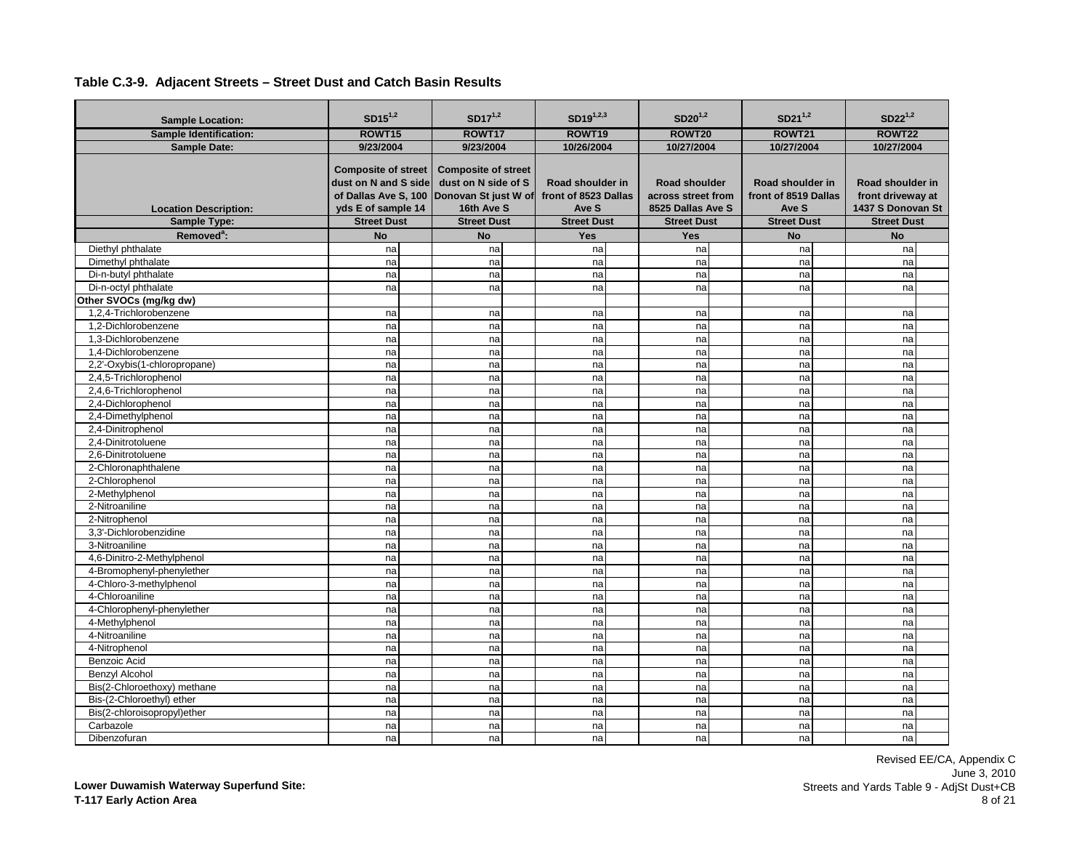| <b>Sample Location:</b>       | $SD15^{1,2}$                                                                                     | $SD17^{1,2}$                                                                            | $SD19^{1,2,3}$                                    | $SD20^{1,2}$                                                    | $SD21^{1,2}$                                      | $SD22^{1,2}$                                               |
|-------------------------------|--------------------------------------------------------------------------------------------------|-----------------------------------------------------------------------------------------|---------------------------------------------------|-----------------------------------------------------------------|---------------------------------------------------|------------------------------------------------------------|
| <b>Sample Identification:</b> | ROWT15                                                                                           | ROWT17                                                                                  | ROWT <sub>19</sub>                                | ROWT20                                                          | <b>ROWT21</b>                                     | ROWT22                                                     |
| <b>Sample Date:</b>           | 9/23/2004                                                                                        | 9/23/2004                                                                               | 10/26/2004                                        | 10/27/2004                                                      | 10/27/2004                                        | 10/27/2004                                                 |
| <b>Location Description:</b>  | <b>Composite of street</b><br>dust on N and S side<br>of Dallas Ave S, 100<br>yds E of sample 14 | <b>Composite of street</b><br>dust on N side of S<br>Donovan St just W of<br>16th Ave S | Road shoulder in<br>front of 8523 Dallas<br>Ave S | <b>Road shoulder</b><br>across street from<br>8525 Dallas Ave S | Road shoulder in<br>front of 8519 Dallas<br>Ave S | Road shoulder in<br>front driveway at<br>1437 S Donovan St |
| Sample Type:                  | <b>Street Dust</b>                                                                               | <b>Street Dust</b>                                                                      | <b>Street Dust</b>                                | <b>Street Dust</b>                                              | <b>Street Dust</b>                                | <b>Street Dust</b>                                         |
| Removed <sup>a</sup> :        | <b>No</b>                                                                                        | <b>No</b>                                                                               | Yes                                               | <b>Yes</b>                                                      | <b>No</b>                                         | <b>No</b>                                                  |
| Diethyl phthalate             | na                                                                                               | na                                                                                      | na                                                | na                                                              | na                                                | na                                                         |
| Dimethyl phthalate            | na                                                                                               | na                                                                                      | na                                                | na                                                              | na                                                | na                                                         |
| Di-n-butyl phthalate          | na                                                                                               | na                                                                                      | na                                                | na                                                              | na                                                | na                                                         |
| Di-n-octyl phthalate          | na                                                                                               | na                                                                                      | na                                                | na                                                              | na                                                | na                                                         |
| Other SVOCs (mg/kg dw)        |                                                                                                  |                                                                                         |                                                   |                                                                 |                                                   |                                                            |
| 1.2.4-Trichlorobenzene        | na                                                                                               | na                                                                                      | na                                                | na                                                              | na                                                | na                                                         |
| 1.2-Dichlorobenzene           | na                                                                                               | na                                                                                      | na                                                | na                                                              | na                                                | na                                                         |
| 1.3-Dichlorobenzene           | na                                                                                               | na                                                                                      | na                                                | na                                                              | na                                                | na                                                         |
| 1.4-Dichlorobenzene           | na                                                                                               | na                                                                                      | na                                                | na                                                              | na                                                | na                                                         |
| 2,2'-Oxybis(1-chloropropane)  | na                                                                                               | na                                                                                      | na                                                | na                                                              | na                                                | na                                                         |
| 2,4,5-Trichlorophenol         | na                                                                                               | na                                                                                      | na                                                | na                                                              | na                                                | na                                                         |
| 2,4,6-Trichlorophenol         | na                                                                                               | na                                                                                      | na                                                | na                                                              | na                                                | na                                                         |
| 2,4-Dichlorophenol            | na                                                                                               | na                                                                                      | na                                                | na                                                              | na                                                | na                                                         |
| 2,4-Dimethylphenol            | na                                                                                               | na                                                                                      | na                                                | na                                                              | na                                                | na                                                         |
| 2,4-Dinitrophenol             | na                                                                                               | na                                                                                      | na                                                | na                                                              | na                                                | na                                                         |
| 2,4-Dinitrotoluene            | na                                                                                               | na                                                                                      | na                                                | na                                                              | na                                                | na                                                         |
| 2.6-Dinitrotoluene            | na                                                                                               | na                                                                                      | na                                                | na                                                              | na                                                | na                                                         |
| 2-Chloronaphthalene           | na                                                                                               | na                                                                                      | na                                                | na                                                              | na                                                | na                                                         |
| 2-Chlorophenol                | na                                                                                               | na                                                                                      | na                                                | na                                                              | na                                                | na                                                         |
| 2-Methylphenol                | na                                                                                               | na                                                                                      | na                                                | na                                                              | na                                                | na                                                         |
| 2-Nitroaniline                | na                                                                                               | na                                                                                      | na                                                | na                                                              | na                                                | na                                                         |
| 2-Nitrophenol                 | na                                                                                               | na                                                                                      | na                                                | na                                                              | na                                                | na                                                         |
| 3.3'-Dichlorobenzidine        | na                                                                                               | na                                                                                      | na                                                | na                                                              | na                                                | na                                                         |
| 3-Nitroaniline                | na                                                                                               | na                                                                                      | na                                                | na                                                              | na                                                | na                                                         |
| 4,6-Dinitro-2-Methylphenol    | na                                                                                               | na                                                                                      | na                                                | na                                                              | na                                                | na                                                         |
| 4-Bromophenyl-phenylether     | na                                                                                               | na                                                                                      | na                                                | na                                                              | na                                                | na                                                         |
| 4-Chloro-3-methylphenol       | na                                                                                               | na                                                                                      | na                                                | na                                                              | na                                                | na                                                         |
| 4-Chloroaniline               | na                                                                                               | na                                                                                      | na                                                | na                                                              | na                                                | na                                                         |
| 4-Chlorophenyl-phenylether    | na                                                                                               | na                                                                                      | na                                                | na                                                              | na                                                | na                                                         |
| 4-Methylphenol                | na                                                                                               | na                                                                                      | na                                                | na                                                              | na                                                | na                                                         |
| 4-Nitroaniline                | na                                                                                               | na                                                                                      | na                                                | na                                                              | na                                                | na                                                         |
| 4-Nitrophenol                 | na                                                                                               | na                                                                                      | na                                                | na                                                              | na                                                | na                                                         |
| <b>Benzoic Acid</b>           | na                                                                                               | na                                                                                      | na                                                | na                                                              | na                                                | na                                                         |
| <b>Benzyl Alcohol</b>         | na                                                                                               | na                                                                                      | na                                                | na                                                              | na                                                | na                                                         |
| Bis(2-Chloroethoxy) methane   | na                                                                                               | na                                                                                      | na                                                | na                                                              | na                                                | na                                                         |
| Bis-(2-Chloroethyl) ether     | na                                                                                               | na                                                                                      | na                                                | na                                                              | na                                                | na                                                         |
| Bis(2-chloroisopropyl)ether   | na                                                                                               | na                                                                                      | na                                                | na                                                              | na                                                | na                                                         |
| Carbazole                     | na                                                                                               | na                                                                                      | na                                                | na                                                              | na                                                | na                                                         |
| Dibenzofuran                  | nal                                                                                              | na                                                                                      | na                                                | na                                                              | na                                                | na                                                         |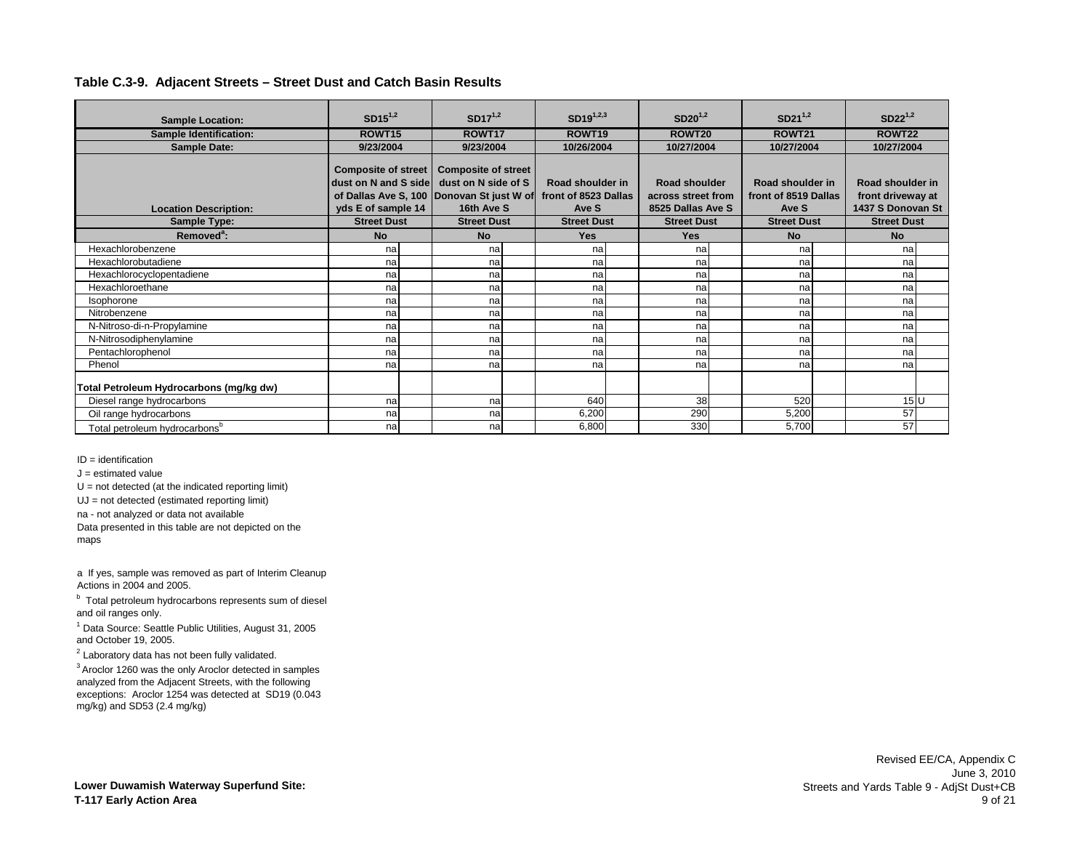| <b>Sample Location:</b>                   | $SD15^{1,2}$                                       | $SD17^{1,2}$                                      | $SD19^{1,2,3}$       | $SD20^{1,2}$       | $SD21^{1,2}$         | $SD22^{1,2}$       |
|-------------------------------------------|----------------------------------------------------|---------------------------------------------------|----------------------|--------------------|----------------------|--------------------|
| <b>Sample Identification:</b>             | ROWT <sub>15</sub>                                 | ROWT17                                            | ROWT <sub>19</sub>   | ROWT20             | <b>ROWT21</b>        | ROWT22             |
| <b>Sample Date:</b>                       | 9/23/2004                                          | 9/23/2004                                         | 10/26/2004           | 10/27/2004         | 10/27/2004           | 10/27/2004         |
|                                           | <b>Composite of street</b><br>dust on N and S side | <b>Composite of street</b><br>dust on N side of S | Road shoulder in     | Road shoulder      | Road shoulder in     | Road shoulder in   |
|                                           |                                                    | of Dallas Ave S, 100 Donovan St just W of         | front of 8523 Dallas | across street from | front of 8519 Dallas | front driveway at  |
| <b>Location Description:</b>              | yds E of sample 14                                 | 16th Ave S                                        | Ave S                | 8525 Dallas Ave S  | Ave S                | 1437 S Donovan St  |
| Sample Type:                              | <b>Street Dust</b>                                 | <b>Street Dust</b>                                | <b>Street Dust</b>   | <b>Street Dust</b> | <b>Street Dust</b>   | <b>Street Dust</b> |
| Removed <sup>a</sup> :                    | <b>No</b>                                          | <b>No</b>                                         | Yes                  | <b>Yes</b>         | <b>No</b>            | <b>No</b>          |
| Hexachlorobenzene                         | na                                                 | nal                                               | na                   | na                 | na                   | na                 |
| Hexachlorobutadiene                       | na                                                 | nal                                               | na                   | na                 | na                   | na                 |
| Hexachlorocyclopentadiene                 | na                                                 | na                                                | na                   | na                 | na                   | na                 |
| Hexachloroethane                          | na                                                 | na                                                | na                   | na                 | na                   | na                 |
| Isophorone                                | na                                                 | na                                                | na                   | na                 | na                   | na                 |
| Nitrobenzene                              | na                                                 | nal                                               | na                   | na                 | na                   | na                 |
| N-Nitroso-di-n-Propylamine                | na                                                 | na                                                | na                   | na                 | na                   | na                 |
| N-Nitrosodiphenylamine                    | na                                                 | na                                                | na                   | na                 | na                   | na                 |
| Pentachlorophenol                         | na                                                 | na                                                | na                   | na                 | na                   | na                 |
| Phenol                                    | na                                                 | na                                                | na                   | na                 | na                   | na                 |
| Total Petroleum Hydrocarbons (mg/kg dw)   |                                                    |                                                   |                      |                    |                      |                    |
| Diesel range hydrocarbons                 | na                                                 | na                                                | 640                  | 38                 | 520                  | 15U                |
| Oil range hydrocarbons                    | na                                                 | nal                                               | 6,200                | 290                | 5,200                | 57                 |
| Total petroleum hydrocarbons <sup>b</sup> | na                                                 | na                                                | 6,800                | 330                | 5,700                | 57                 |

ID = identification

 $J =$  estimated value

 $U = not detected (at the indicated reporting limit)$ 

UJ = not detected (estimated reporting limit)

na - not analyzed or data not available

Data presented in this table are not depicted on the maps

a If yes, sample was removed as part of Interim Cleanup Actions in 2004 and 2005.

<sup>b</sup> Total petroleum hydrocarbons represents sum of diesel and oil ranges only.

<sup>1</sup> Data Source: Seattle Public Utilities, August 31, 2005 and October 19, 2005.

 $2$  Laboratory data has not been fully validated.

3 Aroclor 1260 was the only Aroclor detected in samples analyzed from the Adjacent Streets, with the following exceptions: Aroclor 1254 was detected at SD19 (0.043 mg/kg) and SD53 (2.4 mg/kg)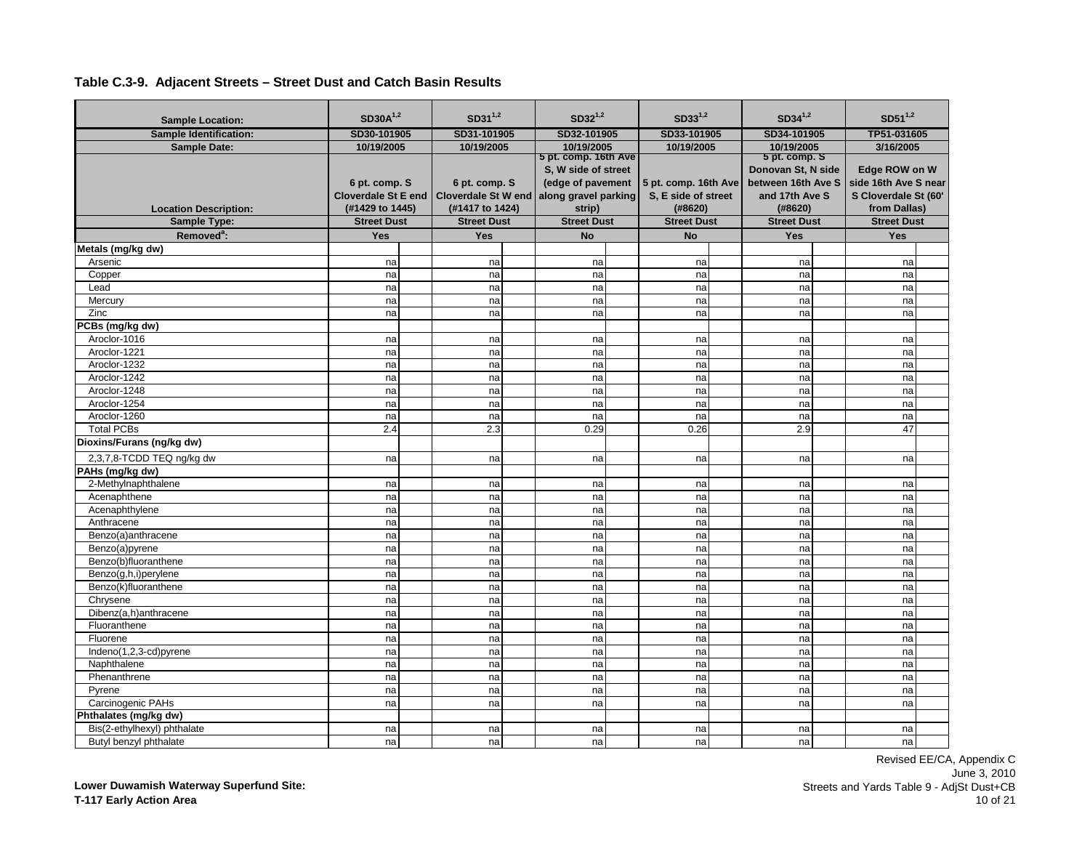|                               | $SD30A^{1,2}$              | $SD31^{1,2}$               | $SD32^{1,2}$              | $SD33^{1,2}$         | $SD34^{1,2}$                |                            | $SD51^{1,2}$         |  |
|-------------------------------|----------------------------|----------------------------|---------------------------|----------------------|-----------------------------|----------------------------|----------------------|--|
| <b>Sample Location:</b>       |                            |                            |                           |                      |                             |                            |                      |  |
| <b>Sample Identification:</b> | SD30-101905                | SD31-101905                | SD32-101905<br>10/19/2005 | SD33-101905          |                             | TP51-031605<br>SD34-101905 |                      |  |
| <b>Sample Date:</b>           | 10/19/2005                 | 10/19/2005                 | 5 pt. comp. 16th Ave      | 10/19/2005           | 10/19/2005<br>5 pt. comp. S |                            | 3/16/2005            |  |
|                               |                            |                            | S, W side of street       |                      | Donovan St, N side          |                            | Edge ROW on W        |  |
|                               | 6 pt. comp. S              | 6 pt. comp. S              | (edge of pavement         | 5 pt. comp. 16th Ave | between 16th Ave S          |                            | side 16th Ave S near |  |
|                               | <b>Cloverdale St E end</b> | <b>Cloverdale St W end</b> | along gravel parking      | S, E side of street  | and 17th Ave S              |                            | S Cloverdale St (60' |  |
| <b>Location Description:</b>  | (#1429 to 1445)            | (#1417 to 1424)            | strip)                    | (#8620)              | (#8620)                     |                            | from Dallas)         |  |
| Sample Type:                  | <b>Street Dust</b>         | <b>Street Dust</b>         | <b>Street Dust</b>        | <b>Street Dust</b>   | <b>Street Dust</b>          |                            | <b>Street Dust</b>   |  |
| Removed <sup>a</sup> :        | Yes                        | Yes                        | <b>No</b>                 | <b>No</b>            | Yes                         |                            | Yes                  |  |
| Metals (mg/kg dw)             |                            |                            |                           |                      |                             |                            |                      |  |
| Arsenic                       | na                         | na                         | na                        | na                   | na                          |                            | na                   |  |
| Copper                        | na                         | na                         | na                        | na                   | na                          |                            | na                   |  |
| Lead                          | na                         | na                         | na                        | na                   | na                          |                            | na                   |  |
| Mercury                       | na                         | na                         | na                        | na                   | na                          |                            | na                   |  |
| Zinc                          | na                         | na                         | na                        | na                   | na                          |                            | na                   |  |
| PCBs (mg/kg dw)               |                            |                            |                           |                      |                             |                            |                      |  |
| Aroclor-1016                  | na                         | na                         | na                        | na                   | na                          |                            | na                   |  |
| Aroclor-1221                  | na                         | na                         | na                        | na                   | na                          |                            | na                   |  |
| Aroclor-1232                  | na                         | na                         | na                        | na                   | na                          |                            | na                   |  |
| Aroclor-1242                  | na                         | na                         | na                        | na                   | na                          |                            | na                   |  |
| Aroclor-1248                  | na                         | na                         | na                        | na                   | na                          |                            | na                   |  |
| Aroclor-1254                  | na                         | na                         | na                        | na                   | na                          |                            | na                   |  |
| Aroclor-1260                  | na                         | na                         | na                        | na                   | na                          |                            | na                   |  |
| <b>Total PCBs</b>             | 2.4                        | 2.3                        | 0.29                      | 0.26                 | 2.9                         |                            | 47                   |  |
| Dioxins/Furans (ng/kg dw)     |                            |                            |                           |                      |                             |                            |                      |  |
| 2,3,7,8-TCDD TEQ ng/kg dw     | na                         | na                         | na                        | na                   | na                          |                            | na                   |  |
| PAHs (mg/kg dw)               |                            |                            |                           |                      |                             |                            |                      |  |
| 2-Methylnaphthalene           | na                         | na                         | na                        | na                   | na                          |                            | na                   |  |
| Acenaphthene                  | na                         | na                         | na                        | na                   | na                          |                            | na                   |  |
| Acenaphthylene                | na                         | na                         | na                        | na                   | na                          |                            | na                   |  |
| Anthracene                    | na                         | na                         | na                        | na                   | na                          |                            | na                   |  |
| Benzo(a)anthracene            | na                         | na                         | na                        | na                   | na                          |                            | na                   |  |
| Benzo(a)pyrene                | na                         | na                         | na                        | na                   | na                          |                            | na                   |  |
| Benzo(b)fluoranthene          | na                         | na                         | na                        | na                   | na                          |                            | na                   |  |
| Benzo(g,h,i)perylene          | na                         | na                         | na                        | na                   | na                          |                            | na                   |  |
| Benzo(k)fluoranthene          | na                         | na                         | na                        | na                   | na                          |                            | na                   |  |
| Chrysene                      | na                         | na                         | na                        | na                   | na                          |                            | na                   |  |
| Dibenz(a.h)anthracene         | na                         | na                         | na                        | na                   | na                          |                            | na                   |  |
| Fluoranthene                  | na                         | na                         | na                        | na                   | na                          |                            | na                   |  |
| Fluorene                      | na                         | na                         | na                        | na                   | na                          |                            | na                   |  |
| Indeno(1,2,3-cd)pyrene        | na                         | na                         | na                        | na                   | na                          |                            | na                   |  |
| Naphthalene                   | na                         | na                         | na                        | na                   | na                          |                            | na                   |  |
| Phenanthrene                  | na                         | na                         | na                        | na                   | na                          |                            | na                   |  |
| Pyrene                        | na                         | na                         | na                        | na                   | na                          |                            | na                   |  |
| Carcinogenic PAHs             | na                         | na                         | na                        | na                   | na                          |                            | na                   |  |
| Phthalates (mg/kg dw)         |                            |                            |                           |                      |                             |                            |                      |  |
| Bis(2-ethylhexyl) phthalate   | na                         | na                         | na                        | na                   | na                          |                            | na                   |  |
| Butyl benzyl phthalate        | na                         | na                         | na                        | na                   | na                          |                            | nal                  |  |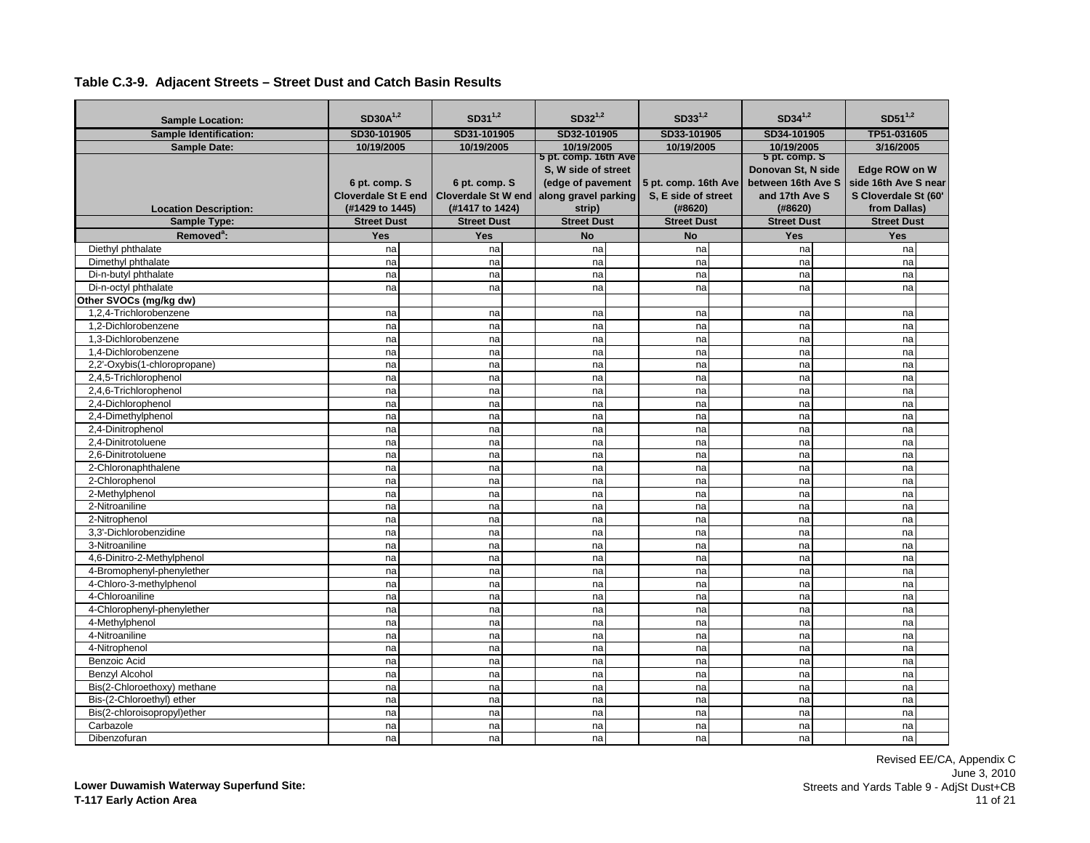| <b>Sample Location:</b>                        | $SD30A^{1,2}$                               | $SD31^{1,2}$                                | $SD32^{1,2}$                                                                             | $SD33^{1,2}$                                | $SD34^{1,2}$                                          | $SD51^{1,2}$                                                                       |
|------------------------------------------------|---------------------------------------------|---------------------------------------------|------------------------------------------------------------------------------------------|---------------------------------------------|-------------------------------------------------------|------------------------------------------------------------------------------------|
| <b>Sample Identification:</b>                  | SD30-101905                                 | SD31-101905                                 | SD32-101905                                                                              | SD33-101905                                 | SD34-101905                                           | TP51-031605                                                                        |
| <b>Sample Date:</b>                            | 10/19/2005                                  | 10/19/2005                                  | 10/19/2005                                                                               | 10/19/2005                                  | 10/19/2005                                            | 3/16/2005                                                                          |
|                                                | 6 pt. comp. S<br><b>Cloverdale St E end</b> | 6 pt. comp. S<br><b>Cloverdale St W end</b> | 5 pt. comp. 16th Ave<br>S. W side of street<br>(edge of pavement<br>along gravel parking | 5 pt. comp. 16th Ave<br>S, E side of street | 5 pt. comp. S<br>Donovan St, N side<br>and 17th Ave S | Edge ROW on W<br>between 16th Ave S   side 16th Ave S near<br>S Cloverdale St (60' |
| <b>Location Description:</b>                   | (#1429 to 1445)                             | (#1417 to 1424)                             | strip)                                                                                   | (#8620)                                     | (#8620)                                               | from Dallas)                                                                       |
| Sample Type:                                   | <b>Street Dust</b>                          | <b>Street Dust</b>                          | <b>Street Dust</b>                                                                       | <b>Street Dust</b>                          | <b>Street Dust</b>                                    | <b>Street Dust</b>                                                                 |
| Removed <sup>a</sup> :                         | <b>Yes</b>                                  | <b>Yes</b>                                  | <b>No</b>                                                                                | <b>No</b>                                   | <b>Yes</b>                                            | <b>Yes</b>                                                                         |
| Diethyl phthalate<br>Dimethyl phthalate        | nal<br>na                                   | na                                          | na<br>na                                                                                 | na<br>na                                    | na<br>na                                              | na<br>na                                                                           |
| Di-n-butyl phthalate                           |                                             | na                                          |                                                                                          |                                             |                                                       |                                                                                    |
|                                                | na<br>na                                    | na                                          | na                                                                                       | na                                          | na<br>na                                              | na                                                                                 |
| Di-n-octyl phthalate<br>Other SVOCs (mg/kg dw) |                                             | na                                          | na                                                                                       | na                                          |                                                       | na                                                                                 |
| 1.2.4-Trichlorobenzene                         | na                                          |                                             |                                                                                          |                                             | na                                                    |                                                                                    |
| 1.2-Dichlorobenzene                            | na                                          | na<br>na                                    | na<br>na                                                                                 | na<br>na                                    | na                                                    | na<br>na                                                                           |
| 1.3-Dichlorobenzene                            | na                                          | na                                          | na                                                                                       | na                                          | na                                                    | na                                                                                 |
| 1.4-Dichlorobenzene                            | na                                          | na                                          | na                                                                                       | na                                          | na                                                    | na                                                                                 |
| 2,2'-Oxybis(1-chloropropane)                   | na                                          | na                                          | na                                                                                       | na                                          | na                                                    | na                                                                                 |
| 2.4.5-Trichlorophenol                          | na                                          | na                                          | na                                                                                       | na                                          | na                                                    | na                                                                                 |
| 2,4,6-Trichlorophenol                          | na                                          | na                                          | na                                                                                       | na                                          | na                                                    | na                                                                                 |
| 2.4-Dichlorophenol                             | na                                          | na                                          | na                                                                                       | na                                          | na                                                    | na                                                                                 |
| 2,4-Dimethylphenol                             | na                                          | na                                          | na                                                                                       | na                                          | na                                                    | na                                                                                 |
| 2,4-Dinitrophenol                              | na                                          | na                                          | na                                                                                       | na                                          | na                                                    | na                                                                                 |
| 2.4-Dinitrotoluene                             | na                                          | na                                          | na                                                                                       | na                                          | na                                                    | na                                                                                 |
| 2.6-Dinitrotoluene                             | na                                          | na                                          | na                                                                                       | na                                          | na                                                    | na                                                                                 |
| 2-Chloronaphthalene                            | na                                          | na                                          | na                                                                                       | na                                          | na                                                    | na                                                                                 |
| 2-Chlorophenol                                 | na                                          | na                                          | na                                                                                       | na                                          | na                                                    | na                                                                                 |
| 2-Methylphenol                                 | na                                          | na                                          | na                                                                                       | na                                          | na                                                    | na                                                                                 |
| 2-Nitroaniline                                 | na                                          | na                                          | na                                                                                       | na                                          | na                                                    | na                                                                                 |
| 2-Nitrophenol                                  | na                                          | na                                          | na                                                                                       | na                                          | na                                                    | na                                                                                 |
| 3.3'-Dichlorobenzidine                         | na                                          | na                                          | na                                                                                       | na                                          | na                                                    | na                                                                                 |
| 3-Nitroaniline                                 | na                                          | na                                          | na                                                                                       | na                                          | na                                                    | na                                                                                 |
| 4,6-Dinitro-2-Methylphenol                     | na                                          | na                                          | na                                                                                       | na                                          | na                                                    | na                                                                                 |
| 4-Bromophenyl-phenylether                      | na                                          | na                                          | na                                                                                       | na                                          | na                                                    | na                                                                                 |
| 4-Chloro-3-methylphenol                        | na                                          | na                                          | na                                                                                       | na                                          | na                                                    | na                                                                                 |
| 4-Chloroaniline                                | na                                          | na                                          | na                                                                                       | na                                          | na                                                    | na                                                                                 |
| 4-Chlorophenyl-phenylether                     | na                                          | na                                          | na                                                                                       | na                                          | na                                                    | na                                                                                 |
| 4-Methylphenol                                 | na                                          | na                                          | na                                                                                       | na                                          | na                                                    | na                                                                                 |
| 4-Nitroaniline                                 | na                                          | na                                          | na                                                                                       | na                                          | na                                                    | na                                                                                 |
| 4-Nitrophenol                                  | na                                          | na                                          | na                                                                                       | na                                          | na                                                    | na                                                                                 |
| Benzoic Acid                                   | na                                          | na                                          | na                                                                                       | na                                          | na                                                    | na                                                                                 |
| <b>Benzyl Alcohol</b>                          | na                                          | na                                          | na                                                                                       | na                                          | na                                                    | na                                                                                 |
| Bis(2-Chloroethoxy) methane                    | na                                          | na                                          | na                                                                                       | na                                          | na                                                    | na                                                                                 |
| Bis-(2-Chloroethyl) ether                      | na                                          | na                                          | na                                                                                       | na                                          | na                                                    | na                                                                                 |
| Bis(2-chloroisopropyl)ether                    | na                                          | na                                          | na                                                                                       | na                                          | na                                                    | na                                                                                 |
| Carbazole                                      | na                                          | na                                          | na                                                                                       | na                                          | na                                                    | na                                                                                 |
| Dibenzofuran                                   | nal                                         | na                                          | na                                                                                       | na                                          | na                                                    | nal                                                                                |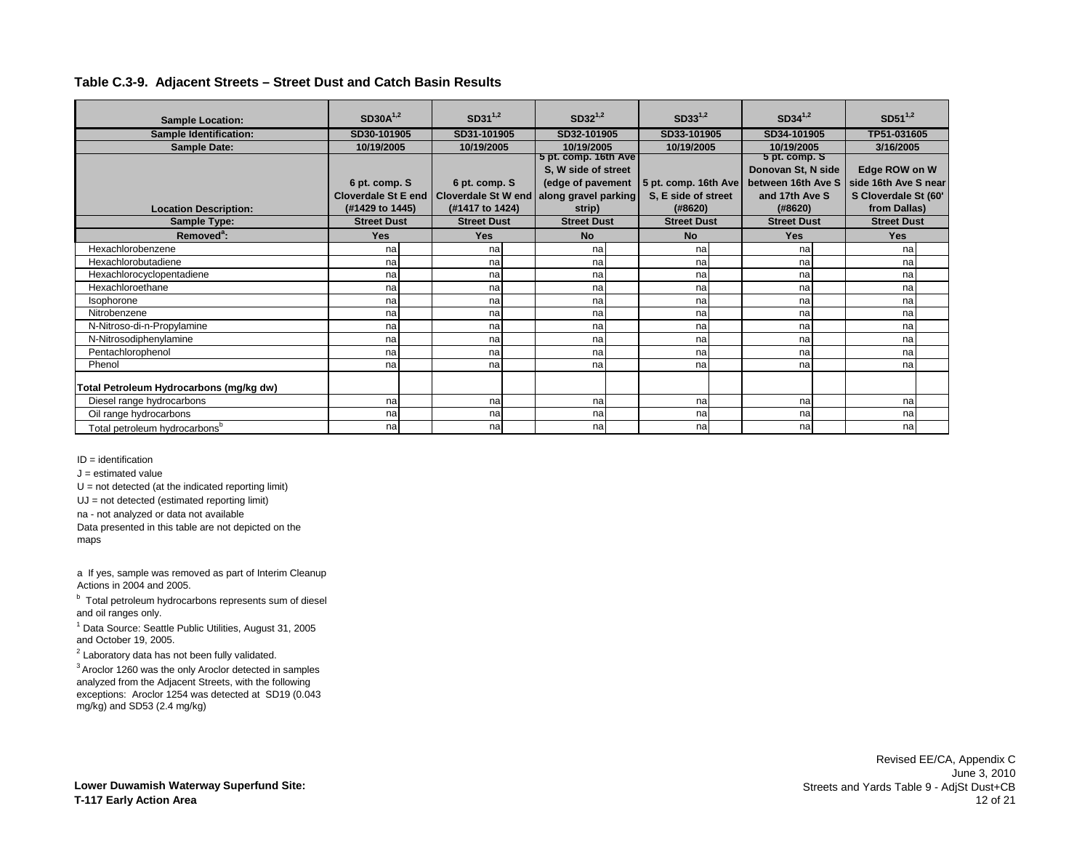|                                           | $SD30A^{1,2}$              |                            | $SD31^{1,2}$ |                      | $SD32^{1,2}$ |                      |            | $SD34^{1,2}$       |  | $SD51^{1,2}$         |  |
|-------------------------------------------|----------------------------|----------------------------|--------------|----------------------|--------------|----------------------|------------|--------------------|--|----------------------|--|
| <b>Sample Location:</b>                   |                            |                            |              |                      |              | $SD33^{1,2}$         |            |                    |  |                      |  |
| <b>Sample Identification:</b>             | SD30-101905                | SD31-101905                |              | SD32-101905          |              | SD33-101905          |            | SD34-101905        |  | TP51-031605          |  |
| <b>Sample Date:</b>                       | 10/19/2005                 |                            | 10/19/2005   |                      | 10/19/2005   |                      | 10/19/2005 | 10/19/2005         |  | 3/16/2005            |  |
|                                           |                            |                            |              | 5 pt. comp. 16th Ave |              |                      |            | 5 pt. comp. S      |  |                      |  |
|                                           |                            |                            |              | S, W side of street  |              |                      |            | Donovan St, N side |  | Edge ROW on W        |  |
|                                           | 6 pt. comp. S              | 6 pt. comp. S              |              | (edge of pavement    |              | 5 pt. comp. 16th Ave |            | between 16th Ave S |  | side 16th Ave S near |  |
|                                           | <b>Cloverdale St E end</b> | <b>Cloverdale St W end</b> |              | along gravel parking |              | S, E side of street  |            | and 17th Ave S     |  | S Cloverdale St (60' |  |
| <b>Location Description:</b>              | (#1429 to 1445)            | (#1417 to 1424)            |              | strip)               |              | (#8620)              |            | (#8620)            |  | from Dallas)         |  |
| <b>Sample Type:</b>                       | <b>Street Dust</b>         | <b>Street Dust</b>         |              | <b>Street Dust</b>   |              | <b>Street Dust</b>   |            | <b>Street Dust</b> |  | <b>Street Dust</b>   |  |
| Removed <sup>a</sup> :                    | <b>Yes</b>                 | <b>Yes</b>                 |              | <b>No</b>            |              | <b>No</b>            |            | <b>Yes</b>         |  | <b>Yes</b>           |  |
| Hexachlorobenzene                         | na                         | na                         |              | na                   |              | na                   |            | na                 |  | na                   |  |
| Hexachlorobutadiene                       | na                         | nal                        |              | na                   |              | na                   |            | na                 |  | na                   |  |
| Hexachlorocyclopentadiene                 | na                         | nal                        |              | na                   |              | na                   |            | na                 |  | na                   |  |
| Hexachloroethane                          | na                         | na                         |              | na                   |              | na                   |            | na                 |  | na                   |  |
| Isophorone                                | na                         | na                         |              | na                   |              | na                   |            | na                 |  | na                   |  |
| Nitrobenzene                              | na                         | na                         |              | na                   |              | na                   |            | na                 |  | na                   |  |
| N-Nitroso-di-n-Propylamine                | na                         | nal                        |              | na                   |              | na                   |            | na                 |  | na                   |  |
| N-Nitrosodiphenylamine                    | na                         | na                         |              | na                   |              | na                   |            | na                 |  | na                   |  |
| Pentachlorophenol                         | na                         | na                         |              | na                   |              | na                   |            | na                 |  | na                   |  |
| Phenol                                    | na                         | na                         |              | na                   |              | na                   |            | na                 |  | na                   |  |
| Total Petroleum Hydrocarbons (mg/kg dw)   |                            |                            |              |                      |              |                      |            |                    |  |                      |  |
| Diesel range hydrocarbons                 | na                         | na                         |              | na                   |              | na                   |            | na                 |  | nal                  |  |
| Oil range hydrocarbons                    | na                         | na                         |              | na                   |              | na                   |            | na                 |  | na                   |  |
| Total petroleum hydrocarbons <sup>b</sup> | na                         | na                         |              | na                   |              | na                   |            | na                 |  | na                   |  |

ID = identification

 $J =$  estimated value

 $U = not detected (at the indicated reporting limit)$ 

UJ = not detected (estimated reporting limit)

na - not analyzed or data not available

Data presented in this table are not depicted on the maps

a If yes, sample was removed as part of Interim Cleanup Actions in 2004 and 2005.

<sup>b</sup> Total petroleum hydrocarbons represents sum of diesel and oil ranges only.

<sup>1</sup> Data Source: Seattle Public Utilities, August 31, 2005 and October 19, 2005.

 $2$  Laboratory data has not been fully validated.

3 Aroclor 1260 was the only Aroclor detected in samples analyzed from the Adjacent Streets, with the following exceptions: Aroclor 1254 was detected at SD19 (0.043 mg/kg) and SD53 (2.4 mg/kg)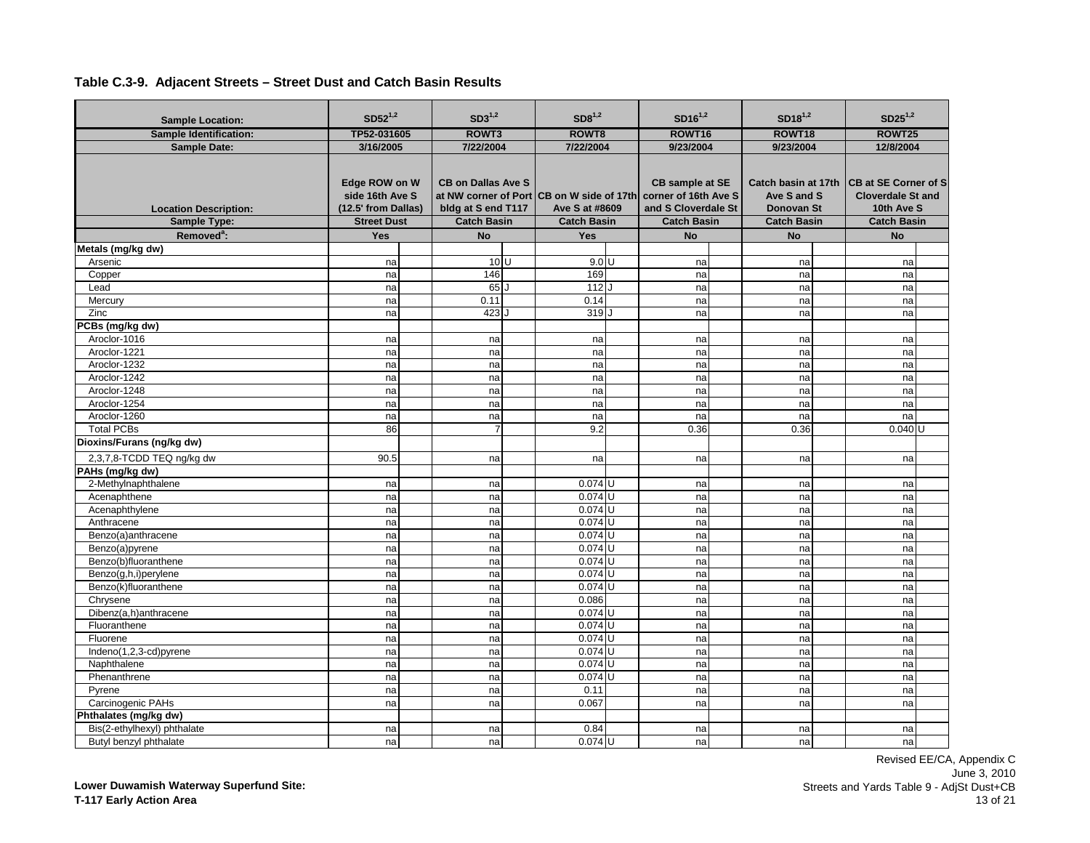| <b>Sample Location:</b>                      | $SD52^{1,2}$                                                                  | $SD3^{1,2}$                                                           | SD8 <sup>1,2</sup>                                                                | $SD16^{1,2}$                                                                         | $SD18^{1,2}$                                           | $SD25^{1,2}$                                                                                             |
|----------------------------------------------|-------------------------------------------------------------------------------|-----------------------------------------------------------------------|-----------------------------------------------------------------------------------|--------------------------------------------------------------------------------------|--------------------------------------------------------|----------------------------------------------------------------------------------------------------------|
| <b>Sample Identification:</b>                | TP52-031605                                                                   | ROWT3                                                                 | ROWT8                                                                             | ROWT16                                                                               | ROWT18                                                 | ROWT25                                                                                                   |
| <b>Sample Date:</b>                          | 3/16/2005                                                                     | 7/22/2004                                                             | 7/22/2004                                                                         | 9/23/2004                                                                            | 9/23/2004                                              | 12/8/2004                                                                                                |
| <b>Location Description:</b><br>Sample Type: | Edge ROW on W<br>side 16th Ave S<br>(12.5' from Dallas)<br><b>Street Dust</b> | <b>CB on Dallas Ave S</b><br>bldg at S end T117<br><b>Catch Basin</b> | at NW corner of Port CB on W side of 17th<br>Ave S at #8609<br><b>Catch Basin</b> | CB sample at SE<br>corner of 16th Ave S<br>and S Cloverdale St<br><b>Catch Basin</b> | Ave S and S<br><b>Donovan St</b><br><b>Catch Basin</b> | Catch basin at 17th CB at SE Corner of S<br><b>Cloverdale St and</b><br>10th Ave S<br><b>Catch Basin</b> |
| Removed <sup>a</sup> :                       | Yes                                                                           | <b>No</b>                                                             | Yes                                                                               | <b>No</b>                                                                            | <b>No</b>                                              | <b>No</b>                                                                                                |
| Metals (mg/kg dw)                            |                                                                               |                                                                       |                                                                                   |                                                                                      |                                                        |                                                                                                          |
| Arsenic                                      | na                                                                            | 10 <sup>U</sup>                                                       | $9.0\,\overline{U}$                                                               | na                                                                                   | na                                                     | na                                                                                                       |
| Copper                                       | na                                                                            | 146                                                                   | 169                                                                               | na                                                                                   | na                                                     | na                                                                                                       |
| Lead                                         | na                                                                            | 65                                                                    | 112                                                                               | na                                                                                   | na                                                     | na                                                                                                       |
| Mercury                                      | na                                                                            | 0.11                                                                  | 0.14                                                                              | na                                                                                   | na                                                     | na                                                                                                       |
| Zinc                                         | na                                                                            | 423                                                                   | 319J                                                                              | na                                                                                   | na                                                     | na                                                                                                       |
| PCBs (mg/kg dw)                              |                                                                               |                                                                       |                                                                                   |                                                                                      |                                                        |                                                                                                          |
| Aroclor-1016                                 | na                                                                            | na                                                                    | na                                                                                | na                                                                                   | na                                                     | na                                                                                                       |
| Aroclor-1221                                 | na                                                                            | na                                                                    | na                                                                                | na                                                                                   | na                                                     | na                                                                                                       |
| Aroclor-1232                                 | na                                                                            | na                                                                    | na                                                                                | na                                                                                   | na                                                     | na                                                                                                       |
| Aroclor-1242                                 | na                                                                            | na                                                                    | na                                                                                | na                                                                                   | na                                                     | na                                                                                                       |
| Aroclor-1248                                 | na                                                                            | na                                                                    | na                                                                                | na                                                                                   | na                                                     | na                                                                                                       |
| Aroclor-1254                                 | na                                                                            | na                                                                    | na                                                                                | na                                                                                   | na                                                     | na                                                                                                       |
| Aroclor-1260                                 | na                                                                            | na                                                                    | na                                                                                | na                                                                                   | na                                                     | na                                                                                                       |
| <b>Total PCBs</b>                            | 86                                                                            | 7                                                                     | 9.2                                                                               | 0.36                                                                                 | 0.36                                                   | $0.040$ U                                                                                                |
| Dioxins/Furans (ng/kg dw)                    |                                                                               |                                                                       |                                                                                   |                                                                                      |                                                        |                                                                                                          |
| 2,3,7,8-TCDD TEQ ng/kg dw                    | 90.5                                                                          | na                                                                    | na                                                                                | na                                                                                   | na                                                     | na                                                                                                       |
| PAHs (mg/kg dw)                              |                                                                               |                                                                       |                                                                                   |                                                                                      |                                                        |                                                                                                          |
| 2-Methylnaphthalene                          | na                                                                            | na                                                                    | $0.074$ U                                                                         | na                                                                                   | na                                                     | na                                                                                                       |
| Acenaphthene                                 | na                                                                            | na                                                                    | $0.074$ U                                                                         | na                                                                                   | na                                                     | na                                                                                                       |
| Acenaphthylene                               | na                                                                            | na                                                                    | $0.074$ U                                                                         | na                                                                                   | na                                                     | na                                                                                                       |
| Anthracene                                   | na                                                                            | na                                                                    | $0.074$ U                                                                         | na                                                                                   | na                                                     | na                                                                                                       |
| Benzo(a)anthracene                           | na                                                                            | na                                                                    | $0.074$ U                                                                         | na                                                                                   | na                                                     | na                                                                                                       |
| Benzo(a)pyrene                               | na                                                                            | na                                                                    | $0.074$ U                                                                         | na                                                                                   | na                                                     | na                                                                                                       |
| Benzo(b)fluoranthene                         | na                                                                            | na                                                                    | $0.074$ U                                                                         | na                                                                                   | na                                                     | na                                                                                                       |
| Benzo(g,h,i)perylene                         | na                                                                            | na                                                                    | $0.074$ U                                                                         | na                                                                                   | na                                                     | na                                                                                                       |
| Benzo(k)fluoranthene                         | na                                                                            | na                                                                    | $0.074$ U                                                                         | na                                                                                   | na                                                     | na                                                                                                       |
| Chrysene                                     | na                                                                            | na                                                                    | 0.086                                                                             | na                                                                                   | na                                                     | na                                                                                                       |
| Dibenz(a,h)anthracene                        | na                                                                            | na                                                                    | $0.074$ U                                                                         | na                                                                                   | na                                                     | na                                                                                                       |
| Fluoranthene                                 | na                                                                            | na                                                                    | $0.074$ U                                                                         | na                                                                                   | na                                                     | na                                                                                                       |
| Fluorene                                     | na                                                                            | na                                                                    | $0.074$ U                                                                         | na                                                                                   | na                                                     | na                                                                                                       |
| Indeno(1,2,3-cd)pyrene                       | na                                                                            | na                                                                    | $0.074$ U                                                                         | na                                                                                   | na                                                     | na                                                                                                       |
| Naphthalene                                  | na                                                                            | na                                                                    | $0.074$ U                                                                         | na                                                                                   | na                                                     | na                                                                                                       |
| Phenanthrene                                 | na                                                                            | na                                                                    | $0.074$ U                                                                         | na                                                                                   | na                                                     | na                                                                                                       |
| Pyrene                                       | na                                                                            | na                                                                    | 0.11                                                                              | na                                                                                   | na                                                     | na                                                                                                       |
| Carcinogenic PAHs                            | na                                                                            | na                                                                    | 0.067                                                                             | na                                                                                   | na                                                     | na                                                                                                       |
| Phthalates (mg/kg dw)                        |                                                                               |                                                                       |                                                                                   |                                                                                      |                                                        |                                                                                                          |
| Bis(2-ethylhexyl) phthalate                  | na                                                                            | na                                                                    | 0.84                                                                              | na                                                                                   | na                                                     | na                                                                                                       |
| Butyl benzyl phthalate                       | na                                                                            | na                                                                    | $0.074$ U                                                                         | na                                                                                   | nal                                                    | nal                                                                                                      |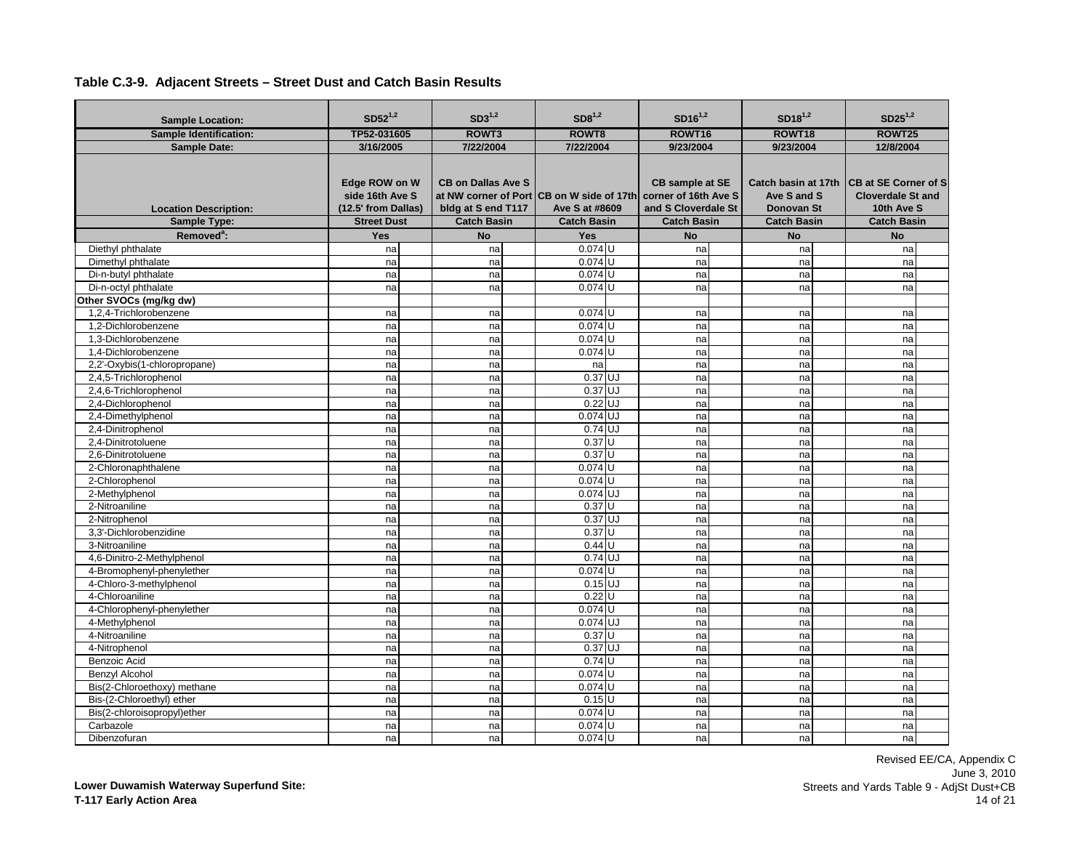| <b>Sample Location:</b>                             | $SD52^{1,2}$                                                                  | $SD3^{1,2}$                                                           | SD8 <sup>1,2</sup>                                                                                     | $SD16^{1,2}$                                                        | $SD18^{1,2}$                                           | $SD25^{1,2}$                                                                                             |
|-----------------------------------------------------|-------------------------------------------------------------------------------|-----------------------------------------------------------------------|--------------------------------------------------------------------------------------------------------|---------------------------------------------------------------------|--------------------------------------------------------|----------------------------------------------------------------------------------------------------------|
| <b>Sample Identification:</b>                       | TP52-031605                                                                   | ROWT3                                                                 | ROWT8                                                                                                  | ROWT16                                                              | ROWT18                                                 | ROWT25                                                                                                   |
| <b>Sample Date:</b>                                 | 3/16/2005                                                                     | 7/22/2004                                                             | 7/22/2004                                                                                              | 9/23/2004                                                           | 9/23/2004                                              | 12/8/2004                                                                                                |
| <b>Location Description:</b><br><b>Sample Type:</b> | Edge ROW on W<br>side 16th Ave S<br>(12.5' from Dallas)<br><b>Street Dust</b> | <b>CB on Dallas Ave S</b><br>bldg at S end T117<br><b>Catch Basin</b> | at NW corner of Port CB on W side of 17th corner of 16th Ave S<br>Ave S at #8609<br><b>Catch Basin</b> | <b>CB</b> sample at SE<br>and S Cloverdale St<br><b>Catch Basin</b> | Ave S and S<br><b>Donovan St</b><br><b>Catch Basin</b> | Catch basin at 17th CB at SE Corner of S<br><b>Cloverdale St and</b><br>10th Ave S<br><b>Catch Basin</b> |
| Removed <sup>a</sup> :                              | <b>Yes</b>                                                                    | <b>No</b>                                                             | <b>Yes</b>                                                                                             | <b>No</b>                                                           | <b>No</b>                                              | <b>No</b>                                                                                                |
| Diethyl phthalate                                   | na                                                                            | na                                                                    | $0.074$ U                                                                                              | na                                                                  | na                                                     | na                                                                                                       |
| Dimethyl phthalate                                  | na                                                                            | na                                                                    | $0.074$ U                                                                                              | na                                                                  | na                                                     | na                                                                                                       |
| Di-n-butyl phthalate                                | na                                                                            | na                                                                    | $0.074$ U                                                                                              | na                                                                  | na                                                     | na                                                                                                       |
| Di-n-octyl phthalate                                | na                                                                            | na                                                                    | $0.074$ U                                                                                              | na                                                                  | na                                                     | na                                                                                                       |
| Other SVOCs (mg/kg dw)                              |                                                                               |                                                                       |                                                                                                        |                                                                     |                                                        |                                                                                                          |
| 1,2,4-Trichlorobenzene                              | na                                                                            | na                                                                    | $0.074$ U                                                                                              | na                                                                  | na                                                     | na                                                                                                       |
| 1.2-Dichlorobenzene                                 | na                                                                            | na                                                                    | $0.074$ U                                                                                              | na                                                                  | na                                                     | na                                                                                                       |
| 1.3-Dichlorobenzene                                 | na                                                                            | na                                                                    | $0.074$ U                                                                                              | na                                                                  | na                                                     | na                                                                                                       |
| 1.4-Dichlorobenzene                                 | na                                                                            | na                                                                    | $0.074$ U                                                                                              | na                                                                  | na                                                     | na                                                                                                       |
| 2,2'-Oxybis(1-chloropropane)                        | na                                                                            | na                                                                    | na                                                                                                     | na                                                                  | na                                                     | na                                                                                                       |
| 2,4,5-Trichlorophenol                               | na                                                                            | na                                                                    | $0.37$ UJ                                                                                              | na                                                                  | na                                                     | na                                                                                                       |
| 2,4,6-Trichlorophenol                               | na                                                                            | na                                                                    | $0.37$ UJ                                                                                              | na                                                                  | na                                                     | na                                                                                                       |
| 2.4-Dichlorophenol                                  | na                                                                            | na                                                                    | $0.22$ UJ                                                                                              | na                                                                  | na                                                     | na                                                                                                       |
| 2,4-Dimethylphenol                                  | na                                                                            | na                                                                    | $0.074$ UJ                                                                                             | na                                                                  | na                                                     | na                                                                                                       |
| 2,4-Dinitrophenol                                   | na                                                                            | na                                                                    | 0.74 UJ                                                                                                | na                                                                  | na                                                     | na                                                                                                       |
| 2.4-Dinitrotoluene                                  | na                                                                            | na                                                                    | 0.37U                                                                                                  | na                                                                  | na                                                     | na                                                                                                       |
| 2.6-Dinitrotoluene                                  | na                                                                            | na                                                                    | $0.37$ U                                                                                               | na                                                                  | na                                                     | na                                                                                                       |
| 2-Chloronaphthalene                                 | na                                                                            | na                                                                    | $0.074$ U                                                                                              | na                                                                  | na                                                     | na                                                                                                       |
| 2-Chlorophenol                                      | na                                                                            | na                                                                    | $0.074$ U                                                                                              | na                                                                  | na                                                     | na                                                                                                       |
| 2-Methylphenol                                      | na                                                                            | na                                                                    | $0.074$ UJ                                                                                             | na                                                                  | na                                                     | na                                                                                                       |
| 2-Nitroaniline                                      | na                                                                            | na                                                                    | $0.37$ U                                                                                               | na                                                                  | na                                                     | na                                                                                                       |
| 2-Nitrophenol                                       | na                                                                            | na                                                                    | $0.37$ UJ                                                                                              | na                                                                  | na                                                     | na                                                                                                       |
| 3.3'-Dichlorobenzidine                              | na                                                                            | na                                                                    | 0.37U                                                                                                  | na                                                                  | na                                                     | na                                                                                                       |
| 3-Nitroaniline                                      | na                                                                            | na                                                                    | $0.44$ U                                                                                               | na                                                                  | na                                                     | na                                                                                                       |
| 4,6-Dinitro-2-Methylphenol                          | na                                                                            | na                                                                    | $0.74$ UJ                                                                                              | na                                                                  | na                                                     | na                                                                                                       |
| 4-Bromophenyl-phenylether                           | na                                                                            | na                                                                    | 0.074 U                                                                                                | na                                                                  | na                                                     | na                                                                                                       |
| 4-Chloro-3-methylphenol                             | na                                                                            | na                                                                    | $0.15$ UJ                                                                                              | na                                                                  | na                                                     | na                                                                                                       |
| 4-Chloroaniline                                     | na                                                                            | na                                                                    | $0.22$ U                                                                                               | na                                                                  | na                                                     | na                                                                                                       |
| 4-Chlorophenyl-phenylether                          | na                                                                            | na                                                                    | $0.074$ U                                                                                              | na                                                                  | na                                                     | na                                                                                                       |
| 4-Methylphenol                                      | na                                                                            | na                                                                    | $0.074$ UJ                                                                                             | na                                                                  | na                                                     | na                                                                                                       |
| 4-Nitroaniline                                      | na                                                                            | na                                                                    | $0.37$ U                                                                                               | na                                                                  | na                                                     | na                                                                                                       |
| 4-Nitrophenol                                       | na                                                                            | na                                                                    | $0.37$ UJ                                                                                              | na                                                                  | na                                                     | na                                                                                                       |
| <b>Benzoic Acid</b>                                 | na                                                                            | na                                                                    | $0.74$ U                                                                                               | na                                                                  | na                                                     | na                                                                                                       |
| <b>Benzyl Alcohol</b>                               | na                                                                            | na                                                                    | $0.074$ U                                                                                              | na                                                                  | na                                                     | na                                                                                                       |
| Bis(2-Chloroethoxy) methane                         | na                                                                            | na                                                                    | $0.074$ U                                                                                              | na                                                                  | na                                                     | na                                                                                                       |
| Bis-(2-Chloroethyl) ether                           | na                                                                            | na                                                                    | $0.15$ U                                                                                               | na                                                                  | na                                                     | na                                                                                                       |
| Bis(2-chloroisopropyl)ether                         | na                                                                            | na                                                                    | $0.074$ U                                                                                              | na                                                                  | na                                                     | na                                                                                                       |
| Carbazole                                           | na                                                                            | na                                                                    | $0.074$ U                                                                                              | na                                                                  | na                                                     | na                                                                                                       |
| Dibenzofuran                                        | na                                                                            | na                                                                    | $0.074$ U                                                                                              | na                                                                  | na                                                     | na                                                                                                       |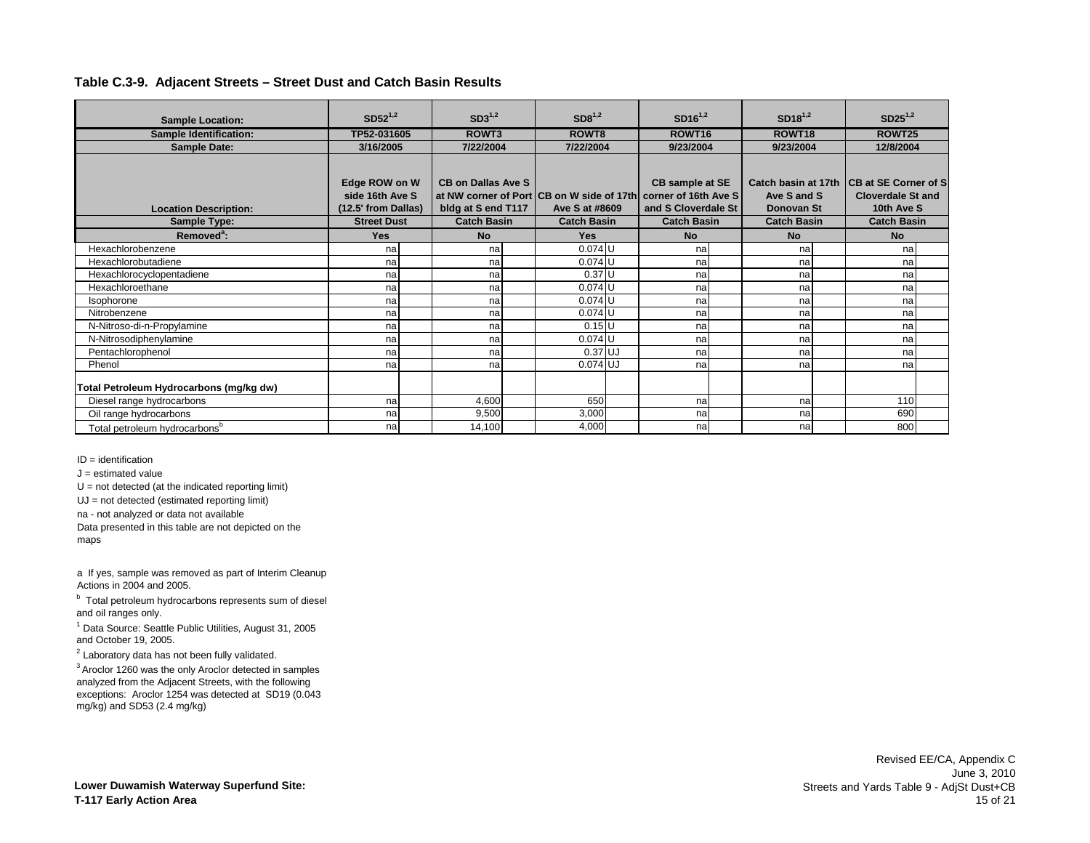| <b>Sample Location:</b>                   | $SD52^{1,2}$        | $SD3^{1,2}$               | SD8 <sup>1,2</sup>                        | $SD16^{1,2}$         | $SD18^{1,2}$        | $SD25^{1,2}$                 |
|-------------------------------------------|---------------------|---------------------------|-------------------------------------------|----------------------|---------------------|------------------------------|
| <b>Sample Identification:</b>             | TP52-031605         | ROWT3                     | ROWT8                                     | ROWT16               | ROWT <sub>18</sub>  | ROWT25                       |
| <b>Sample Date:</b>                       | 3/16/2005           | 7/22/2004                 | 7/22/2004                                 | 9/23/2004            | 9/23/2004           | 12/8/2004                    |
|                                           |                     |                           |                                           |                      |                     |                              |
|                                           |                     | <b>CB on Dallas Ave S</b> |                                           |                      | Catch basin at 17th | <b>ICB at SE Corner of S</b> |
|                                           | Edge ROW on W       |                           |                                           | CB sample at SE      |                     |                              |
|                                           | side 16th Ave S     |                           | at NW corner of Port CB on W side of 17th | corner of 16th Ave S | Ave S and S         | <b>Cloverdale St and</b>     |
| <b>Location Description:</b>              | (12.5' from Dallas) | bldg at S end T117        | Ave S at #8609                            | and S Cloverdale St  | Donovan St          | 10th Ave S                   |
| Sample Type:                              | <b>Street Dust</b>  | <b>Catch Basin</b>        | <b>Catch Basin</b>                        | <b>Catch Basin</b>   | <b>Catch Basin</b>  | <b>Catch Basin</b>           |
| Removed <sup>a</sup> :                    | <b>Yes</b>          | <b>No</b>                 | <b>Yes</b>                                | <b>No</b>            | <b>No</b>           | <b>No</b>                    |
| Hexachlorobenzene                         | na                  | na                        | $0.074$ U                                 | na                   | na                  | na                           |
| Hexachlorobutadiene                       | na                  | na                        | $0.074$ U                                 | na                   | na                  | na                           |
| Hexachlorocyclopentadiene                 | na                  | na                        | $0.37$ U                                  | na                   | na                  | na                           |
| Hexachloroethane                          | na                  | na                        | $0.074$ U                                 | na                   | na                  | na                           |
| Isophorone                                | na                  | na                        | $0.074$ U                                 | na                   | na                  | na                           |
| Nitrobenzene                              | na                  | na                        | $0.074$ U                                 | na                   | na                  | na                           |
| N-Nitroso-di-n-Propylamine                | na                  | na                        | $0.15$ U                                  | na                   | na                  | na                           |
| N-Nitrosodiphenylamine                    | na                  | na                        | $0.074$ U                                 | na                   | na                  | na                           |
| Pentachlorophenol                         | na                  | na                        | $0.37$ UJ                                 | na                   | na                  | na                           |
| Phenol                                    | na                  | na                        | $0.074$ UJ                                | na                   | na                  | na                           |
|                                           |                     |                           |                                           |                      |                     |                              |
| Total Petroleum Hydrocarbons (mg/kg dw)   |                     |                           |                                           |                      |                     |                              |
| Diesel range hydrocarbons                 | na                  | 4,600                     | 650                                       | na                   | na                  | 110                          |
| Oil range hydrocarbons                    | na                  | 9,500                     | 3,000                                     | na                   | na                  | 690                          |
| Total petroleum hydrocarbons <sup>b</sup> | na                  | 14,100                    | 4,000                                     | na                   | na                  | 800                          |

ID = identification

 $J =$  estimated value

 $U = not detected (at the indicated reporting limit)$ 

UJ = not detected (estimated reporting limit)

na - not analyzed or data not available

Data presented in this table are not depicted on the maps

a If yes, sample was removed as part of Interim Cleanup Actions in 2004 and 2005.

<sup>b</sup> Total petroleum hydrocarbons represents sum of diesel and oil ranges only.

<sup>1</sup> Data Source: Seattle Public Utilities, August 31, 2005 and October 19, 2005.

 $2$  Laboratory data has not been fully validated.

3 Aroclor 1260 was the only Aroclor detected in samples analyzed from the Adjacent Streets, with the following exceptions: Aroclor 1254 was detected at SD19 (0.043 mg/kg) and SD53 (2.4 mg/kg)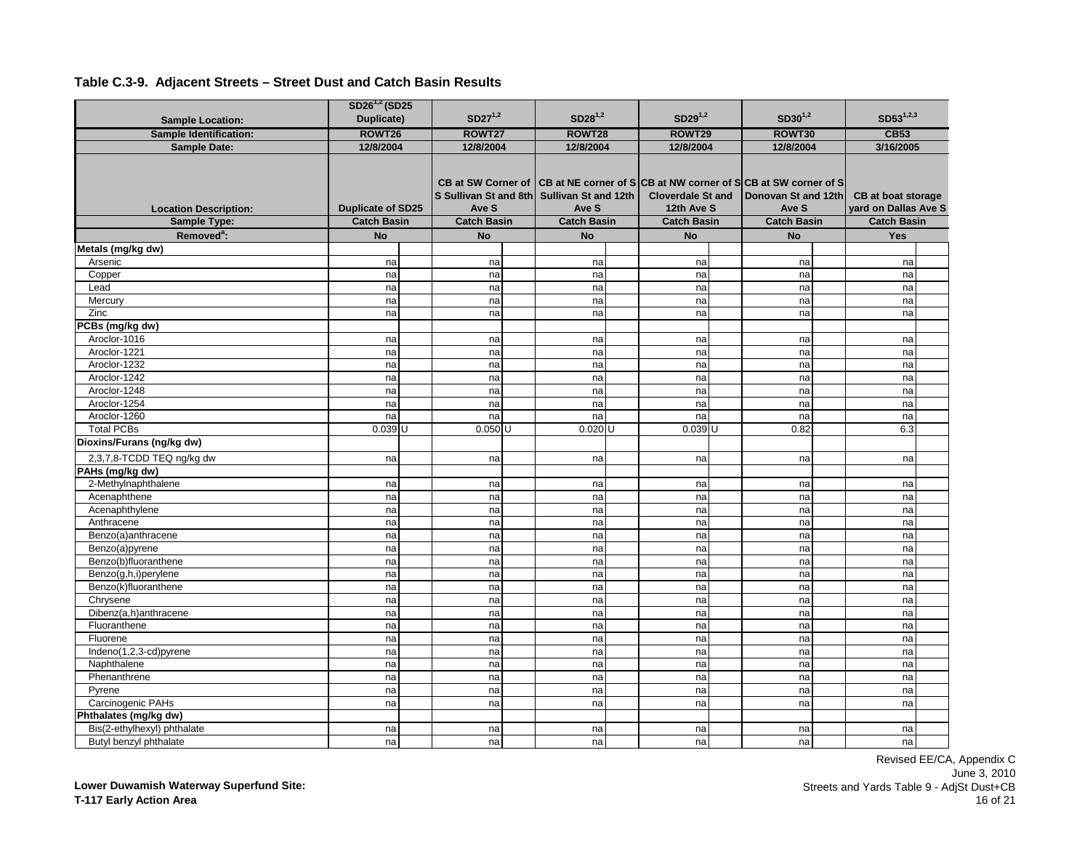|                                                       | $SD26^{1,2} (SD25)$        |                                                             |                               |                                        |                                                                                              |            |                                            |  |
|-------------------------------------------------------|----------------------------|-------------------------------------------------------------|-------------------------------|----------------------------------------|----------------------------------------------------------------------------------------------|------------|--------------------------------------------|--|
| <b>Sample Location:</b>                               | Duplicate)                 | $SD27^{1,2}$                                                | $SD28^{1,2}$                  | $SD29^{1,2}$                           | $SD30^{1,2}$                                                                                 |            | $SD53^{1,2,3}$                             |  |
| <b>Sample Identification:</b>                         | ROWT26                     | ROWT27                                                      | ROWT28                        | ROWT29                                 | ROWT30                                                                                       |            | <b>CB53</b>                                |  |
| <b>Sample Date:</b>                                   | 12/8/2004                  | 12/8/2004                                                   | 12/8/2004                     | 12/8/2004                              | 12/8/2004                                                                                    |            | 3/16/2005                                  |  |
| <b>Location Description:</b>                          | <b>Duplicate of SD25</b>   | <b>CB at SW Corner of</b><br>S Sullivan St and 8th<br>Ave S | Sullivan St and 12th<br>Ave S | <b>Cloverdale St and</b><br>12th Ave S | CB at NE corner of SCB at NW corner of SCB at SW corner of S<br>Donovan St and 12th<br>Ave S |            | CB at boat storage<br>yard on Dallas Ave S |  |
| Sample Type:                                          | <b>Catch Basin</b>         | <b>Catch Basin</b>                                          | <b>Catch Basin</b>            | <b>Catch Basin</b>                     | <b>Catch Basin</b>                                                                           |            | <b>Catch Basin</b>                         |  |
| Removed <sup>a</sup> :                                | <b>No</b>                  | <b>No</b>                                                   | <b>No</b>                     | <b>No</b>                              | <b>No</b>                                                                                    |            | <b>Yes</b>                                 |  |
| Metals (mg/kg dw)                                     |                            |                                                             |                               |                                        |                                                                                              |            |                                            |  |
| Arsenic                                               | na                         | na                                                          | na                            | na                                     |                                                                                              | na         | na                                         |  |
| Copper                                                | na                         | na                                                          | na                            | na                                     |                                                                                              | na         | na                                         |  |
| Lead                                                  | na                         | na                                                          | na                            | na                                     |                                                                                              | na         | na                                         |  |
| Mercury                                               | na                         | na                                                          | na                            | na                                     |                                                                                              | na         | na                                         |  |
| Zinc                                                  | na                         | na                                                          | na                            | na                                     |                                                                                              | na         | na                                         |  |
| PCBs (mg/kg dw)                                       |                            |                                                             |                               |                                        |                                                                                              |            |                                            |  |
| Aroclor-1016                                          | na                         | na                                                          | na                            | na                                     |                                                                                              | na         | na                                         |  |
| Aroclor-1221                                          | na                         | na                                                          | na                            | na                                     |                                                                                              | na         | na                                         |  |
| Aroclor-1232                                          | na                         | na                                                          | na                            | na                                     |                                                                                              | na         | na                                         |  |
| Aroclor-1242                                          | na                         | na                                                          | na                            | na                                     |                                                                                              | na         | na                                         |  |
| Aroclor-1248                                          | na                         | na                                                          | na                            | na                                     |                                                                                              | na         | na                                         |  |
| Aroclor-1254                                          | na                         | na                                                          | na                            | na                                     |                                                                                              | na         | na                                         |  |
| Aroclor-1260<br><b>Total PCBs</b>                     | na<br>$0.039$ <sub>U</sub> | na<br>$0.050$ U                                             | na<br>$0.020$ U               | na<br>$0.039$ <sub>U</sub>             |                                                                                              | na<br>0.82 | na<br>6.3                                  |  |
|                                                       |                            |                                                             |                               |                                        |                                                                                              |            |                                            |  |
| Dioxins/Furans (ng/kg dw)                             |                            |                                                             |                               |                                        |                                                                                              |            |                                            |  |
| 2,3,7,8-TCDD TEQ ng/kg dw                             | na                         | na                                                          | na                            | na                                     |                                                                                              | na         | na                                         |  |
| PAHs (mg/kg dw)                                       |                            |                                                             |                               |                                        |                                                                                              |            |                                            |  |
| 2-Methylnaphthalene                                   | na                         | na                                                          | na                            | na                                     |                                                                                              | na         | na                                         |  |
| Acenaphthene                                          | na                         | na                                                          | na                            | na                                     |                                                                                              | na         | na                                         |  |
| Acenaphthylene                                        | na                         | na                                                          | na                            | na                                     |                                                                                              | na         | na                                         |  |
| Anthracene                                            | na                         | na                                                          | na                            | na                                     |                                                                                              | na         | na                                         |  |
| Benzo(a)anthracene                                    | na                         | na                                                          | na                            | na                                     |                                                                                              | na         | na                                         |  |
| Benzo(a)pyrene                                        | na                         | na                                                          | na                            | na                                     |                                                                                              | na         | na                                         |  |
| Benzo(b)fluoranthene                                  | na                         | na                                                          | na                            | na                                     |                                                                                              | na         | na                                         |  |
| Benzo(g,h,i)perylene                                  | na                         | na                                                          | na                            | na                                     |                                                                                              | na         | na                                         |  |
| Benzo(k)fluoranthene                                  | na                         | na                                                          | na                            | na                                     |                                                                                              | na         | na                                         |  |
| Chrysene                                              | na                         | na                                                          | na                            | na                                     |                                                                                              | na         | na                                         |  |
| Dibenz(a,h)anthracene                                 | na                         | na                                                          | na                            | na                                     |                                                                                              | na         | na                                         |  |
| Fluoranthene                                          | na                         | na                                                          | na                            | na                                     |                                                                                              | na         | na                                         |  |
| Fluorene                                              | na                         | na                                                          | na                            | na                                     |                                                                                              | na         | na                                         |  |
| Indeno(1,2,3-cd)pyrene                                | na                         | na                                                          | na                            | na                                     |                                                                                              | na         | na                                         |  |
| Naphthalene                                           | na                         | na                                                          | na                            | na                                     |                                                                                              | na         | na                                         |  |
| Phenanthrene                                          | na                         | na                                                          | na                            | na                                     |                                                                                              | na         | na                                         |  |
| Pyrene                                                | na                         | na                                                          | na                            | na                                     |                                                                                              | na         | na                                         |  |
| Carcinogenic PAHs                                     | na                         | na                                                          | na                            | na                                     |                                                                                              | na         | na                                         |  |
| Phthalates (mg/kg dw)                                 |                            |                                                             |                               |                                        |                                                                                              |            |                                            |  |
| Bis(2-ethylhexyl) phthalate<br>Butyl benzyl phthalate | na                         | na<br>na                                                    | na                            | na                                     |                                                                                              | na<br>na   | na                                         |  |
|                                                       | na                         |                                                             | na                            | na                                     |                                                                                              |            | na                                         |  |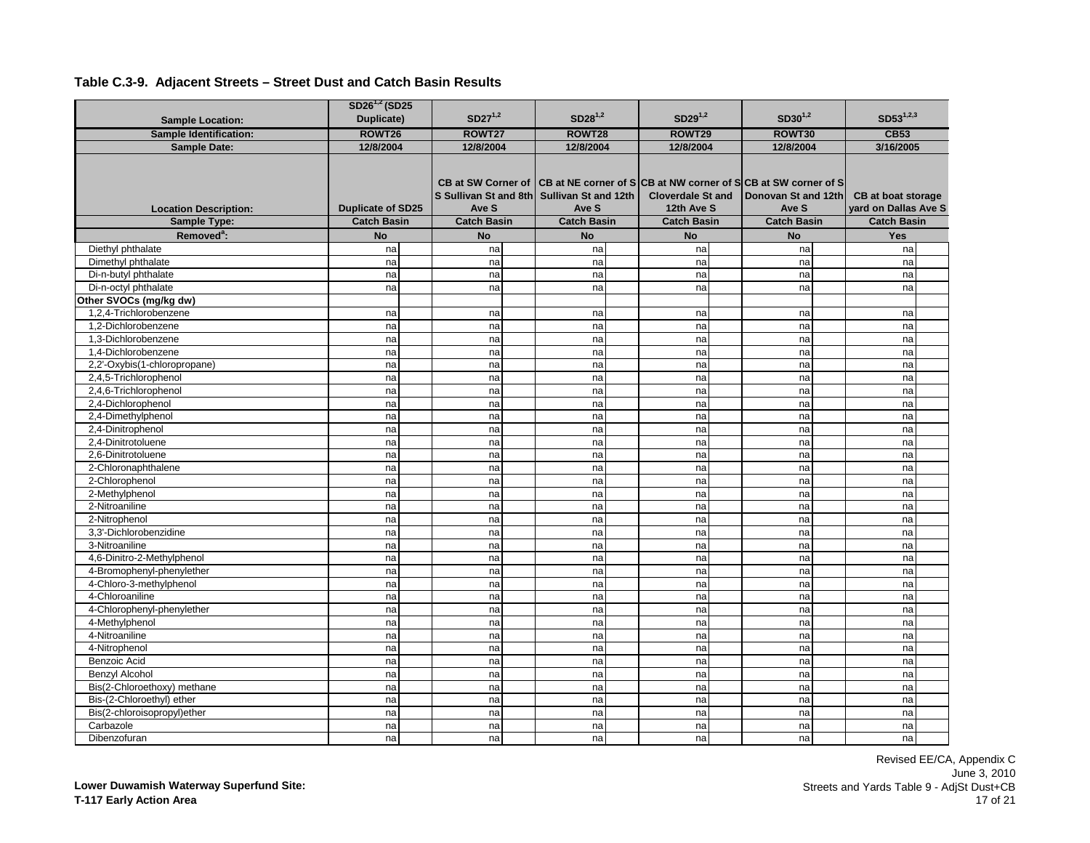|                                            | $SD26^{1,2} (SD25)$      |                                                             |                               |                                                                                                        |                              |                                            |
|--------------------------------------------|--------------------------|-------------------------------------------------------------|-------------------------------|--------------------------------------------------------------------------------------------------------|------------------------------|--------------------------------------------|
| <b>Sample Location:</b>                    | Duplicate)               | $SD27^{1,2}$                                                | $SD28^{1,2}$                  | $SD29^{1,2}$                                                                                           | $SD30^{1,2}$                 | $SD53^{1,2,3}$                             |
| <b>Sample Identification:</b>              | ROWT26                   | ROWT27                                                      | ROWT28                        | ROWT29                                                                                                 | ROWT30                       | <b>CB53</b>                                |
| <b>Sample Date:</b>                        | 12/8/2004                | 12/8/2004                                                   | 12/8/2004                     | 12/8/2004                                                                                              | 12/8/2004                    | 3/16/2005                                  |
| <b>Location Description:</b>               | <b>Duplicate of SD25</b> | <b>CB at SW Corner of</b><br>S Sullivan St and 8th<br>Ave S | Sullivan St and 12th<br>Ave S | CB at NE corner of SCB at NW corner of SCB at SW corner of S<br><b>Cloverdale St and</b><br>12th Ave S | Donovan St and 12th<br>Ave S | CB at boat storage<br>yard on Dallas Ave S |
| Sample Type:                               | <b>Catch Basin</b>       | <b>Catch Basin</b>                                          | <b>Catch Basin</b>            | <b>Catch Basin</b>                                                                                     | <b>Catch Basin</b>           | <b>Catch Basin</b>                         |
| Removed <sup>a</sup> :                     | <b>No</b>                | <b>No</b>                                                   | <b>No</b>                     | <b>No</b>                                                                                              | <b>No</b>                    | Yes                                        |
| Diethyl phthalate                          | na                       | na                                                          | na                            | na                                                                                                     | na                           | na                                         |
| Dimethyl phthalate                         | na                       | na                                                          | na                            | na                                                                                                     | na                           | na                                         |
| Di-n-butyl phthalate                       | na                       | na                                                          | na                            | na                                                                                                     | na                           | na                                         |
| Di-n-octyl phthalate                       | na                       | na                                                          | na                            | na                                                                                                     | na                           | na                                         |
| Other SVOCs (mg/kg dw)                     |                          |                                                             |                               |                                                                                                        |                              |                                            |
| 1,2,4-Trichlorobenzene                     | na                       | na                                                          | na                            | na                                                                                                     | na                           | na                                         |
| 1.2-Dichlorobenzene                        | na                       | na                                                          | na                            | na                                                                                                     | na                           | na                                         |
| 1,3-Dichlorobenzene<br>1.4-Dichlorobenzene | na                       | na                                                          | na                            | na                                                                                                     | na                           | na                                         |
| 2,2'-Oxybis(1-chloropropane)               | na<br>na                 | na<br>na                                                    | na                            | na                                                                                                     | na<br>na                     | na<br>na                                   |
| 2,4,5-Trichlorophenol                      |                          | na                                                          | na                            | na                                                                                                     | na                           | na                                         |
| 2,4,6-Trichlorophenol                      | na<br>na                 | na                                                          | na<br>na                      | na<br>na                                                                                               | na                           | na                                         |
| 2,4-Dichlorophenol                         | na                       | na                                                          | na                            | na                                                                                                     | na                           | na                                         |
| 2,4-Dimethylphenol                         | na                       | na                                                          | na                            | na                                                                                                     | na                           | na                                         |
| 2,4-Dinitrophenol                          | na                       | na                                                          | na                            | na                                                                                                     | na                           | na                                         |
| 2,4-Dinitrotoluene                         | na                       | na                                                          | na                            | na                                                                                                     | na                           | na                                         |
| 2,6-Dinitrotoluene                         | na                       | na                                                          | na                            | na                                                                                                     | na                           | na                                         |
| 2-Chloronaphthalene                        | na                       | na                                                          | na                            | na                                                                                                     | na                           | na                                         |
| 2-Chlorophenol                             | na                       | na                                                          | na                            | na                                                                                                     | na                           | na                                         |
| 2-Methylphenol                             | na                       | na                                                          | na                            | na                                                                                                     | na                           | na                                         |
| 2-Nitroaniline                             | na                       | na                                                          | na                            | na                                                                                                     | na                           | na                                         |
| 2-Nitrophenol                              | na                       | na                                                          | na                            | na                                                                                                     | na                           | na                                         |
| 3,3'-Dichlorobenzidine                     | na                       | na                                                          | na                            | na                                                                                                     | na                           | na                                         |
| 3-Nitroaniline                             | na                       | na                                                          | na                            | na                                                                                                     | na                           | na                                         |
| 4,6-Dinitro-2-Methylphenol                 | na                       | na                                                          | na                            | na                                                                                                     | na                           | na                                         |
| 4-Bromophenyl-phenylether                  | na                       | na                                                          | na                            | na                                                                                                     | na                           | na                                         |
| 4-Chloro-3-methylphenol                    | na                       | na                                                          | na                            | na                                                                                                     | na                           | na                                         |
| 4-Chloroaniline                            | na                       | na                                                          | na                            | na                                                                                                     | na                           | na                                         |
| 4-Chlorophenyl-phenylether                 | na                       | na                                                          | na                            | na                                                                                                     | na                           | na                                         |
| 4-Methylphenol                             | na                       | na                                                          | na                            | na                                                                                                     | na                           | na                                         |
| 4-Nitroaniline                             | na                       | na                                                          | na                            | na                                                                                                     | na                           | na                                         |
| 4-Nitrophenol                              | na                       | na                                                          | na                            | na                                                                                                     | na                           | na                                         |
| Benzoic Acid                               | na                       | na                                                          | na                            | na                                                                                                     | na                           | na                                         |
| <b>Benzyl Alcohol</b>                      | na                       | na                                                          | na                            | na                                                                                                     | na                           | na                                         |
| Bis(2-Chloroethoxy) methane                | na                       | na                                                          | na                            | na                                                                                                     | na                           | na                                         |
| Bis-(2-Chloroethyl) ether                  | na                       | na                                                          | na                            | na                                                                                                     | na                           | na                                         |
| Bis(2-chloroisopropyl)ether                | na                       | na                                                          | na                            | na                                                                                                     | na                           | na                                         |
| Carbazole                                  | na                       | na                                                          | na                            | na                                                                                                     | na                           | na                                         |
| Dibenzofuran                               | na                       | na                                                          | na                            | na                                                                                                     | na                           | nal                                        |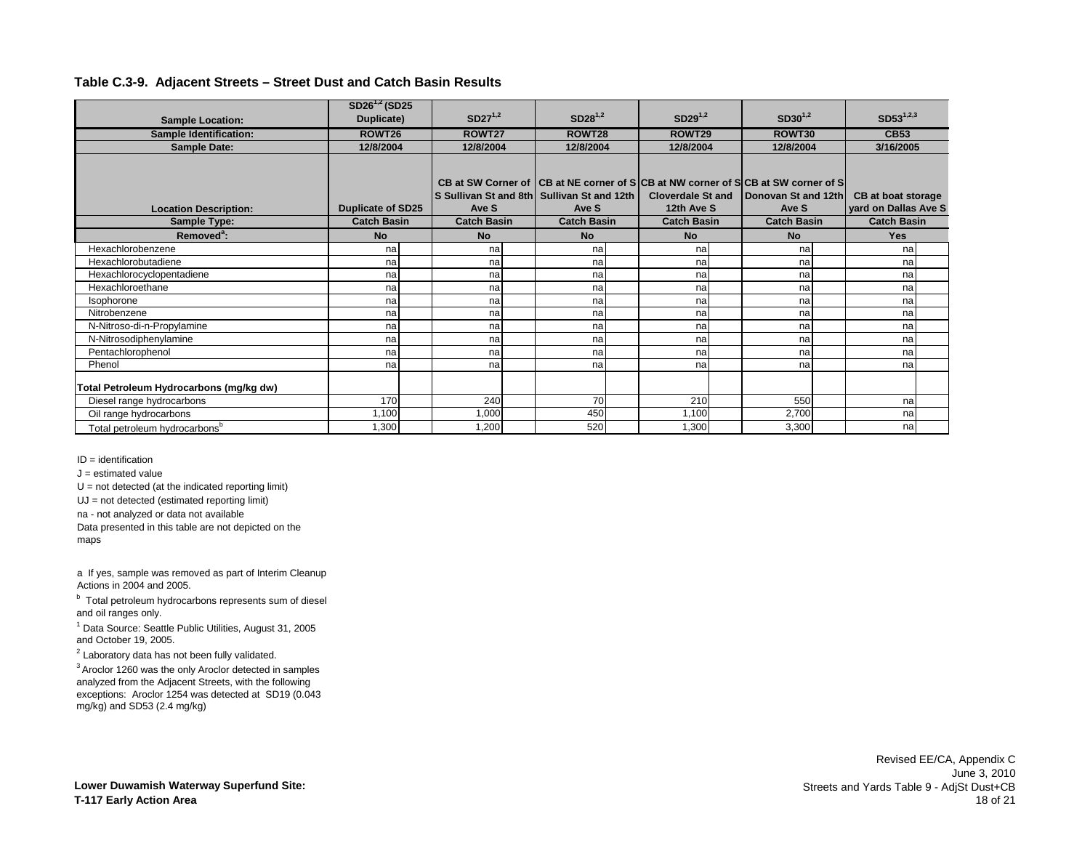|                                           | $SD26^{1,2}$ (SD25       |                    |        |                                                                                                                                           |                                        |  |                              |  |                                            |  |
|-------------------------------------------|--------------------------|--------------------|--------|-------------------------------------------------------------------------------------------------------------------------------------------|----------------------------------------|--|------------------------------|--|--------------------------------------------|--|
| <b>Sample Location:</b>                   | Duplicate)               | $SD27^{1,2}$       |        | $SD28^{1,2}$                                                                                                                              | $SD29^{1,2}$                           |  | $SD30^{1,2}$                 |  | $SD53^{1,2,3}$                             |  |
| <b>Sample Identification:</b>             | ROWT26                   |                    | ROWT27 |                                                                                                                                           | ROWT29                                 |  | ROWT30                       |  | <b>CB53</b>                                |  |
| <b>Sample Date:</b>                       | 12/8/2004                | 12/8/2004          |        | 12/8/2004                                                                                                                                 | 12/8/2004                              |  | 12/8/2004                    |  | 3/16/2005                                  |  |
| <b>Location Description:</b>              | <b>Duplicate of SD25</b> | Ave S              |        | CB at SW Corner of CB at NE corner of SICB at NW corner of SICB at SW corner of SI<br>S Sullivan St and 8th Sullivan St and 12th<br>Ave S | <b>Cloverdale St and</b><br>12th Ave S |  | Donovan St and 12th<br>Ave S |  | CB at boat storage<br>yard on Dallas Ave S |  |
| Sample Type:                              | <b>Catch Basin</b>       | <b>Catch Basin</b> |        | <b>Catch Basin</b>                                                                                                                        | <b>Catch Basin</b>                     |  | <b>Catch Basin</b>           |  | <b>Catch Basin</b>                         |  |
| Removed <sup>a</sup> :                    | <b>No</b>                | <b>No</b>          |        | <b>No</b>                                                                                                                                 | <b>No</b>                              |  | <b>No</b>                    |  | <b>Yes</b>                                 |  |
| Hexachlorobenzene                         | nal                      |                    | na     | na                                                                                                                                        | na                                     |  | na                           |  | na                                         |  |
| Hexachlorobutadiene                       | na                       |                    | na     | na                                                                                                                                        | na                                     |  | na                           |  | na                                         |  |
| Hexachlorocyclopentadiene                 | na                       |                    | na     | na                                                                                                                                        | na                                     |  | na                           |  | na                                         |  |
| Hexachloroethane                          | nal                      |                    | na     | na                                                                                                                                        | na                                     |  | na                           |  | na                                         |  |
| Isophorone                                | na                       |                    | na     | na                                                                                                                                        | na                                     |  | na                           |  | na                                         |  |
| Nitrobenzene                              | na                       |                    | na     | na                                                                                                                                        | na                                     |  | na                           |  | na                                         |  |
| N-Nitroso-di-n-Propylamine                | na                       |                    | na     | na                                                                                                                                        | na                                     |  | na                           |  | na                                         |  |
| N-Nitrosodiphenylamine                    | na                       |                    | na     | na                                                                                                                                        | na                                     |  | na                           |  | na                                         |  |
| Pentachlorophenol                         | na                       |                    | na     | na                                                                                                                                        | na                                     |  | na                           |  | na                                         |  |
| Phenol                                    | na                       |                    | na     | na                                                                                                                                        | na                                     |  | na                           |  | na                                         |  |
| Total Petroleum Hydrocarbons (mg/kg dw)   |                          |                    |        |                                                                                                                                           |                                        |  |                              |  |                                            |  |
| Diesel range hydrocarbons                 | 170                      |                    | 240    | 70                                                                                                                                        | 210                                    |  | 550                          |  | nal                                        |  |
| Oil range hydrocarbons                    | 1,100                    | 1,000              |        | 450                                                                                                                                       | 1,100                                  |  | 2,700                        |  | na                                         |  |
| Total petroleum hydrocarbons <sup>b</sup> | .300                     | 1,200              |        | 520                                                                                                                                       | 1,300                                  |  | 3,300                        |  | nal                                        |  |

ID = identification

 $J =$  estimated value

 $U = not detected (at the indicated reporting limit)$ 

UJ = not detected (estimated reporting limit)

na - not analyzed or data not available

Data presented in this table are not depicted on the maps

a If yes, sample was removed as part of Interim Cleanup Actions in 2004 and 2005.

<sup>b</sup> Total petroleum hydrocarbons represents sum of diesel and oil ranges only.

<sup>1</sup> Data Source: Seattle Public Utilities, August 31, 2005 and October 19, 2005.

 $2$  Laboratory data has not been fully validated.

3 Aroclor 1260 was the only Aroclor detected in samples analyzed from the Adjacent Streets, with the following exceptions: Aroclor 1254 was detected at SD19 (0.043 mg/kg) and SD53 (2.4 mg/kg)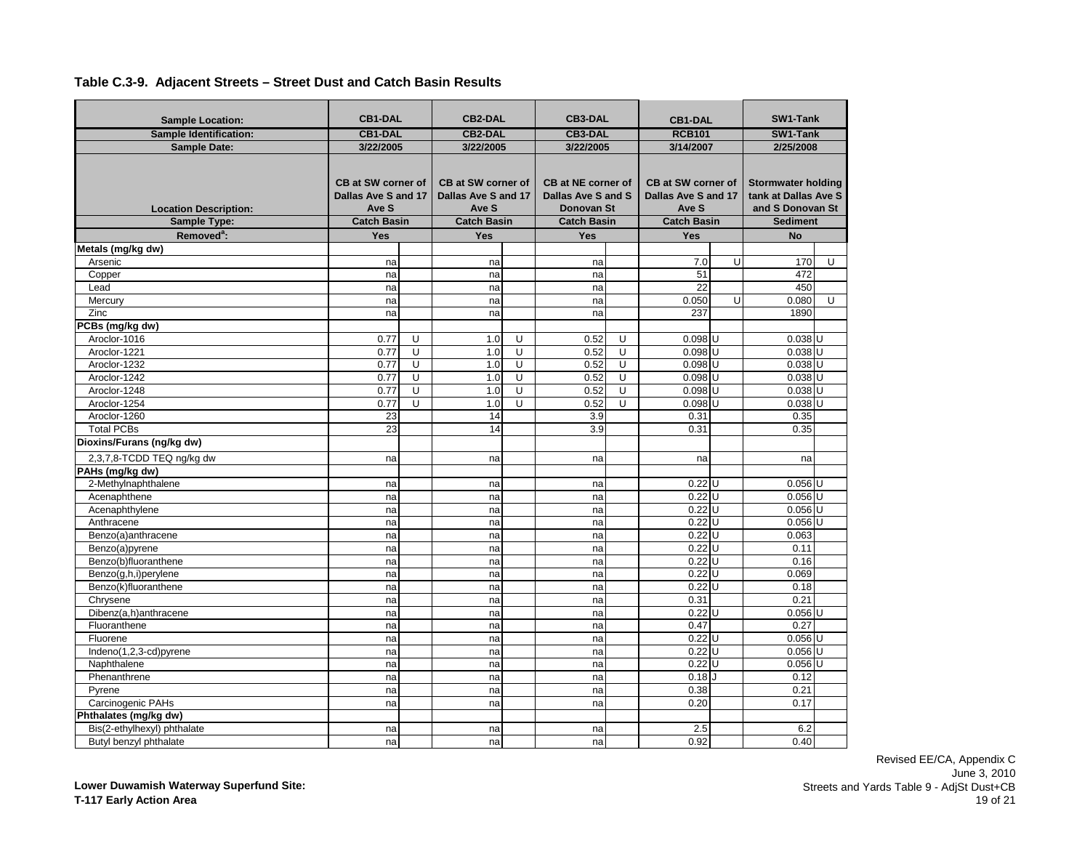| <b>Sample Location:</b>       | <b>CB1-DAL</b>                                            |   | <b>CB2-DAL</b>                                            |   | <b>CB3-DAL</b>                                                |   | <b>CB1-DAL</b>                                            |        | SW1-Tank                                                              |   |
|-------------------------------|-----------------------------------------------------------|---|-----------------------------------------------------------|---|---------------------------------------------------------------|---|-----------------------------------------------------------|--------|-----------------------------------------------------------------------|---|
| <b>Sample Identification:</b> | <b>CB1-DAL</b>                                            |   | <b>CB2-DAL</b>                                            |   | <b>CB3-DAL</b>                                                |   | <b>RCB101</b>                                             |        | SW1-Tank                                                              |   |
| <b>Sample Date:</b>           | 3/22/2005                                                 |   | 3/22/2005                                                 |   | 3/22/2005                                                     |   | 3/14/2007                                                 |        | 2/25/2008                                                             |   |
| <b>Location Description:</b>  | <b>CB at SW corner of</b><br>Dallas Ave S and 17<br>Ave S |   | <b>CB at SW corner of</b><br>Dallas Ave S and 17<br>Ave S |   | <b>CB at NE corner of</b><br>Dallas Ave S and S<br>Donovan St |   | <b>CB at SW corner of</b><br>Dallas Ave S and 17<br>Ave S |        | <b>Stormwater holding</b><br>tank at Dallas Ave S<br>and S Donovan St |   |
| Sample Type:                  | <b>Catch Basin</b>                                        |   | <b>Catch Basin</b>                                        |   | <b>Catch Basin</b>                                            |   | <b>Catch Basin</b>                                        |        | <b>Sediment</b>                                                       |   |
| Removed <sup>a</sup> :        | Yes                                                       |   | Yes                                                       |   | <b>Yes</b>                                                    |   | <b>Yes</b>                                                |        | <b>No</b>                                                             |   |
| Metals (mg/kg dw)             |                                                           |   |                                                           |   |                                                               |   |                                                           |        |                                                                       |   |
| Arsenic                       | na                                                        |   | na                                                        |   | na                                                            |   | 7.0                                                       | U      | 170                                                                   | U |
| Copper                        | na                                                        |   | na                                                        |   | na                                                            |   | 51                                                        |        | 472                                                                   |   |
| Lead                          | na                                                        |   | na                                                        |   | na                                                            |   | 22                                                        |        | 450                                                                   |   |
| Mercury                       | na                                                        |   | na                                                        |   | na                                                            |   | 0.050                                                     | U      | 0.080                                                                 | U |
| Zinc                          | na                                                        |   | na                                                        |   | na                                                            |   | 237                                                       |        | 1890                                                                  |   |
| PCBs (mg/kg dw)               |                                                           |   |                                                           |   |                                                               |   |                                                           |        |                                                                       |   |
| Aroclor-1016                  | 0.77                                                      | U | 1.0                                                       | U | 0.52                                                          | U | $0.098$ U                                                 |        | $0.038$ U                                                             |   |
| Aroclor-1221                  | 0.77                                                      | U | 1.0                                                       | U | 0.52                                                          | U | $0.098$ U                                                 |        | $0.038$ U                                                             |   |
| Aroclor-1232                  | 0.77                                                      | U | 1.0                                                       | U | 0.52                                                          | U | 0.098 U                                                   |        | $0.038$ U                                                             |   |
| Aroclor-1242                  | 0.77                                                      | U | 1.0                                                       | U | 0.52                                                          | U | $0.098$ U                                                 |        | $0.038$ U                                                             |   |
| Aroclor-1248                  | 0.77                                                      | U | 1.0                                                       | U | 0.52                                                          | U | 0.098 U                                                   |        | $0.038$ U                                                             |   |
| Aroclor-1254                  | 0.77                                                      | U | 1.0                                                       | U | 0.52                                                          | U | 0.098 U                                                   |        | $0.038$ U                                                             |   |
| Aroclor-1260                  | 23                                                        |   | 14                                                        |   | 3.9                                                           |   | 0.31                                                      |        | 0.35                                                                  |   |
| <b>Total PCBs</b>             | 23                                                        |   | 14                                                        |   | 3.9                                                           |   | 0.31                                                      |        | 0.35                                                                  |   |
| Dioxins/Furans (ng/kg dw)     |                                                           |   |                                                           |   |                                                               |   |                                                           |        |                                                                       |   |
| 2,3,7,8-TCDD TEQ ng/kg dw     | na                                                        |   | na                                                        |   | na                                                            |   | na                                                        |        | na                                                                    |   |
| PAHs (mg/kg dw)               |                                                           |   |                                                           |   |                                                               |   |                                                           |        |                                                                       |   |
| 2-Methylnaphthalene           | na                                                        |   | na                                                        |   | na                                                            |   | $0.22$ U                                                  |        | $0.056$ U                                                             |   |
| Acenaphthene                  | na                                                        |   | na                                                        |   | na                                                            |   | 0.22                                                      | Ü      | $0.056$ U                                                             |   |
| Acenaphthylene                | na                                                        |   | na                                                        |   | na                                                            |   | 0.22                                                      | IJ     | $0.056$ U                                                             |   |
| Anthracene                    | na                                                        |   | na                                                        |   | na                                                            |   | 0.22                                                      | Ù      | 0.056                                                                 | U |
| Benzo(a)anthracene            | na                                                        |   | na                                                        |   | na                                                            |   | 0.22                                                      | lu     | 0.063                                                                 |   |
| Benzo(a)pyrene                | na                                                        |   | na                                                        |   | na                                                            |   | 0.22                                                      | U      | 0.11                                                                  |   |
| Benzo(b)fluoranthene          | na                                                        |   | na                                                        |   | na                                                            |   | $0.22$ U                                                  |        | 0.16                                                                  |   |
| Benzo(g,h,i)perylene          | na                                                        |   | na                                                        |   | na                                                            |   | 0.22                                                      | $\cup$ | 0.069                                                                 |   |
| Benzo(k)fluoranthene          | na                                                        |   | na                                                        |   | na                                                            |   | $0.22$ U                                                  |        | 0.18                                                                  |   |
| Chrysene                      | na                                                        |   | na                                                        |   | na                                                            |   | 0.31                                                      |        | 0.21                                                                  |   |
| Dibenz(a,h)anthracene         | na                                                        |   | na                                                        |   | na                                                            |   | $0.22$ U                                                  |        | $0.056$ U                                                             |   |
| Fluoranthene                  | na                                                        |   | na                                                        |   | na                                                            |   | 0.47                                                      |        | 0.27                                                                  |   |
| Fluorene                      | na                                                        |   | na                                                        |   | na                                                            |   | $0.22$ U                                                  |        | $0.056$ U                                                             |   |
| Indeno(1,2,3-cd)pyrene        | na                                                        |   | na                                                        |   | na                                                            |   | $0.22$ U                                                  |        | $0.056$ U                                                             |   |
| Naphthalene                   | na                                                        |   | na                                                        |   | na                                                            |   | $0.22$ U                                                  |        | $0.056$ U                                                             |   |
| Phenanthrene                  | na                                                        |   | na                                                        |   | na                                                            |   | 0.18                                                      |        | 0.12                                                                  |   |
| Pyrene                        | na                                                        |   | na                                                        |   | na                                                            |   | 0.38                                                      |        | 0.21                                                                  |   |
| Carcinogenic PAHs             | na                                                        |   | na                                                        |   | na                                                            |   | 0.20                                                      |        | 0.17                                                                  |   |
| Phthalates (mg/kg dw)         |                                                           |   |                                                           |   |                                                               |   |                                                           |        |                                                                       |   |
| Bis(2-ethylhexyl) phthalate   | na                                                        |   | na                                                        |   | na                                                            |   | 2.5                                                       |        | 6.2                                                                   |   |
| Butyl benzyl phthalate        | na                                                        |   | na                                                        |   | na                                                            |   | 0.92                                                      |        | 0.40                                                                  |   |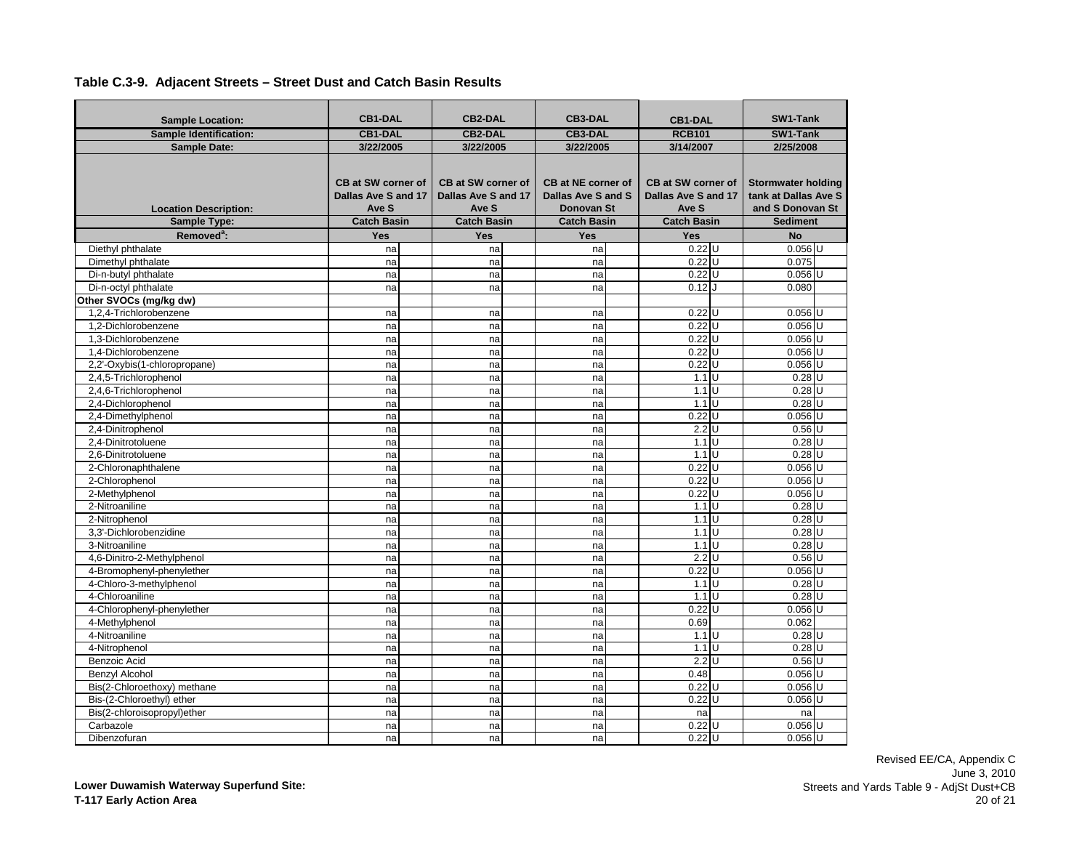| <b>Sample Location:</b>       | <b>CB1-DAL</b>                                                                                                                                                                                                                  | <b>CB2-DAL</b>                                                 |                                                                                          | <b>CB3-DAL</b> |                    | <b>CB1-DAL</b> |           | SW1-Tank |
|-------------------------------|---------------------------------------------------------------------------------------------------------------------------------------------------------------------------------------------------------------------------------|----------------------------------------------------------------|------------------------------------------------------------------------------------------|----------------|--------------------|----------------|-----------|----------|
| <b>Sample Identification:</b> | <b>CB1-DAL</b>                                                                                                                                                                                                                  | <b>CB2-DAL</b>                                                 |                                                                                          | <b>CB3-DAL</b> |                    | <b>RCB101</b>  |           | SW1-Tank |
| <b>Sample Date:</b>           | 3/22/2005                                                                                                                                                                                                                       | 3/22/2005                                                      |                                                                                          | 3/22/2005      | 3/14/2007          |                | 2/25/2008 |          |
| <b>Location Description:</b>  | CB at SW corner of<br><b>CB at SW corner of</b><br>CB at NE corner of<br>CB at SW corner of<br>Dallas Ave S and 17<br>Dallas Ave S and 17<br>Dallas Ave S and S<br>Dallas Ave S and 17<br>Ave S<br>Ave S<br>Donovan St<br>Ave S |                                                                | <b>Stormwater holding</b><br>tank at Dallas Ave S<br>and S Donovan St<br><b>Sediment</b> |                |                    |                |           |          |
| Sample Type:                  |                                                                                                                                                                                                                                 | <b>Catch Basin</b><br><b>Catch Basin</b><br><b>Catch Basin</b> |                                                                                          |                | <b>Catch Basin</b> |                |           |          |
| Removed <sup>a</sup> :        | Yes                                                                                                                                                                                                                             | Yes                                                            |                                                                                          | Yes            | Yes                |                | <b>No</b> |          |
| Diethyl phthalate             | na                                                                                                                                                                                                                              | na                                                             |                                                                                          | na             | $0.22$ U           |                | $0.056$ U |          |
| Dimethyl phthalate            | na                                                                                                                                                                                                                              | na                                                             |                                                                                          | na             | $0.22$ U           |                | 0.075     |          |
| Di-n-butyl phthalate          | na                                                                                                                                                                                                                              | na                                                             |                                                                                          | na             | $0.22$ U           |                | $0.056$ U |          |
| Di-n-octyl phthalate          | na                                                                                                                                                                                                                              | na                                                             |                                                                                          | na             | 0.12               |                | 0.080     |          |
| Other SVOCs (mg/kg dw)        |                                                                                                                                                                                                                                 |                                                                |                                                                                          |                |                    |                |           |          |
| 1,2,4-Trichlorobenzene        | na                                                                                                                                                                                                                              | na                                                             |                                                                                          | na             | 0.22               |                | $0.056$ U |          |
| 1.2-Dichlorobenzene           | na                                                                                                                                                                                                                              | na                                                             |                                                                                          | na             | $0.22$ U           |                | $0.056$ U |          |
| 1,3-Dichlorobenzene           | na                                                                                                                                                                                                                              | na                                                             |                                                                                          | na             | 0.22               | lU             | $0.056$ U |          |
| 1.4-Dichlorobenzene           | na                                                                                                                                                                                                                              | na                                                             |                                                                                          | na             | $0.22$ U           |                | $0.056$ U |          |
| 2,2'-Oxybis(1-chloropropane)  | na                                                                                                                                                                                                                              | na                                                             |                                                                                          | na             | $0.22$ U           |                | $0.056$ U |          |
| 2,4,5-Trichlorophenol         | na                                                                                                                                                                                                                              | na                                                             |                                                                                          | na             | $1.1$ U            |                | $0.28$ U  |          |
| 2,4,6-Trichlorophenol         | na                                                                                                                                                                                                                              | na                                                             |                                                                                          | na             | $1.1$ U            |                | $0.28$ U  |          |
| 2,4-Dichlorophenol            | na                                                                                                                                                                                                                              | na                                                             |                                                                                          | na             | $1.1$ U            |                | $0.28$ U  |          |
| 2,4-Dimethylphenol            | na                                                                                                                                                                                                                              | na                                                             |                                                                                          | na             | $0.22$ U           |                | $0.056$ U |          |
| 2,4-Dinitrophenol             | na                                                                                                                                                                                                                              | na                                                             |                                                                                          | na             | $2.2$ U            |                | $0.56$ U  |          |
| 2.4-Dinitrotoluene            | na                                                                                                                                                                                                                              | na                                                             |                                                                                          | na             | 1.1                | $\cup$         | $0.28$ U  |          |
| 2,6-Dinitrotoluene            | na                                                                                                                                                                                                                              | na                                                             |                                                                                          | na             | $1.1$ U            |                | $0.28$ U  |          |
| 2-Chloronaphthalene           | na                                                                                                                                                                                                                              | na                                                             |                                                                                          | na             | 0.22               | U              | $0.056$ U |          |
| 2-Chlorophenol                | na                                                                                                                                                                                                                              | na                                                             |                                                                                          | na             | $0.22$ U           |                | $0.056$ U |          |
| 2-Methylphenol                | na                                                                                                                                                                                                                              | na                                                             |                                                                                          | na             | 0.22               | U              | $0.056$ U |          |
| 2-Nitroaniline                | na                                                                                                                                                                                                                              | na                                                             |                                                                                          | na             | $1.1$ U            |                | $0.28$ U  |          |
| 2-Nitrophenol                 | na                                                                                                                                                                                                                              | na                                                             |                                                                                          | na             | 1.1                | Ū              | $0.28$ U  |          |
| 3,3'-Dichlorobenzidine        | na                                                                                                                                                                                                                              | na                                                             |                                                                                          | na             | 1.1                | $\cup$         | $0.28$ U  |          |
| 3-Nitroaniline                | na                                                                                                                                                                                                                              | na                                                             |                                                                                          | na             | 1.1                | Ū              | 0.28      | ΙtΓ      |
| 4,6-Dinitro-2-Methylphenol    | na                                                                                                                                                                                                                              | na                                                             |                                                                                          | na             | 2.2                | $\cup$         | $0.56$ U  |          |
| 4-Bromophenyl-phenylether     | na                                                                                                                                                                                                                              | na                                                             |                                                                                          | na             | 0.22               | Ū              | $0.056$ U |          |
| 4-Chloro-3-methylphenol       | na                                                                                                                                                                                                                              | na                                                             |                                                                                          | na             | 1.1                | ΙJ             | $0.28$ U  |          |
| 4-Chloroaniline               | na                                                                                                                                                                                                                              | na                                                             |                                                                                          | na             | 1.1                | Ū              | 0.28      | lυ       |
| 4-Chlorophenyl-phenylether    | na                                                                                                                                                                                                                              | na                                                             |                                                                                          | na             | 0.22               | $\cup$         | $0.056$ U |          |
| 4-Methylphenol                | na                                                                                                                                                                                                                              | na                                                             |                                                                                          | na             | 0.69               |                | 0.062     |          |
| 4-Nitroaniline                | na                                                                                                                                                                                                                              | na                                                             |                                                                                          | na             | $1.1$ U            |                | $0.28$ U  |          |
| 4-Nitrophenol                 | na                                                                                                                                                                                                                              | na                                                             |                                                                                          | na             | 1.1                | Ū              | $0.28$ U  |          |
| Benzoic Acid                  | na                                                                                                                                                                                                                              | na                                                             |                                                                                          | na             | 2.2                | $\cup$         | $0.56$ U  |          |
| <b>Benzyl Alcohol</b>         | na                                                                                                                                                                                                                              | na                                                             |                                                                                          | na             | 0.48               |                | $0.056$ U |          |
| Bis(2-Chloroethoxy) methane   | na                                                                                                                                                                                                                              | na                                                             |                                                                                          | na             | $0.22$ U           |                | $0.056$ U |          |
| Bis-(2-Chloroethyl) ether     | na                                                                                                                                                                                                                              | na                                                             |                                                                                          | na             | 0.22               | U              | $0.056$ U |          |
| Bis(2-chloroisopropyl)ether   | na                                                                                                                                                                                                                              | na                                                             |                                                                                          | na             | na                 |                | na        |          |
| Carbazole                     | na                                                                                                                                                                                                                              | na                                                             |                                                                                          | na             | 0.22               | U              | $0.056$ U |          |
| Dibenzofuran                  | na                                                                                                                                                                                                                              | na                                                             |                                                                                          | na             | $0.22$ U           |                | $0.056$ U |          |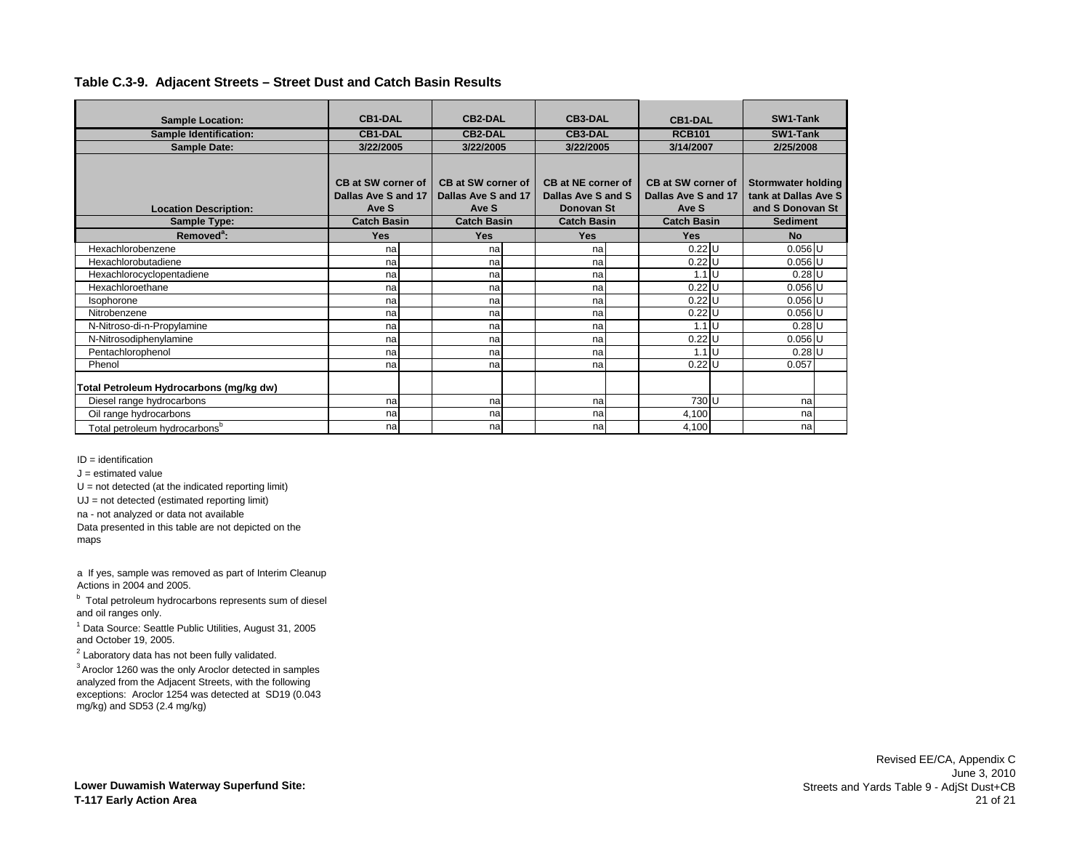| <b>Sample Location:</b>                   | <b>CB1-DAL</b>            | <b>CB2-DAL</b>      | <b>CB3-DAL</b>     | <b>CB1-DAL</b>      | SW1-Tank                  |
|-------------------------------------------|---------------------------|---------------------|--------------------|---------------------|---------------------------|
| <b>Sample Identification:</b>             | <b>CB1-DAL</b>            | <b>CB2-DAL</b>      | <b>CB3-DAL</b>     | <b>RCB101</b>       | SW1-Tank                  |
| <b>Sample Date:</b>                       | 3/22/2005                 | 3/22/2005           | 3/22/2005          | 3/14/2007           | 2/25/2008                 |
|                                           |                           |                     |                    |                     |                           |
|                                           |                           |                     |                    |                     |                           |
|                                           | <b>CB at SW corner of</b> | CB at SW corner of  | CB at NE corner of | CB at SW corner of  | <b>Stormwater holding</b> |
|                                           | Dallas Ave S and 17       | Dallas Ave S and 17 | Dallas Ave S and S | Dallas Ave S and 17 | tank at Dallas Ave S      |
| <b>Location Description:</b>              | Ave S                     | Ave S               | Donovan St         | Ave S               | and S Donovan St          |
| <b>Sample Type:</b>                       | <b>Catch Basin</b>        | <b>Catch Basin</b>  | <b>Catch Basin</b> | <b>Catch Basin</b>  | <b>Sediment</b>           |
| Removed <sup>a</sup> :                    | <b>Yes</b>                | <b>Yes</b>          | <b>Yes</b>         | <b>Yes</b>          | <b>No</b>                 |
| Hexachlorobenzene                         | na                        | na                  | na                 | $0.22$ U            | $0.056$ U                 |
| Hexachlorobutadiene                       | na                        | na                  | na                 | $0.22$ U            | $0.056$ U                 |
| Hexachlorocyclopentadiene                 | na                        | na                  | na                 | $1.1 \text{U}$      | $0.28$ U                  |
| Hexachloroethane                          | na                        | na                  | na                 | $0.22$ U            | $0.056$ U                 |
| Isophorone                                | na                        | na                  | na                 | $0.22$ U            | $0.056$ U                 |
| Nitrobenzene                              | na                        | na                  | na                 | $0.22$ U            | $0.056$ U                 |
| N-Nitroso-di-n-Propylamine                | na                        | na                  | na                 | $1.1 \mathrm{U}$    | $0.28$ U                  |
| N-Nitrosodiphenylamine                    | na                        | na                  | na                 | $0.22$ U            | $0.056$ U                 |
| Pentachlorophenol                         | na                        | na                  | na                 | $1.1 \mathrm{U}$    | $0.28$ U                  |
| Phenol                                    | na                        | na                  | na                 | $0.22$ U            | 0.057                     |
| Total Petroleum Hydrocarbons (mg/kg dw)   |                           |                     |                    |                     |                           |
| Diesel range hydrocarbons                 | na                        | na                  | na                 | 730 U               | na                        |
| Oil range hydrocarbons                    | na                        | na                  | na                 | 4,100               | na                        |
| Total petroleum hydrocarbons <sup>b</sup> | na                        | na                  | na                 | 4,100               | na                        |

ID = identification

 $J =$  estimated value

 $U = not detected (at the indicated reporting limit)$ 

UJ = not detected (estimated reporting limit)

na - not analyzed or data not available

Data presented in this table are not depicted on the maps

a If yes, sample was removed as part of Interim Cleanup Actions in 2004 and 2005.

<sup>b</sup> Total petroleum hydrocarbons represents sum of diesel and oil ranges only.

<sup>1</sup> Data Source: Seattle Public Utilities, August 31, 2005 and October 19, 2005.

 $2$  Laboratory data has not been fully validated.

3 Aroclor 1260 was the only Aroclor detected in samples analyzed from the Adjacent Streets, with the following exceptions: Aroclor 1254 was detected at SD19 (0.043 mg/kg) and SD53 (2.4 mg/kg)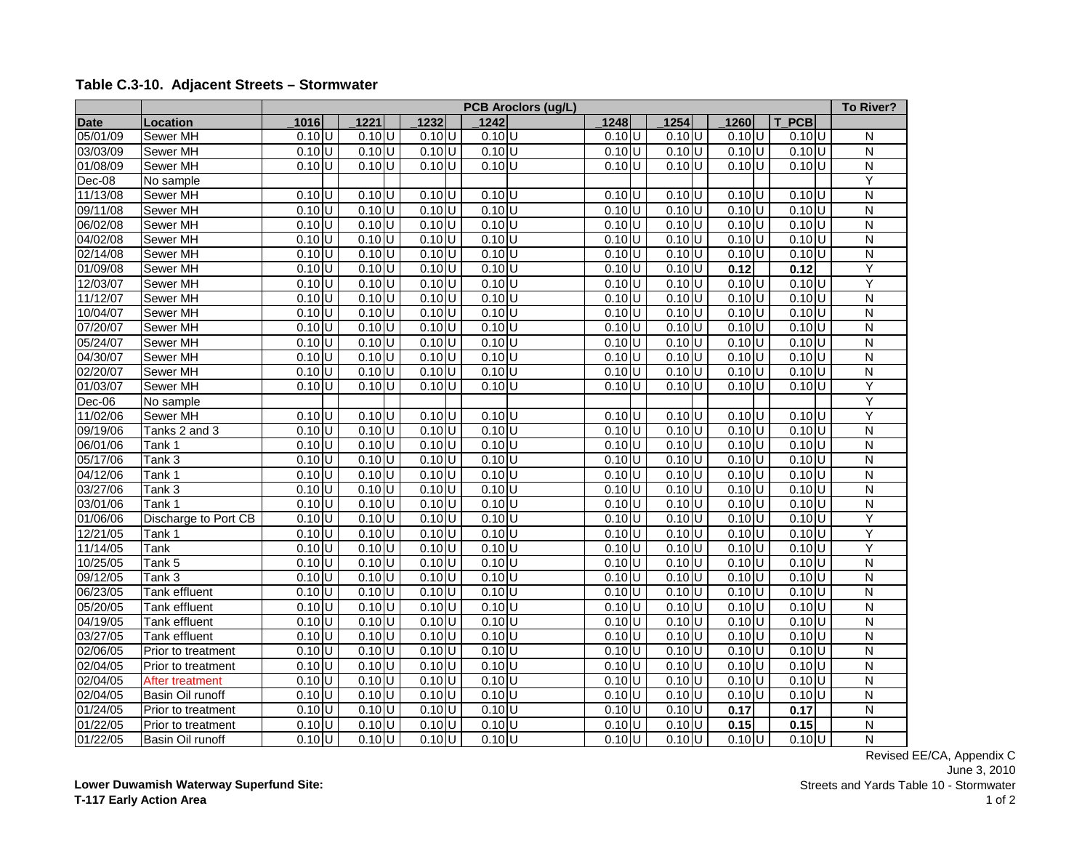|             |                      |                     |                     |                     | <b>PCB Aroclors (ug/L)</b> |                     |                     |                     |                     | To River?               |
|-------------|----------------------|---------------------|---------------------|---------------------|----------------------------|---------------------|---------------------|---------------------|---------------------|-------------------------|
| <b>Date</b> | <b>Location</b>      | 1016                | 1221                | 1232                | 1242                       | 1248                | 1254                | 1260                | <b>PCB</b>          |                         |
| 05/01/09    | Sewer MH             | $0.10$ U            | $0.10$ <sub>U</sub> | $0.10$ U            | $0.10$ U                   | $0.10$ <sub>U</sub> | 0.10 U              | $0.10$ <sub>U</sub> | $0.10$ <sub>U</sub> | N                       |
| 03/03/09    | Sewer MH             | $0.10$ U            | $0.10$ <sub>U</sub> | $0.10$ U            | $0.10$ <sub>U</sub>        | $0.10$ <sub>U</sub> | $0.10$ U            | $0.10$ U            | $0.10$ U            | N                       |
| 01/08/09    | Sewer MH             | $0.10$ <sub>U</sub> | $0.10$ U            | $0.10$ <sub>U</sub> | $0.10$ <sub>U</sub>        | 0.10 U              | $0.10$ <sub>U</sub> | $0.10$ <sub>U</sub> | $0.10$ U            | N                       |
| Dec-08      | No sample            |                     |                     |                     |                            |                     |                     |                     |                     | Y                       |
| 11/13/08    | Sewer MH             | $0.10$ <sub>U</sub> | $0.10$ <sub>U</sub> | $0.10$ <sub>U</sub> | $0.10$ <sub>U</sub>        | $0.10$ <sub>U</sub> | $0.10$ <sub>U</sub> | $0.10$ <sub>U</sub> | $0.10$ <sub>U</sub> | N                       |
| 09/11/08    | Sewer MH             | $0.10$ <sub>U</sub> | $0.10$ <sub>U</sub> | $0.10$ <sub>U</sub> | $0.10$ <sub>U</sub>        | $0.10$ <sup>U</sup> | $0.10$ U            | $0.10$ U            | $0.10$ <sub>U</sub> | $\overline{\mathsf{N}}$ |
| 06/02/08    | Sewer MH             | $0.10$ <sub>U</sub> | $0.10$ <sub>U</sub> | $0.10$ <sub>U</sub> | $0.10$ <sub>U</sub>        | $0.10$ <sup>U</sup> | $0.10$ <sub>U</sub> | $0.10$ U            | $0.10$ <sub>U</sub> | $\mathsf{N}$            |
| 04/02/08    | <b>Sewer MH</b>      | $0.10$ <sub>U</sub> | $0.10$ <sub>U</sub> | $0.10$ U            | $0.10$ <sub>U</sub>        | $0.10$ U            | $0.10$ <sub>U</sub> | $0.10$ <sub>U</sub> | $0.10$ <sup>U</sup> | N                       |
| 02/14/08    | Sewer MH             | $0.10$ U            | $0.10$ <sub>U</sub> | $0.10$ U            | $0.10$ U                   | $0.10$ <sub>U</sub> | $0.10$ <sub>U</sub> | $0.10$ <sub>U</sub> | $0.10$ <sub>U</sub> | $\overline{\mathsf{N}}$ |
| 01/09/08    | Sewer MH             | $0.10$ U            | $0.10$ <sub>U</sub> | $0.10$ U            | $0.10$ U                   | $0.10$ <sub>U</sub> | $0.10$ <sub>U</sub> | 0.12                | 0.12                | Ÿ                       |
| 12/03/07    | Sewer MH             | $0.10$ U            | $0.10$ <sub>U</sub> | $0.10$ U            | $0.10$ <sub>U</sub>        | 0.10 U              | 0.10 U              | $\overline{0.10}$ U | $0.10$ <sub>U</sub> | Ÿ                       |
| 11/12/07    | Sewer MH             | $0.10$ U            | $0.10$ U            | $0.10$ U            | $0.10$ U                   | $0.10$ <sub>U</sub> | $0.10$ U            | $0.10$ U            | $0.10$ U            | $\mathsf{N}$            |
| 10/04/07    | Sewer MH             | $0.10$ <sub>U</sub> | $0.10$ <sub>U</sub> | $0.10$ <sub>U</sub> | $0.10$ <sup>U</sup>        | $0.10$ U            | $0.10$ <sub>U</sub> | $0.10$ <sub>U</sub> | $0.10$ <sub>U</sub> | N                       |
| 07/20/07    | Sewer MH             | $0.10$ U            | $0.10$ <sub>U</sub> | 0.10 U              | $0.10$ <sub>U</sub>        | $0.10$ U            | $0.10$ U            | $0.10$ U            | $0.10$ <sub>U</sub> | N                       |
| 05/24/07    | Sewer MH             | $0.10$ <sub>U</sub> | $0.10$ <sub>U</sub> | $0.10$ U            | $0.10$ <sub>U</sub>        | $0.10$ <sub>U</sub> | $0.10$ <sub>U</sub> | $0.10$ <sub>U</sub> | $0.10$ <sub>U</sub> | N                       |
| 04/30/07    | Sewer MH             | $0.10$ <sub>U</sub> | $0.10$ <sub>U</sub> | $0.10$ <sub>U</sub> | $0.10$ <sub>U</sub>        | $0.10$ <sub>U</sub> | $0.10$ <sub>U</sub> | $0.10$ <sub>U</sub> | $0.10$ <sub>U</sub> | $\mathsf{N}$            |
| 02/20/07    | <b>Sewer MH</b>      | $0.10$ U            | $0.10$ U            | $0.10$ U            | $0.10$ <sub>U</sub>        | $0.10$ U            | $0.10$ U            | $0.10$ U            | $0.10$ U            | $\mathsf{N}$            |
| 01/03/07    | Sewer MH             | $0.10$ <sub>U</sub> | $0.10$ <sub>U</sub> | $0.10$ U            | $0.10$ <sub>U</sub>        | $0.10$ <sub>U</sub> | $0.10$ U            | $0.10$ <sub>U</sub> | $0.10$ <sub>U</sub> | Υ                       |
| Dec-06      | No sample            |                     |                     |                     |                            |                     |                     |                     |                     | Ÿ                       |
| 11/02/06    | Sewer MH             | $0.10$ U            | $0.10$ U            | $0.10$ <sub>U</sub> | $0.10$ <sup>U</sup>        | $0.10$ U            | $0.10$ U            | $0.10$ U            | $0.10$ U            | Ÿ                       |
| 09/19/06    | Tanks 2 and 3        | $0.10$ <sub>U</sub> | $0.10$ <sub>U</sub> | $0.10$ U            | $0.10$ U                   | $0.10$ <sub>U</sub> | $0.10$ <sub>U</sub> | $0.10$ <sub>U</sub> | $0.10$ <sub>U</sub> | N                       |
| 06/01/06    | Tank 1               | $0.10$ U            | $0.10$ <sub>U</sub> | $0.10$ U            | $0.10$ <sub>U</sub>        | $0.10$ <sub>U</sub> | $0.10$ U            | $0.10$ U            | $0.10$ U            | $\overline{\mathsf{N}}$ |
| 05/17/06    | Tank 3               | $0.10$ <sub>U</sub> | $0.10$ <sub>U</sub> | $0.10$ <sub>U</sub> | $0.10$ U                   | $0.10$ <sub>U</sub> | $0.10$ <sub>U</sub> | $0.10$ <sub>U</sub> | $0.10$ <sub>U</sub> | N                       |
| 04/12/06    | Tank 1               | $0.10$ U            | $0.10$ U            | $0.10$ U            | $0.10$ <sub>U</sub>        | $0.10$ U            | $0.10$ <sub>U</sub> | $0.10$ U            | $0.10$ <sup>U</sup> | N                       |
| 03/27/06    | Tank 3               | $0.10$ U            | $0.10$ <sub>U</sub> | $0.10$ <sub>U</sub> | $0.10$ U                   | $0.10$ <sub>U</sub> | $0.10$ <sub>U</sub> | $0.10$ <sub>U</sub> | $0.10$ U            | N                       |
| 03/01/06    | Tank 1               | $0.10$ U            | $0.10$ <sub>U</sub> | $0.10$ <sub>U</sub> | $0.10$ <sub>U</sub>        | 0.10 U              | $0.10$ <sup>U</sup> | $0.10$ <sub>U</sub> | $0.10$ U            | N                       |
| 01/06/06    | Discharge to Port CB | $0.10$ U            | $0.10$ <sub>U</sub> | $0.10$ U            | $0.10$ U                   | $0.10$ U            | $0.10$ U            | $0.10$ U            | $0.10$ <sub>U</sub> | Υ                       |
| 12/21/05    | Tank 1               | $0.10$ U            | $0.10$ U            | $0.10$ U            | $0.10$ <sub>U</sub>        | $0.10$ <sub>U</sub> | $0.10$ <sub>U</sub> | $0.10$ <sub>U</sub> | $0.10$ <sub>U</sub> | Υ                       |
| 11/14/05    | Tank                 | $0.10$ <sub>U</sub> | $0.10$ <sub>U</sub> | $0.10$ U            | $0.10$ <sub>U</sub>        | $0.10$ <sub>U</sub> | $0.10$ U            | $0.10$ <sub>U</sub> | $0.10$ <sub>U</sub> | Υ                       |
| 10/25/05    | Tank 5               | $0.10$ U            | $0.10$ U            | $0.10$ <sub>U</sub> | $0.10$ <sub>U</sub>        | $0.10$ <sub>U</sub> | $0.10$ <sub>U</sub> | $0.10$ <sub>U</sub> | $0.10$ <sub>U</sub> | $\overline{\mathsf{N}}$ |
| 09/12/05    | Tank 3               | $0.10$ <sub>U</sub> | $0.10$ U            | $0.10$ U            | $0.10$ <sub>U</sub>        | $0.10$ <sub>U</sub> | $0.10$ <sub>U</sub> | $0.10$ <sub>U</sub> | $0.10$ <sub>U</sub> | N                       |
| 06/23/05    | Tank effluent        | $0.10$ <sub>U</sub> | $0.10$ <sub>U</sub> | $0.10$ U            | $0.10$ <sub>U</sub>        | $0.10$ <sub>U</sub> | $0.10$ <sub>U</sub> | 0.10 U              | $0.10$ <sub>U</sub> | $\overline{\mathsf{N}}$ |
| 05/20/05    | Tank effluent        | $0.10$ U            | $0.10$ <sub>U</sub> | $0.10$ U            | $0.10$ <sub>U</sub>        | $0.10$ <sub>U</sub> | $0.10$ <sub>U</sub> | $0.10$ <sub>U</sub> | $0.10$ <sub>U</sub> | N                       |
| 04/19/05    | Tank effluent        | $0.10$ U            | $0.10$ U            | 0.10 U              | $0.10$ U                   | $0.10$ <sub>U</sub> | $0.10$ <sub>U</sub> | 0.10 U              | $0.10$ U            | $\overline{\mathsf{N}}$ |
| 03/27/05    | Tank effluent        | $0.10$ U            | $0.10$ <sub>U</sub> | $0.10$ U            | $0.10$ <sup>U</sup>        | $0.10$ U            | $0.10$ <sub>U</sub> | $0.10$ <sub>U</sub> | $0.10$ U            | $\overline{\mathsf{N}}$ |
| 02/06/05    | Prior to treatment   | $0.10$ U            | $0.10$ <sub>U</sub> | $0.10$ <sub>U</sub> | $0.10$ <sub>U</sub>        | $0.10$ <sub>U</sub> | $0.10$ <sub>U</sub> | $0.10$ <sub>U</sub> | $0.10$ <sub>U</sub> | N                       |
| 02/04/05    | Prior to treatment   | $0.10$ U            | $0.10$ <sub>U</sub> | $0.10$ U            | $0.10$ <sub>U</sub>        | $0.10$ <sub>U</sub> | $0.10$ U            | $0.10$ U            | $0.10$ <sub>U</sub> | $\overline{\mathsf{N}}$ |
| 02/04/05    | After treatment      | $0.10$ U            | $0.10$ <sub>U</sub> | $0.10$ <sub>U</sub> | $0.10$ <sub>U</sub>        | $0.10$ <sub>U</sub> | $0.10$ <sub>U</sub> | $0.10$ U            | $0.10$ <sub>U</sub> | N                       |
| 02/04/05    | Basin Oil runoff     | $0.10$ <sub>U</sub> | $0.10$ <sub>U</sub> | $0.10$ <sub>U</sub> | $0.10$ <sub>U</sub>        | $0.10$ <sub>U</sub> | $0.10$ U            | $0.10$ U            | $0.10$ <sub>U</sub> | $\mathsf{N}$            |
| 01/24/05    | Prior to treatment   | 0.10 U              | $0.10$ U            | $0.10$ U            | $0.10$ <sub>U</sub>        | $0.10$ <sub>U</sub> | $0.10$ U            | 0.17                | 0.17                | N                       |
| 01/22/05    | Prior to treatment   | $0.10$ U            | $0.10$ <sub>U</sub> | 0.10 U              | $0.10$ <sub>U</sub>        | $0.10$ <sub>U</sub> | $0.10$ <sub>U</sub> | 0.15                | 0.15                | N                       |
| 01/22/05    | Basin Oil runoff     | $0.10$ <sub>U</sub> | 0.10 U              | $0.10$ U            | $0.10$ <sub>U</sub>        | 0.10 U              | 0.10 U              | 0.10 U              | $0.10$ U            | $\overline{\mathsf{N}}$ |

# **Table C.3-10. Adjacent Streets – Stormwater**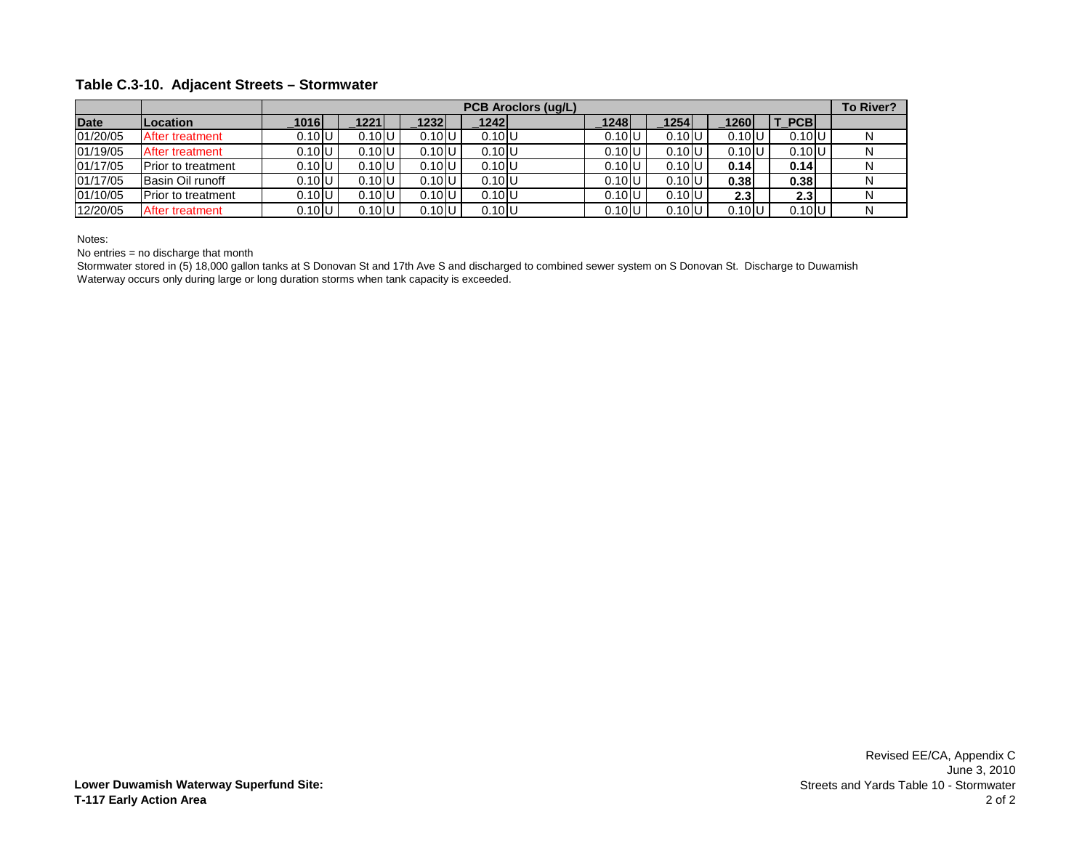#### **Table C.3-10. Adjacent Streets – Stormwater**

|             |                           |                     |                     |                     | <b>PCB Aroclors (ug/L)</b> |          |                 |                      | To River? |
|-------------|---------------------------|---------------------|---------------------|---------------------|----------------------------|----------|-----------------|----------------------|-----------|
| <b>Date</b> | Location                  | 1016                | 1221                | $1232$              | 1242                       | 1248     | 1254            | 1260<br><b>PCB</b>   |           |
| 01/20/05    | After treatment           | $0.10$ U            | $0.10$ U            | $0.10$ <sub>U</sub> | $0.10$ U                   | 0.10 U   | 0.10            | $0.10$ U<br>$0.10$ U | N         |
| 01/19/05    | After treatment           | $0.10$ <sub>U</sub> | $0.10$ U            | $0.10$ U            | $0.10$ U                   | 0.10     | $0.10$ U        | $0.10$ U<br>$0.10$ U | N         |
| 01/17/05    | <b>Prior to treatment</b> | $0.10$ U            | $0.10$ U            | $0.10$ U            | $0.10$ U                   | $0.10$ U | $0.10$ U        | 0.14<br>0.14         | N         |
| 01/17/05    | Basin Oil runoff          | $0.10$ U            | $0.10$ <sub>U</sub> | $0.10$ <sub>U</sub> | $0.10$ U                   | 0.10     | 0.10            | 0.38<br>0.38         | N         |
| 01/10/05    | <b>Prior to treatment</b> | $0.10$ <sub>U</sub> | $0.10$ <sub>U</sub> | $0.10$ <sub>U</sub> | $0.10$ U                   | 0.10     | $0.10$ U        | 2.3<br>2.3           | N         |
| 12/20/05    | After treatment           | $0.10$ U            | $0.10$ U            | $0.10$ U            | $0.10$ U                   | 0.10 U   | 0.10 <b>I</b> U | 0.10 U<br>$0.10$ U   | N         |

Notes:

No entries = no discharge that month

Stormwater stored in (5) 18,000 gallon tanks at S Donovan St and 17th Ave S and discharged to combined sewer system on S Donovan St. Discharge to Duwamish Waterway occurs only during large or long duration storms when tank capacity is exceeded.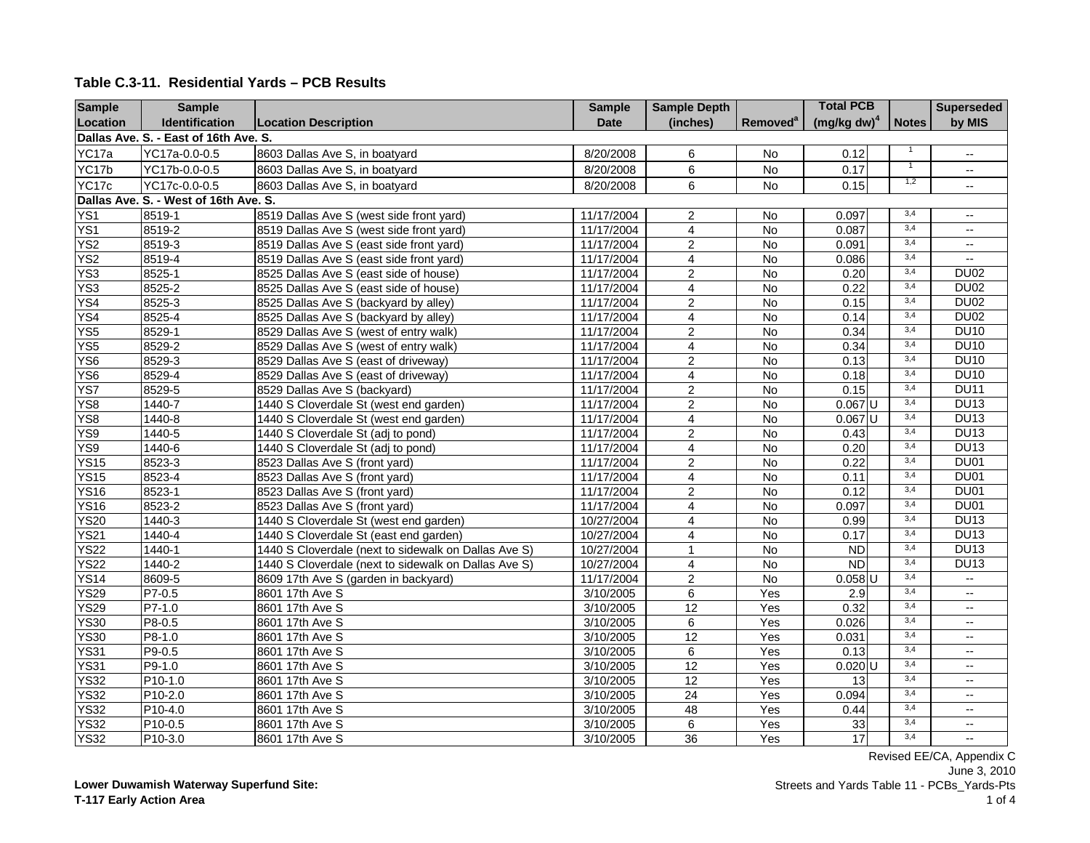| <b>Sample</b>   | <b>Sample</b>                         |                                                      | <b>Sample</b> | <b>Sample Depth</b>     |                      | <b>Total PCB</b>     |              | <b>Superseded</b>        |
|-----------------|---------------------------------------|------------------------------------------------------|---------------|-------------------------|----------------------|----------------------|--------------|--------------------------|
| Location        | Identification                        | <b>Location Description</b>                          | <b>Date</b>   | (inches)                | Removed <sup>a</sup> | $(mg/kg dw)^4$       | <b>Notes</b> | by MIS                   |
|                 | Dallas Ave. S. - East of 16th Ave. S. |                                                      |               |                         |                      |                      |              |                          |
| YC17a           | YC17a-0.0-0.5                         | 8603 Dallas Ave S, in boatyard                       | 8/20/2008     | 6                       | No                   | 0.12                 |              | $\overline{\phantom{a}}$ |
| YC17b           | YC17b-0.0-0.5                         | 8603 Dallas Ave S, in boatyard                       | 8/20/2008     | 6                       | <b>No</b>            | 0.17                 |              | $\overline{\phantom{a}}$ |
| YC17c           | YC17c-0.0-0.5                         | 8603 Dallas Ave S, in boatyard                       | 8/20/2008     | 6                       | No                   | 0.15                 | 1,2          | $\overline{\phantom{a}}$ |
|                 | Dallas Ave. S. - West of 16th Ave. S. |                                                      |               |                         |                      |                      |              |                          |
| YS <sub>1</sub> | 8519-1                                | 8519 Dallas Ave S (west side front yard)             | 11/17/2004    | $\overline{2}$          | <b>No</b>            | 0.097                | 3,4          | $\overline{\phantom{a}}$ |
| YS <sub>1</sub> | 8519-2                                | 8519 Dallas Ave S (west side front yard)             | 11/17/2004    | 4                       | No                   | 0.087                | 3,4          | $\overline{\phantom{a}}$ |
| YS <sub>2</sub> | 8519-3                                | 8519 Dallas Ave S (east side front yard)             | 11/17/2004    | $\overline{2}$          | $\overline{N}$       | 0.091                | 3,4          | $\overline{\phantom{a}}$ |
| YS <sub>2</sub> | 8519-4                                | 8519 Dallas Ave S (east side front yard)             | 11/17/2004    | $\overline{4}$          | $\overline{N}$       | 0.086                | 3,4          | $\overline{a}$           |
| YS <sub>3</sub> | $8525 - 1$                            | 8525 Dallas Ave S (east side of house)               | 11/17/2004    | $\overline{c}$          | <b>No</b>            | 0.20                 | 3,4          | <b>DU02</b>              |
| YS <sub>3</sub> | 8525-2                                | 8525 Dallas Ave S (east side of house)               | 11/17/2004    | $\overline{4}$          | No                   | 0.22                 | 3,4          | <b>DU02</b>              |
| YS4             | 8525-3                                | 8525 Dallas Ave S (backyard by alley)                | 11/17/2004    | $\overline{2}$          | <b>No</b>            | 0.15                 | 3,4          | <b>DU02</b>              |
| YS4             | 8525-4                                | 8525 Dallas Ave S (backyard by alley)                | 11/17/2004    | $\overline{\mathbf{4}}$ | $\overline{N}$       | 0.14                 | 3,4          | <b>DU02</b>              |
| YS <sub>5</sub> | 8529-1                                | 8529 Dallas Ave S (west of entry walk)               | 11/17/2004    | $\overline{2}$          | $\overline{N}$       | 0.34                 | 3,4          | <b>DU10</b>              |
| YS <sub>5</sub> | 8529-2                                | 8529 Dallas Ave S (west of entry walk)               | 11/17/2004    | $\overline{4}$          | $\overline{N}$       | 0.34                 | 3,4          | <b>DU10</b>              |
| YS <sub>6</sub> | 8529-3                                | 8529 Dallas Ave S (east of driveway)                 | 11/17/2004    | $\overline{c}$          | $\overline{N}$       | 0.13                 | 3,4          | <b>DU10</b>              |
| YS <sub>6</sub> | 8529-4                                | 8529 Dallas Ave S (east of driveway)                 | 11/17/2004    | $\overline{4}$          | <b>No</b>            | 0.18                 | 3,4          | <b>DU10</b>              |
| YS7             | 8529-5                                | 8529 Dallas Ave S (backyard)                         | 11/17/2004    | $\overline{2}$          | No                   | 0.15                 | 3,4          | <b>DU11</b>              |
| YS8             | 1440-7                                | 1440 S Cloverdale St (west end garden)               | 11/17/2004    | $\overline{c}$          | No                   | $0.067$ U            | 3,4          | <b>DU13</b>              |
| YS8             | $1440 - 8$                            | 1440 S Cloverdale St (west end garden)               | 11/17/2004    | $\overline{4}$          | $\overline{N}$       | $0.067$ U            | 3,4          | <b>DU13</b>              |
| YS9             | 1440-5                                | 1440 S Cloverdale St (adj to pond)                   | 11/17/2004    | $\overline{2}$          | <b>No</b>            | 0.43                 | 3,4          | <b>DU13</b>              |
| YS9             | 1440-6                                | 1440 S Cloverdale St (adj to pond)                   | 11/17/2004    | $\overline{4}$          | No                   | 0.20                 | 3,4          | <b>DU13</b>              |
| <b>YS15</b>     | 8523-3                                | 8523 Dallas Ave S (front yard)                       | 11/17/2004    | $\overline{2}$          | $\overline{N}$       | 0.22                 | 3,4          | <b>DU01</b>              |
| <b>YS15</b>     | 8523-4                                | 8523 Dallas Ave S (front yard)                       | 11/17/2004    | $\overline{4}$          | <b>No</b>            | 0.11                 | 3,4          | <b>DU01</b>              |
| <b>YS16</b>     | 8523-1                                | 8523 Dallas Ave S (front yard)                       | 11/17/2004    | $\overline{c}$          | $\overline{N}$       | 0.12                 | 3,4          | <b>DU01</b>              |
| <b>YS16</b>     | 8523-2                                | 8523 Dallas Ave S (front yard)                       | 11/17/2004    | $\overline{\mathbf{4}}$ | No                   | 0.097                | 3,4          | <b>DU01</b>              |
| <b>YS20</b>     | $1440 - 3$                            | 1440 S Cloverdale St (west end garden)               | 10/27/2004    | $\overline{4}$          | <b>No</b>            | 0.99                 | 3,4          | <b>DU13</b>              |
| <b>YS21</b>     | $1440 - 4$                            | 1440 S Cloverdale St (east end garden)               | 10/27/2004    | $\overline{4}$          | <b>No</b>            | 0.17                 | 3,4          | <b>DU13</b>              |
| <b>YS22</b>     | 1440-1                                | 1440 S Cloverdale (next to sidewalk on Dallas Ave S) | 10/27/2004    | $\mathbf{1}$            | No                   | $\overline{ND}$      | 3,4          | <b>DU13</b>              |
| <b>YS22</b>     | 1440-2                                | 1440 S Cloverdale (next to sidewalk on Dallas Ave S) | 10/27/2004    | $\overline{\mathbf{4}}$ | $\overline{N}$       | <b>ND</b>            | 3,4          | <b>DU13</b>              |
| <b>YS14</b>     | 8609-5                                | 8609 17th Ave S (garden in backyard)                 | 11/17/2004    | $\overline{2}$          | <b>No</b>            | $0.058$ <sub>U</sub> | 3,4          | $\sim$                   |
| <b>YS29</b>     | P7-0.5                                | 8601 17th Ave S                                      | 3/10/2005     | 6                       | Yes                  | 2.9                  | 3,4          | $\overline{\phantom{a}}$ |
| <b>YS29</b>     | $P7-1.0$                              | 8601 17th Ave S                                      | 3/10/2005     | 12                      | Yes                  | 0.32                 | 3,4          | $\overline{\phantom{a}}$ |
| <b>YS30</b>     | P8-0.5                                | 8601 17th Ave S                                      | 3/10/2005     | $\overline{6}$          | Yes                  | 0.026                | 3,4          | $\overline{a}$           |
| <b>YS30</b>     | P8-1.0                                | 8601 17th Ave S                                      | 3/10/2005     | 12                      | Yes                  | 0.031                | 3,4          | $\overline{\phantom{a}}$ |
| <b>YS31</b>     | $P9-0.5$                              | 8601 17th Ave S                                      | 3/10/2005     | $\overline{6}$          | Yes                  | 0.13                 | 3,4          | $\overline{a}$           |
| <b>YS31</b>     | $P9-1.0$                              | 8601 17th Ave S                                      | 3/10/2005     | $\overline{12}$         | Yes                  | $0.020$ <sub>U</sub> | 3,4          | $\overline{\phantom{a}}$ |
| <b>YS32</b>     | P10-1.0                               | 8601 17th Ave S                                      | 3/10/2005     | 12                      | Yes                  | 13                   | 3,4          | $\overline{\phantom{a}}$ |
| <b>YS32</b>     | P10-2.0                               | 8601 17th Ave S                                      | 3/10/2005     | 24                      | Yes                  | 0.094                | 3,4          | $\overline{\phantom{a}}$ |
| <b>YS32</b>     | P10-4.0                               | 8601 17th Ave S                                      | 3/10/2005     | 48                      | Yes                  | 0.44                 | 3,4          | $\overline{\phantom{a}}$ |
| <b>YS32</b>     | P10-0.5                               | 8601 17th Ave S                                      | 3/10/2005     | 6                       | Yes                  | 33                   | 3,4          | $\overline{\phantom{a}}$ |
| <b>YS32</b>     | P10-3.0                               | 8601 17th Ave S                                      | 3/10/2005     | 36                      | Yes                  | 17                   | 3,4          | $\overline{a}$           |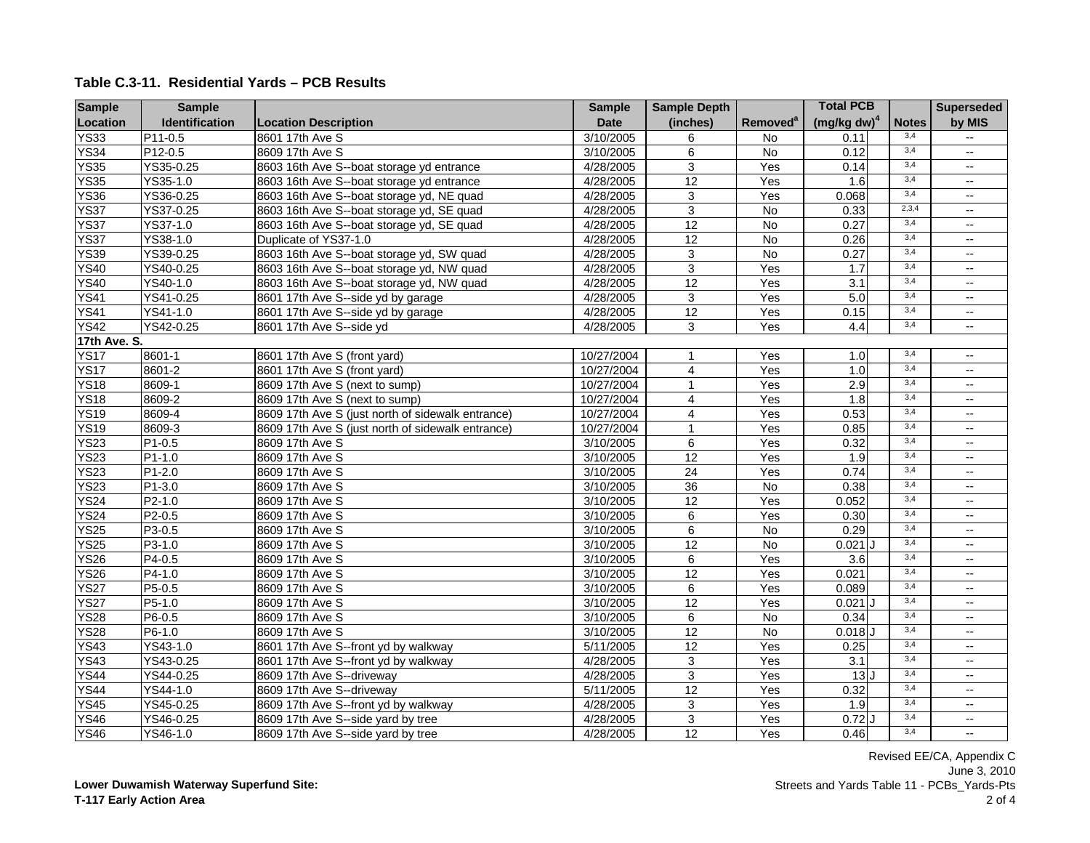| <b>Sample</b> | <b>Sample</b>  |                                                   | <b>Sample</b> | <b>Sample Depth</b>       |                            | <b>Total PCB</b>        |              | <b>Superseded</b>        |
|---------------|----------------|---------------------------------------------------|---------------|---------------------------|----------------------------|-------------------------|--------------|--------------------------|
| Location      | Identification | <b>Location Description</b>                       | <b>Date</b>   | (inches)                  | <b>Removed<sup>a</sup></b> | (mg/kg dw) <sup>4</sup> | <b>Notes</b> | by MIS                   |
| <b>YS33</b>   | $P11-0.5$      | 8601 17th Ave S                                   | 3/10/2005     | 6                         | No                         | 0.11                    | 3,4          | $\overline{\phantom{a}}$ |
| <b>YS34</b>   | $P12-0.5$      | 8609 17th Ave S                                   | 3/10/2005     | 6                         | No                         | 0.12                    | 3,4          | $\overline{\phantom{a}}$ |
| <b>YS35</b>   | YS35-0.25      | 8603 16th Ave S--boat storage yd entrance         | 4/28/2005     | $\overline{3}$            | Yes                        | 0.14                    | 3,4          | $\overline{\phantom{a}}$ |
| <b>YS35</b>   | YS35-1.0       | 8603 16th Ave S--boat storage yd entrance         | 4/28/2005     | $\overline{12}$           | Yes                        | 1.6                     | 3,4          | $\overline{\phantom{a}}$ |
| <b>YS36</b>   | YS36-0.25      | 8603 16th Ave S--boat storage yd, NE quad         | 4/28/2005     | $\ensuremath{\mathsf{3}}$ | Yes                        | 0.068                   | 3,4          | $\overline{\phantom{a}}$ |
| <b>YS37</b>   | YS37-0.25      | 8603 16th Ave S--boat storage yd, SE quad         | 4/28/2005     | $\overline{3}$            | No                         | 0.33                    | 2,3,4        | $\overline{\phantom{a}}$ |
| <b>YS37</b>   | YS37-1.0       | 8603 16th Ave S--boat storage yd, SE quad         | 4/28/2005     | 12                        | N <sub>o</sub>             | 0.27                    | 3,4          | $\overline{\phantom{a}}$ |
| <b>YS37</b>   | YS38-1.0       | Duplicate of YS37-1.0                             | 4/28/2005     | $\overline{12}$           | No                         | 0.26                    | 3,4          | $\overline{\phantom{a}}$ |
| <b>YS39</b>   | YS39-0.25      | 8603 16th Ave S--boat storage yd, SW quad         | 4/28/2005     | $\mathbf{3}$              | $\overline{N}$             | 0.27                    | 3,4          | $\overline{\phantom{a}}$ |
| <b>YS40</b>   | YS40-0.25      | 8603 16th Ave S--boat storage yd, NW quad         | 4/28/2005     | $\overline{3}$            | Yes                        | 1.7                     | 3,4          | $\overline{\phantom{a}}$ |
| <b>YS40</b>   | YS40-1.0       | 8603 16th Ave S--boat storage yd, NW quad         | 4/28/2005     | $\overline{12}$           | Yes                        | 3.1                     | 3,4          | $\overline{\phantom{a}}$ |
| <b>YS41</b>   | YS41-0.25      | 8601 17th Ave S--side yd by garage                | 4/28/2005     | 3                         | Yes                        | 5.0                     | 3,4          | $\overline{\phantom{a}}$ |
| <b>YS41</b>   | $YS41-1.0$     | 8601 17th Ave S--side yd by garage                | 4/28/2005     | 12                        | Yes                        | 0.15                    | 3,4          | $\overline{\phantom{a}}$ |
| <b>YS42</b>   | YS42-0.25      | 8601 17th Ave S--side yd                          | 4/28/2005     | 3                         | Yes                        | 4.4                     | 3,4          | $\overline{\phantom{a}}$ |
| 17th Ave. S.  |                |                                                   |               |                           |                            |                         |              |                          |
| <b>YS17</b>   | 8601-1         | 8601 17th Ave S (front yard)                      | 10/27/2004    | $\mathbf{1}$              | Yes                        | 1.0                     | 3,4          | $\overline{\phantom{a}}$ |
| <b>YS17</b>   | 8601-2         | 8601 17th Ave S (front yard)                      | 10/27/2004    | $\overline{4}$            | Yes                        | 1.0                     | 3,4          | $\overline{\phantom{a}}$ |
| <b>YS18</b>   | 8609-1         | 8609 17th Ave S (next to sump)                    | 10/27/2004    | $\mathbf{1}$              | Yes                        | 2.9                     | 3,4          | $\overline{\phantom{a}}$ |
| <b>YS18</b>   | 8609-2         | 8609 17th Ave S (next to sump)                    | 10/27/2004    | $\overline{4}$            | Yes                        | 1.8                     | 3,4          | $\overline{\phantom{a}}$ |
| <b>YS19</b>   | 8609-4         | 8609 17th Ave S (just north of sidewalk entrance) | 10/27/2004    | $\overline{4}$            | Yes                        | 0.53                    | 3,4          | $\overline{\phantom{a}}$ |
| <b>YS19</b>   | 8609-3         | 8609 17th Ave S (just north of sidewalk entrance) | 10/27/2004    | $\mathbf{1}$              | Yes                        | 0.85                    | 3,4          | $\overline{\phantom{a}}$ |
| <b>YS23</b>   | $P1-0.5$       | 8609 17th Ave S                                   | 3/10/2005     | 6                         | Yes                        | 0.32                    | 3,4          | $\overline{\phantom{a}}$ |
| <b>YS23</b>   | $P1-1.0$       | 8609 17th Ave S                                   | 3/10/2005     | 12                        | Yes                        | 1.9                     | 3,4          | $\overline{\phantom{a}}$ |
| <b>YS23</b>   | $P1-2.0$       | 8609 17th Ave S                                   | 3/10/2005     | $\overline{24}$           | Yes                        | 0.74                    | 3,4          | $\overline{\phantom{a}}$ |
| <b>YS23</b>   | $P1-3.0$       | 8609 17th Ave S                                   | 3/10/2005     | $\overline{36}$           | $\overline{N}$             | 0.38                    | 3,4          | $\overline{\phantom{a}}$ |
| <b>YS24</b>   | $P2-1.0$       | 8609 17th Ave S                                   | 3/10/2005     | 12                        | Yes                        | 0.052                   | 3,4          | $\overline{\phantom{a}}$ |
| <b>YS24</b>   | $P2-0.5$       | 8609 17th Ave S                                   | 3/10/2005     | $\overline{6}$            | Yes                        | 0.30                    | 3,4          | $\overline{\phantom{a}}$ |
| <b>YS25</b>   | $P3-0.5$       | 8609 17th Ave S                                   | 3/10/2005     | 6                         | <b>No</b>                  | 0.29                    | 3,4          | $\overline{\phantom{a}}$ |
| <b>YS25</b>   | P3-1.0         | 8609 17th Ave S                                   | 3/10/2005     | 12                        | <b>No</b>                  | $0.021$ J               | 3,4          | $\overline{\phantom{a}}$ |
| <b>YS26</b>   | $P4-0.5$       | 8609 17th Ave S                                   | 3/10/2005     | 6                         | Yes                        | 3.6                     | 3,4          | $\overline{\phantom{a}}$ |
| <b>YS26</b>   | P4-1.0         | 8609 17th Ave S                                   | 3/10/2005     | 12                        | Yes                        | 0.021                   | 3,4          | $\overline{\phantom{a}}$ |
| <b>YS27</b>   | $P5-0.5$       | 8609 17th Ave S                                   | 3/10/2005     | 6                         | Yes                        | 0.089                   | 3,4          | $\overline{\phantom{a}}$ |
| <b>YS27</b>   | $P5-1.0$       | 8609 17th Ave S                                   | 3/10/2005     | 12                        | Yes                        | $0.021$ J               | 3,4          | $\overline{\phantom{a}}$ |
| <b>YS28</b>   | $P6-0.5$       | 8609 17th Ave S                                   | 3/10/2005     | 6                         | No                         | 0.34                    | 3,4          | $\overline{\phantom{a}}$ |
| <b>YS28</b>   | $P6-1.0$       | 8609 17th Ave S                                   | 3/10/2005     | 12                        | <b>No</b>                  | $0.018$ J               | 3,4          | $\overline{\phantom{a}}$ |
| <b>YS43</b>   | YS43-1.0       | 8601 17th Ave S--front yd by walkway              | 5/11/2005     | 12                        | Yes                        | 0.25                    | 3,4          | $\overline{\phantom{a}}$ |
| <b>YS43</b>   | YS43-0.25      | 8601 17th Ave S--front yd by walkway              | 4/28/2005     | $\mathbf{3}$              | Yes                        | $\overline{3.1}$        | 3,4          | $\overline{\phantom{a}}$ |
| <b>YS44</b>   | YS44-0.25      | 8609 17th Ave S--driveway                         | 4/28/2005     | $\overline{3}$            | Yes                        | 13J                     | 3,4          | $\overline{\phantom{a}}$ |
| <b>YS44</b>   | YS44-1.0       | 8609 17th Ave S--driveway                         | 5/11/2005     | 12                        | Yes                        | 0.32                    | 3,4          | $\overline{\phantom{a}}$ |
| <b>YS45</b>   | YS45-0.25      | 8609 17th Ave S--front yd by walkway              | 4/28/2005     | $\overline{3}$            | Yes                        | 1.9                     | 3,4          | $\overline{\phantom{a}}$ |
| <b>YS46</b>   | YS46-0.25      | 8609 17th Ave S--side yard by tree                | 4/28/2005     | $\overline{3}$            | Yes                        | $0.72$ $J$              | 3,4          | $\overline{\phantom{a}}$ |
| <b>YS46</b>   | $YS46-1.0$     | 8609 17th Ave S--side yard by tree                | 4/28/2005     | 12                        | Yes                        | 0.46                    | 3,4          | $\overline{\phantom{a}}$ |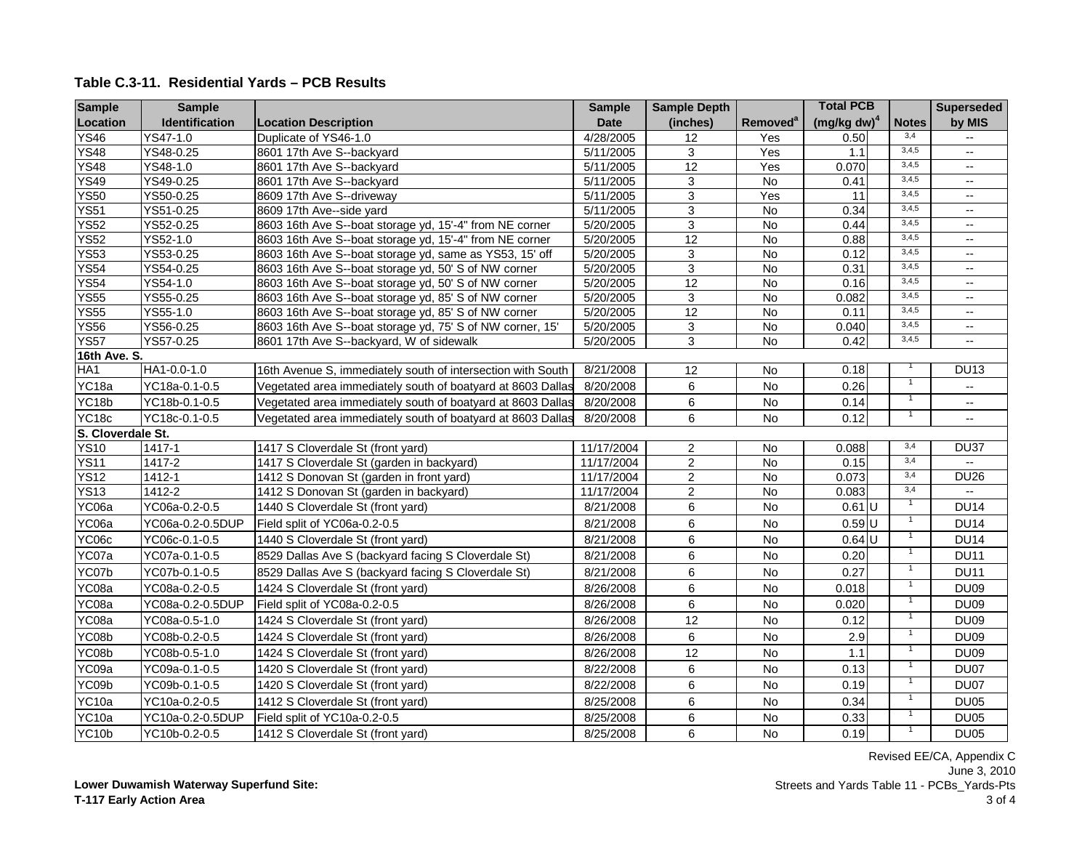| <b>Sample</b>     | <b>Sample</b>    |                                                             | <b>Sample</b> | <b>Sample Depth</b> |                      | <b>Total PCB</b> |                | <b>Superseded</b>        |
|-------------------|------------------|-------------------------------------------------------------|---------------|---------------------|----------------------|------------------|----------------|--------------------------|
| Location          | Identification   | <b>Location Description</b>                                 | <b>Date</b>   | (inches)            | Removed <sup>a</sup> | $(mg/kg dw)^4$   | <b>Notes</b>   | by MIS                   |
| <b>YS46</b>       | YS47-1.0         | Duplicate of YS46-1.0                                       | 4/28/2005     | 12                  | Yes                  | 0.50             | 3,4            | $\overline{\phantom{a}}$ |
| <b>YS48</b>       | YS48-0.25        | 8601 17th Ave S--backyard                                   | 5/11/2005     | 3                   | Yes                  | 1.1              | 3,4,5          | $\overline{\phantom{a}}$ |
| <b>YS48</b>       | YS48-1.0         | 8601 17th Ave S--backyard                                   | 5/11/2005     | 12                  | Yes                  | 0.070            | 3,4,5          | $\overline{\phantom{a}}$ |
| <b>YS49</b>       | YS49-0.25        | 8601 17th Ave S--backyard                                   | 5/11/2005     | 3                   | <b>No</b>            | 0.41             | 3,4,5          | $\overline{\phantom{a}}$ |
| <b>YS50</b>       | YS50-0.25        | 8609 17th Ave S--driveway                                   | 5/11/2005     | 3                   | Yes                  | $\overline{11}$  | 3,4,5          | $\overline{\phantom{a}}$ |
| <b>YS51</b>       | YS51-0.25        | 8609 17th Ave--side yard                                    | 5/11/2005     | $\overline{3}$      | $\overline{N}$       | 0.34             | 3,4,5          | $\overline{\phantom{a}}$ |
| <b>YS52</b>       | YS52-0.25        | 8603 16th Ave S--boat storage yd, 15'-4" from NE corner     | 5/20/2005     | 3                   | $\overline{N}$       | 0.44             | 3,4,5          | $\overline{\phantom{a}}$ |
| <b>YS52</b>       | YS52-1.0         | 8603 16th Ave S--boat storage yd, 15'-4" from NE corner     | 5/20/2005     | 12                  | $\overline{N}$       | 0.88             | 3,4,5          | $\overline{\phantom{a}}$ |
| <b>YS53</b>       | YS53-0.25        | 8603 16th Ave S--boat storage yd, same as YS53, 15' off     | 5/20/2005     | 3                   | No                   | 0.12             | 3,4,5          | $\overline{\phantom{a}}$ |
| <b>YS54</b>       | YS54-0.25        | 8603 16th Ave S--boat storage yd, 50' S of NW corner        | 5/20/2005     | 3                   | $\overline{N}$       | 0.31             | 3,4,5          | $\overline{\phantom{a}}$ |
| <b>YS54</b>       | YS54-1.0         | 8603 16th Ave S--boat storage yd, 50' S of NW corner        | 5/20/2005     | 12                  | <b>No</b>            | 0.16             | 3,4,5          | $\overline{\phantom{a}}$ |
| <b>YS55</b>       | YS55-0.25        | 8603 16th Ave S--boat storage yd, 85' S of NW corner        | 5/20/2005     | 3                   | No                   | 0.082            | 3,4,5          | $\overline{\phantom{a}}$ |
| <b>YS55</b>       | YS55-1.0         | 8603 16th Ave S--boat storage yd, 85' S of NW corner        | 5/20/2005     | 12                  | No                   | 0.11             | 3,4,5          | $\overline{\phantom{a}}$ |
| <b>YS56</b>       | YS56-0.25        | 8603 16th Ave S--boat storage yd, 75' S of NW corner, 15'   | 5/20/2005     | $\overline{3}$      | No                   | 0.040            | 3,4,5          | $\overline{\phantom{a}}$ |
| <b>YS57</b>       | YS57-0.25        | 8601 17th Ave S--backyard, W of sidewalk                    | 5/20/2005     | 3                   | No                   | 0.42             | 3,4,5          | $\overline{\phantom{a}}$ |
| 16th Ave. S.      |                  |                                                             |               |                     |                      |                  |                |                          |
| HA1               | HA1-0.0-1.0      | 16th Avenue S, immediately south of intersection with South | 8/21/2008     | 12                  | No                   | 0.18             |                | <b>DU13</b>              |
| YC <sub>18a</sub> | YC18a-0.1-0.5    | Vegetated area immediately south of boatyard at 8603 Dallas | 8/20/2008     | 6                   | No                   | 0.26             |                | $\overline{\phantom{a}}$ |
| YC18b             | YC18b-0.1-0.5    | Vegetated area immediately south of boatyard at 8603 Dallas | 8/20/2008     | 6                   | No                   | 0.14             |                | $\overline{\phantom{a}}$ |
| YC18c             | YC18c-0.1-0.5    | Vegetated area immediately south of boatyard at 8603 Dallas | 8/20/2008     | 6                   | <b>No</b>            | 0.12             |                | $\overline{\phantom{a}}$ |
| S. Cloverdale St. |                  |                                                             |               |                     |                      |                  |                |                          |
| YS10              | 1417-1           | 1417 S Cloverdale St (front yard)                           | 11/17/2004    | 2                   | No                   | 0.088            | 3,4            | DU37                     |
| <b>YS11</b>       | 1417-2           | 1417 S Cloverdale St (garden in backyard)                   | 11/17/2004    | $\overline{2}$      | <b>No</b>            | 0.15             | 3,4            | $\overline{\phantom{a}}$ |
| <b>YS12</b>       | 1412-1           | 1412 S Donovan St (garden in front yard)                    | 11/17/2004    | $\overline{2}$      | No                   | 0.073            | 3,4            | <b>DU26</b>              |
| <b>YS13</b>       | $1412 - 2$       | 1412 S Donovan St (garden in backyard)                      | 11/17/2004    | $\overline{2}$      | <b>No</b>            | 0.083            | 3,4            |                          |
| YC06a             | YC06a-0.2-0.5    | 1440 S Cloverdale St (front yard)                           | 8/21/2008     | 6                   | No                   | $0.61$ U         |                | <b>DU14</b>              |
| YC06a             | YC06a-0.2-0.5DUP | Field split of YC06a-0.2-0.5                                | 8/21/2008     | 6                   | No                   | $0.59$ U         |                | <b>DU14</b>              |
| YC06c             | YC06c-0.1-0.5    | 1440 S Cloverdale St (front yard)                           | 8/21/2008     | 6                   | No                   | $0.64$ U         |                | <b>DU14</b>              |
| YC07a             | YC07a-0.1-0.5    | 8529 Dallas Ave S (backyard facing S Cloverdale St)         | 8/21/2008     | 6                   | <b>No</b>            | 0.20             |                | <b>DU11</b>              |
| YC07b             | YC07b-0.1-0.5    | 8529 Dallas Ave S (backyard facing S Cloverdale St)         | 8/21/2008     | 6                   | No                   | 0.27             | $\mathbf{1}$   | <b>DU11</b>              |
| YC08a             | YC08a-0.2-0.5    | 1424 S Cloverdale St (front yard)                           | 8/26/2008     | $\,6\,$             | No                   | 0.018            | -1             | <b>DU09</b>              |
| YC08a             | YC08a-0.2-0.5DUP | Field split of YC08a-0.2-0.5                                | 8/26/2008     | $6\phantom{a}$      | No                   | 0.020            | $\mathbf{1}$   | <b>DU09</b>              |
| YC08a             | YC08a-0.5-1.0    | 1424 S Cloverdale St (front yard)                           | 8/26/2008     | 12                  | No                   | 0.12             | 1              | <b>DU09</b>              |
| YC08b             | YC08b-0.2-0.5    | 1424 S Cloverdale St (front yard)                           | 8/26/2008     | $6\phantom{1}$      | No                   | 2.9              | $\overline{1}$ | <b>DU09</b>              |
| YC08b             | YC08b-0.5-1.0    | 1424 S Cloverdale St (front yard)                           | 8/26/2008     | 12                  | No                   | 1.1              |                | <b>DU09</b>              |
| YC09a             | YC09a-0.1-0.5    | 1420 S Cloverdale St (front yard)                           | 8/22/2008     | 6                   | No                   | 0.13             | $\mathbf{1}$   | DU07                     |
| YC09b             | YC09b-0.1-0.5    | 1420 S Cloverdale St (front yard)                           | 8/22/2008     | 6                   | No                   | 0.19             |                | DU07                     |
| YC10a             | YC10a-0.2-0.5    | 1412 S Cloverdale St (front yard)                           | 8/25/2008     | 6                   | No                   | 0.34             |                | <b>DU05</b>              |
| YC10a             | YC10a-0.2-0.5DUP | Field split of YC10a-0.2-0.5                                | 8/25/2008     | $\,6$               | No                   | 0.33             |                | <b>DU05</b>              |
| YC10b             | YC10b-0.2-0.5    | 1412 S Cloverdale St (front vard)                           | 8/25/2008     | 6                   | <b>No</b>            | 0.19             |                | <b>DU05</b>              |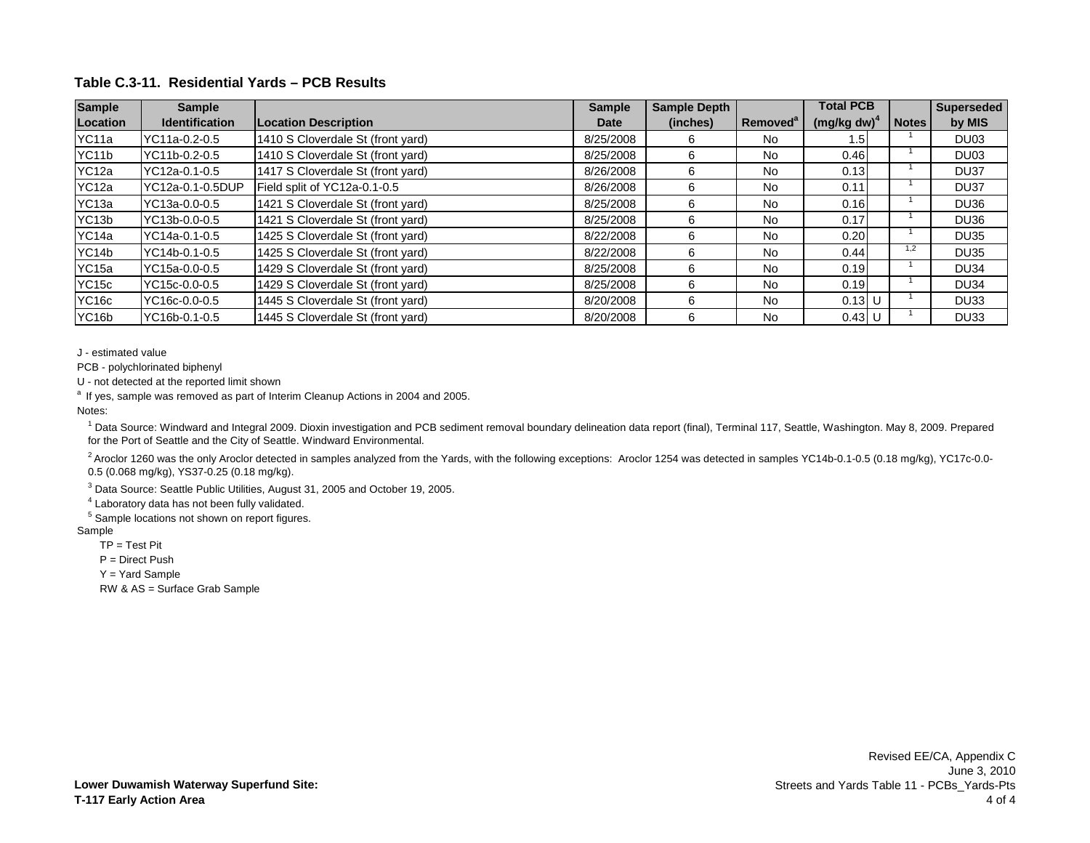| <b>Sample</b>      | Sample                |                                   | <b>Sample</b> | <b>Sample Depth</b> | <b>Total PCB</b>     |                |              | <b>Superseded</b> |
|--------------------|-----------------------|-----------------------------------|---------------|---------------------|----------------------|----------------|--------------|-------------------|
| Location           | <b>Identification</b> | <b>Location Description</b>       | <b>Date</b>   | (inches)            | Removed <sup>a</sup> | $(mg/kg dw)^2$ | <b>Notes</b> | by MIS            |
| YC11a              | YC11a-0.2-0.5         | 1410 S Cloverdale St (front yard) | 8/25/2008     |                     | <b>No</b>            | l.5            |              | DU <sub>03</sub>  |
| YC <sub>11</sub> b | YC11b-0.2-0.5         | 1410 S Cloverdale St (front yard) | 8/25/2008     | 6                   | No                   | 0.46           |              | DU <sub>03</sub>  |
| YC12a              | YC12a-0.1-0.5         | 1417 S Cloverdale St (front yard) | 8/26/2008     | h                   | <b>No</b>            | 0.13           |              | DU <sub>37</sub>  |
| YC12a              | YC12a-0.1-0.5DUP      | Field split of YC12a-0.1-0.5      | 8/26/2008     |                     | <b>No</b>            | 0.11           |              | DU37              |
| YC <sub>13a</sub>  | YC13a-0.0-0.5         | 1421 S Cloverdale St (front yard) | 8/25/2008     |                     | No                   | 0.16           |              | DU36              |
| YC <sub>13</sub> b | YC13b-0.0-0.5         | 1421 S Cloverdale St (front yard) | 8/25/2008     |                     | No                   | 0.17           |              | <b>DU36</b>       |
| YC14a              | YC14a-0.1-0.5         | 1425 S Cloverdale St (front yard) | 8/22/2008     |                     | <b>No</b>            | 0.20           |              | <b>DU35</b>       |
| YC14b              | YC14b-0.1-0.5         | 1425 S Cloverdale St (front yard) | 8/22/2008     | 6                   | No                   | 0.44           | 1,2          | <b>DU35</b>       |
| YC15a              | YC15a-0.0-0.5         | 1429 S Cloverdale St (front yard) | 8/25/2008     | 'n                  | <b>No</b>            | 0.19           |              | <b>DU34</b>       |
| YC <sub>15c</sub>  | YC15c-0.0-0.5         | 1429 S Cloverdale St (front yard) | 8/25/2008     | h                   | <b>No</b>            | 0.19           |              | <b>DU34</b>       |
| YC <sub>16c</sub>  | YC16c-0.0-0.5         | 1445 S Cloverdale St (front yard) | 8/20/2008     | 6                   | No                   | $0.13$ U       |              | <b>DU33</b>       |
| YC <sub>16</sub> b | YC16b-0.1-0.5         | 1445 S Cloverdale St (front yard) | 8/20/2008     | 6                   | No                   | $0.43$ U       |              | DU <sub>33</sub>  |

J - estimated value

PCB - polychlorinated biphenyl

U - not detected at the reported limit shown

<sup>a</sup> If yes, sample was removed as part of Interim Cleanup Actions in 2004 and 2005.

Notes:

<sup>1</sup> Data Source: Windward and Integral 2009. Dioxin investigation and PCB sediment removal boundary delineation data report (final), Terminal 117, Seattle, Washington. May 8, 2009. Prepared for the Port of Seattle and the City of Seattle. Windward Environmental.

 $^{2}$  Aroclor 1260 was the only Aroclor detected in samples analyzed from the Yards, with the following exceptions: Aroclor 1254 was detected in samples YC14b-0.1-0.5 (0.18 mg/kg), YC17c-0.0-0.5 (0.068 mg/kg), YS37-0.25 (0.18 mg/kg).

<sup>3</sup> Data Source: Seattle Public Utilities, August 31, 2005 and October 19, 2005.

<sup>4</sup> Laboratory data has not been fully validated.

<sup>5</sup> Sample locations not shown on report figures.

#### Sample

 $TP = Test Pit$ 

P = Direct Push

Y = Yard Sample

RW & AS = Surface Grab Sample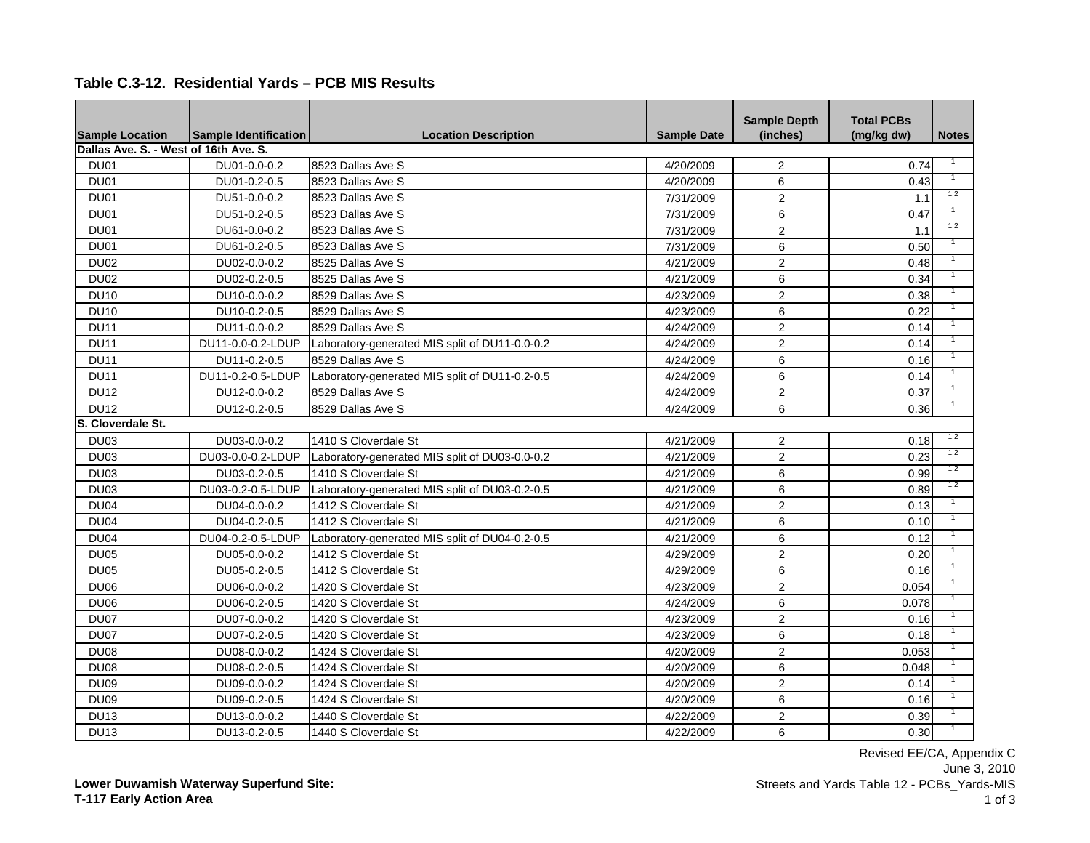|  |  |  | Table C.3-12. Residential Yards - PCB MIS Results |
|--|--|--|---------------------------------------------------|
|--|--|--|---------------------------------------------------|

| <b>Sample Location</b>                | <b>Sample Identification</b> | <b>Location Description</b>                    | <b>Sample Date</b> | <b>Sample Depth</b><br>(inches) | <b>Total PCBs</b><br>(mg/kg dw) | <b>Notes</b> |
|---------------------------------------|------------------------------|------------------------------------------------|--------------------|---------------------------------|---------------------------------|--------------|
| Dallas Ave. S. - West of 16th Ave. S. |                              |                                                |                    |                                 |                                 |              |
| DU01                                  | DU01-0.0-0.2                 | 8523 Dallas Ave S                              | 4/20/2009          | 2                               | 0.74                            |              |
| DU01                                  | DU01-0.2-0.5                 | 8523 Dallas Ave S                              | 4/20/2009          | 6                               | 0.43                            |              |
| DU01                                  | DU51-0.0-0.2                 | 8523 Dallas Ave S                              | 7/31/2009          | $\overline{2}$                  | 1.1                             | 1,2          |
| DU01                                  | DU51-0.2-0.5                 | 8523 Dallas Ave S                              | 7/31/2009          | $\,6\,$                         | 0.47                            |              |
| DU01                                  | DU61-0.0-0.2                 | 8523 Dallas Ave S                              | 7/31/2009          | $\overline{2}$                  | 1.1                             | 1,2          |
| <b>DU01</b>                           | DU61-0.2-0.5                 | 8523 Dallas Ave S                              | 7/31/2009          | 6                               | 0.50                            |              |
| <b>DU02</b>                           | DU02-0.0-0.2                 | 8525 Dallas Ave S                              | 4/21/2009          | $\overline{2}$                  | 0.48                            |              |
| <b>DU02</b>                           | DU02-0.2-0.5                 | 8525 Dallas Ave S                              | 4/21/2009          | $\,6\,$                         | 0.34                            |              |
| <b>DU10</b>                           | DU10-0.0-0.2                 | 8529 Dallas Ave S                              | 4/23/2009          | $\overline{2}$                  | 0.38                            |              |
| <b>DU10</b>                           | DU10-0.2-0.5                 | 8529 Dallas Ave S                              | 4/23/2009          | $\,6\,$                         | 0.22                            |              |
| <b>DU11</b>                           | DU11-0.0-0.2                 | 8529 Dallas Ave S                              | 4/24/2009          | $\overline{2}$                  | 0.14                            |              |
| <b>DU11</b>                           | DU11-0.0-0.2-LDUP            | Laboratory-generated MIS split of DU11-0.0-0.2 | 4/24/2009          | 2                               | 0.14                            |              |
| <b>DU11</b>                           | DU11-0.2-0.5                 | 8529 Dallas Ave S                              | 4/24/2009          | 6                               | 0.16                            |              |
| <b>DU11</b>                           | DU11-0.2-0.5-LDUP            | Laboratory-generated MIS split of DU11-0.2-0.5 | 4/24/2009          | 6                               | 0.14                            |              |
| <b>DU12</b>                           | DU12-0.0-0.2                 | 8529 Dallas Ave S                              | 4/24/2009          | $\mathbf{2}$                    | 0.37                            |              |
| <b>DU12</b>                           | DU12-0.2-0.5                 | 8529 Dallas Ave S                              | 4/24/2009          | 6                               | 0.36                            |              |
| S. Cloverdale St.                     |                              |                                                |                    |                                 |                                 |              |
| DU03                                  | DU03-0.0-0.2                 | 1410 S Cloverdale St                           | 4/21/2009          | 2                               | 0.18                            | 1,2          |
| DU03                                  | DU03-0.0-0.2-LDUP            | Laboratory-generated MIS split of DU03-0.0-0.2 | 4/21/2009          | $\overline{2}$                  | 0.23                            | 1,2          |
| <b>DU03</b>                           | DU03-0.2-0.5                 | 1410 S Cloverdale St                           | 4/21/2009          | 6                               | 0.99                            | 1,2          |
| DU03                                  | DU03-0.2-0.5-LDUP            | Laboratory-generated MIS split of DU03-0.2-0.5 | 4/21/2009          | $6\phantom{a}$                  | 0.89                            | 1,2          |
| <b>DU04</b>                           | DU04-0.0-0.2                 | 1412 S Cloverdale St                           | 4/21/2009          | $\overline{2}$                  | 0.13                            |              |
| <b>DU04</b>                           | DU04-0.2-0.5                 | 1412 S Cloverdale St                           | 4/21/2009          | 6                               | 0.10                            |              |
| <b>DU04</b>                           | DU04-0.2-0.5-LDUP            | Laboratory-generated MIS split of DU04-0.2-0.5 | 4/21/2009          | 6                               | 0.12                            |              |
| <b>DU05</b>                           | DU05-0.0-0.2                 | 1412 S Cloverdale St                           | 4/29/2009          | 2                               | 0.20                            |              |
| <b>DU05</b>                           | DU05-0.2-0.5                 | 1412 S Cloverdale St                           | 4/29/2009          | 6                               | 0.16                            |              |
| <b>DU06</b>                           | DU06-0.0-0.2                 | 1420 S Cloverdale St                           | 4/23/2009          | $\sqrt{2}$                      | 0.054                           |              |
| <b>DU06</b>                           | DU06-0.2-0.5                 | 1420 S Cloverdale St                           | 4/24/2009          | $\,6\,$                         | 0.078                           |              |
| DU07                                  | DU07-0.0-0.2                 | 1420 S Cloverdale St                           | 4/23/2009          | $\overline{2}$                  | 0.16                            |              |
| DU07                                  | DU07-0.2-0.5                 | 1420 S Cloverdale St                           | 4/23/2009          | $\,6\,$                         | 0.18                            |              |
| <b>DU08</b>                           | DU08-0.0-0.2                 | 1424 S Cloverdale St                           | 4/20/2009          | $\overline{2}$                  | 0.053                           |              |
| <b>DU08</b>                           | DU08-0.2-0.5                 | 1424 S Cloverdale St                           | 4/20/2009          | $\,6\,$                         | 0.048                           |              |
| <b>DU09</b>                           | DU09-0.0-0.2                 | 1424 S Cloverdale St                           | 4/20/2009          | $\overline{2}$                  | 0.14                            |              |
| DU <sub>09</sub>                      | DU09-0.2-0.5                 | 1424 S Cloverdale St                           | 4/20/2009          | 6                               | 0.16                            |              |
| <b>DU13</b>                           | DU13-0.0-0.2                 | 1440 S Cloverdale St                           | 4/22/2009          | $\overline{2}$                  | 0.39                            |              |
| <b>DU13</b>                           | DU13-0.2-0.5                 | 1440 S Cloverdale St                           | 4/22/2009          | 6                               | 0.30                            |              |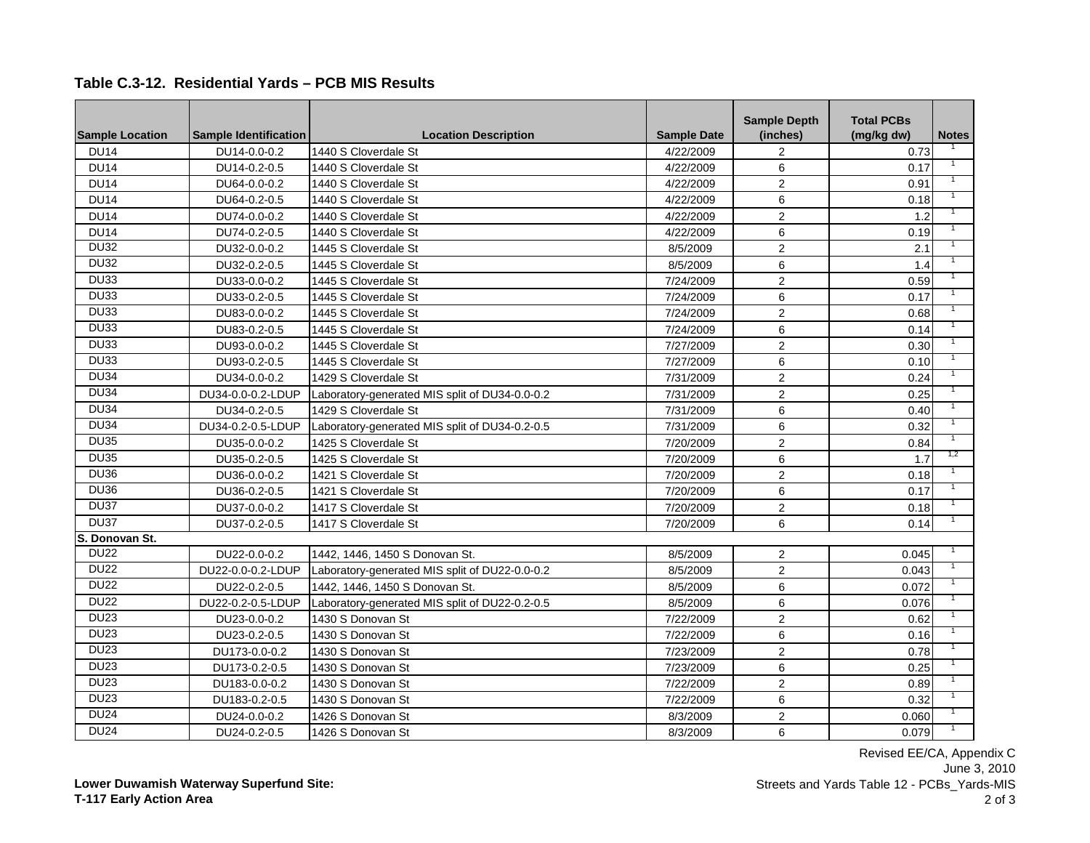**Table C.3-12. Residential Yards – PCB MIS Results**

| <b>Sample Location</b> | <b>Sample Identification</b> | <b>Location Description</b>                    | <b>Sample Date</b> | <b>Sample Depth</b><br>(inches) | <b>Total PCBs</b><br>(mg/kg dw) | <b>Notes</b> |
|------------------------|------------------------------|------------------------------------------------|--------------------|---------------------------------|---------------------------------|--------------|
| <b>DU14</b>            | DU14-0.0-0.2                 | 1440 S Cloverdale St                           | 4/22/2009          | 2                               | 0.73                            |              |
| <b>DU14</b>            | DU14-0.2-0.5                 | 1440 S Cloverdale St                           | 4/22/2009          | $6\phantom{a}$                  | 0.17                            |              |
| <b>DU14</b>            | DU64-0.0-0.2                 | 1440 S Cloverdale St                           | 4/22/2009          | 2                               | 0.91                            |              |
| <b>DU14</b>            | DU64-0.2-0.5                 | 1440 S Cloverdale St                           | 4/22/2009          | 6                               | 0.18                            |              |
| <b>DU14</b>            | DU74-0.0-0.2                 | 1440 S Cloverdale St                           | 4/22/2009          | 2                               | 1.2                             |              |
| <b>DU14</b>            | DU74-0.2-0.5                 | 1440 S Cloverdale St                           | 4/22/2009          | 6                               | 0.19                            |              |
| <b>DU32</b>            | DU32-0.0-0.2                 | 1445 S Cloverdale St                           | 8/5/2009           | 2                               | 2.1                             |              |
| <b>DU32</b>            | DU32-0.2-0.5                 | 1445 S Cloverdale St                           | 8/5/2009           | 6                               | 1.4                             |              |
| <b>DU33</b>            | DU33-0.0-0.2                 | 1445 S Cloverdale St                           | 7/24/2009          | $\overline{2}$                  | 0.59                            |              |
| <b>DU33</b>            | DU33-0.2-0.5                 | 1445 S Cloverdale St                           | 7/24/2009          | $\,6\,$                         | 0.17                            |              |
| <b>DU33</b>            | DU83-0.0-0.2                 | 1445 S Cloverdale St                           | 7/24/2009          | $\overline{2}$                  | 0.68                            |              |
| <b>DU33</b>            | DU83-0.2-0.5                 | 1445 S Cloverdale St                           | 7/24/2009          | $\,6\,$                         | 0.14                            |              |
| DU33                   | DU93-0.0-0.2                 | 1445 S Cloverdale St                           | 7/27/2009          | $\sqrt{2}$                      | 0.30                            |              |
| DU33                   | DU93-0.2-0.5                 | 1445 S Cloverdale St                           | 7/27/2009          | $\,6$                           | 0.10                            |              |
| <b>DU34</b>            | DU34-0.0-0.2                 | 1429 S Cloverdale St                           | 7/31/2009          | $\overline{2}$                  | 0.24                            |              |
| <b>DU34</b>            | DU34-0.0-0.2-LDUP            | Laboratory-generated MIS split of DU34-0.0-0.2 | 7/31/2009          | $\overline{2}$                  | 0.25                            |              |
| <b>DU34</b>            | DU34-0.2-0.5                 | 1429 S Cloverdale St                           | 7/31/2009          | $\,6\,$                         | 0.40                            |              |
| <b>DU34</b>            | DU34-0.2-0.5-LDUP            | Laboratory-generated MIS split of DU34-0.2-0.5 | 7/31/2009          | $\,6\,$                         | 0.32                            |              |
| <b>DU35</b>            | DU35-0.0-0.2                 | 1425 S Cloverdale St                           | 7/20/2009          | $\overline{2}$                  | 0.84                            |              |
| <b>DU35</b>            | DU35-0.2-0.5                 | 1425 S Cloverdale St                           | 7/20/2009          | $\,6\,$                         | 1.7                             | 1,2          |
| <b>DU36</b>            | DU36-0.0-0.2                 | 1421 S Cloverdale St                           | 7/20/2009          | $\overline{2}$                  | 0.18                            |              |
| <b>DU36</b>            | DU36-0.2-0.5                 | 1421 S Cloverdale St                           | 7/20/2009          | $\,6\,$                         | 0.17                            |              |
| <b>DU37</b>            | DU37-0.0-0.2                 | 1417 S Cloverdale St                           | 7/20/2009          | $\overline{2}$                  | 0.18                            |              |
| <b>DU37</b>            | DU37-0.2-0.5                 | 1417 S Cloverdale St                           | 7/20/2009          | $6\phantom{1}$                  | 0.14                            |              |
| S. Donovan St.         |                              |                                                |                    |                                 |                                 |              |
| <b>DU22</b>            | DU22-0.0-0.2                 | 1442, 1446, 1450 S Donovan St.                 | 8/5/2009           | $\overline{2}$                  | 0.045                           |              |
| <b>DU22</b>            | DU22-0.0-0.2-LDUP            | Laboratory-generated MIS split of DU22-0.0-0.2 | 8/5/2009           | $\overline{2}$                  | 0.043                           |              |
| <b>DU22</b>            | DU22-0.2-0.5                 | 1442, 1446, 1450 S Donovan St.                 | 8/5/2009           | $\,6\,$                         | 0.072                           |              |
| <b>DU22</b>            | DU22-0.2-0.5-LDUP            | Laboratory-generated MIS split of DU22-0.2-0.5 | 8/5/2009           | $\,6\,$                         | 0.076                           |              |
| <b>DU23</b>            | DU23-0.0-0.2                 | 1430 S Donovan St                              | 7/22/2009          | $\overline{2}$                  | 0.62                            |              |
| <b>DU23</b>            | DU23-0.2-0.5                 | 1430 S Donovan St                              | 7/22/2009          | $\,6\,$                         | 0.16                            |              |
| <b>DU23</b>            | DU173-0.0-0.2                | 1430 S Donovan St                              | 7/23/2009          | 2                               | 0.78                            |              |
| <b>DU23</b>            | DU173-0.2-0.5                | 1430 S Donovan St                              | 7/23/2009          | $\,6\,$                         | 0.25                            |              |
| <b>DU23</b>            | DU183-0.0-0.2                | 1430 S Donovan St                              | 7/22/2009          | $\overline{2}$                  | 0.89                            |              |
| <b>DU23</b>            | DU183-0.2-0.5                | 1430 S Donovan St                              | 7/22/2009          | 6                               | 0.32                            |              |
| DU24                   | DU24-0.0-0.2                 | 1426 S Donovan St                              | 8/3/2009           | $\overline{2}$                  | 0.060                           |              |
| <b>DU24</b>            | DU24-0.2-0.5                 | 1426 S Donovan St                              | 8/3/2009           | 6                               | 0.079                           |              |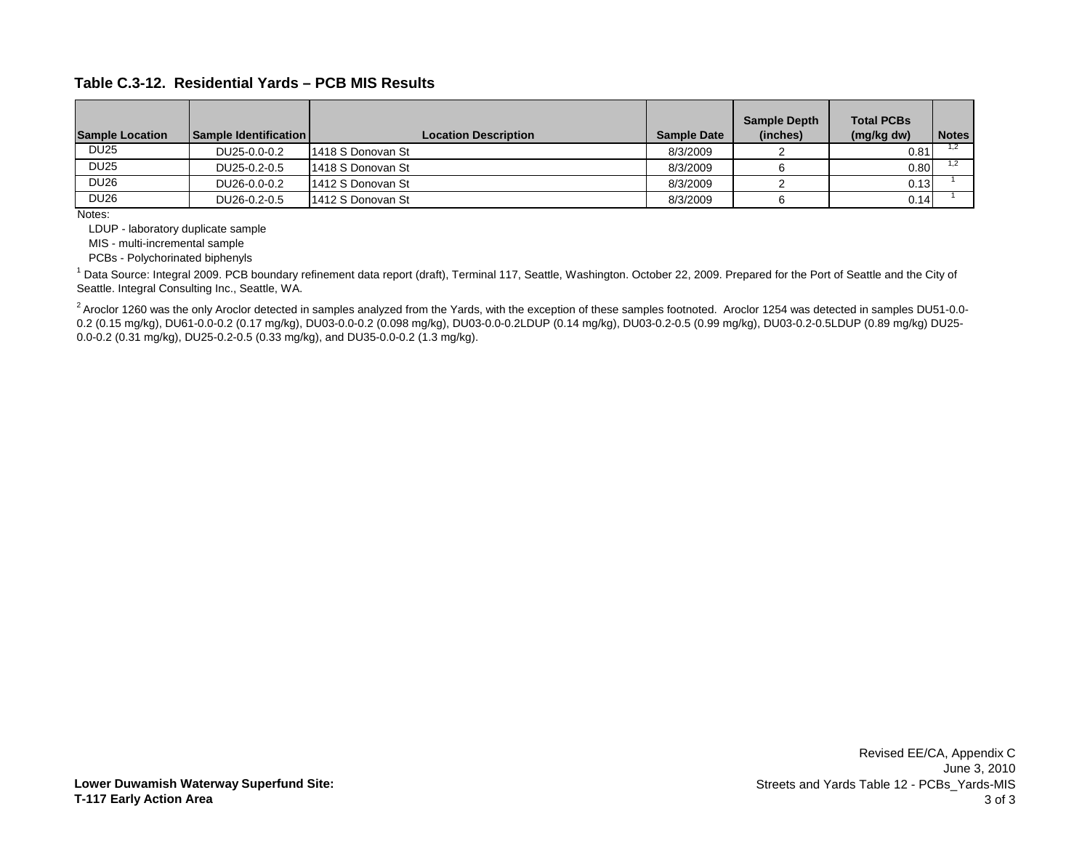**Table C.3-12. Residential Yards – PCB MIS Results**

| <b>Sample Location</b> | <b>Sample Identification L</b> | <b>Location Description</b> | <b>Sample Date</b> | <b>Sample Depth</b><br>(inches) | <b>Total PCBs</b><br>(mg/kg dw) | <b>Notes</b> |
|------------------------|--------------------------------|-----------------------------|--------------------|---------------------------------|---------------------------------|--------------|
| <b>DU25</b>            | DU25-0.0-0.2                   | 1418 S Donovan St           | 8/3/2009           |                                 | 0.81                            |              |
| <b>DU25</b>            | DU25-0.2-0.5                   | 1418 S Donovan St           | 8/3/2009           |                                 | 0.80                            |              |
| <b>DU26</b>            | DU26-0.0-0.2                   | 1412 S Donovan St           | 8/3/2009           |                                 | 0.13                            |              |
| <b>DU26</b>            | DU26-0.2-0.5                   | 1412 S Donovan St           | 8/3/2009           |                                 | 0.14                            |              |

Notes:

LDUP - laboratory duplicate sample

MIS - multi-incremental sample

PCBs - Polychorinated biphenyls

<sup>1</sup> Data Source: Integral 2009. PCB boundary refinement data report (draft), Terminal 117, Seattle, Washington. October 22, 2009. Prepared for the Port of Seattle and the City of Seattle. Integral Consulting Inc., Seattle, WA.

 $^{2}$  Aroclor 1260 was the only Aroclor detected in samples analyzed from the Yards, with the exception of these samples footnoted. Aroclor 1254 was detected in samples DU51-0.0-0.2 (0.15 mg/kg), DU61-0.0-0.2 (0.17 mg/kg), DU03-0.0-0.2 (0.098 mg/kg), DU03-0.0-0.2LDUP (0.14 mg/kg), DU03-0.2-0.5 (0.99 mg/kg), DU03-0.2-0.5LDUP (0.89 mg/kg) DU25- 0.0-0.2 (0.31 mg/kg), DU25-0.2-0.5 (0.33 mg/kg), and DU35-0.0-0.2 (1.3 mg/kg).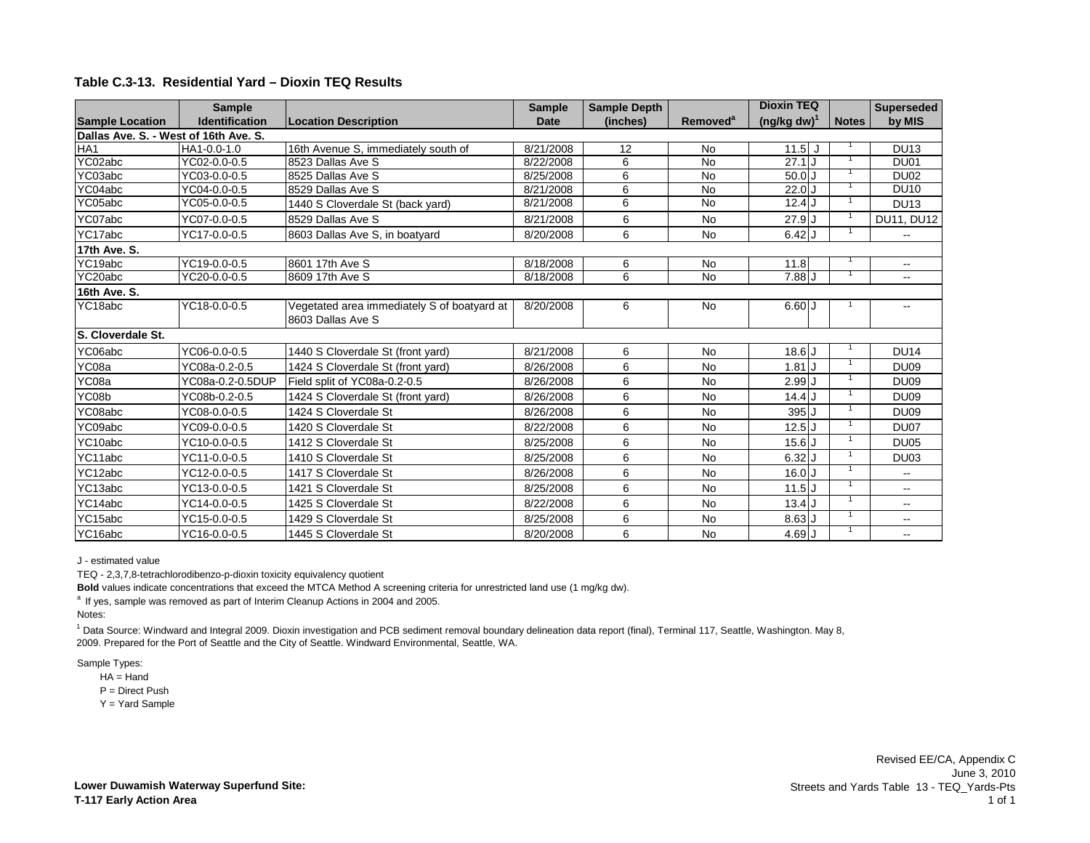#### **Table C.3-13. Residential Yard – Dioxin TEQ Results**

|                                       | <b>Sample</b>         |                                                                  | <b>Sample</b> | <b>Sample Depth</b> |                      | <b>Dioxin TEQ</b> |                | <b>Superseded</b>        |
|---------------------------------------|-----------------------|------------------------------------------------------------------|---------------|---------------------|----------------------|-------------------|----------------|--------------------------|
| <b>Sample Location</b>                | <b>Identification</b> | <b>Location Description</b>                                      | <b>Date</b>   | (inches)            | Removed <sup>a</sup> | $(ng/kg dw)^{1}$  | <b>Notes</b>   | by MIS                   |
| Dallas Ave. S. - West of 16th Ave. S. |                       |                                                                  |               |                     |                      |                   |                |                          |
| HA <sub>1</sub>                       | HA1-0.0-1.0           | 16th Avenue S, immediately south of                              | 8/21/2008     | 12                  | No                   | 11.5<br>IJ        |                | <b>DU13</b>              |
| YC02abc                               | YC02-0.0-0.5          | 8523 Dallas Ave S                                                | 8/22/2008     | 6                   | <b>No</b>            | 27.1              |                | <b>DU01</b>              |
| YC03abc                               | YC03-0.0-0.5          | 8525 Dallas Ave S                                                | 8/25/2008     | 6                   | <b>No</b>            | $50.0$ J          |                | <b>DU02</b>              |
| YC04abc                               | YC04-0.0-0.5          | 8529 Dallas Ave S                                                | 8/21/2008     | 6                   | <b>No</b>            | 22.0              |                | <b>DU10</b>              |
| YC05abc                               | YC05-0.0-0.5          | 1440 S Cloverdale St (back yard)                                 | 8/21/2008     | 6                   | <b>No</b>            | $12.4$ J          |                | <b>DU13</b>              |
| YC07abc                               | YC07-0.0-0.5          | 8529 Dallas Ave S                                                | 8/21/2008     | 6                   | <b>No</b>            | $27.9$ J          |                | DU11, DU12               |
| YC17abc                               | YC17-0.0-0.5          | 8603 Dallas Ave S, in boatyard                                   | 8/20/2008     | 6                   | No                   | 6.42              |                |                          |
| 17th Ave. S.                          |                       |                                                                  |               |                     |                      |                   |                |                          |
| YC19abc                               | YC19-0.0-0.5          | 8601 17th Ave S                                                  | 8/18/2008     | 6                   | <b>No</b>            | 11.8              |                | $\sim$ $\sim$            |
| YC20abc                               | YC20-0.0-0.5          | 8609 17th Ave S                                                  | 8/18/2008     | 6                   | <b>No</b>            | 7.88U             |                | $\overline{\phantom{a}}$ |
| 16th Ave. S.                          |                       |                                                                  |               |                     |                      |                   |                |                          |
| YC18abc                               | YC18-0.0-0.5          | Vegetated area immediately S of boatyard at<br>8603 Dallas Ave S | 8/20/2008     | 6                   | <b>No</b>            | 6.60J             |                | $\overline{\phantom{a}}$ |
| S. Cloverdale St.                     |                       |                                                                  |               |                     |                      |                   |                |                          |
| YC06abc                               | YC06-0.0-0.5          | 1440 S Cloverdale St (front yard)                                | 8/21/2008     | 6                   | <b>No</b>            | 18.6              |                | <b>DU14</b>              |
| YC08a                                 | YC08a-0.2-0.5         | 1424 S Cloverdale St (front yard)                                | 8/26/2008     | 6                   | <b>No</b>            | $1.81$ J          | $\mathbf{1}$   | <b>DU09</b>              |
| YC08a                                 | YC08a-0.2-0.5DUP      | Field split of YC08a-0.2-0.5                                     | 8/26/2008     | 6                   | <b>No</b>            | 2.99              |                | <b>DU09</b>              |
| YC08b                                 | YC08b-0.2-0.5         | 1424 S Cloverdale St (front yard)                                | 8/26/2008     | 6                   | <b>No</b>            | 14.4              |                | <b>DU09</b>              |
| YC08abc                               | YC08-0.0-0.5          | 1424 S Cloverdale St                                             | 8/26/2008     | 6                   | No                   | 395               |                | <b>DU09</b>              |
| YC09abc                               | YC09-0.0-0.5          | 1420 S Cloverdale St                                             | 8/22/2008     | 6                   | <b>No</b>            | 12.5              |                | DU07                     |
| YC10abc                               | YC10-0.0-0.5          | 1412 S Cloverdale St                                             | 8/25/2008     | 6                   | <b>No</b>            | 15.6J             | $\overline{1}$ | <b>DU05</b>              |
| YC11abc                               | YC11-0.0-0.5          | 1410 S Cloverdale St                                             | 8/25/2008     | 6                   | <b>No</b>            | $6.32$ J          |                | DU <sub>03</sub>         |
| YC12abc                               | YC12-0.0-0.5          | 1417 S Cloverdale St                                             | 8/26/2008     | 6                   | <b>No</b>            | 16.0              | $\mathbf{1}$   | $\overline{\phantom{a}}$ |
| YC13abc                               | YC13-0.0-0.5          | 1421 S Cloverdale St                                             | 8/25/2008     | 6                   | <b>No</b>            | 11.5              |                | $\overline{\phantom{a}}$ |
| YC14abc                               | YC14-0.0-0.5          | 1425 S Cloverdale St                                             | 8/22/2008     | 6                   | <b>No</b>            | 13.4              | $\overline{1}$ | $\overline{\phantom{a}}$ |
| YC15abc                               | YC15-0.0-0.5          | 1429 S Cloverdale St                                             | 8/25/2008     | 6                   | <b>No</b>            | 8.63              |                | $\overline{\phantom{a}}$ |
| YC16abc                               | YC16-0.0-0.5          | 1445 S Cloverdale St                                             | 8/20/2008     | 6                   | <b>No</b>            | 4.69 J            |                | $\overline{\phantom{a}}$ |

J - estimated value

TEQ - 2,3,7,8-tetrachlorodibenzo-p-dioxin toxicity equivalency quotient

**Bold** values indicate concentrations that exceed the MTCA Method A screening criteria for unrestricted land use (1 mg/kg dw).

<sup>a</sup> If yes, sample was removed as part of Interim Cleanup Actions in 2004 and 2005.

Notes:

<sup>1</sup> Data Source: Windward and Integral 2009. Dioxin investigation and PCB sediment removal boundary delineation data report (final), Terminal 117, Seattle, Washington. May 8, 2009. Prepared for the Port of Seattle and the City of Seattle. Windward Environmental, Seattle, WA.

Sample Types:

 $HA = Hand$ 

P = Direct Push

Y = Yard Sample